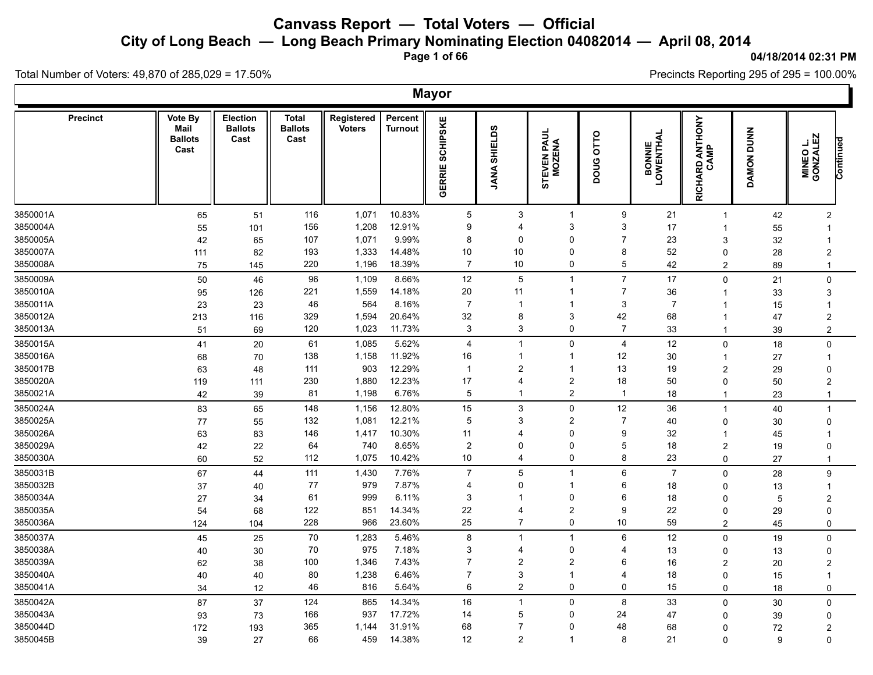**City of Long Beach — Long Beach Primary Nominating Election 04082014 — April 08, 2014**

**Page 1 of 66**

#### **04/18/2014 02:31 PM**

Ъ

Precincts Reporting 295 of 295 = 100.00%

Total Number of Voters: 49,870 of 285,029 = 17.50%

|                 |                                           |                                           |                                        |                             |                    | <b>Mayor</b>              |                     |                                   |                |                             |                         |            |                                           |  |
|-----------------|-------------------------------------------|-------------------------------------------|----------------------------------------|-----------------------------|--------------------|---------------------------|---------------------|-----------------------------------|----------------|-----------------------------|-------------------------|------------|-------------------------------------------|--|
| <b>Precinct</b> | Vote By<br>Mail<br><b>Ballots</b><br>Cast | <b>Election</b><br><b>Ballots</b><br>Cast | <b>Total</b><br><b>Ballots</b><br>Cast | Registered<br><b>Voters</b> | Percent<br>Turnout | <b>SCHIPSKE</b><br>GERRIE | လ<br>SHIELD<br>JANA | <b>TEVEN PAUL<br/>MOZENA</b><br>5 | DOUG OTTO      | <b>BONNIE<br/>LOWENTHAL</b> | RICHARD ANTHONY<br>CAMP | DAMON DUNN | <b>MINEO L.<br/>GONZALEZ</b><br>Continued |  |
| 3850001A        | 65                                        | 51                                        | 116                                    | 1,071                       | 10.83%             | 5                         | 3                   | $\overline{1}$                    | 9              | 21                          | $\overline{1}$          | 42         | $\overline{2}$                            |  |
| 3850004A        | 55                                        | 101                                       | 156                                    | 1,208                       | 12.91%             | 9                         | 4                   | 3                                 | 3              | 17                          | -1                      | 55         | $\mathbf 1$                               |  |
| 3850005A        | 42                                        | 65                                        | 107                                    | 1,071                       | 9.99%              | 8                         | 0                   | 0                                 | $\overline{7}$ | 23                          | 3                       | 32         | $\mathbf 1$                               |  |
| 3850007A        | 111                                       | 82                                        | 193                                    | 1,333                       | 14.48%             | 10                        | 10                  | 0                                 | 8              | 52                          | $\Omega$                | 28         | $\overline{2}$                            |  |
| 3850008A        | 75                                        | 145                                       | 220                                    | 1,196                       | 18.39%             | $\overline{7}$            | 10                  | 0                                 | 5              | 42                          | $\overline{c}$          | 89         | $\mathbf{1}$                              |  |
| 3850009A        | 50                                        | 46                                        | 96                                     | 1,109                       | 8.66%              | 12                        | 5                   | $\overline{1}$                    | $\overline{7}$ | 17                          | $\Omega$                | 21         | $\pmb{0}$                                 |  |
| 3850010A        | 95                                        | 126                                       | 221                                    | 1,559                       | 14.18%             | 20                        | 11                  | 1                                 | $\overline{7}$ | 36                          | -1                      | 33         | 3                                         |  |
| 3850011A        | 23                                        | 23                                        | 46                                     | 564                         | 8.16%              | $\overline{7}$            | $\mathbf 1$         | $\mathbf 1$                       | 3              | $\overline{7}$              | -1                      | 15         | $\mathbf 1$                               |  |
| 3850012A        | 213                                       | 116                                       | 329                                    | 1,594                       | 20.64%             | 32                        | 8                   | 3                                 | 42             | 68                          |                         | 47         | $\overline{2}$                            |  |
| 3850013A        | 51                                        | 69                                        | 120                                    | 1,023                       | 11.73%             | 3                         | 3                   | 0                                 | $\overline{7}$ | 33                          | $\overline{1}$          | 39         | $\overline{c}$                            |  |
| 3850015A        | 41                                        | 20                                        | 61                                     | 1,085                       | 5.62%              | $\overline{4}$            | $\overline{1}$      | 0                                 | $\overline{4}$ | 12                          | $\mathbf 0$             | 18         | $\mathbf 0$                               |  |
| 3850016A        | 68                                        | 70                                        | 138                                    | 1,158                       | 11.92%             | 16                        | $\mathbf 1$         | 1                                 | 12             | 30                          | -1                      | 27         | $\mathbf 1$                               |  |
| 3850017B        | 63                                        | 48                                        | 111                                    | 903                         | 12.29%             | $\mathbf{1}$              | $\overline{c}$      | $\mathbf 1$                       | 13             | 19                          | $\overline{2}$          | 29         | $\Omega$                                  |  |
| 3850020A        | 119                                       | 111                                       | 230                                    | 1,880                       | 12.23%             | 17                        | 4                   | $\overline{\mathbf{c}}$           | 18             | 50                          | $\mathbf 0$             | 50         | $\overline{c}$                            |  |
| 3850021A        | 42                                        | 39                                        | 81                                     | 1,198                       | 6.76%              | 5                         | 1                   | $\overline{\mathbf{c}}$           | $\overline{1}$ | 18                          | $\mathbf{1}$            | 23         | $\mathbf{1}$                              |  |
| 3850024A        | 83                                        | 65                                        | 148                                    | 1,156                       | 12.80%             | 15                        | 3                   | 0                                 | 12             | 36                          | $\overline{1}$          | 40         | $\mathbf 1$                               |  |
| 3850025A        | 77                                        | 55                                        | 132                                    | 1,081                       | 12.21%             | 5                         | 3                   | $\overline{\mathbf{c}}$           | $\overline{7}$ | 40                          | $\Omega$                | 30         | $\Omega$                                  |  |
| 3850026A        | 63                                        | 83                                        | 146                                    | 1,417                       | 10.30%             | 11                        | 4                   | 0                                 | 9              | 32                          | -1                      | 45         | -1                                        |  |
| 3850029A        | 42                                        | 22                                        | 64                                     | 740                         | 8.65%              | $\overline{c}$            | 0                   | 0                                 | $\sqrt{5}$     | 18                          | $\overline{2}$          | 19         | $\Omega$                                  |  |
| 3850030A        | 60                                        | 52                                        | 112                                    | 1,075                       | 10.42%             | 10                        | 4                   | 0                                 | 8              | 23                          | 0                       | 27         | $\mathbf{1}$                              |  |
| 3850031B        | 67                                        | 44                                        | 111                                    | 1,430                       | 7.76%              | $\overline{7}$            | 5                   | $\mathbf{1}$                      | 6              | $\overline{7}$              | $\Omega$                | 28         | $\boldsymbol{9}$                          |  |
| 3850032B        | 37                                        | 40                                        | 77                                     | 979                         | 7.87%              | $\overline{4}$            | 0                   | $\mathbf 1$                       | 6              | 18                          | 0                       | 13         | $\mathbf{1}$                              |  |
| 3850034A        | 27                                        | 34                                        | 61                                     | 999                         | 6.11%              | 3                         | 1                   | 0                                 | 6              | 18                          | $\Omega$                | 5          | $\overline{2}$                            |  |
| 3850035A        | 54                                        | 68                                        | 122                                    | 851                         | 14.34%             | 22                        | 4                   | $\overline{c}$                    | 9              | 22                          | 0                       | 29         | $\Omega$                                  |  |
| 3850036A        | 124                                       | 104                                       | 228                                    | 966                         | 23.60%             | 25                        | $\overline{7}$      | 0                                 | 10             | 59                          | $\overline{2}$          | 45         | 0                                         |  |
| 3850037A        | 45                                        | 25                                        | 70                                     | 1,283                       | 5.46%              | 8                         | $\overline{1}$      | $\mathbf{1}$                      | 6              | 12                          | $\Omega$                | 19         | $\Omega$                                  |  |
| 3850038A        | 40                                        | 30                                        | 70                                     | 975                         | 7.18%              | 3                         | 4                   | 0                                 | $\overline{4}$ | 13                          | 0                       | 13         | $\mathbf 0$                               |  |
| 3850039A        | 62                                        | 38                                        | 100                                    | 1,346                       | 7.43%              | $\overline{7}$            | $\overline{2}$      | $\overline{\mathbf{c}}$           | 6              | 16                          | $\overline{2}$          | 20         | $\overline{2}$                            |  |
| 3850040A        | 40                                        | 40                                        | 80                                     | 1,238                       | 6.46%              | $\overline{7}$            | 3                   | $\mathbf 1$                       | $\overline{4}$ | 18                          | 0                       | 15         | $\mathbf 1$                               |  |
| 3850041A        | 34                                        | 12                                        | 46                                     | 816                         | 5.64%              | 6                         | $\overline{2}$      | 0                                 | 0              | 15                          | 0                       | 18         | $\mathbf 0$                               |  |
| 3850042A        | 87                                        | 37                                        | 124                                    | 865                         | 14.34%             | 16                        | $\overline{1}$      | 0                                 | 8              | 33                          | 0                       | 30         | $\mathbf 0$                               |  |
| 3850043A        | 93                                        | 73                                        | 166                                    | 937                         | 17.72%             | 14                        | 5                   | 0                                 | 24             | 47                          | $\Omega$                | 39         | $\Omega$                                  |  |
| 3850044D        | 172                                       | 193                                       | 365                                    | 1,144                       | 31.91%             | 68                        | 7                   | 0<br>$\overline{1}$               | 48             | 68                          | $\Omega$                | 72         | $\overline{2}$                            |  |
| 3850045B        | 39                                        | 27                                        | 66                                     | 459                         | 14.38%             | 12                        | $\overline{2}$      |                                   | 8              | 21                          | $\Omega$                | 9          | $\Omega$                                  |  |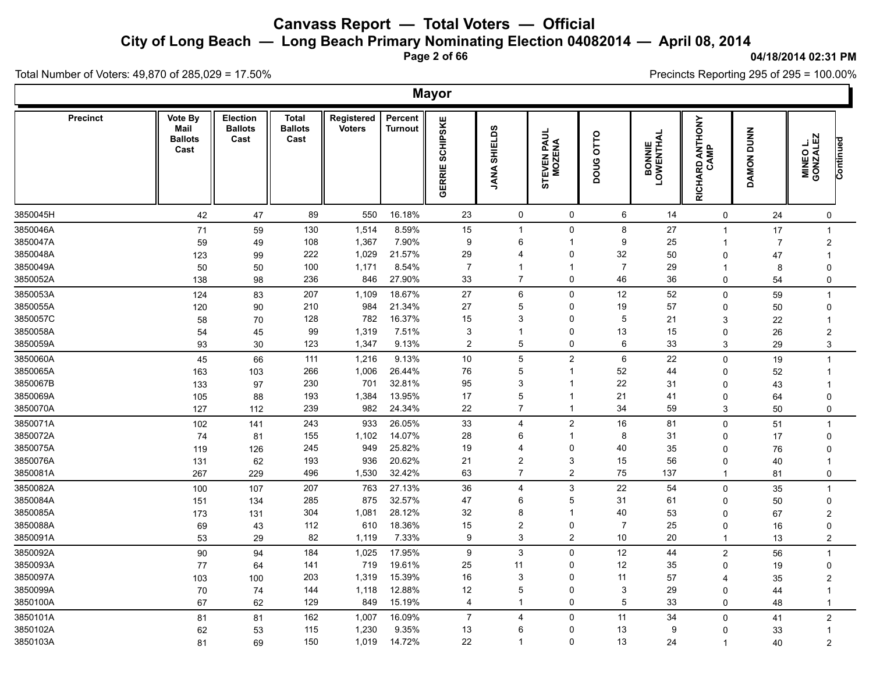**City of Long Beach — Long Beach Primary Nominating Election 04082014 — April 08, 2014**

**Page 2 of 66**

#### **04/18/2014 02:31 PM**

Ъ

Precincts Reporting 295 of 295 = 100.00%

Total Number of Voters: 49,870 of 285,029 = 17.50%

Γ

|                 |                                           |                                           |                                        |                             |                           | <b>Mayor</b>              |                         |                           |                |                             |                         |                |                                           |  |
|-----------------|-------------------------------------------|-------------------------------------------|----------------------------------------|-----------------------------|---------------------------|---------------------------|-------------------------|---------------------------|----------------|-----------------------------|-------------------------|----------------|-------------------------------------------|--|
| <b>Precinct</b> | Vote By<br>Mail<br><b>Ballots</b><br>Cast | <b>Election</b><br><b>Ballots</b><br>Cast | <b>Total</b><br><b>Ballots</b><br>Cast | Registered<br><b>Voters</b> | Percent<br><b>Turnout</b> | <b>SCHIPSKE</b><br>GERRIE | <b>JANA SHIELDS</b>     | STEVEN PAUL<br>MOZENA     | DOUG OTTO      | <b>BONNIE<br/>LOWENTHAL</b> | RICHARD ANTHONY<br>CAMP | DAMON DUNN     | <b>MINEO L.<br/>GONZALEZ</b><br>Continued |  |
| 3850045H        | 42                                        | 47                                        | 89                                     | 550                         | 16.18%                    | 23                        | $\mathsf{O}$            | 0                         | 6              | 14                          | 0                       | 24             | 0                                         |  |
| 3850046A        | 71                                        | 59                                        | 130                                    | 1,514                       | 8.59%                     | 15                        | $\overline{1}$          | 0                         | 8              | 27                          | -1                      | 17             | $\mathbf 1$                               |  |
| 3850047A        | 59                                        | 49                                        | 108                                    | 1,367                       | 7.90%                     | 9                         | 6                       | $\mathbf{1}$              | 9              | 25                          |                         | $\overline{7}$ | $\overline{2}$                            |  |
| 3850048A        | 123                                       | 99                                        | 222                                    | 1,029                       | 21.57%                    | 29                        | 4                       | 0                         | 32             | 50                          | $\Omega$                | 47             | -1                                        |  |
| 3850049A        | 50                                        | 50                                        | 100                                    | 1,171                       | 8.54%                     | $\overline{7}$            | -1                      | $\mathbf{1}$              | $\overline{7}$ | 29                          | -1                      | 8              | $\mathbf{0}$                              |  |
| 3850052A        | 138                                       | 98                                        | 236                                    | 846                         | 27.90%                    | 33                        | $\overline{7}$          | 0                         | 46             | 36                          | $\mathbf 0$             | 54             | $\mathbf 0$                               |  |
| 3850053A        | 124                                       | 83                                        | 207                                    | 1,109                       | 18.67%                    | 27                        | 6                       | 0                         | 12             | 52                          | $\Omega$                | 59             | $\overline{1}$                            |  |
| 3850055A        | 120                                       | 90                                        | 210                                    | 984                         | 21.34%                    | 27                        | 5                       | 0                         | 19             | 57                          | $\Omega$                | 50             | $\mathbf 0$                               |  |
| 3850057C        | 58                                        | 70                                        | 128                                    | 782                         | 16.37%                    | 15                        | 3                       | 0                         | $\sqrt{5}$     | 21                          | 3                       | 22             | $\overline{1}$                            |  |
| 3850058A        | 54                                        | 45                                        | 99                                     | 1,319                       | 7.51%                     | 3                         | $\mathbf{1}$            | 0                         | 13             | 15                          | $\Omega$                | 26             | $\overline{2}$                            |  |
| 3850059A        | 93                                        | 30                                        | 123                                    | 1,347                       | 9.13%                     | $\overline{c}$            | $\mathbf 5$             | 0                         | 6              | 33                          | 3                       | 29             | $\sqrt{3}$                                |  |
| 3850060A        | 45                                        | 66                                        | 111                                    | 1,216                       | 9.13%                     | 10                        | $\sqrt{5}$              | $\boldsymbol{2}$          | 6              | 22                          | $\mathbf 0$             | 19             | $\overline{1}$                            |  |
| 3850065A        | 163                                       | 103                                       | 266                                    | 1,006                       | 26.44%                    | 76                        | 5                       | $\overline{1}$            | 52             | 44                          | $\Omega$                | 52             | -1                                        |  |
| 3850067B        | 133                                       | 97                                        | 230                                    | 701                         | 32.81%                    | 95                        | 3                       | $\overline{1}$            | 22             | 31                          | $\Omega$                | 43             |                                           |  |
| 3850069A        | 105                                       | 88                                        | 193                                    | 1,384                       | 13.95%                    | 17                        | 5                       | $\overline{1}$            | 21             | 41                          | 0                       | 64             | $\Omega$                                  |  |
| 3850070A        | 127                                       | 112                                       | 239                                    | 982                         | 24.34%                    | 22                        | $\overline{7}$          | $\mathbf{1}$              | 34             | 59                          | 3                       | 50             | 0                                         |  |
| 3850071A        | 102                                       | 141                                       | 243                                    | 933                         | 26.05%                    | 33                        | $\overline{4}$          | $\overline{c}$            | 16             | 81                          | $\mathbf 0$             | 51             | $\mathbf{1}$                              |  |
| 3850072A        | 74                                        | 81                                        | 155                                    | 1,102                       | 14.07%                    | 28                        | 6                       | $\mathbf{1}$              | 8              | 31                          | 0                       | 17             | $\mathbf{0}$                              |  |
| 3850075A        | 119                                       | 126                                       | 245                                    | 949                         | 25.82%                    | 19                        | 4                       | 0                         | 40             | 35                          | $\Omega$                | 76             | $\Omega$                                  |  |
| 3850076A        | 131                                       | 62                                        | 193                                    | 936                         | 20.62%                    | 21                        | $\overline{\mathbf{c}}$ | $\ensuremath{\mathsf{3}}$ | 15             | 56                          | $\Omega$                | 40             | -1                                        |  |
| 3850081A        | 267                                       | 229                                       | 496                                    | 1,530                       | 32.42%                    | 63                        | $\overline{7}$          | $\overline{c}$            | 75             | 137                         | $\overline{1}$          | 81             | $\mathbf 0$                               |  |
| 3850082A        | 100                                       | 107                                       | 207                                    | 763                         | 27.13%                    | 36                        | $\overline{4}$          | 3                         | 22             | 54                          | 0                       | 35             | $\overline{1}$                            |  |
| 3850084A        | 151                                       | 134                                       | 285                                    | 875                         | 32.57%                    | 47                        | 6                       | 5                         | 31             | 61                          | $\Omega$                | 50             | $\Omega$                                  |  |
| 3850085A        | 173                                       | 131                                       | 304                                    | 1,081                       | 28.12%                    | 32                        | 8                       | 1                         | 40             | 53                          | $\Omega$                | 67             | $\overline{2}$                            |  |
| 3850088A        | 69                                        | 43                                        | 112                                    | 610                         | 18.36%                    | 15                        | 2                       | 0                         | $\overline{7}$ | 25                          | $\Omega$                | 16             | $\Omega$                                  |  |
| 3850091A        | 53                                        | 29                                        | 82                                     | 1,119                       | 7.33%                     | 9                         | 3                       | $\overline{c}$            | 10             | 20                          |                         | 13             | $\overline{c}$                            |  |
| 3850092A        | 90                                        | 94                                        | 184                                    | 1,025                       | 17.95%                    | 9                         | $\mathsf 3$             | 0                         | $12\,$         | 44                          | $\overline{c}$          | 56             | $\overline{1}$                            |  |
| 3850093A        | 77                                        | 64                                        | 141                                    | 719                         | 19.61%                    | 25                        | 11                      | 0                         | 12             | 35                          | $\Omega$                | 19             | $\mathbf 0$                               |  |
| 3850097A        | 103                                       | 100                                       | 203                                    | 1,319                       | 15.39%                    | 16                        | 3                       | 0                         | 11             | 57                          | $\overline{4}$          | 35             | $\overline{c}$                            |  |
| 3850099A        | 70                                        | 74                                        | 144                                    | 1,118                       | 12.88%                    | 12                        | 5                       | 0                         | $\mathbf{3}$   | 29                          | 0                       | 44             | $\overline{1}$                            |  |
| 3850100A        | 67                                        | 62                                        | 129                                    | 849                         | 15.19%                    | 4                         | $\mathbf 1$             | 0                         | 5              | 33                          | $\Omega$                | 48             | $\mathbf{1}$                              |  |
| 3850101A        | 81                                        | 81                                        | 162                                    | 1,007                       | 16.09%                    | $\overline{7}$            | $\overline{4}$          | 0                         | 11             | 34                          | $\Omega$                | 41             | $\overline{2}$                            |  |
| 3850102A        | 62                                        | 53                                        | 115                                    | 1,230                       | 9.35%                     | 13                        | 6                       | 0                         | 13             | 9                           | $\Omega$                | 33             | $\overline{1}$                            |  |
| 3850103A        | 81                                        | 69                                        | 150                                    | 1,019                       | 14.72%                    | 22                        | $\mathbf 1$             | 0                         | 13             | 24                          | $\overline{1}$          | 40             | 2                                         |  |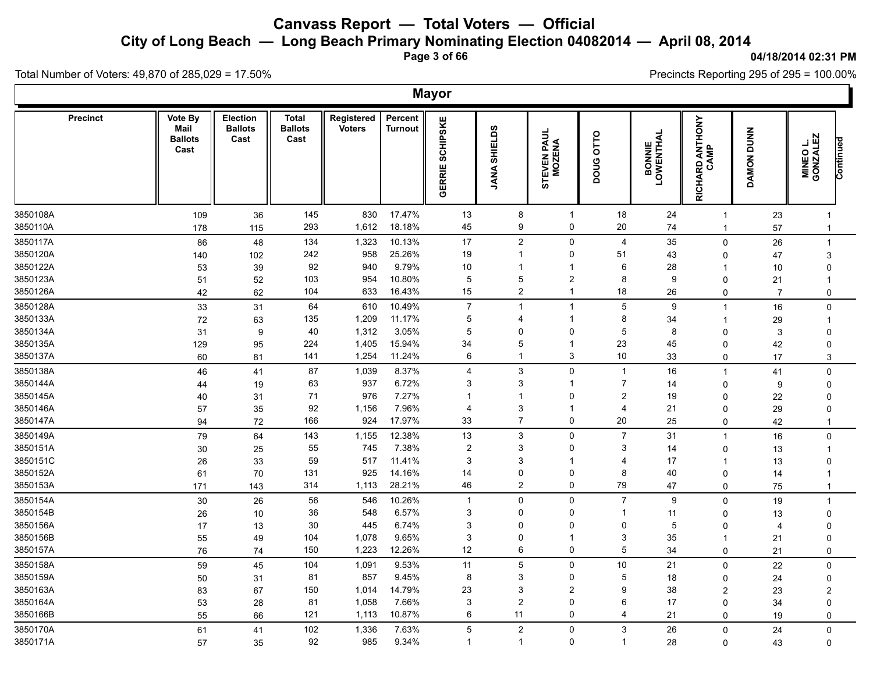**City of Long Beach — Long Beach Primary Nominating Election 04082014 — April 08, 2014**

**Page 3 of 66**

#### **04/18/2014 02:31 PM**

'n

Precincts Reporting 295 of 295 = 100.00%

Total Number of Voters: 49,870 of 285,029 = 17.50%

|                      |                                           |                                    |                                        |                             |                           | <b>Mayor</b>              |                               |                                            |                                  |                             |                         |                |                                   |  |
|----------------------|-------------------------------------------|------------------------------------|----------------------------------------|-----------------------------|---------------------------|---------------------------|-------------------------------|--------------------------------------------|----------------------------------|-----------------------------|-------------------------|----------------|-----------------------------------|--|
| <b>Precinct</b>      | Vote By<br>Mail<br><b>Ballots</b><br>Cast | Election<br><b>Ballots</b><br>Cast | <b>Total</b><br><b>Ballots</b><br>Cast | Registered<br><b>Voters</b> | Percent<br><b>Turnout</b> | <b>SCHIPSKE</b><br>GERRIE | <b>SHIELDS</b><br><b>JANA</b> | <b>PAUL</b><br><b>EVEN F</b><br>MOZEP<br>5 | 0110<br><b>DOUG</b>              | <b>BONNIE<br/>LOWENTHAL</b> | RICHARD ANTHONY<br>CAMP | DAMON DUNN     | MINEO L.<br>GONZALEZ<br>Continued |  |
| 3850108A             | 109                                       | 36                                 | 145                                    | 830                         | 17.47%                    | 13                        | 8                             | $\overline{1}$                             | 18                               | 24                          | $\mathbf{1}$            | 23             | $\mathbf{1}$                      |  |
| 3850110A             | 178                                       | 115                                | 293                                    | 1,612                       | 18.18%                    | 45                        | 9                             | 0                                          | $20\,$                           | 74                          | $\mathbf{1}$            | 57             | $\mathbf{1}$                      |  |
| 3850117A             | 86                                        | 48                                 | 134                                    | 1,323                       | 10.13%                    | 17                        | $\overline{2}$                | 0                                          | $\overline{4}$                   | 35                          | $\mathbf 0$             | 26             | $\mathbf{1}$                      |  |
| 3850120A             | 140                                       | 102                                | 242                                    | 958                         | 25.26%                    | 19                        | $\mathbf{1}$                  | 0                                          | 51                               | 43                          | $\Omega$                | 47             | 3                                 |  |
| 3850122A             | 53                                        | 39                                 | 92                                     | 940                         | 9.79%                     | 10                        | $\mathbf 1$                   | 1                                          | 6                                | 28                          | -1                      | 10             | $\mathbf 0$                       |  |
| 3850123A             | 51                                        | 52                                 | 103                                    | 954                         | 10.80%                    | 5                         | 5                             | $\overline{\mathbf{c}}$                    | 8                                | 9                           | 0                       | 21             | $\mathbf 1$                       |  |
| 3850126A             | 42                                        | 62                                 | 104                                    | 633                         | 16.43%                    | 15                        | $\overline{2}$                | $\mathbf{1}$                               | 18                               | 26                          | 0                       | $\overline{7}$ | 0                                 |  |
| 3850128A             | 33                                        | 31                                 | 64                                     | 610                         | 10.49%                    | $\overline{7}$            | $\mathbf{1}$                  | $\mathbf{1}$                               | 5                                | 9                           | $\mathbf{1}$            | 16             | $\Omega$                          |  |
| 3850133A             | 72                                        | 63                                 | 135                                    | 1,209                       | 11.17%                    | 5                         | 4                             | 1                                          | 8                                | 34                          | -1                      | 29             | $\mathbf{1}$                      |  |
| 3850134A             | 31                                        | 9                                  | 40                                     | 1,312                       | 3.05%                     | 5                         | 0                             | 0                                          | $\mathbf 5$                      | 8                           | $\mathbf 0$             | 3              | $\Omega$                          |  |
| 3850135A<br>3850137A | 129                                       | 95                                 | 224<br>141                             | 1,405<br>1,254              | 15.94%<br>11.24%          | 34<br>6                   | 5<br>$\mathbf 1$              | $\mathbf 1$<br>3                           | 23<br>10                         | 45<br>33                    | 0                       | 42             | $\Omega$                          |  |
|                      | 60                                        | 81                                 |                                        |                             |                           |                           |                               |                                            |                                  |                             | $\mathbf 0$             | 17             | 3                                 |  |
| 3850138A             | 46                                        | 41                                 | 87                                     | 1,039                       | 8.37%                     | $\overline{4}$            | $\mathbf{3}$                  | 0                                          | $\mathbf{1}$                     | 16                          | $\mathbf{1}$            | 41             | $\mathbf 0$                       |  |
| 3850144A             | 44                                        | 19                                 | 63                                     | 937                         | 6.72%                     | 3<br>$\overline{1}$       | 3                             | 1                                          | $\overline{7}$<br>$\overline{2}$ | 14                          | 0                       | 9              | 0                                 |  |
| 3850145A<br>3850146A | 40                                        | 31                                 | 71<br>92                               | 976<br>1,156                | 7.27%<br>7.96%            | 4                         | 1<br>3                        | 0<br>1                                     | $\overline{4}$                   | 19<br>21                    | $\mathbf 0$             | 22             | $\Omega$<br>$\Omega$              |  |
| 3850147A             | 57<br>94                                  | 35<br>72                           | 166                                    | 924                         | 17.97%                    | 33                        | $\overline{7}$                | 0                                          | 20                               | 25                          | 0<br>$\mathbf 0$        | 29<br>42       | $\mathbf{1}$                      |  |
| 3850149A             |                                           |                                    |                                        | 1,155                       | 12.38%                    | 13                        | 3                             | 0                                          | $\overline{7}$                   |                             |                         |                |                                   |  |
| 3850151A             | 79                                        | 64                                 | 143<br>55                              | 745                         | 7.38%                     | $\overline{c}$            | 3                             | 0                                          | 3                                | 31                          | $\mathbf{1}$<br>0       | 16             | $\Omega$                          |  |
| 3850151C             | 30                                        | 25<br>33                           | 59                                     | 517                         | 11.41%                    | 3                         | 3                             | $\mathbf 1$                                | $\overline{4}$                   | 14<br>17                    | -1                      | 13<br>13       | $\mathbf 1$<br>$\Omega$           |  |
| 3850152A             | 26<br>61                                  | 70                                 | 131                                    | 925                         | 14.16%                    | 14                        | $\Omega$                      | 0                                          | 8                                | 40                          | $\mathbf 0$             | 14             | $\mathbf 1$                       |  |
| 3850153A             | 171                                       | 143                                | 314                                    | 1,113                       | 28.21%                    | 46                        | $\overline{2}$                | 0                                          | 79                               | 47                          | $\mathbf 0$             | 75             | $\mathbf{1}$                      |  |
| 3850154A             |                                           |                                    | 56                                     | 546                         | 10.26%                    | $\mathbf{1}$              | $\mathbf 0$                   | 0                                          | $\overline{7}$                   | 9                           | $\Omega$                |                | $\mathbf{1}$                      |  |
| 3850154B             | 30<br>26                                  | 26<br>10                           | 36                                     | 548                         | 6.57%                     | 3                         | $\mathbf 0$                   | 0                                          | -1                               | 11                          | 0                       | 19<br>13       | 0                                 |  |
| 3850156A             | 17                                        | 13                                 | 30                                     | 445                         | 6.74%                     | 3                         | 0                             | 0                                          | 0                                | 5                           | $\Omega$                | $\overline{4}$ | $\Omega$                          |  |
| 3850156B             | 55                                        | 49                                 | 104                                    | 1,078                       | 9.65%                     | 3                         | 0                             | 1                                          | 3                                | 35                          | -1                      | 21             | $\Omega$                          |  |
| 3850157A             | 76                                        | 74                                 | 150                                    | 1,223                       | 12.26%                    | 12                        | 6                             | 0                                          | 5                                | 34                          | $\Omega$                | 21             | $\mathbf 0$                       |  |
| 3850158A             | 59                                        | 45                                 | 104                                    | 1,091                       | 9.53%                     | 11                        | $\overline{\mathbf{5}}$       | 0                                          | 10                               | 21                          | $\mathbf 0$             | 22             | 0                                 |  |
| 3850159A             | 50                                        | 31                                 | 81                                     | 857                         | 9.45%                     | 8                         | 3                             | 0                                          | 5                                | 18                          | $\mathbf 0$             | 24             | $\mathbf 0$                       |  |
| 3850163A             | 83                                        | 67                                 | 150                                    | 1,014                       | 14.79%                    | 23                        | 3                             | $\overline{2}$                             | 9                                | 38                          | 2                       | 23             | $\overline{2}$                    |  |
| 3850164A             | 53                                        | 28                                 | 81                                     | 1,058                       | 7.66%                     | 3                         | $\overline{\mathbf{c}}$       | 0                                          | 6                                | 17                          | $\mathbf 0$             | 34             | $\mathbf 0$                       |  |
| 3850166B             | 55                                        | 66                                 | 121                                    | 1,113                       | 10.87%                    | 6                         | 11                            | 0                                          | $\overline{4}$                   | 21                          | $\Omega$                | 19             | 0                                 |  |
| 3850170A             | 61                                        | 41                                 | 102                                    | 1,336                       | 7.63%                     | 5                         | $\mathbf 2$                   | 0                                          | 3                                | 26                          | $\mathbf 0$             | 24             | $\mathbf 0$                       |  |
| 3850171A             | 57                                        | 35                                 | 92                                     | 985                         | 9.34%                     | $\mathbf{1}$              | $\mathbf 1$                   | 0                                          | $\overline{1}$                   | 28                          | $\Omega$                | 43             | $\mathbf{0}$                      |  |
|                      |                                           |                                    |                                        |                             |                           |                           |                               |                                            |                                  |                             |                         |                |                                   |  |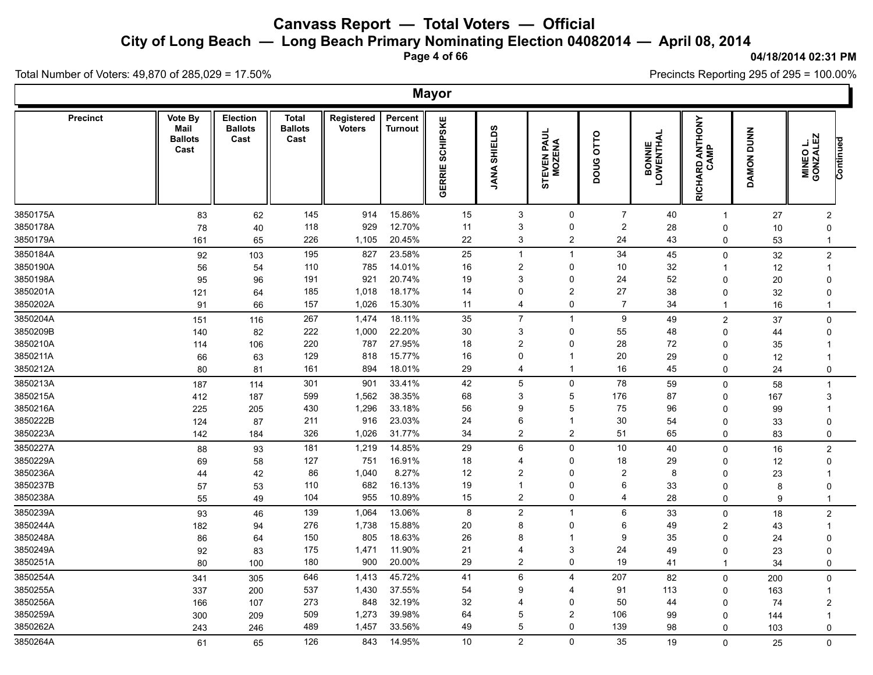**City of Long Beach — Long Beach Primary Nominating Election 04082014 — April 08, 2014**

**Page 4 of 66**

#### **04/18/2014 02:31 PM**

'n

Precincts Reporting 295 of 295 = 100.00%

Total Number of Voters: 49,870 of 285,029 = 17.50%

|                 |                                           |                                    |                                        |                             |                           | <b>Mayor</b>              |                               |                            |                |                             |                         |            |                                   |  |
|-----------------|-------------------------------------------|------------------------------------|----------------------------------------|-----------------------------|---------------------------|---------------------------|-------------------------------|----------------------------|----------------|-----------------------------|-------------------------|------------|-----------------------------------|--|
| <b>Precinct</b> | Vote By<br>Mail<br><b>Ballots</b><br>Cast | Election<br><b>Ballots</b><br>Cast | <b>Total</b><br><b>Ballots</b><br>Cast | Registered<br><b>Voters</b> | Percent<br><b>Turnout</b> | <b>SCHIPSKE</b><br>GERRIE | <b>SHIELDS</b><br><b>JANA</b> | <b>PAUL</b><br>EVEN F<br>5 | OLLO<br>poug   | <b>BONNIE<br/>LOWENTHAL</b> | RICHARD ANTHONY<br>CAMP | DAMON DUNN | MINEO L.<br>GONZALEZ<br>Continued |  |
| 3850175A        | 83                                        | 62                                 | 145                                    | 914                         | 15.86%                    | 15                        | $\mathbf{3}$                  | 0                          | $\overline{7}$ | 40                          | $\mathbf 1$             | 27         | $\overline{c}$                    |  |
| 3850178A        | 78                                        | 40                                 | 118                                    | 929                         | 12.70%                    | 11                        | 3                             | 0                          | $\overline{2}$ | 28                          | $\mathbf 0$             | 10         | $\Omega$                          |  |
| 3850179A        | 161                                       | 65                                 | 226                                    | 1,105                       | 20.45%                    | 22                        | 3                             | $\overline{\mathbf{c}}$    | 24             | 43                          | 0                       | 53         | $\mathbf{1}$                      |  |
| 3850184A        | 92                                        | 103                                | 195                                    | 827                         | 23.58%                    | 25                        | $\mathbf{1}$                  | $\mathbf{1}$               | 34             | 45                          | $\mathbf 0$             | 32         | $\boldsymbol{2}$                  |  |
| 3850190A        | 56                                        | 54                                 | 110                                    | 785                         | 14.01%                    | 16                        | $\overline{\mathbf{c}}$       | 0                          | 10             | 32                          | -1                      | 12         | $\mathbf{1}$                      |  |
| 3850198A        | 95                                        | 96                                 | 191                                    | 921                         | 20.74%                    | 19                        | 3                             | 0                          | 24             | 52                          | 0                       | 20         | $\Omega$                          |  |
| 3850201A        | 121                                       | 64                                 | 185                                    | 1,018                       | 18.17%                    | 14                        | 0                             | $\overline{2}$             | 27             | 38                          | $\mathbf 0$             | 32         | $\mathbf{0}$                      |  |
| 3850202A        | 91                                        | 66                                 | 157                                    | 1,026                       | 15.30%                    | 11                        | 4                             | 0                          | $\overline{7}$ | 34                          | $\mathbf 1$             | 16         | $\mathbf{1}$                      |  |
| 3850204A        | 151                                       | 116                                | 267                                    | 1,474                       | 18.11%                    | 35                        | $\overline{7}$                | $\mathbf{1}$               | 9              | 49                          | $\overline{2}$          | 37         | $\mathbf 0$                       |  |
| 3850209B        | 140                                       | 82                                 | 222                                    | 1,000                       | 22.20%                    | $30\,$                    | 3                             | 0                          | 55             | 48                          | $\Omega$                | 44         | 0                                 |  |
| 3850210A        | 114                                       | 106                                | 220                                    | 787                         | 27.95%                    | 18                        | $\overline{2}$                | 0                          | 28             | 72                          | 0                       | 35         | $\mathbf 1$                       |  |
| 3850211A        | 66                                        | 63                                 | 129                                    | 818                         | 15.77%                    | 16                        | $\Omega$                      | 1                          | 20             | 29                          | 0                       | 12         | $\mathbf 1$                       |  |
| 3850212A        | 80                                        | 81                                 | 161                                    | 894                         | 18.01%                    | 29                        | 4                             | 1                          | 16             | 45                          | $\mathbf 0$             | 24         | 0                                 |  |
| 3850213A        | 187                                       | 114                                | 301                                    | 901                         | 33.41%                    | 42                        | 5                             | 0                          | 78             | 59                          | $\mathbf{0}$            | 58         | $\mathbf{1}$                      |  |
| 3850215A        | 412                                       | 187                                | 599                                    | 1,562                       | 38.35%                    | 68                        | 3                             | 5                          | 176            | 87                          | 0                       | 167        | 3                                 |  |
| 3850216A        | 225                                       | 205                                | 430                                    | 1,296                       | 33.18%                    | 56                        | 9                             | 5                          | 75             | 96                          | $\Omega$                | 99         | $\mathbf{1}$                      |  |
| 3850222B        | 124                                       | 87                                 | 211                                    | 916                         | 23.03%                    | 24                        | 6                             | 1                          | 30             | 54                          | 0                       | 33         | $\Omega$                          |  |
| 3850223A        | 142                                       | 184                                | 326                                    | 1,026                       | 31.77%                    | 34                        | $\overline{2}$                | $\overline{c}$             | 51             | 65                          | $\mathbf 0$             | 83         | $\mathbf 0$                       |  |
| 3850227A        | 88                                        | 93                                 | 181                                    | 1,219                       | 14.85%                    | 29                        | $\,6\,$                       | $\mathbf 0$                | 10             | 40                          | $\mathbf 0$             | 16         | $\overline{c}$                    |  |
| 3850229A        | 69                                        | 58                                 | 127                                    | 751                         | 16.91%                    | 18                        | 4                             | $\Omega$                   | 18             | 29                          | 0                       | 12         | $\mathbf 0$                       |  |
| 3850236A        | 44                                        | 42                                 | 86                                     | 1,040                       | 8.27%                     | 12                        | $\overline{2}$                | 0                          | $\overline{2}$ | 8                           | $\Omega$                | 23         | $\mathbf 1$                       |  |
| 3850237B        | 57                                        | 53                                 | 110                                    | 682                         | 16.13%                    | 19                        | 1                             | 0                          | 6              | 33                          | 0                       | 8          | $\Omega$                          |  |
| 3850238A        | 55                                        | 49                                 | 104                                    | 955                         | 10.89%                    | 15                        | $\overline{a}$                | 0                          | $\overline{4}$ | 28                          | $\Omega$                | 9          | $\mathbf{1}$                      |  |
| 3850239A        | 93                                        | 46                                 | 139                                    | 1,064                       | 13.06%                    | 8                         | $\boldsymbol{2}$              | $\overline{1}$             | 6              | 33                          | 0                       | 18         | $\overline{c}$                    |  |
| 3850244A        | 182                                       | 94                                 | 276                                    | 1,738                       | 15.88%                    | 20                        | 8                             | 0                          | 6              | 49                          | 2                       | 43         | $\mathbf{1}$                      |  |
| 3850248A        | 86                                        | 64                                 | 150                                    | 805                         | 18.63%                    | 26                        | 8                             | 1                          | 9              | 35                          | $\Omega$                | 24         | $\Omega$                          |  |
| 3850249A        | 92                                        | 83                                 | 175                                    | 1,471                       | 11.90%                    | 21                        | 4                             | 3                          | 24             | 49                          | $\Omega$                | 23         | $\Omega$                          |  |
| 3850251A        | 80                                        | 100                                | 180                                    | 900                         | 20.00%                    | 29                        | $\overline{c}$                | 0                          | 19             | 41                          | $\mathbf{1}$            | 34         | 0                                 |  |
| 3850254A        | 341                                       | 305                                | 646                                    | 1,413                       | 45.72%                    | 41                        | $\,6\,$                       | 4                          | 207            | 82                          | $\mathbf 0$             | 200        | $\mathbf 0$                       |  |
| 3850255A        | 337                                       | 200                                | 537                                    | 1,430                       | 37.55%                    | 54                        | 9                             | 4                          | 91             | 113                         | 0                       | 163        | $\mathbf{1}$                      |  |
| 3850256A        | 166                                       | 107                                | 273                                    | 848                         | 32.19%                    | 32                        | 4                             | 0                          | 50             | 44                          | $\Omega$                | 74         | $\overline{2}$                    |  |
| 3850259A        | 300                                       | 209                                | 509                                    | 1,273                       | 39.98%                    | 64                        | 5                             | $\overline{2}$             | 106            | 99                          | $\Omega$                | 144        | -1                                |  |
| 3850262A        | 243                                       | 246                                | 489                                    | 1,457                       | 33.56%                    | 49                        | 5                             | $\Omega$                   | 139            | 98                          | $\Omega$                | 103        | 0                                 |  |
| 3850264A        | 61                                        | 65                                 | 126                                    | 843                         | 14.95%                    | 10                        | $\overline{2}$                | 0                          | 35             | 19                          | $\Omega$                | 25         | $\mathbf{0}$                      |  |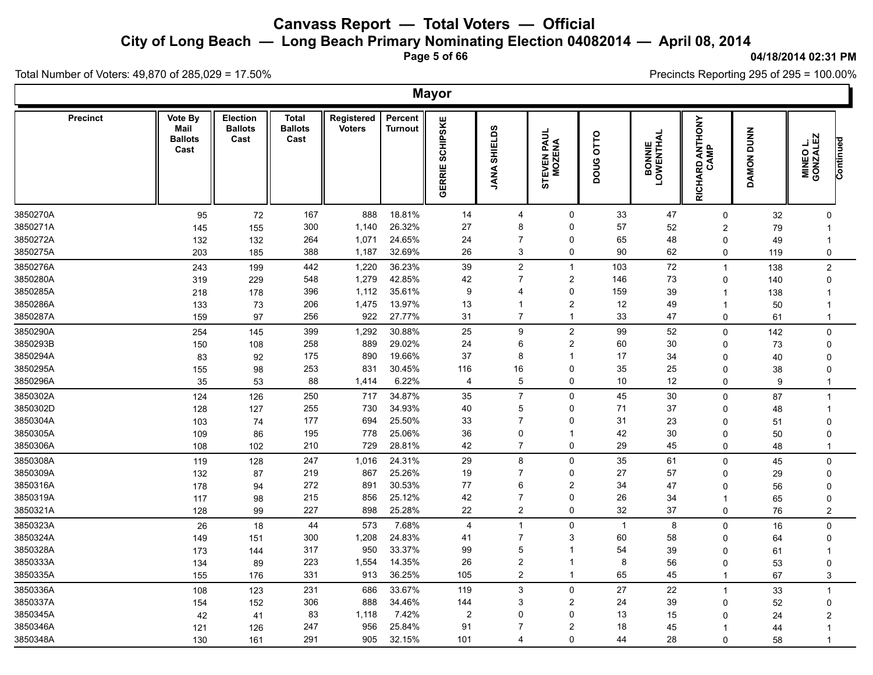**City of Long Beach — Long Beach Primary Nominating Election 04082014 — April 08, 2014**

**Page 5 of 66**

#### **04/18/2014 02:31 PM**

Ъ

Precincts Reporting 295 of 295 = 100.00%

Total Number of Voters: 49,870 of 285,029 = 17.50%

|          |                 |                                           |                                           |                                        |                             |                           | <b>Mayor</b>              |                        |                             |                |                             |                         |            |                                           |  |
|----------|-----------------|-------------------------------------------|-------------------------------------------|----------------------------------------|-----------------------------|---------------------------|---------------------------|------------------------|-----------------------------|----------------|-----------------------------|-------------------------|------------|-------------------------------------------|--|
|          | <b>Precinct</b> | Vote By<br>Mail<br><b>Ballots</b><br>Cast | <b>Election</b><br><b>Ballots</b><br>Cast | <b>Total</b><br><b>Ballots</b><br>Cast | Registered<br><b>Voters</b> | Percent<br><b>Turnout</b> | <b>SCHIPSKE</b><br>GERRIE | <b>SHIELDS</b><br>JANA | <b>PAUL</b><br>TEVEN F<br>5 | DOUG OTTO      | <b>BONNIE<br/>LOWENTHAL</b> | RICHARD ANTHONY<br>CAMP | DAMON DUNN | <b>MINEO L.<br/>GONZALEZ</b><br>Continued |  |
| 3850270A |                 | 95                                        | 72                                        | 167                                    | 888                         | 18.81%                    | 14                        | 4                      | 0                           | 33             | 47                          | 0                       | 32         | $\Omega$                                  |  |
| 3850271A |                 | 145                                       | 155                                       | 300                                    | 1,140                       | 26.32%                    | 27                        | 8                      | 0                           | 57             | 52                          | $\overline{2}$          | 79         |                                           |  |
| 3850272A |                 | 132                                       | 132                                       | 264                                    | 1,071                       | 24.65%                    | 24                        | 7                      | 0                           | 65             | 48                          | $\Omega$                | 49         | $\mathbf 1$                               |  |
| 3850275A |                 | 203                                       | 185                                       | 388                                    | 1,187                       | 32.69%                    | 26                        | 3                      | 0                           | 90             | 62                          | $\mathbf 0$             | 119        | $\mathsf 0$                               |  |
| 3850276A |                 | 243                                       | 199                                       | 442                                    | 1,220                       | 36.23%                    | 39                        | $\overline{2}$         | $\mathbf{1}$                | 103            | 72                          | $\mathbf 1$             | 138        | $\overline{2}$                            |  |
| 3850280A |                 | 319                                       | 229                                       | 548                                    | 1,279                       | 42.85%                    | 42                        | $\overline{7}$         | $\overline{\mathbf{c}}$     | 146            | 73                          | 0                       | 140        | $\Omega$                                  |  |
| 3850285A |                 | 218                                       | 178                                       | 396                                    | 1,112                       | 35.61%                    | 9                         | 4                      | 0                           | 159            | 39                          | -1                      | 138        | -1                                        |  |
| 3850286A |                 | 133                                       | 73                                        | 206                                    | 1,475                       | 13.97%                    | 13                        | -1                     | $\overline{\mathbf{c}}$     | 12             | 49                          | -1                      | 50         | -1                                        |  |
| 3850287A |                 | 159                                       | 97                                        | 256                                    | 922                         | 27.77%                    | 31                        | $\overline{7}$         | $\overline{1}$              | 33             | 47                          | $\mathbf 0$             | 61         | $\mathbf{1}$                              |  |
| 3850290A |                 | 254                                       | 145                                       | 399                                    | 1,292                       | 30.88%                    | 25                        | 9                      | $\overline{\mathbf{c}}$     | 99             | 52                          | $\mathbf 0$             | 142        | $\mathbf 0$                               |  |
| 3850293B |                 | 150                                       | 108                                       | 258                                    | 889                         | 29.02%                    | 24                        | 6                      | $\overline{\mathbf{c}}$     | 60             | 30                          | $\Omega$                | 73         | $\Omega$                                  |  |
| 3850294A |                 | 83                                        | 92                                        | 175                                    | 890                         | 19.66%                    | 37                        | 8                      | 1                           | 17             | 34                          | $\Omega$                | 40         | $\Omega$                                  |  |
| 3850295A |                 | 155                                       | 98                                        | 253                                    | 831                         | 30.45%                    | 116                       | 16                     | 0                           | 35             | 25                          | $\Omega$                | 38         | $\Omega$                                  |  |
| 3850296A |                 | 35                                        | 53                                        | 88                                     | 1,414                       | 6.22%                     | 4                         | 5                      | 0                           | 10             | 12                          | $\Omega$                | 9          | $\mathbf{1}$                              |  |
| 3850302A |                 | 124                                       | 126                                       | 250                                    | 717                         | 34.87%                    | 35                        | $\overline{7}$         | 0                           | 45             | 30                          | $\mathbf 0$             | 87         | $\mathbf{1}$                              |  |
| 3850302D |                 | 128                                       | 127                                       | 255                                    | 730                         | 34.93%                    | 40                        | 5                      | 0                           | 71             | 37                          | 0                       | 48         | $\mathbf 1$                               |  |
| 3850304A |                 | 103                                       | 74                                        | 177                                    | 694                         | 25.50%                    | 33                        | $\overline{7}$         | 0                           | 31             | 23                          | $\mathbf{0}$            | 51         | $\Omega$                                  |  |
| 3850305A |                 | 109                                       | 86                                        | 195                                    | 778                         | 25.06%                    | 36                        | $\mathbf 0$            | 1                           | 42             | 30                          | $\Omega$                | 50         | $\Omega$                                  |  |
| 3850306A |                 | 108                                       | 102                                       | 210                                    | 729                         | 28.81%                    | 42                        | $\overline{7}$         | 0                           | 29             | 45                          | 0                       | 48         | $\mathbf{1}$                              |  |
| 3850308A |                 | 119                                       | 128                                       | 247                                    | 1,016                       | 24.31%                    | 29                        | 8                      | 0                           | 35             | 61                          | 0                       | 45         | 0                                         |  |
| 3850309A |                 | 132                                       | 87                                        | 219                                    | 867                         | 25.26%                    | 19                        | $\overline{7}$         | 0                           | 27             | 57                          | $\Omega$                | 29         | $\Omega$                                  |  |
| 3850316A |                 | 178                                       | 94                                        | 272                                    | 891                         | 30.53%                    | 77                        | 6                      | $\overline{\mathbf{c}}$     | 34             | 47                          | $\Omega$                | 56         | $\Omega$                                  |  |
| 3850319A |                 | 117                                       | 98                                        | 215                                    | 856                         | 25.12%                    | 42                        | $\overline{7}$         | 0                           | 26             | 34                          | -1                      | 65         | 0                                         |  |
| 3850321A |                 | 128                                       | 99                                        | 227                                    | 898                         | 25.28%                    | 22                        | $\overline{2}$         | 0                           | 32             | 37                          | $\Omega$                | 76         | $\overline{2}$                            |  |
| 3850323A |                 | 26                                        | 18                                        | 44                                     | 573                         | 7.68%                     | $\overline{4}$            | $\overline{1}$         | 0                           | $\overline{1}$ | 8                           | $\mathbf 0$             | 16         | $\mathbf 0$                               |  |
| 3850324A |                 | 149                                       | 151                                       | 300                                    | 1,208                       | 24.83%                    | 41                        | $\overline{7}$         | 3                           | 60             | 58                          | $\Omega$                | 64         | $\Omega$                                  |  |
| 3850328A |                 | 173                                       | 144                                       | 317                                    | 950                         | 33.37%                    | 99                        | 5                      | 1                           | 54             | 39                          | $\Omega$                | 61         | $\mathbf 1$                               |  |
| 3850333A |                 | 134                                       | 89                                        | 223                                    | 1,554                       | 14.35%                    | 26                        | 2                      | $\overline{1}$              | 8              | 56                          | $\Omega$                | 53         | $\Omega$                                  |  |
| 3850335A |                 | 155                                       | 176                                       | 331                                    | 913                         | 36.25%                    | 105                       | $\overline{2}$         | $\mathbf{1}$                | 65             | 45                          | $\mathbf 1$             | 67         | 3                                         |  |
| 3850336A |                 | 108                                       | 123                                       | 231                                    | 686                         | 33.67%                    | 119                       | 3                      | 0                           | 27             | 22                          | $\mathbf{1}$            | 33         | $\overline{1}$                            |  |
| 3850337A |                 | 154                                       | 152                                       | 306                                    | 888                         | 34.46%                    | 144                       | 3                      | $\overline{c}$              | 24             | 39                          | $\Omega$                | 52         | $\mathbf 0$                               |  |
| 3850345A |                 | 42                                        | 41                                        | 83                                     | 1,118                       | 7.42%                     | 2                         | $\Omega$               | 0                           | 13             | 15                          | $\Omega$                | 24         | $\overline{2}$                            |  |
| 3850346A |                 | 121                                       | 126                                       | 247                                    | 956                         | 25.84%                    | 91                        | 7                      | $\overline{2}$              | 18             | 45                          | -1                      | 44         |                                           |  |
| 3850348A |                 | 130                                       | 161                                       | 291                                    | 905                         | 32.15%                    | 101                       | 4                      | $\Omega$                    | 44             | 28                          | $\Omega$                | 58         | $\overline{1}$                            |  |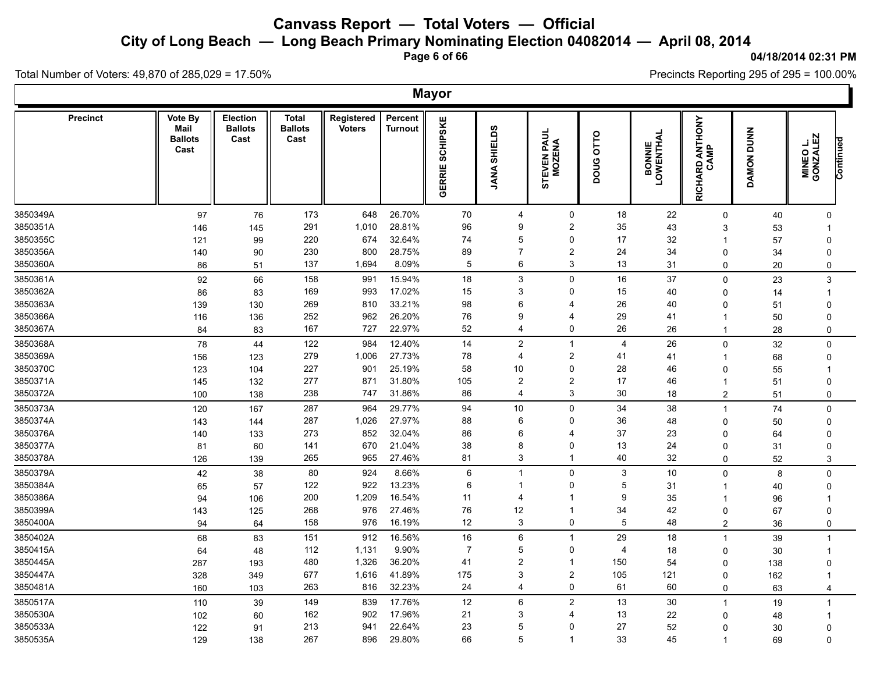**City of Long Beach — Long Beach Primary Nominating Election 04082014 — April 08, 2014**

**Page 6 of 66**

#### **04/18/2014 02:31 PM**

'n

Precincts Reporting 295 of 295 = 100.00%

Total Number of Voters: 49,870 of 285,029 = 17.50%

|                      |                                           |                                           |                                        |                             |                    | <b>Mayor</b>              |                           |                              |                |                             |                         |            |                                           |  |
|----------------------|-------------------------------------------|-------------------------------------------|----------------------------------------|-----------------------------|--------------------|---------------------------|---------------------------|------------------------------|----------------|-----------------------------|-------------------------|------------|-------------------------------------------|--|
| <b>Precinct</b>      | Vote By<br>Mail<br><b>Ballots</b><br>Cast | <b>Election</b><br><b>Ballots</b><br>Cast | <b>Total</b><br><b>Ballots</b><br>Cast | Registered<br><b>Voters</b> | Percent<br>Turnout | <b>SCHIPSKE</b><br>GERRIE | <b>SHIELDS</b><br>JANA    | <b>PAUL</b><br>TEVEN F<br>5  | DOUG OTTO      | <b>BONNIE<br/>LOWENTHAL</b> | RICHARD ANTHONY<br>CAMP | DAMON DUNN | <b>MINEO L.<br/>GONZALEZ</b><br>Continued |  |
| 3850349A             |                                           | 97<br>76                                  | 173                                    | 648                         | 26.70%             | 70                        | 4                         | 0                            | 18             | 22                          | 0                       | 40         | 0                                         |  |
| 3850351A             |                                           | 146<br>145                                | 291                                    | 1,010                       | 28.81%             | 96                        | 9                         | $\overline{\mathbf{c}}$      | 35             | 43                          | 3                       | 53         |                                           |  |
| 3850355C             |                                           | 121<br>99                                 | 220                                    | 674                         | 32.64%             | 74                        | 5                         | 0                            | 17             | 32                          | -1                      | 57         | $\Omega$                                  |  |
| 3850356A             |                                           | 90<br>140                                 | 230                                    | 800                         | 28.75%             | 89                        | $\overline{7}$            | $\overline{\mathbf{c}}$      | 24             | 34                          | $\Omega$                | 34         | $\Omega$                                  |  |
| 3850360A             |                                           | 86<br>51                                  | 137                                    | 1,694                       | 8.09%              | $\mathbf 5$               | 6                         | $\mathsf 3$                  | 13             | 31                          | $\mathbf 0$             | 20         | 0                                         |  |
| 3850361A             |                                           | 66<br>92                                  | 158                                    | 991                         | 15.94%             | 18                        | $\ensuremath{\mathsf{3}}$ | 0                            | 16             | 37                          | $\mathbf 0$             | 23         | 3                                         |  |
| 3850362A             |                                           | 86<br>83                                  | 169                                    | 993                         | 17.02%             | 15                        | 3                         | 0                            | 15             | 40                          | 0                       | 14         | $\mathbf 1$                               |  |
| 3850363A             |                                           | 139<br>130                                | 269                                    | 810                         | 33.21%             | 98                        | 6                         | 4                            | 26             | 40                          | $\Omega$                | 51         | $\Omega$                                  |  |
| 3850366A             |                                           | 136<br>116                                | 252                                    | 962                         | 26.20%             | 76                        | 9                         | 4                            | 29             | 41                          |                         | 50         | $\Omega$                                  |  |
| 3850367A             |                                           | 84<br>83                                  | 167                                    | 727                         | 22.97%             | 52                        | 4                         | 0                            | 26             | 26                          | -1                      | 28         | $\mathbf 0$                               |  |
| 3850368A             |                                           | 78<br>44                                  | 122                                    | 984                         | 12.40%             | 14                        | $\overline{c}$            | $\mathbf{1}$                 | $\overline{4}$ | 26                          | $\mathbf 0$             | 32         | $\mathbf 0$                               |  |
| 3850369A             |                                           | 156<br>123                                | 279                                    | 1,006                       | 27.73%             | 78                        | $\overline{4}$            | $\overline{\mathbf{c}}$      | 41             | 41                          | -1                      | 68         | 0                                         |  |
| 3850370C             |                                           | 123<br>104                                | 227                                    | 901                         | 25.19%             | 58                        | 10                        | 0                            | 28             | 46                          | $\Omega$                | 55         |                                           |  |
| 3850371A<br>3850372A |                                           | 132<br>145                                | 277<br>238                             | 871<br>747                  | 31.80%<br>31.86%   | 105<br>86                 | $\overline{2}$<br>4       | $\overline{\mathbf{c}}$<br>3 | 17<br>30       | 46                          | -1                      | 51         | $\Omega$                                  |  |
|                      |                                           | 100<br>138                                |                                        |                             |                    |                           |                           |                              |                | 18                          | $\overline{2}$          | 51         | 0                                         |  |
| 3850373A             |                                           | 120<br>167                                | 287                                    | 964                         | 29.77%             | 94                        | $10\,$                    | 0                            | 34             | 38                          | $\mathbf 1$             | 74         | $\mathbf 0$                               |  |
| 3850374A<br>3850376A |                                           | 143<br>144                                | 287<br>273                             | 1,026<br>852                | 27.97%<br>32.04%   | 88<br>86                  | 6<br>6                    | 0<br>4                       | 36<br>37       | 48                          | $\Omega$                | 50         | $\Omega$<br>$\Omega$                      |  |
| 3850377A             |                                           | 140<br>133                                | 141                                    | 670                         | 21.04%             | 38                        | 8                         | 0                            | 13             | 23<br>24                    | $\Omega$<br>$\Omega$    | 64         | $\Omega$                                  |  |
| 3850378A             |                                           | 81<br>60<br>126<br>139                    | 265                                    | 965                         | 27.46%             | 81                        | 3                         | $\mathbf{1}$                 | 40             | 32                          | $\Omega$                | 31<br>52   | 3                                         |  |
| 3850379A             |                                           |                                           | 80                                     | 924                         | 8.66%              | 6                         | $\overline{1}$            | 0                            | 3              | 10                          | $\Omega$                |            |                                           |  |
| 3850384A             |                                           | 42<br>38<br>57<br>65                      | 122                                    | 922                         | 13.23%             | 6                         | $\mathbf{1}$              | 0                            | 5              | 31                          | -1                      | 8          | $\mathbf 0$<br>0                          |  |
| 3850386A             |                                           | 94<br>106                                 | 200                                    | 1,209                       | 16.54%             | 11                        | 4                         | 1                            | 9              | 35                          | -1                      | 40<br>96   | -1                                        |  |
| 3850399A             |                                           | 125<br>143                                | 268                                    | 976                         | 27.46%             | 76                        | 12                        | $\mathbf{1}$                 | 34             | 42                          | $\Omega$                | 67         | $\Omega$                                  |  |
| 3850400A             |                                           | 94<br>64                                  | 158                                    | 976                         | 16.19%             | 12                        | 3                         | 0                            | 5              | 48                          | $\overline{2}$          | 36         | 0                                         |  |
| 3850402A             |                                           | 68<br>83                                  | 151                                    | 912                         | 16.56%             | $16\,$                    | 6                         | $\mathbf{1}$                 | 29             | 18                          | $\mathbf 1$             | 39         | $\mathbf{1}$                              |  |
| 3850415A             |                                           | 48<br>64                                  | 112                                    | 1,131                       | 9.90%              | $\overline{7}$            | 5                         | 0                            | $\overline{4}$ | 18                          | 0                       | 30         | $\mathbf{1}$                              |  |
| 3850445A             |                                           | 287<br>193                                | 480                                    | 1,326                       | 36.20%             | 41                        | $\overline{2}$            | $\mathbf{1}$                 | 150            | 54                          | $\Omega$                | 138        | $\Omega$                                  |  |
| 3850447A             |                                           | 328<br>349                                | 677                                    | 1,616                       | 41.89%             | 175                       | 3                         | $\overline{\mathbf{c}}$      | 105            | 121                         | 0                       | 162        | $\mathbf 1$                               |  |
| 3850481A             |                                           | 160<br>103                                | 263                                    | 816                         | 32.23%             | 24                        | 4                         | 0                            | 61             | 60                          | $\mathbf 0$             | 63         | $\overline{4}$                            |  |
| 3850517A             |                                           | 110<br>39                                 | 149                                    | 839                         | 17.76%             | 12                        | 6                         | $\overline{\mathbf{c}}$      | 13             | 30                          | $\mathbf 1$             | 19         | $\mathbf{1}$                              |  |
| 3850530A             |                                           | 102<br>60                                 | 162                                    | 902                         | 17.96%             | 21                        | 3                         | 4                            | 13             | 22                          | $\Omega$                | 48         | -1                                        |  |
| 3850533A             |                                           | 122<br>91                                 | 213                                    | 941                         | 22.64%             | 23                        | 5                         | 0                            | 27             | 52                          | $\Omega$                | 30         | $\Omega$                                  |  |
| 3850535A             |                                           | 129<br>138                                | 267                                    | 896                         | 29.80%             | 66                        | 5                         | $\overline{1}$               | 33             | 45                          | $\overline{1}$          | 69         | $\Omega$                                  |  |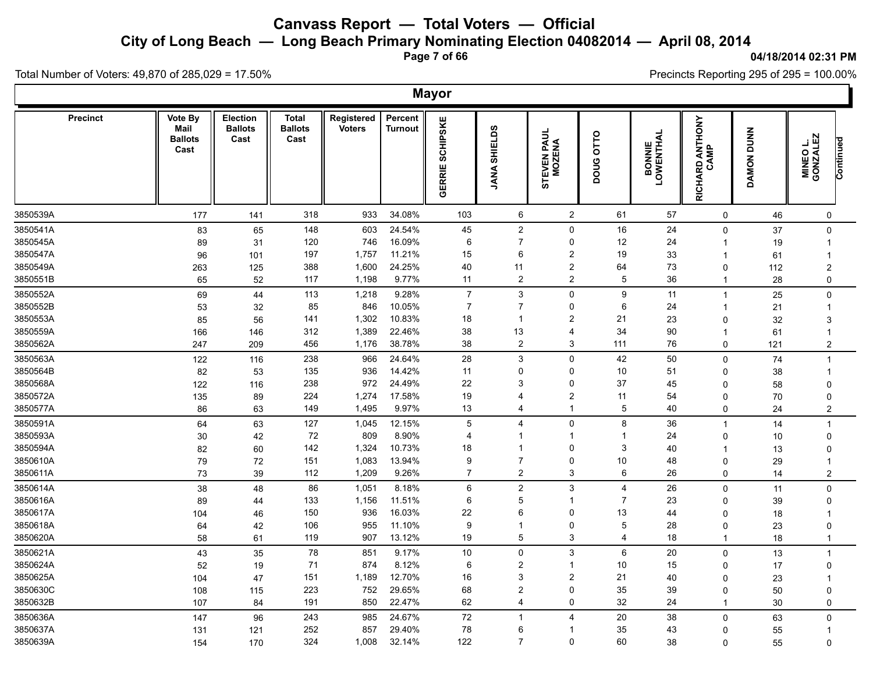**City of Long Beach — Long Beach Primary Nominating Election 04082014 — April 08, 2014**

**Page 7 of 66**

#### **04/18/2014 02:31 PM**

Ъ

Precincts Reporting 295 of 295 = 100.00%

Total Number of Voters: 49,870 of 285,029 = 17.50%

|                 |                                           |                                    |                                        |                             |                           | <b>Mayor</b>              |                               |                                |                |                             |                         |            |                                           |  |
|-----------------|-------------------------------------------|------------------------------------|----------------------------------------|-----------------------------|---------------------------|---------------------------|-------------------------------|--------------------------------|----------------|-----------------------------|-------------------------|------------|-------------------------------------------|--|
| <b>Precinct</b> | Vote By<br>Mail<br><b>Ballots</b><br>Cast | Election<br><b>Ballots</b><br>Cast | <b>Total</b><br><b>Ballots</b><br>Cast | Registered<br><b>Voters</b> | Percent<br><b>Turnout</b> | <b>SCHIPSKE</b><br>GERRIE | <b>SHIELDS</b><br><b>ANA!</b> | PAUL<br>ENA<br>STEVEN<br>MOZEN | DOUG OTTO      | <b>BONNIE<br/>LOWENTHAL</b> | RICHARD ANTHONY<br>CAMP | DAMON DUNN | <b>MINEO L.<br/>GONZALEZ</b><br>Continued |  |
| 3850539A        | 177                                       | 141                                | 318                                    | 933                         | 34.08%                    | 103                       | 6                             | $\overline{2}$                 | 61             | 57                          | 0                       | 46         | $\pmb{0}$                                 |  |
| 3850541A        | 83                                        | 65                                 | 148                                    | 603                         | 24.54%                    | 45                        | $\boldsymbol{2}$              | 0                              | $16\,$         | 24                          | 0                       | 37         | 0                                         |  |
| 3850545A        | 89                                        | 31                                 | 120                                    | 746                         | 16.09%                    | 6                         | 7                             | 0                              | 12             | 24                          | -1                      | 19         | $\overline{1}$                            |  |
| 3850547A        | 96                                        | 101                                | 197                                    | 1,757                       | 11.21%                    | 15                        | 6                             | $\boldsymbol{2}$               | 19             | 33                          |                         | 61         | -1                                        |  |
| 3850549A        | 263                                       | 125                                | 388                                    | 1,600                       | 24.25%                    | 40                        | 11                            | $\boldsymbol{2}$               | 64             | 73                          | $\Omega$                | 112        | $\overline{2}$                            |  |
| 3850551B        | 65                                        | 52                                 | 117                                    | 1,198                       | 9.77%                     | 11                        | $\overline{\mathbf{c}}$       | $\boldsymbol{2}$               | 5              | 36                          | $\overline{\mathbf{1}}$ | 28         | $\mathbf 0$                               |  |
| 3850552A        | 69                                        | 44                                 | 113                                    | 1,218                       | 9.28%                     | $\overline{7}$            | $\ensuremath{\mathsf{3}}$     | 0                              | 9              | 11                          | $\overline{\mathbf{1}}$ | 25         | $\mathbf 0$                               |  |
| 3850552B        | 53                                        | 32                                 | 85                                     | 846                         | 10.05%                    | $\overline{7}$            | $\overline{7}$                | 0                              | 6              | 24                          | -1                      | 21         | $\overline{1}$                            |  |
| 3850553A        | 85                                        | 56                                 | 141                                    | 1,302                       | 10.83%                    | 18                        | $\mathbf 1$                   | $\overline{c}$                 | 21             | 23                          | $\Omega$                | 32         | 3                                         |  |
| 3850559A        | 166                                       | 146                                | 312                                    | 1,389                       | 22.46%                    | 38                        | 13                            | $\overline{4}$                 | 34             | 90                          | -1                      | 61         | $\overline{1}$                            |  |
| 3850562A        | 247                                       | 209                                | 456                                    | 1,176                       | 38.78%                    | 38                        | $\overline{c}$                | 3                              | 111            | 76                          | 0                       | 121        | $\overline{c}$                            |  |
| 3850563A        | 122                                       | 116                                | 238                                    | 966                         | 24.64%                    | 28                        | $\ensuremath{\mathsf{3}}$     | 0                              | 42             | 50                          | 0                       | 74         | $\overline{1}$                            |  |
| 3850564B        | 82                                        | 53                                 | 135                                    | 936                         | 14.42%                    | 11                        | $\mathbf 0$                   | 0                              | 10             | 51                          | $\Omega$                | 38         | -1                                        |  |
| 3850568A        | 122                                       | 116                                | 238                                    | 972                         | 24.49%                    | 22                        | 3                             | 0                              | 37             | 45                          | $\Omega$                | 58         | $\Omega$                                  |  |
| 3850572A        | 135                                       | 89                                 | 224                                    | 1,274                       | 17.58%                    | 19                        | 4                             | $\boldsymbol{2}$               | 11             | 54                          | $\Omega$                | 70         | $\Omega$                                  |  |
| 3850577A        | 86                                        | 63                                 | 149                                    | 1,495                       | 9.97%                     | 13                        | 4                             | 1                              | 5              | 40                          | 0                       | 24         | $\overline{2}$                            |  |
| 3850591A        | 64                                        | 63                                 | 127                                    | 1,045                       | 12.15%                    | 5                         | 4                             | 0                              | 8              | 36                          | $\overline{1}$          | 14         | $\mathbf{1}$                              |  |
| 3850593A        | 30                                        | 42                                 | 72                                     | 809                         | 8.90%                     | 4                         | 1                             | $\mathbf{1}$                   | -1             | 24                          | $\Omega$                | 10         | $\Omega$                                  |  |
| 3850594A        | 82                                        | 60                                 | 142                                    | 1,324                       | 10.73%                    | 18                        | 1                             | 0                              | 3              | 40                          |                         | 13         | $\Omega$                                  |  |
| 3850610A        | 79                                        | 72                                 | 151                                    | 1,083                       | 13.94%                    | 9                         | $\overline{7}$                | 0                              | 10             | 48                          | $\Omega$                | 29         | -1                                        |  |
| 3850611A        | 73                                        | 39                                 | 112                                    | 1,209                       | 9.26%                     | $\overline{7}$            | $\overline{c}$                | 3                              | 6              | 26                          | 0                       | 14         | $\overline{2}$                            |  |
| 3850614A        | 38                                        | 48                                 | 86                                     | 1,051                       | 8.18%                     | 6                         | $\overline{2}$                | 3                              | $\overline{4}$ | 26                          | $\Omega$                | 11         | $\Omega$                                  |  |
| 3850616A        | 89                                        | 44                                 | 133                                    | 1,156                       | 11.51%                    | 6                         | 5                             | -1                             | $\overline{7}$ | 23                          | 0                       | 39         | $\Omega$                                  |  |
| 3850617A        | 104                                       | 46                                 | 150                                    | 936                         | 16.03%                    | 22                        | 6                             | 0                              | 13             | 44                          | $\Omega$                | 18         |                                           |  |
| 3850618A        | 64                                        | 42                                 | 106                                    | 955                         | 11.10%                    | 9                         | -1                            | 0                              | 5              | 28                          | $\Omega$                | 23         | $\Omega$                                  |  |
| 3850620A        | 58                                        | 61                                 | 119                                    | 907                         | 13.12%                    | 19                        | 5                             | 3                              | $\overline{4}$ | 18                          |                         | 18         | $\mathbf{1}$                              |  |
| 3850621A        | 43                                        | 35                                 | 78                                     | 851                         | 9.17%                     | 10                        | $\pmb{0}$                     | $\ensuremath{\mathsf{3}}$      | 6              | 20                          | $\mathbf 0$             | 13         | $\mathbf{1}$                              |  |
| 3850624A        | 52                                        | 19                                 | 71                                     | 874                         | 8.12%                     | 6                         | $\boldsymbol{2}$              | $\overline{1}$                 | 10             | 15                          | $\Omega$                | 17         | 0                                         |  |
| 3850625A        | 104                                       | 47                                 | 151                                    | 1,189                       | 12.70%                    | 16                        | 3                             | $\overline{c}$                 | 21             | 40                          | $\Omega$                | 23         | $\overline{1}$                            |  |
| 3850630C        | 108                                       | 115                                | 223                                    | 752                         | 29.65%                    | 68                        | $\overline{2}$                | 0                              | 35             | 39                          | $\Omega$                | 50         | $\Omega$                                  |  |
| 3850632B        | 107                                       | 84                                 | 191                                    | 850                         | 22.47%                    | 62                        | 4                             | 0                              | 32             | 24                          | -1                      | 30         | 0                                         |  |
| 3850636A        | 147                                       | 96                                 | 243                                    | 985                         | 24.67%                    | 72                        | $\mathbf{1}$                  | 4                              | 20             | 38                          | $\Omega$                | 63         | $\mathbf 0$                               |  |
| 3850637A        | 131                                       | 121                                | 252                                    | 857                         | 29.40%                    | 78                        | 6                             | -1                             | 35             | 43                          | $\Omega$                | 55         | $\overline{1}$                            |  |
| 3850639A        | 154                                       | 170                                | 324                                    | 1,008                       | 32.14%                    | 122                       | $\overline{7}$                | $\mathbf 0$                    | 60             | 38                          | $\Omega$                | 55         | $\mathbf 0$                               |  |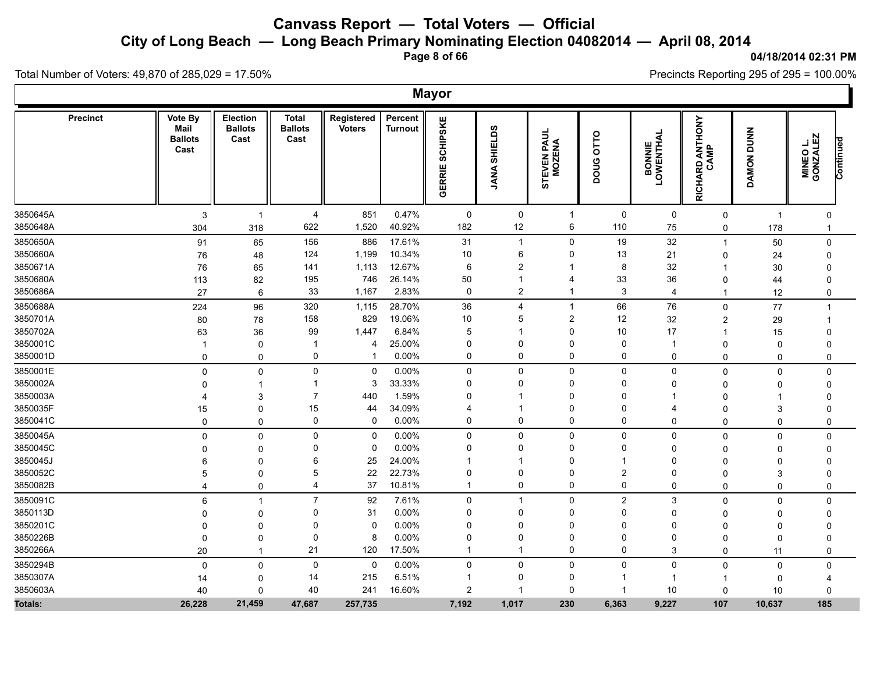**City of Long Beach — Long Beach Primary Nominating Election 04082014 — April 08, 2014**

**Page 8 of 66**

#### **04/18/2014 02:31 PM**

Ъ

Precincts Reporting 295 of 295 = 100.00%

Total Number of Voters: 49,870 of 285,029 = 17.50%

|          |                 |                                           |                                    |                                        |                             |                           | <b>Mayor</b>              |                         |                                   |                     |                             |                         |                             |                                   |
|----------|-----------------|-------------------------------------------|------------------------------------|----------------------------------------|-----------------------------|---------------------------|---------------------------|-------------------------|-----------------------------------|---------------------|-----------------------------|-------------------------|-----------------------------|-----------------------------------|
|          | <b>Precinct</b> | Vote By<br>Mail<br><b>Ballots</b><br>Cast | Election<br><b>Ballots</b><br>Cast | <b>Total</b><br><b>Ballots</b><br>Cast | Registered<br><b>Voters</b> | Percent<br><b>Turnout</b> | <b>SCHIPSKE</b><br>GERRIE | <b>SHIELDS</b><br>JANA  | <b>TEVEN PAUL<br/>MOZENA</b><br>5 | OTTO<br><b>DOUG</b> | <b>BONNIE<br/>LOWENTHAL</b> | RICHARD ANTHONY<br>CAMP | <b>DUNN</b><br><b>DAMON</b> | MINEO L.<br>GONZALEZ<br>Continued |
| 3850645A |                 | 3                                         | $\overline{1}$                     | $\overline{4}$                         | 851                         | 0.47%                     | 0                         | 0                       | -1                                | 0                   | 0                           | $\mathbf 0$             | $\overline{1}$              | 0                                 |
| 3850648A |                 | 304                                       | 318                                | 622                                    | 1,520                       | 40.92%                    | 182                       | 12                      | 6                                 | 110                 | ${\bf 75}$                  | 0                       | 178                         | $\mathbf{1}$                      |
| 3850650A |                 | 91                                        | 65                                 | 156                                    | 886                         | 17.61%                    | 31                        | $\mathbf{1}$            | $\mathbf 0$                       | 19                  | 32                          | $\mathbf 1$             | $50\,$                      | $\mathbf 0$                       |
| 3850660A |                 | 76                                        | 48                                 | 124                                    | 1,199                       | 10.34%                    | $10$                      | 6                       | 0                                 | 13                  | 21                          | 0                       | 24                          | $\mathbf{0}$                      |
| 3850671A |                 | 76                                        | 65                                 | 141                                    | 1,113                       | 12.67%                    | 6                         | $\overline{2}$          | -1                                | 8                   | 32                          | -1                      | 30                          | $\Omega$                          |
| 3850680A |                 | 113                                       | 82                                 | 195                                    | 746                         | 26.14%                    | 50                        | 1                       | 4                                 | 33                  | 36                          | $\mathbf 0$             | 44                          | $\Omega$                          |
| 3850686A |                 | 27                                        | 6                                  | 33                                     | 1,167                       | 2.83%                     | 0                         | $\overline{\mathbf{c}}$ | 1                                 | 3                   | $\overline{4}$              | $\mathbf 1$             | 12                          | 0                                 |
| 3850688A |                 | 224                                       | 96                                 | 320                                    | 1,115                       | 28.70%                    | 36                        | 4                       | $\mathbf{1}$                      | 66                  | 76                          | $\mathbf 0$             | 77                          | $\mathbf{1}$                      |
| 3850701A |                 | 80                                        | 78                                 | 158                                    | 829                         | 19.06%                    | 10                        | 5                       | $\overline{c}$                    | 12                  | 32                          | 2                       | 29                          | -1                                |
| 3850702A |                 | 63                                        | 36                                 | 99                                     | 1,447                       | 6.84%                     | 5                         | 1                       | 0                                 | 10                  | 17                          | -1                      | 15                          | $\Omega$                          |
| 3850001C |                 | -1                                        | 0                                  | -1                                     | 4                           | 25.00%                    | 0                         | 0                       | 0                                 | $\mathbf 0$         | -1                          | $\mathbf 0$             | 0                           | 0                                 |
| 3850001D |                 | $\mathbf 0$                               | $\mathbf 0$                        | 0                                      | $\mathbf{\overline{1}}$     | 0.00%                     | 0                         | $\mathbf 0$             | 0                                 | $\mathsf 0$         | $\mathbf 0$                 | $\mathbf{0}$            | 0                           | $\mathbf 0$                       |
| 3850001E |                 | $\mathbf 0$                               | $\mathsf 0$                        | 0                                      | $\mathbf 0$                 | 0.00%                     | 0                         | $\mathbf 0$             | 0                                 | $\mathbf 0$         | $\mathbf 0$                 | $\mathbf 0$             | $\mathbf 0$                 | $\mathbf 0$                       |
| 3850002A |                 | $\Omega$                                  | $\mathbf{1}$                       | 1                                      | 3                           | 33.33%                    | 0                         | 0                       | 0                                 | 0                   | 0                           | 0                       | 0                           | $\mathbf{0}$                      |
| 3850003A |                 | 4                                         | 3                                  | $\overline{7}$                         | 440                         | 1.59%                     | $\mathbf 0$               | 1                       | $\Omega$                          | $\Omega$            |                             | $\Omega$                |                             | $\Omega$                          |
| 3850035F |                 | 15                                        | 0                                  | 15                                     | 44                          | 34.09%                    | 4                         | 1                       | 0                                 | 0                   | 4                           | $\mathbf 0$             | 3                           |                                   |
| 3850041C |                 | 0                                         | 0                                  | $\Omega$                               | 0                           | 0.00%                     | 0                         | 0                       | 0                                 | 0                   | 0                           | 0                       | 0                           | 0                                 |
| 3850045A |                 | 0                                         | 0                                  | $\mathbf{0}$                           | $\pmb{0}$                   | 0.00%                     | 0                         | $\pmb{0}$               | 0                                 | $\pmb{0}$           | 0                           | 0                       | 0                           | $\mathbf 0$                       |
| 3850045C |                 | $\Omega$                                  | $\mathbf 0$                        | $\Omega$                               | $\mathbf 0$                 | 0.00%                     | $\mathbf 0$               | $\mathbf{0}$            | $\Omega$                          | $\mathbf 0$         | $\mathbf 0$                 | $\mathbf 0$             | $\Omega$                    | $\Omega$                          |
| 3850045J |                 | 6                                         | $\mathbf 0$                        | 6                                      | 25                          | 24.00%                    | -1                        | 1                       | 0                                 | -1                  | 0                           | $\mathbf 0$             | $\Omega$                    | O                                 |
| 3850052C |                 | 5                                         | $\Omega$                           | 5                                      | 22                          | 22.73%                    | 0                         | $\mathbf 0$             | $\Omega$                          | $\overline{2}$      | 0                           | $\Omega$                | 3                           |                                   |
| 3850082B |                 | $\overline{4}$                            | $\mathbf 0$                        | 4                                      | 37                          | 10.81%                    | $\mathbf{1}$              | 0                       | 0                                 | 0                   | 0                           | 0                       | $\mathbf 0$                 | $\mathbf 0$                       |
| 3850091C |                 | 6                                         | -1                                 | $\overline{7}$                         | 92                          | 7.61%                     | 0                         | $\mathbf{1}$            | 0                                 | $\overline{2}$      | 3                           | $\mathbf 0$             | $\mathbf 0$                 | $\mathbf{0}$                      |
| 3850113D |                 | $\Omega$                                  | 0                                  | 0                                      | 31                          | 0.00%                     | 0                         | 0                       | $\Omega$                          | $\Omega$            | 0                           | 0                       | 0                           | $\Omega$                          |
| 3850201C |                 | $\Omega$                                  | $\Omega$                           | $\Omega$                               | $\mathbf 0$                 | 0.00%                     | 0                         | $\mathbf{0}$            | 0                                 | $\mathbf{0}$        | $\mathbf{0}$                | $\Omega$                | $\Omega$                    |                                   |
| 3850226B |                 | 0                                         | 0                                  | 0                                      | 8                           | 0.00%                     | 0                         | 0                       | 0                                 | $\mathbf 0$         | 0                           | $\mathbf 0$             | $\mathbf 0$                 |                                   |
| 3850266A |                 | 20                                        | $\mathbf 1$                        | 21                                     | 120                         | 17.50%                    | $\mathbf{1}$              | $\mathbf{1}$            | 0                                 | $\mathbf 0$         | 3                           | $\mathbf{0}$            | 11                          | 0                                 |
| 3850294B |                 | $\mathbf 0$                               | $\mathbf 0$                        | 0                                      | $\mathbf 0$                 | 0.00%                     | 0                         | $\mathbf 0$             | 0                                 | $\mathsf 0$         | $\mathbf 0$                 | $\Omega$                | $\mathbf 0$                 | $\Omega$                          |
| 3850307A |                 | 14                                        | $\mathbf 0$                        | 14                                     | 215                         | 6.51%                     | -1                        | 0                       | 0                                 |                     |                             | -1                      | 0                           |                                   |
| 3850603A |                 | 40                                        | 0                                  | 40                                     | 241                         | 16.60%                    | $\overline{c}$            | $\mathbf 1$             | 0                                 | -1                  | $10$                        | 0                       | 10                          | $\Omega$                          |
| Totals:  |                 | 26,228                                    | 21,459                             | 47,687                                 | 257,735                     |                           | 7,192                     | 1,017                   | 230                               | 6,363               | 9,227                       | 107                     | 10,637                      | 185                               |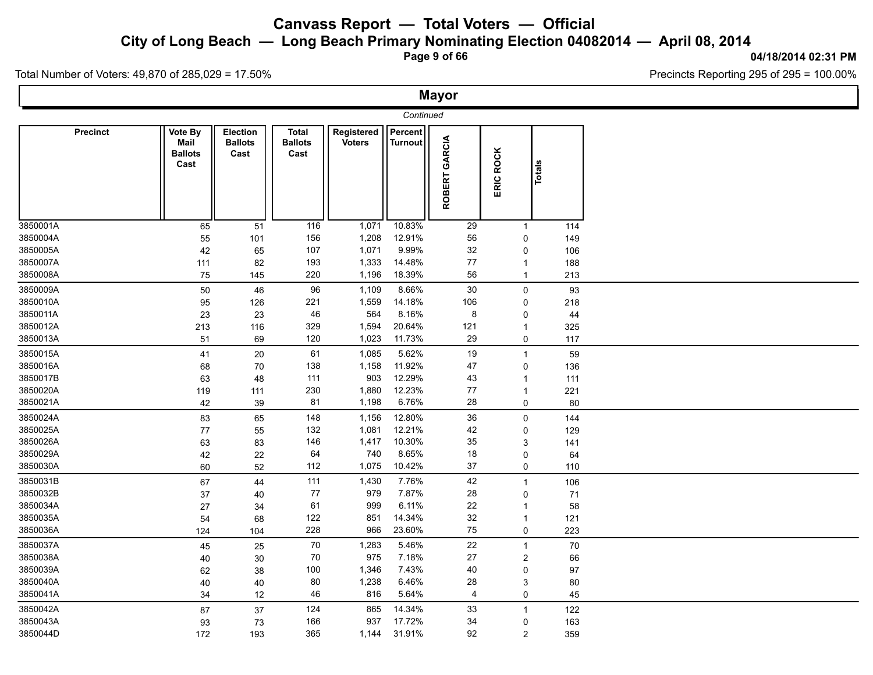**City of Long Beach — Long Beach Primary Nominating Election 04082014 — April 08, 2014**

**Page 9 of 66**

#### **04/18/2014 02:31 PM**

Total Number of Voters: 49,870 of 285,029 = 17.50%

|          |                 |                                           |                                           |                                        |                      |                                  | <b>Mayor</b>  |                |        |
|----------|-----------------|-------------------------------------------|-------------------------------------------|----------------------------------------|----------------------|----------------------------------|---------------|----------------|--------|
|          |                 |                                           |                                           |                                        |                      | Continued                        |               |                |        |
|          | <b>Precinct</b> | Vote By<br>Mail<br><b>Ballots</b><br>Cast | <b>Election</b><br><b>Ballots</b><br>Cast | <b>Total</b><br><b>Ballots</b><br>Cast | Registered<br>Voters | <b>Percent</b><br><b>Turnout</b> | ROBERT GARCIA | ERIC ROCK      | Totals |
| 3850001A |                 | 65                                        | 51                                        | 116                                    | 1,071                | 10.83%                           | 29            | $\mathbf{1}$   | 114    |
| 3850004A |                 | 55                                        | 101                                       | 156                                    | 1,208                | 12.91%                           | 56            | $\mathbf 0$    | 149    |
| 3850005A |                 | 42                                        | 65                                        | 107                                    | 1,071                | 9.99%                            | 32            | $\mathbf 0$    | 106    |
| 3850007A |                 | 111                                       | 82                                        | 193                                    | 1,333                | 14.48%                           | 77            | $\mathbf{1}$   | 188    |
| 3850008A |                 | 75                                        | 145                                       | 220                                    | 1,196                | 18.39%                           | 56            | $\mathbf{1}$   | 213    |
| 3850009A |                 | 50                                        | 46                                        | 96                                     | 1,109                | 8.66%                            | 30            | $\mathbf 0$    | 93     |
| 3850010A |                 | 95                                        | 126                                       | 221                                    | 1,559                | 14.18%                           | 106           | 0              | 218    |
| 3850011A |                 | 23                                        | 23                                        | 46                                     | 564                  | 8.16%                            | 8             | $\mathbf 0$    | 44     |
| 3850012A |                 | 213                                       | 116                                       | 329                                    | 1,594                | 20.64%                           | 121           | $\mathbf{1}$   | 325    |
| 3850013A |                 | 51                                        | 69                                        | 120                                    | 1,023                | 11.73%                           | 29            | 0              | 117    |
| 3850015A |                 | 41                                        | $20\,$                                    | 61                                     | 1,085                | 5.62%                            | 19            | $\mathbf{1}$   | 59     |
| 3850016A |                 | 68                                        | $70\,$                                    | 138                                    | 1,158                | 11.92%                           | 47            | 0              | 136    |
| 3850017B |                 | 63                                        | 48                                        | 111                                    | 903                  | 12.29%                           | 43            | $\mathbf{1}$   | 111    |
| 3850020A |                 | 119                                       | 111                                       | 230                                    | 1,880                | 12.23%                           | 77            | $\mathbf{1}$   | 221    |
| 3850021A |                 | 42                                        | 39                                        | 81                                     | 1,198                | 6.76%                            | 28            | 0              | 80     |
| 3850024A |                 | 83                                        | 65                                        | 148                                    | 1,156                | 12.80%                           | 36            | $\mathbf 0$    | 144    |
| 3850025A |                 | 77                                        | 55                                        | 132                                    | 1,081                | 12.21%                           | 42            | $\mathbf 0$    | 129    |
| 3850026A |                 | 63                                        | 83                                        | 146                                    | 1,417                | 10.30%                           | 35            | 3              | 141    |
| 3850029A |                 | 42                                        | 22                                        | 64                                     | 740                  | 8.65%                            | 18            | $\mathbf 0$    | 64     |
| 3850030A |                 | 60                                        | 52                                        | 112                                    | 1,075                | 10.42%                           | 37            | 0              | 110    |
| 3850031B |                 | 67                                        | 44                                        | 111                                    | 1,430                | 7.76%                            | 42            | $\overline{1}$ | 106    |
| 3850032B |                 | 37                                        | 40                                        | 77                                     | 979                  | 7.87%                            | 28            | $\mathbf 0$    | 71     |
| 3850034A |                 | 27                                        | 34                                        | 61                                     | 999                  | 6.11%                            | 22            | $\overline{1}$ | 58     |
| 3850035A |                 | 54                                        | 68                                        | 122                                    | 851                  | 14.34%                           | 32            | $\overline{1}$ | 121    |
| 3850036A |                 | 124                                       | 104                                       | 228                                    | 966                  | 23.60%                           | 75            | 0              | 223    |
| 3850037A |                 | 45                                        | 25                                        | 70                                     | 1,283                | 5.46%                            | 22            | $\mathbf{1}$   | 70     |
| 3850038A |                 | 40                                        | $30\,$                                    | 70                                     | 975                  | 7.18%                            | 27            | $\overline{c}$ | 66     |
| 3850039A |                 | 62                                        | 38                                        | 100                                    | 1,346                | 7.43%                            | 40            | $\mathbf 0$    | 97     |
| 3850040A |                 | $40\,$                                    | 40                                        | 80                                     | 1,238                | 6.46%                            | 28            | 3              | $80\,$ |
| 3850041A |                 | 34                                        | 12                                        | 46                                     | 816                  | 5.64%                            | 4             | 0              | 45     |
| 3850042A |                 | 87                                        | 37                                        | 124                                    | 865                  | 14.34%                           | 33            | $\overline{1}$ | 122    |
| 3850043A |                 | 93                                        | 73                                        | 166                                    | 937                  | 17.72%                           | 34            | 0              | 163    |
| 3850044D |                 | 172                                       | 193                                       | 365                                    | 1,144                | 31.91%                           | 92            | 2              | 359    |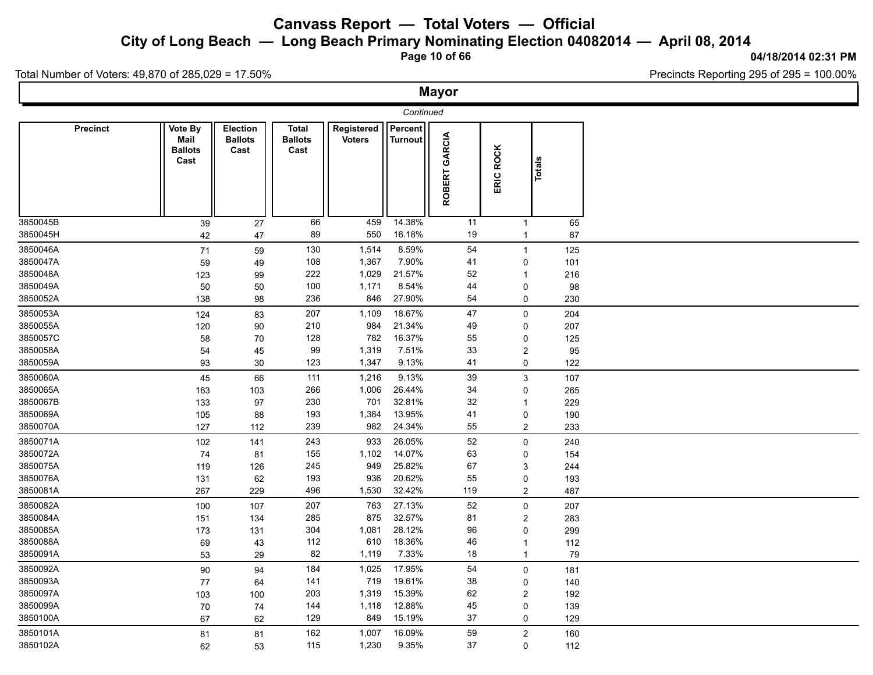**City of Long Beach — Long Beach Primary Nominating Election 04082014 — April 08, 2014**

**Page 10 of 66**

#### **04/18/2014 02:31 PM**

Total Number of Voters: 49,870 of 285,029 = 17.50%

|                 |                                           |                                           |                                        |                             |                           | <b>Mayor</b>  |                |        |  |
|-----------------|-------------------------------------------|-------------------------------------------|----------------------------------------|-----------------------------|---------------------------|---------------|----------------|--------|--|
|                 |                                           |                                           |                                        |                             |                           |               |                |        |  |
| <b>Precinct</b> | Vote By<br>Mail<br><b>Ballots</b><br>Cast | <b>Election</b><br><b>Ballots</b><br>Cast | <b>Total</b><br><b>Ballots</b><br>Cast | Registered<br><b>Voters</b> | Percent<br><b>Turnout</b> | ROBERT GARCIA | ERIC ROCK      | Totals |  |
| 3850045B        | 39                                        | 27                                        | 66                                     | 459                         | 14.38%                    | 11            | $\mathbf{1}$   | 65     |  |
| 3850045H        | 42                                        | 47                                        | 89                                     | 550                         | 16.18%                    | 19            | $\mathbf{1}$   | 87     |  |
| 3850046A        | 71                                        | 59                                        | 130                                    | 1,514                       | 8.59%                     | 54            | $\mathbf{1}$   | 125    |  |
| 3850047A        | 59                                        | 49                                        | 108                                    | 1,367                       | 7.90%                     | 41            | 0              | 101    |  |
| 3850048A        | 123                                       | 99                                        | 222                                    | 1,029                       | 21.57%                    | 52            | $\mathbf{1}$   | 216    |  |
| 3850049A        | 50                                        | 50                                        | 100                                    | 1,171                       | 8.54%                     | 44            | 0              | 98     |  |
| 3850052A        | 138                                       | 98                                        | 236                                    | 846                         | 27.90%                    | 54            | 0              | 230    |  |
| 3850053A        | 124                                       | 83                                        | 207                                    | 1,109                       | 18.67%                    | 47            | $\mathbf 0$    | 204    |  |
| 3850055A        | 120                                       | 90                                        | 210                                    | 984                         | 21.34%                    | 49            | 0              | 207    |  |
| 3850057C        | 58                                        | 70                                        | 128                                    | 782                         | 16.37%                    | 55            | 0              | 125    |  |
| 3850058A        | 54                                        | 45                                        | 99                                     | 1,319                       | 7.51%                     | $33\,$        | $\overline{c}$ | 95     |  |
| 3850059A        | 93                                        | 30                                        | 123                                    | 1,347                       | 9.13%                     | 41            | $\mathbf 0$    | 122    |  |
| 3850060A        | 45                                        | 66                                        | 111                                    | 1,216                       | 9.13%                     | 39            | 3              | 107    |  |
| 3850065A        | 163                                       | 103                                       | 266                                    | 1,006                       | 26.44%                    | 34            | 0              | 265    |  |
| 3850067B        | 133                                       | 97                                        | 230                                    | 701                         | 32.81%                    | 32            | $\mathbf{1}$   | 229    |  |
| 3850069A        | 105                                       | 88                                        | 193                                    | 1,384                       | 13.95%                    | 41            | 0              | 190    |  |
| 3850070A        | 127                                       | 112                                       | 239                                    | 982                         | 24.34%                    | 55            | $\overline{2}$ | 233    |  |
| 3850071A        | 102                                       | 141                                       | 243                                    | 933                         | 26.05%                    | 52            | 0              | 240    |  |
| 3850072A        | 74                                        | 81                                        | 155                                    | 1,102                       | 14.07%                    | 63            | 0              | 154    |  |
| 3850075A        | 119                                       | 126                                       | 245                                    | 949                         | 25.82%                    | 67            | 3              | 244    |  |
| 3850076A        | 131                                       | 62                                        | 193                                    | 936                         | 20.62%                    | 55            | 0              | 193    |  |
| 3850081A        | 267                                       | 229                                       | 496                                    | 1,530                       | 32.42%                    | 119           | $\overline{c}$ | 487    |  |
| 3850082A        | 100                                       | 107                                       | 207                                    | 763                         | 27.13%                    | 52            | 0              | 207    |  |
| 3850084A        | 151                                       | 134                                       | 285                                    | 875                         | 32.57%                    | 81            | $\overline{c}$ | 283    |  |
| 3850085A        | 173                                       | 131                                       | 304                                    | 1,081                       | 28.12%                    | 96            | $\pmb{0}$      | 299    |  |
| 3850088A        | 69                                        | 43                                        | 112                                    | 610                         | 18.36%                    | 46            | $\mathbf{1}$   | 112    |  |
| 3850091A        | 53                                        | 29                                        | 82                                     | 1,119                       | 7.33%                     | 18            | $\mathbf{1}$   | 79     |  |
| 3850092A        | 90                                        | 94                                        | 184                                    | 1,025                       | 17.95%                    | 54            | 0              | 181    |  |
| 3850093A        | 77                                        | 64                                        | 141                                    | 719                         | 19.61%                    | 38            | $\mathbf 0$    | 140    |  |
| 3850097A        | 103                                       | 100                                       | 203                                    | 1,319                       | 15.39%                    | 62            | $\overline{c}$ | 192    |  |
| 3850099A        | 70                                        | $74\,$                                    | 144                                    | 1,118                       | 12.88%                    | 45            | 0              | 139    |  |
| 3850100A        | 67                                        | 62                                        | 129                                    | 849                         | 15.19%                    | 37            | $\mathbf 0$    | 129    |  |
| 3850101A        | 81                                        | 81                                        | 162                                    | 1,007                       | 16.09%                    | 59            | $\overline{2}$ | 160    |  |
| 3850102A        | 62                                        | 53                                        | 115                                    | 1,230                       | 9.35%                     | 37            | $\Omega$       | 112    |  |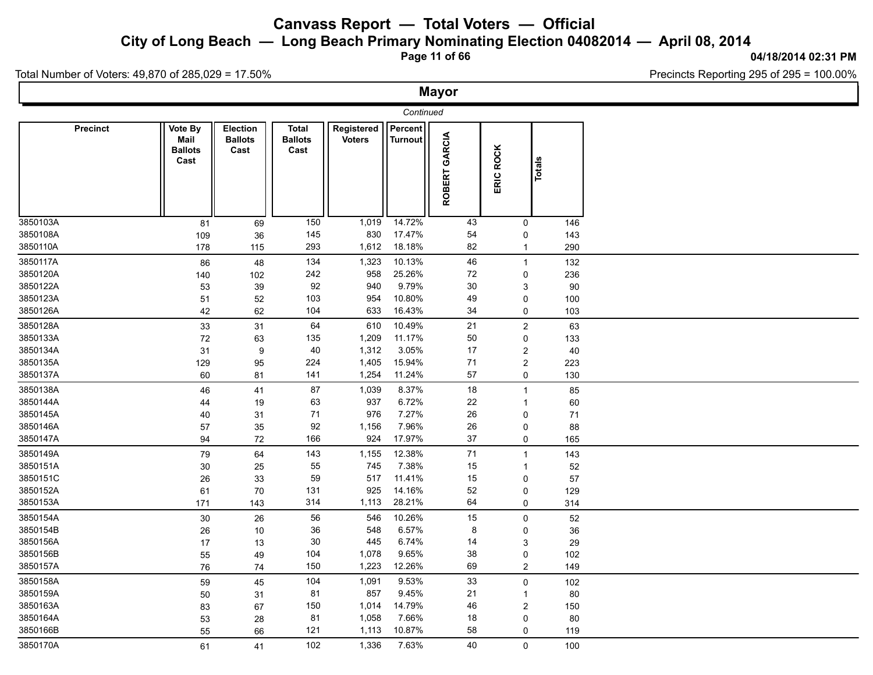**City of Long Beach — Long Beach Primary Nominating Election 04082014 — April 08, 2014**

**Page 11 of 66**

#### **04/18/2014 02:31 PM**

Total Number of Voters: 49,870 of 285,029 = 17.50%

|                                                          |                                           |                                           |                                        |                                         |                                               | <b>Mayor</b>               |                                                                                |                                   |  |
|----------------------------------------------------------|-------------------------------------------|-------------------------------------------|----------------------------------------|-----------------------------------------|-----------------------------------------------|----------------------------|--------------------------------------------------------------------------------|-----------------------------------|--|
|                                                          |                                           |                                           |                                        |                                         |                                               |                            |                                                                                |                                   |  |
| <b>Precinct</b>                                          | Vote By<br>Mail<br><b>Ballots</b><br>Cast | <b>Election</b><br><b>Ballots</b><br>Cast | <b>Total</b><br><b>Ballots</b><br>Cast | Registered<br><b>Voters</b>             | Percent<br><b>Turnout</b>                     | ROBERT GARCIA              | ERIC ROCK                                                                      | Totals                            |  |
| 3850103A<br>3850108A<br>3850110A                         | 81<br>109                                 | 69<br>36                                  | 150<br>145<br>293                      | 1,019<br>830<br>1,612                   | 14.72%<br>17.47%<br>18.18%                    | 43<br>54<br>82             | 0<br>0<br>$\mathbf{1}$                                                         | 146<br>143<br>290                 |  |
| 3850117A<br>3850120A<br>3850122A<br>3850123A<br>3850126A | 178<br>86<br>140<br>53<br>51<br>42        | 115<br>48<br>102<br>39<br>52<br>62        | 134<br>242<br>92<br>103<br>104         | 1,323<br>958<br>940<br>954<br>633       | 10.13%<br>25.26%<br>9.79%<br>10.80%<br>16.43% | 46<br>72<br>30<br>49<br>34 | $\mathbf{1}$<br>0<br>3<br>0<br>0                                               | 132<br>236<br>90<br>100<br>103    |  |
| 3850128A<br>3850133A<br>3850134A<br>3850135A<br>3850137A | 33<br>72<br>31<br>129<br>60               | 31<br>63<br>$\boldsymbol{9}$<br>95<br>81  | 64<br>135<br>40<br>224<br>141          | 610<br>1,209<br>1,312<br>1,405<br>1,254 | 10.49%<br>11.17%<br>3.05%<br>15.94%<br>11.24% | 21<br>50<br>17<br>71<br>57 | $\overline{2}$<br>0<br>$\overline{\mathbf{c}}$<br>$\overline{\mathbf{c}}$<br>0 | 63<br>133<br>40<br>223<br>130     |  |
| 3850138A<br>3850144A<br>3850145A<br>3850146A<br>3850147A | 46<br>44<br>40<br>57<br>94                | 41<br>19<br>31<br>35<br>$72\,$            | 87<br>63<br>$71$<br>92<br>166          | 1,039<br>937<br>976<br>1,156<br>924     | 8.37%<br>6.72%<br>7.27%<br>7.96%<br>17.97%    | 18<br>22<br>26<br>26<br>37 | $\mathbf{1}$<br>$\mathbf{1}$<br>0<br>0<br>0                                    | 85<br>60<br>71<br>88<br>165       |  |
| 3850149A<br>3850151A<br>3850151C<br>3850152A<br>3850153A | 79<br>30<br>26<br>61<br>171               | 64<br>25<br>33<br>70<br>143               | 143<br>55<br>59<br>131<br>314          | 1,155<br>745<br>517<br>925<br>1,113     | 12.38%<br>7.38%<br>11.41%<br>14.16%<br>28.21% | 71<br>15<br>15<br>52<br>64 | $\mathbf{1}$<br>-1<br>0<br>0<br>0                                              | 143<br>$52\,$<br>57<br>129<br>314 |  |
| 3850154A<br>3850154B<br>3850156A<br>3850156B<br>3850157A | 30<br>26<br>17<br>55<br>76                | 26<br>10<br>13<br>49<br>74                | 56<br>36<br>30<br>104<br>150           | 546<br>548<br>445<br>1,078<br>1,223     | 10.26%<br>6.57%<br>6.74%<br>9.65%<br>12.26%   | 15<br>8<br>14<br>38<br>69  | 0<br>0<br>3<br>0<br>$\overline{c}$                                             | 52<br>$36\,$<br>29<br>102<br>149  |  |
| 3850158A<br>3850159A<br>3850163A<br>3850164A<br>3850166B | 59<br>50<br>83<br>53<br>55                | 45<br>31<br>67<br>28<br>66                | 104<br>81<br>150<br>81<br>121          | 1,091<br>857<br>1,014<br>1,058<br>1,113 | 9.53%<br>9.45%<br>14.79%<br>7.66%<br>10.87%   | 33<br>21<br>46<br>18<br>58 | 0<br>$\mathbf{1}$<br>2<br>0<br>0                                               | 102<br>$80\,$<br>150<br>80<br>119 |  |
| 3850170A                                                 | 61                                        | 41                                        | 102                                    | 1,336                                   | 7.63%                                         | 40                         | $\Omega$                                                                       | 100                               |  |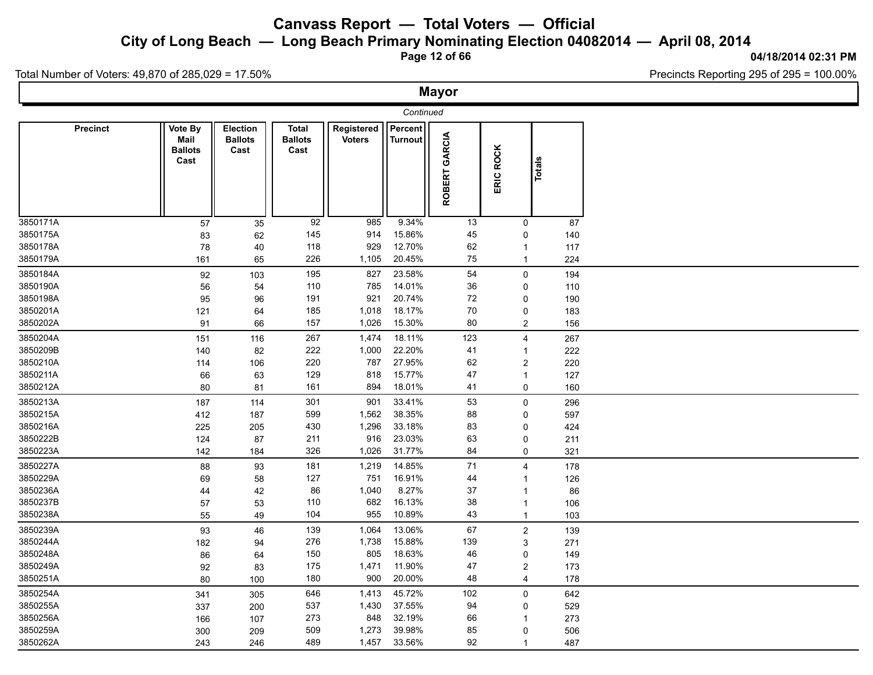**City of Long Beach — Long Beach Primary Nominating Election 04082014 — April 08, 2014**

**Page 12 of 66**

#### **04/18/2014 02:31 PM**

Total Number of Voters: 49,870 of 285,029 = 17.50%

|                      |                 |                                           |                                           |                                        |                             |                    | <b>Mayor</b>     |                            |               |           |  |
|----------------------|-----------------|-------------------------------------------|-------------------------------------------|----------------------------------------|-----------------------------|--------------------|------------------|----------------------------|---------------|-----------|--|
|                      |                 |                                           |                                           |                                        |                             |                    |                  |                            |               |           |  |
|                      | <b>Precinct</b> | Vote By<br>Mail<br><b>Ballots</b><br>Cast | <b>Election</b><br><b>Ballots</b><br>Cast | <b>Total</b><br><b>Ballots</b><br>Cast | Registered<br><b>Voters</b> | Percent<br>Turnout | GARCIA<br>ROBERT | ERIC ROCK                  | <b>Totals</b> |           |  |
| 3850171A<br>3850175A |                 | 57<br>83                                  | 35<br>62                                  | 92<br>145                              | 985<br>914                  | 9.34%<br>15.86%    | 13<br>45         | $\mathbf 0$<br>$\mathbf 0$ |               | 87<br>140 |  |
| 3850178A             |                 | 78                                        | 40                                        | 118                                    | 929                         | 12.70%             | 62               | $\mathbf{1}$               |               | 117       |  |
| 3850179A             |                 | 161                                       | 65                                        | 226                                    | 1,105                       | 20.45%             | 75               | $\mathbf{1}$               |               | 224       |  |
| 3850184A             |                 | 92                                        | 103                                       | 195                                    | 827                         | 23.58%             | 54               | 0                          |               | 194       |  |
| 3850190A             |                 | 56                                        | 54                                        | 110                                    | 785                         | 14.01%             | 36               | 0                          |               | 110       |  |
| 3850198A             |                 | 95                                        | 96                                        | 191                                    | 921                         | 20.74%             | 72               | 0                          |               | 190       |  |
| 3850201A             |                 | 121                                       | 64                                        | 185                                    | 1,018                       | 18.17%             | 70               | 0                          |               | 183       |  |
| 3850202A             |                 | 91                                        | 66                                        | 157                                    | 1,026                       | 15.30%             | 80               | $\overline{2}$             |               | 156       |  |
| 3850204A             |                 | 151                                       | 116                                       | 267                                    | 1,474                       | 18.11%             | 123              | $\overline{4}$             |               | 267       |  |
| 3850209B             |                 | 140                                       | 82                                        | 222                                    | 1,000                       | 22.20%             | 41               | 1                          |               | 222       |  |
| 3850210A             |                 | 114                                       | 106                                       | 220                                    | 787                         | 27.95%             | 62               | $\overline{2}$             |               | 220       |  |
| 3850211A             |                 | 66                                        | 63                                        | 129                                    | 818                         | 15.77%             | 47               | $\mathbf{1}$               |               | 127       |  |
| 3850212A             |                 | 80                                        | 81                                        | 161                                    | 894                         | 18.01%             | 41               | 0                          |               | 160       |  |
| 3850213A             |                 | 187                                       | 114                                       | 301                                    | 901                         | 33.41%             | 53               | $\mathbf 0$                |               | 296       |  |
| 3850215A             |                 | 412                                       | 187                                       | 599                                    | 1,562                       | 38.35%             | 88               | 0                          |               | 597       |  |
| 3850216A             |                 | 225                                       | 205                                       | 430                                    | 1,296                       | 33.18%             | 83               | 0                          |               | 424       |  |
| 3850222B             |                 | 124                                       | 87                                        | 211                                    | 916                         | 23.03%             | 63               | 0                          |               | 211       |  |
| 3850223A             |                 | 142                                       | 184                                       | 326                                    | 1,026                       | 31.77%             | 84               | 0                          |               | 321       |  |
| 3850227A             |                 | 88                                        | 93                                        | 181                                    | 1,219                       | 14.85%             | 71               | $\overline{4}$             |               | 178       |  |
| 3850229A             |                 | 69                                        | 58                                        | 127                                    | 751                         | 16.91%             | 44               | 1                          |               | 126       |  |
| 3850236A             |                 | 44                                        | 42                                        | 86                                     | 1,040                       | 8.27%              | 37               | $\mathbf{1}$               |               | 86        |  |
| 3850237B             |                 | 57                                        | 53                                        | 110                                    | 682                         | 16.13%             | 38               | $\mathbf{1}$               |               | 106       |  |
| 3850238A             |                 | 55                                        | 49                                        | 104                                    | 955                         | 10.89%             | 43               | $\mathbf{1}$               |               | 103       |  |
| 3850239A             |                 | 93                                        | 46                                        | 139                                    | 1,064                       | 13.06%             | 67               | $\overline{2}$             |               | 139       |  |
| 3850244A             |                 | 182                                       | 94                                        | 276                                    | 1,738                       | 15.88%             | 139              | 3                          |               | 271       |  |
| 3850248A             |                 | 86                                        | 64                                        | 150                                    | 805                         | 18.63%             | 46               | 0                          |               | 149       |  |
| 3850249A             |                 | 92                                        | 83                                        | 175                                    | 1,471                       | 11.90%             | 47               | $\overline{c}$             |               | 173       |  |
| 3850251A             |                 | 80                                        | 100                                       | 180                                    | 900                         | 20.00%             | 48               | $\overline{4}$             |               | 178       |  |
| 3850254A             |                 | 341                                       | 305                                       | 646                                    | 1,413                       | 45.72%             | 102              | 0                          |               | 642       |  |
| 3850255A             |                 | 337                                       | 200                                       | 537                                    | 1,430                       | 37.55%             | 94               | 0                          |               | 529       |  |
| 3850256A             |                 | 166                                       | 107                                       | 273                                    | 848                         | 32.19%             | 66               | 1                          |               | 273       |  |
| 3850259A             |                 | 300                                       | 209                                       | 509                                    | 1,273                       | 39.98%             | 85               | 0                          |               | 506       |  |
| 3850262A             |                 | 243                                       | 246                                       | 489                                    | 1,457                       | 33.56%             | 92               | 1                          |               | 487       |  |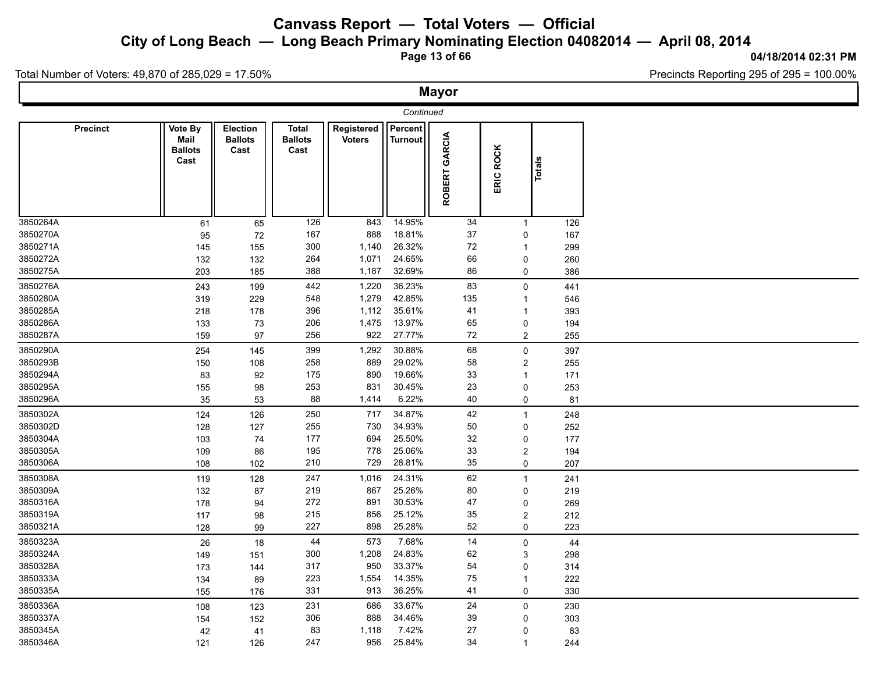**City of Long Beach — Long Beach Primary Nominating Election 04082014 — April 08, 2014**

**Page 13 of 66**

#### **04/18/2014 02:31 PM**

Total Number of Voters: 49,870 of 285,029 = 17.50%

|                      |                 |                                           |                                           |                                        |                             |                           | <b>Mayor</b>  |                     |               |            |  |
|----------------------|-----------------|-------------------------------------------|-------------------------------------------|----------------------------------------|-----------------------------|---------------------------|---------------|---------------------|---------------|------------|--|
|                      |                 |                                           |                                           |                                        |                             | Continued                 |               |                     |               |            |  |
|                      | <b>Precinct</b> | Vote By<br>Mail<br><b>Ballots</b><br>Cast | <b>Election</b><br><b>Ballots</b><br>Cast | <b>Total</b><br><b>Ballots</b><br>Cast | Registered<br><b>Voters</b> | Percent<br><b>Turnout</b> | ROBERT GARCIA | <b>ROCK</b><br>ERIC | <b>Totals</b> |            |  |
| 3850264A             |                 | 61                                        | 65                                        | 126                                    | 843                         | 14.95%                    | 34            | $\mathbf{1}$        |               | 126        |  |
| 3850270A             |                 | 95                                        | $72\,$                                    | 167                                    | 888                         | 18.81%                    | 37            | 0                   |               | 167        |  |
| 3850271A             |                 | 145                                       | 155                                       | 300                                    | 1,140                       | 26.32%                    | $72\,$        | $\overline{1}$      |               | 299        |  |
| 3850272A<br>3850275A |                 | 132<br>203                                | 132<br>185                                | 264<br>388                             | 1,071<br>1,187              | 24.65%<br>32.69%          | 66<br>86      | 0<br>0              |               | 260<br>386 |  |
| 3850276A             |                 | 243                                       | 199                                       | 442                                    | 1,220                       | 36.23%                    | 83            | 0                   |               | 441        |  |
| 3850280A             |                 | 319                                       | 229                                       | 548                                    | 1,279                       | 42.85%                    | 135           | $\mathbf{1}$        |               | 546        |  |
| 3850285A             |                 | 218                                       | 178                                       | 396                                    | 1,112                       | 35.61%                    | 41            | -1                  |               | 393        |  |
| 3850286A             |                 | 133                                       | 73                                        | 206                                    | 1,475                       | 13.97%                    | 65            | 0                   |               | 194        |  |
| 3850287A             |                 | 159                                       | 97                                        | 256                                    | 922                         | 27.77%                    | 72            | $\overline{c}$      |               | 255        |  |
| 3850290A             |                 | 254                                       | 145                                       | 399                                    | 1,292                       | 30.88%                    | 68            | 0                   |               | 397        |  |
| 3850293B             |                 | 150                                       | 108                                       | 258                                    | 889                         | 29.02%                    | 58            | 2                   |               | 255        |  |
| 3850294A             |                 | 83                                        | 92                                        | 175                                    | 890                         | 19.66%                    | 33            | $\overline{1}$      |               | 171        |  |
| 3850295A             |                 | 155                                       | 98                                        | 253                                    | 831                         | 30.45%                    | 23            | 0                   |               | 253        |  |
| 3850296A             |                 | 35                                        | 53                                        | 88                                     | 1,414                       | 6.22%                     | 40            | 0                   |               | 81         |  |
| 3850302A             |                 | 124                                       | 126                                       | 250                                    | 717                         | 34.87%                    | 42            | $\mathbf{1}$        |               | 248        |  |
| 3850302D             |                 | 128                                       | 127                                       | 255                                    | 730                         | 34.93%                    | 50            | 0                   |               | 252        |  |
| 3850304A             |                 | 103                                       | 74                                        | 177                                    | 694                         | 25.50%                    | 32            | 0                   |               | 177        |  |
| 3850305A             |                 | 109                                       | 86                                        | 195                                    | 778                         | 25.06%                    | 33            | $\overline{c}$      |               | 194        |  |
| 3850306A             |                 | 108                                       | 102                                       | 210                                    | 729                         | 28.81%                    | 35            | 0                   |               | 207        |  |
| 3850308A             |                 | 119                                       | 128                                       | 247                                    | 1,016                       | 24.31%                    | 62            | $\mathbf{1}$        |               | 241        |  |
| 3850309A             |                 | 132                                       | 87                                        | 219                                    | 867                         | 25.26%                    | 80            | 0                   |               | 219        |  |
| 3850316A             |                 | 178                                       | 94                                        | 272                                    | 891                         | 30.53%                    | 47            | 0                   |               | 269        |  |
| 3850319A<br>3850321A |                 | 117<br>128                                | 98<br>99                                  | 215<br>227                             | 856<br>898                  | 25.12%<br>25.28%          | $35\,$<br>52  | 2<br>0              |               | 212<br>223 |  |
| 3850323A             |                 |                                           |                                           | 44                                     | 573                         | 7.68%                     |               |                     |               |            |  |
| 3850324A             |                 | 26                                        | $18\,$                                    | 300                                    | 1,208                       | 24.83%                    | 14<br>62      | 0<br>3              |               | 44<br>298  |  |
| 3850328A             |                 | 149<br>173                                | 151<br>144                                | 317                                    | 950                         | 33.37%                    | 54            | 0                   |               | 314        |  |
| 3850333A             |                 | 134                                       | 89                                        | 223                                    | 1,554                       | 14.35%                    | 75            | $\mathbf{1}$        |               | 222        |  |
| 3850335A             |                 | 155                                       | 176                                       | 331                                    | 913                         | 36.25%                    | 41            | 0                   |               | 330        |  |
| 3850336A             |                 | 108                                       | 123                                       | 231                                    | 686                         | 33.67%                    | 24            | 0                   |               | 230        |  |
| 3850337A             |                 | 154                                       | 152                                       | 306                                    | 888                         | 34.46%                    | 39            | 0                   |               | 303        |  |
| 3850345A             |                 | 42                                        | 41                                        | 83                                     | 1,118                       | 7.42%                     | 27            | 0                   |               | 83         |  |
| 3850346A             |                 | 121                                       | 126                                       | 247                                    | 956                         | 25.84%                    | 34            | $\overline{1}$      |               | 244        |  |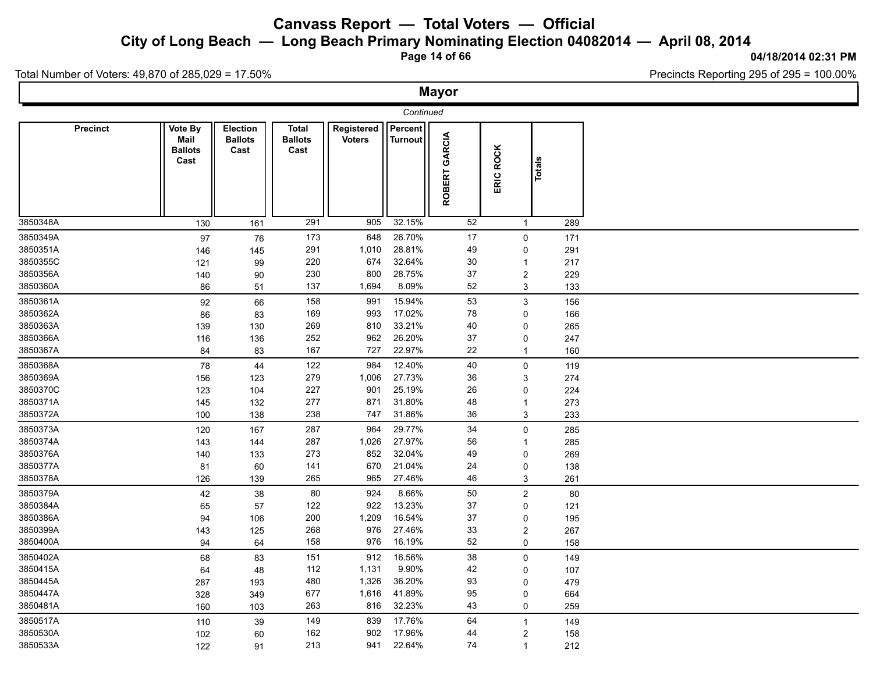**City of Long Beach — Long Beach Primary Nominating Election 04082014 — April 08, 2014**

**Page 14 of 66**

#### **04/18/2014 02:31 PM**

Total Number of Voters: 49,870 of 285,029 = 17.50%

|                 |                                           |                                           |                                        |                             |                           | <b>Mayor</b>     |                         |        |     |
|-----------------|-------------------------------------------|-------------------------------------------|----------------------------------------|-----------------------------|---------------------------|------------------|-------------------------|--------|-----|
|                 |                                           |                                           |                                        |                             | Continued                 |                  |                         |        |     |
| <b>Precinct</b> | Vote By<br>Mail<br><b>Ballots</b><br>Cast | <b>Election</b><br><b>Ballots</b><br>Cast | <b>Total</b><br><b>Ballots</b><br>Cast | Registered<br><b>Voters</b> | Percent<br><b>Turnout</b> | GARCIA<br>ROBERT | ERIC ROCK               | Totals |     |
| 3850348A        | 130                                       | 161                                       | 291                                    | 905                         | 32.15%                    | 52               | $\mathbf{1}$            |        | 289 |
| 3850349A        | 97                                        | 76                                        | 173                                    | 648                         | 26.70%                    | 17               | 0                       |        | 171 |
| 3850351A        | 146                                       | 145                                       | 291                                    | 1,010                       | 28.81%                    | 49               | 0                       |        | 291 |
| 3850355C        | 121                                       | 99                                        | 220                                    | 674                         | 32.64%                    | 30               | $\mathbf{1}$            |        | 217 |
| 3850356A        | 140                                       | 90                                        | 230                                    | 800                         | 28.75%                    | 37               | $\overline{\mathbf{c}}$ |        | 229 |
| 3850360A        | 86                                        | 51                                        | 137                                    | 1,694                       | 8.09%                     | 52               | 3                       |        | 133 |
| 3850361A        | 92                                        | 66                                        | 158                                    | 991                         | 15.94%                    | 53               | 3                       |        | 156 |
| 3850362A        | 86                                        | 83                                        | 169                                    | 993                         | 17.02%                    | 78               | 0                       |        | 166 |
| 3850363A        | 139                                       | 130                                       | 269                                    | 810                         | 33.21%                    | 40               | 0                       |        | 265 |
| 3850366A        | 116                                       | 136                                       | 252                                    | 962                         | 26.20%                    | 37               | 0                       |        | 247 |
| 3850367A        | 84                                        | 83                                        | 167                                    | 727                         | 22.97%                    | 22               | $\mathbf{1}$            |        | 160 |
| 3850368A        | 78                                        | 44                                        | 122                                    | 984                         | 12.40%                    | 40               | 0                       |        | 119 |
| 3850369A        | 156                                       | 123                                       | 279                                    | 1,006                       | 27.73%                    | 36               | 3                       |        | 274 |
| 3850370C        | 123                                       | 104                                       | 227                                    | 901                         | 25.19%                    | 26               | 0                       |        | 224 |
| 3850371A        | 145                                       | 132                                       | 277                                    | 871                         | 31.80%                    | 48               | 1                       |        | 273 |
| 3850372A        | 100                                       | 138                                       | 238                                    | 747                         | 31.86%                    | 36               | 3                       |        | 233 |
| 3850373A        | 120                                       | 167                                       | 287                                    | 964                         | 29.77%                    | 34               | 0                       |        | 285 |
| 3850374A        | 143                                       | 144                                       | 287                                    | 1,026                       | 27.97%                    | 56               | $\mathbf{1}$            |        | 285 |
| 3850376A        | 140                                       | 133                                       | 273                                    | 852                         | 32.04%                    | 49               | 0                       |        | 269 |
| 3850377A        | 81                                        | 60                                        | 141                                    | 670                         | 21.04%                    | 24               | 0                       |        | 138 |
| 3850378A        | 126                                       | 139                                       | 265                                    | 965                         | 27.46%                    | 46               | 3                       |        | 261 |
| 3850379A        | 42                                        | 38                                        | 80                                     | 924                         | 8.66%                     | 50               | $\overline{c}$          |        | 80  |
| 3850384A        | 65                                        | 57                                        | 122                                    | 922                         | 13.23%                    | 37               | 0                       |        | 121 |
| 3850386A        | 94                                        | 106                                       | 200                                    | 1,209                       | 16.54%                    | 37               | 0                       |        | 195 |
| 3850399A        | 143                                       | 125                                       | 268                                    | 976                         | 27.46%                    | 33               | $\overline{\mathbf{c}}$ |        | 267 |
| 3850400A        | 94                                        | 64                                        | 158                                    | 976                         | 16.19%                    | 52               | 0                       |        | 158 |
| 3850402A        | 68                                        | 83                                        | 151                                    | 912                         | 16.56%                    | 38               | 0                       |        | 149 |
| 3850415A        | 64                                        | 48                                        | 112                                    | 1,131                       | 9.90%                     | 42               | 0                       |        | 107 |
| 3850445A        | 287                                       | 193                                       | 480                                    | 1,326                       | 36.20%                    | 93               | 0                       |        | 479 |
| 3850447A        | 328                                       | 349                                       | 677                                    | 1,616                       | 41.89%                    | 95               | 0                       |        | 664 |
| 3850481A        | 160                                       | 103                                       | 263                                    | 816                         | 32.23%                    | 43               | 0                       |        | 259 |
| 3850517A        | 110                                       | $39\,$                                    | 149                                    | 839                         | 17.76%                    | 64               | $\mathbf{1}$            |        | 149 |
| 3850530A        | 102                                       | 60                                        | 162                                    | 902                         | 17.96%                    | 44               | 2                       |        | 158 |
| 3850533A        | 122                                       | 91                                        | 213                                    | 941                         | 22.64%                    | 74               | $\mathbf{1}$            |        | 212 |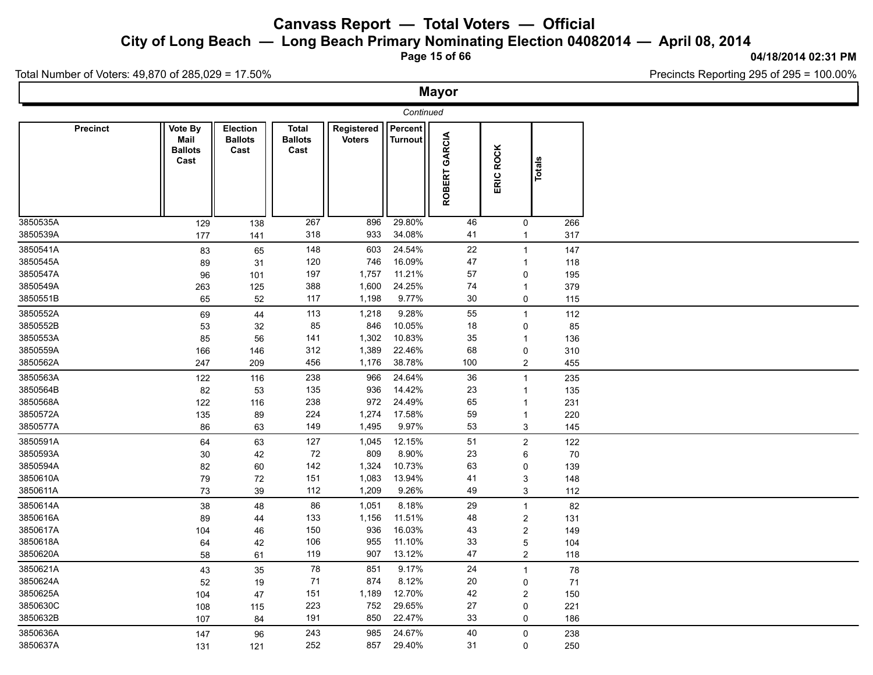**City of Long Beach — Long Beach Primary Nominating Election 04082014 — April 08, 2014**

**Page 15 of 66**

#### **04/18/2014 02:31 PM**

Total Number of Voters: 49,870 of 285,029 = 17.50%

|          |                 |                                           |                                           |                                        |                             |                                                | <b>Mayor</b>  |                           |               |  |
|----------|-----------------|-------------------------------------------|-------------------------------------------|----------------------------------------|-----------------------------|------------------------------------------------|---------------|---------------------------|---------------|--|
|          |                 |                                           |                                           |                                        |                             | Continued                                      |               |                           |               |  |
|          | <b>Precinct</b> | Vote By<br>Mail<br><b>Ballots</b><br>Cast | <b>Election</b><br><b>Ballots</b><br>Cast | <b>Total</b><br><b>Ballots</b><br>Cast | Registered<br><b>Voters</b> | $\sqrt{\frac{P}{P}}$ Percent<br><b>Turnout</b> | ROBERT GARCIA | ERIC ROCK                 | <b>Totals</b> |  |
| 3850535A |                 | 129                                       | 138                                       | 267                                    | 896                         | 29.80%                                         | 46            | $\mathbf 0$               | 266           |  |
| 3850539A |                 | 177                                       | 141                                       | 318                                    | 933                         | 34.08%                                         | 41            | $\mathbf{1}$              | 317           |  |
| 3850541A |                 | 83                                        | 65                                        | 148                                    | 603                         | 24.54%                                         | 22            | $\mathbf{1}$              | 147           |  |
| 3850545A |                 | 89                                        | 31                                        | 120                                    | 746                         | 16.09%                                         | 47            | $\mathbf{1}$              | 118           |  |
| 3850547A |                 | 96                                        | 101                                       | 197                                    | 1,757                       | 11.21%                                         | 57            | 0                         | 195           |  |
| 3850549A |                 | 263                                       | 125                                       | 388                                    | 1,600                       | 24.25%                                         | 74            | $\mathbf{1}$              | 379           |  |
| 3850551B |                 | 65                                        | 52                                        | 117                                    | 1,198                       | 9.77%                                          | 30            | 0                         | 115           |  |
| 3850552A |                 | 69                                        | 44                                        | 113                                    | 1,218                       | 9.28%                                          | 55            | $\mathbf{1}$              | 112           |  |
| 3850552B |                 | 53                                        | 32                                        | 85                                     | 846                         | 10.05%                                         | 18            | 0                         | 85            |  |
| 3850553A |                 | 85                                        | 56                                        | 141                                    | 1,302                       | 10.83%                                         | 35            | $\mathbf{1}$              | 136           |  |
| 3850559A |                 | 166                                       | 146                                       | 312                                    | 1,389                       | 22.46%                                         | 68            | $\pmb{0}$                 | 310           |  |
| 3850562A |                 | 247                                       | 209                                       | 456                                    | 1,176                       | 38.78%                                         | 100           | $\overline{2}$            | 455           |  |
| 3850563A |                 | 122                                       | 116                                       | 238                                    | 966                         | 24.64%                                         | 36            | $\mathbf{1}$              | 235           |  |
| 3850564B |                 | 82                                        | 53                                        | 135                                    | 936                         | 14.42%                                         | 23            | $\mathbf{1}$              | 135           |  |
| 3850568A |                 | 122                                       | 116                                       | 238                                    | 972                         | 24.49%                                         | 65            | $\mathbf{1}$              | 231           |  |
| 3850572A |                 | 135                                       | 89                                        | 224                                    | 1,274                       | 17.58%                                         | 59            | $\mathbf{1}$              | 220           |  |
| 3850577A |                 | 86                                        | 63                                        | 149                                    | 1,495                       | 9.97%                                          | 53            | 3                         | 145           |  |
| 3850591A |                 | 64                                        | 63                                        | 127                                    | 1,045                       | 12.15%                                         | 51            | $\overline{c}$            | 122           |  |
| 3850593A |                 | 30                                        | 42                                        | 72                                     | 809                         | 8.90%                                          | 23            | 6                         | 70            |  |
| 3850594A |                 | 82                                        | 60                                        | 142                                    | 1,324                       | 10.73%                                         | 63            | 0                         | 139           |  |
| 3850610A |                 | 79                                        | 72                                        | 151                                    | 1,083                       | 13.94%                                         | 41            | 3                         | 148           |  |
| 3850611A |                 | 73                                        | 39                                        | 112                                    | 1,209                       | 9.26%                                          | 49            | $\ensuremath{\mathsf{3}}$ | 112           |  |
| 3850614A |                 | 38                                        | 48                                        | 86                                     | 1,051                       | 8.18%                                          | 29            | $\mathbf{1}$              | 82            |  |
| 3850616A |                 | 89                                        | 44                                        | 133                                    | 1,156                       | 11.51%                                         | 48            | $\overline{2}$            | 131           |  |
| 3850617A |                 | 104                                       | 46                                        | 150                                    | 936                         | 16.03%                                         | 43            | $\boldsymbol{2}$          | 149           |  |
| 3850618A |                 | 64                                        | 42                                        | 106                                    | 955                         | 11.10%                                         | 33            | 5                         | 104           |  |
| 3850620A |                 | 58                                        | 61                                        | 119                                    | 907                         | 13.12%                                         | 47            | $\overline{2}$            | 118           |  |
| 3850621A |                 | 43                                        | 35                                        | 78                                     | 851                         | 9.17%                                          | 24            | $\mathbf{1}$              | 78            |  |
| 3850624A |                 | 52                                        | 19                                        | 71                                     | 874                         | 8.12%                                          | 20            | $\mathbf 0$               | 71            |  |
| 3850625A |                 | 104                                       | 47                                        | 151                                    | 1,189                       | 12.70%                                         | 42            | $\overline{c}$            | 150           |  |
| 3850630C |                 | 108                                       | 115                                       | 223                                    | 752                         | 29.65%                                         | 27            | $\pmb{0}$                 | 221           |  |
| 3850632B |                 | 107                                       | 84                                        | 191                                    | 850                         | 22.47%                                         | 33            | 0                         | 186           |  |
| 3850636A |                 | 147                                       | 96                                        | 243                                    | 985                         | 24.67%                                         | 40            | $\mathbf 0$               | 238           |  |
| 3850637A |                 | 131                                       | 121                                       | 252                                    | 857                         | 29.40%                                         | 31            | $\mathbf 0$               | 250           |  |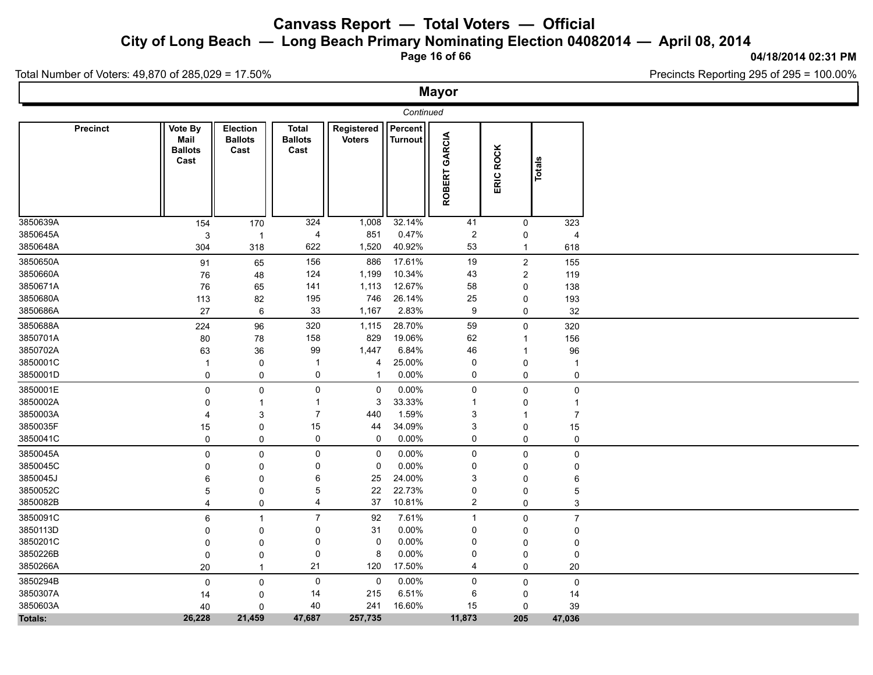**City of Long Beach — Long Beach Primary Nominating Election 04082014 — April 08, 2014**

**Page 16 of 66**

#### **04/18/2014 02:31 PM**

Total Number of Voters: 49,870 of 285,029 = 17.50%

|                 |                                           |                                    |                                        |                             |                           | <b>Mayor</b>   |                |                |  |
|-----------------|-------------------------------------------|------------------------------------|----------------------------------------|-----------------------------|---------------------------|----------------|----------------|----------------|--|
|                 |                                           |                                    |                                        |                             | Continued                 |                |                |                |  |
| <b>Precinct</b> | Vote By<br>Mail<br><b>Ballots</b><br>Cast | Election<br><b>Ballots</b><br>Cast | <b>Total</b><br><b>Ballots</b><br>Cast | Registered<br><b>Voters</b> | Percent<br><b>Turnout</b> | ROBERT GARCIA  | ERIC ROCK      | Totals         |  |
| 3850639A        | 154                                       | 170                                | 324                                    | 1,008                       | 32.14%                    | 41             | $\mathbf 0$    | 323            |  |
| 3850645A        | 3                                         | $\overline{1}$                     | 4                                      | 851                         | 0.47%                     | $\overline{2}$ | 0              | $\overline{4}$ |  |
| 3850648A        | 304                                       | 318                                | 622                                    | 1,520                       | 40.92%                    | 53             | $\mathbf{1}$   | 618            |  |
| 3850650A        | 91                                        | 65                                 | 156                                    | 886                         | 17.61%                    | 19             | $\overline{c}$ | 155            |  |
| 3850660A        | 76                                        | 48                                 | 124                                    | 1,199                       | 10.34%                    | 43             | $\overline{2}$ | 119            |  |
| 3850671A        | 76                                        | 65                                 | 141                                    | 1,113                       | 12.67%                    | 58             | 0              | 138            |  |
| 3850680A        | 113                                       | 82                                 | 195                                    | 746                         | 26.14%                    | 25             | 0              | 193            |  |
| 3850686A        | 27                                        | 6                                  | 33                                     | 1,167                       | 2.83%                     | 9              | 0              | 32             |  |
| 3850688A        | 224                                       | 96                                 | 320                                    | 1,115                       | 28.70%                    | 59             | $\mathbf 0$    | 320            |  |
| 3850701A        | 80                                        | 78                                 | 158                                    | 829                         | 19.06%                    | 62             | 1              | 156            |  |
| 3850702A        | 63                                        | 36                                 | 99                                     | 1,447                       | 6.84%                     | 46             | $\mathbf{1}$   | 96             |  |
| 3850001C        | $\mathbf{1}$                              | 0                                  | $\overline{1}$                         | $\overline{4}$              | 25.00%                    | 0              | 0              | $\mathbf{1}$   |  |
| 3850001D        | $\pmb{0}$                                 | $\mathsf{O}\xspace$                | 0                                      | -1                          | 0.00%                     | 0              | $\mathbf 0$    | 0              |  |
| 3850001E        | $\mathbf 0$                               | 0                                  | $\mathsf{O}\xspace$                    | 0                           | 0.00%                     | 0              | 0              | 0              |  |
| 3850002A        | $\mathbf 0$                               | $\mathbf{1}$                       | $\mathbf{1}$                           | 3                           | 33.33%                    | $\mathbf{1}$   | 0              | $\mathbf{1}$   |  |
| 3850003A        | $\overline{4}$                            | $\mathsf 3$                        | $\overline{7}$                         | 440                         | 1.59%                     | 3              | $\mathbf{1}$   | $\overline{7}$ |  |
| 3850035F        | 15                                        | 0                                  | 15                                     | 44                          | 34.09%                    | 3              | 0              | 15             |  |
| 3850041C        | $\mathbf 0$                               | 0                                  | 0                                      | 0                           | 0.00%                     | 0              | 0              | 0              |  |
| 3850045A        | $\mathbf 0$                               | $\mathsf{O}\xspace$                | $\pmb{0}$                              | 0                           | 0.00%                     | $\mathsf 0$    | 0              | $\mathbf 0$    |  |
| 3850045C        | 0                                         | 0                                  | 0                                      | 0                           | 0.00%                     | 0              | 0              | 0              |  |
| 3850045J        | 6                                         | 0                                  | 6                                      | 25                          | 24.00%                    | 3              | 0              | 6              |  |
| 3850052C        | 5                                         | 0                                  | 5                                      | 22                          | 22.73%                    | 0              | 0              | 5              |  |
| 3850082B        | $\overline{4}$                            | 0                                  | 4                                      | 37                          | 10.81%                    | $\overline{2}$ | $\mathbf 0$    | 3              |  |
| 3850091C        | 6                                         | $\mathbf{1}$                       | $\overline{7}$                         | 92                          | 7.61%                     | $\mathbf{1}$   | 0              | $\overline{7}$ |  |
| 3850113D        | 0                                         | 0                                  | 0                                      | 31                          | 0.00%                     | 0              | 0              | $\mathbf 0$    |  |
| 3850201C        | 0                                         | 0                                  | 0                                      | 0                           | 0.00%                     | 0              | 0              | 0              |  |
| 3850226B        | $\mathbf 0$                               | 0                                  | 0                                      | 8                           | 0.00%                     | 0              | 0              | 0              |  |
| 3850266A        | 20                                        | $\mathbf{1}$                       | 21                                     | 120                         | 17.50%                    | 4              | 0              | 20             |  |
| 3850294B        | $\pmb{0}$                                 | $\mathsf 0$                        | $\mathbf 0$                            | 0                           | 0.00%                     | $\mathsf{O}$   | 0              | $\pmb{0}$      |  |
| 3850307A        | 14                                        | 0                                  | 14                                     | 215                         | 6.51%                     | 6              | 0              | 14             |  |
| 3850603A        | 40                                        | $\mathbf 0$                        | 40                                     | 241                         | 16.60%                    | 15             | 0              | 39             |  |
| Totals:         | 26,228                                    | 21,459                             | 47,687                                 | 257,735                     |                           | 11,873         | 205            | 47,036         |  |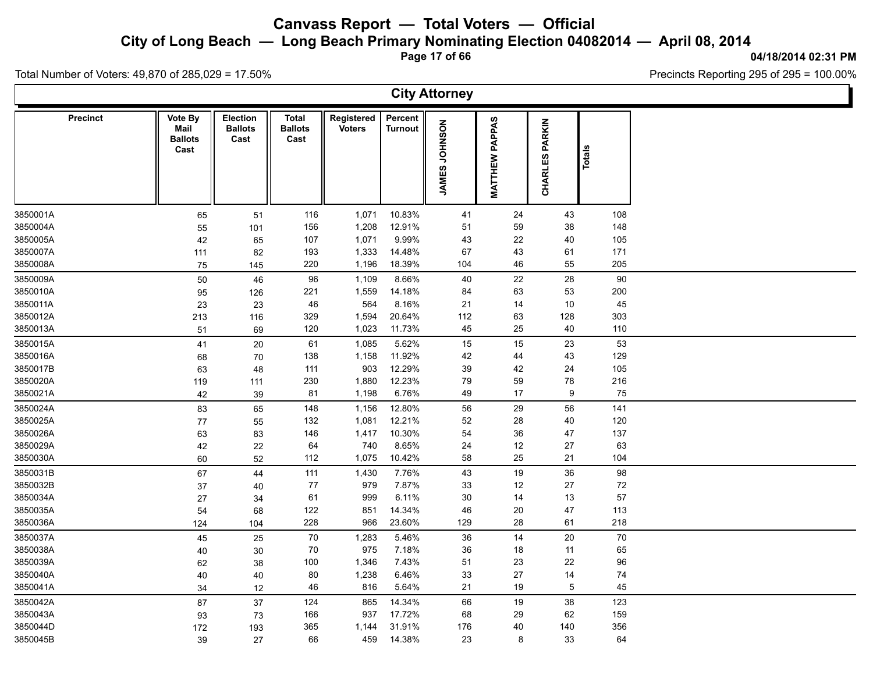**City of Long Beach — Long Beach Primary Nominating Election 04082014 — April 08, 2014**

**Page 17 of 66**

#### **04/18/2014 02:31 PM**

Precincts Reporting 295 of 295 = 100.00%

Total Number of Voters: 49,870 of 285,029 = 17.50%

|                 |                                           |                                           |                                 |                             |                           | <b>City Attorney</b>           |                          |                                 |        |  |
|-----------------|-------------------------------------------|-------------------------------------------|---------------------------------|-----------------------------|---------------------------|--------------------------------|--------------------------|---------------------------------|--------|--|
| <b>Precinct</b> | Vote By<br>Mail<br><b>Ballots</b><br>Cast | <b>Election</b><br><b>Ballots</b><br>Cast | Total<br><b>Ballots</b><br>Cast | Registered<br><b>Voters</b> | Percent<br><b>Turnout</b> | <b>NOSNHOL</b><br><b>JAMES</b> | PAPPAS<br><b>MATTHEW</b> | <b>PARKIN</b><br><b>CHARLES</b> | Totals |  |
| 3850001A        | 65                                        | 51                                        | 116                             | 1,071                       | 10.83%                    | 41                             | 24                       | 43                              | 108    |  |
| 3850004A        | 55                                        | 101                                       | 156                             | 1,208                       | 12.91%                    | 51                             | 59                       | 38                              | 148    |  |
| 3850005A        | 42                                        | 65                                        | 107                             | 1,071                       | 9.99%                     | 43                             | 22                       | 40                              | 105    |  |
| 3850007A        | 111                                       | 82                                        | 193                             | 1,333                       | 14.48%                    | 67                             | 43                       | 61                              | 171    |  |
| 3850008A        | 75                                        | 145                                       | 220                             | 1,196                       | 18.39%                    | 104                            | 46                       | 55                              | 205    |  |
| 3850009A        | 50                                        | 46                                        | 96                              | 1,109                       | 8.66%                     | 40                             | 22                       | 28                              | 90     |  |
| 3850010A        | 95                                        | 126                                       | 221                             | 1,559                       | 14.18%                    | 84                             | 63                       | 53                              | 200    |  |
| 3850011A        | 23                                        | 23                                        | 46                              | 564                         | 8.16%                     | 21                             | 14                       | 10                              | 45     |  |
| 3850012A        | 213                                       | 116                                       | 329                             | 1,594                       | 20.64%                    | 112                            | 63                       | 128                             | 303    |  |
| 3850013A        | 51                                        | 69                                        | 120                             | 1,023                       | 11.73%                    | 45                             | 25                       | 40                              | 110    |  |
| 3850015A        | 41                                        | 20                                        | 61                              | 1,085                       | 5.62%                     | 15                             | 15                       | 23                              | 53     |  |
| 3850016A        | 68                                        | 70                                        | 138                             | 1,158                       | 11.92%                    | 42                             | 44                       | 43                              | 129    |  |
| 3850017B        | 63                                        | 48                                        | 111                             | 903                         | 12.29%                    | 39                             | 42                       | 24                              | 105    |  |
| 3850020A        | 119                                       | 111                                       | 230                             | 1,880                       | 12.23%                    | 79                             | 59                       | 78                              | 216    |  |
| 3850021A        | 42                                        | 39                                        | 81                              | 1,198                       | 6.76%                     | 49                             | 17                       | 9                               | 75     |  |
| 3850024A        | 83                                        | 65                                        | 148                             | 1,156                       | 12.80%                    | 56                             | 29                       | 56                              | 141    |  |
| 3850025A        | 77                                        | 55                                        | 132                             | 1,081                       | 12.21%                    | 52                             | 28                       | 40                              | 120    |  |
| 3850026A        | 63                                        | 83                                        | 146                             | 1,417                       | 10.30%                    | 54                             | 36                       | 47                              | 137    |  |
| 3850029A        | 42                                        | 22                                        | 64                              | 740                         | 8.65%                     | 24                             | 12                       | 27                              | 63     |  |
| 3850030A        | 60                                        | 52                                        | 112                             | 1,075                       | 10.42%                    | 58                             | 25                       | 21                              | 104    |  |
| 3850031B        | 67                                        | 44                                        | 111                             | 1,430                       | 7.76%                     | 43                             | 19                       | 36                              | 98     |  |
| 3850032B        | $37\,$                                    | 40                                        | 77                              | 979                         | 7.87%                     | 33                             | 12                       | 27                              | 72     |  |
| 3850034A        | 27                                        | 34                                        | 61                              | 999                         | 6.11%                     | 30                             | 14                       | 13                              | 57     |  |
| 3850035A        | 54                                        | 68                                        | 122                             | 851                         | 14.34%                    | 46                             | 20                       | 47                              | 113    |  |
| 3850036A        | 124                                       | 104                                       | 228                             | 966                         | 23.60%                    | 129                            | 28                       | 61                              | 218    |  |
| 3850037A        | 45                                        | 25                                        | 70                              | 1,283                       | 5.46%                     | 36                             | 14                       | 20                              | $70\,$ |  |
| 3850038A        | 40                                        | 30                                        | 70                              | 975                         | 7.18%                     | 36                             | 18                       | 11                              | 65     |  |
| 3850039A        | 62                                        | 38                                        | 100                             | 1,346                       | 7.43%                     | 51                             | 23                       | 22                              | 96     |  |
| 3850040A        | 40                                        | 40                                        | 80                              | 1,238                       | 6.46%                     | 33                             | 27                       | 14                              | 74     |  |
| 3850041A        | 34                                        | 12                                        | 46                              | 816                         | 5.64%                     | 21                             | 19                       | 5                               | 45     |  |
| 3850042A        | 87                                        | 37                                        | 124                             | 865                         | 14.34%                    | 66                             | $19$                     | 38                              | 123    |  |
| 3850043A        | 93                                        | 73                                        | 166                             | 937                         | 17.72%                    | 68                             | 29                       | 62                              | 159    |  |
| 3850044D        | 172                                       | 193                                       | 365                             | 1,144                       | 31.91%                    | 176                            | 40                       | 140                             | 356    |  |
| 3850045B        | 39                                        | 27                                        | 66                              | 459                         | 14.38%                    | 23                             | 8                        | 33                              | 64     |  |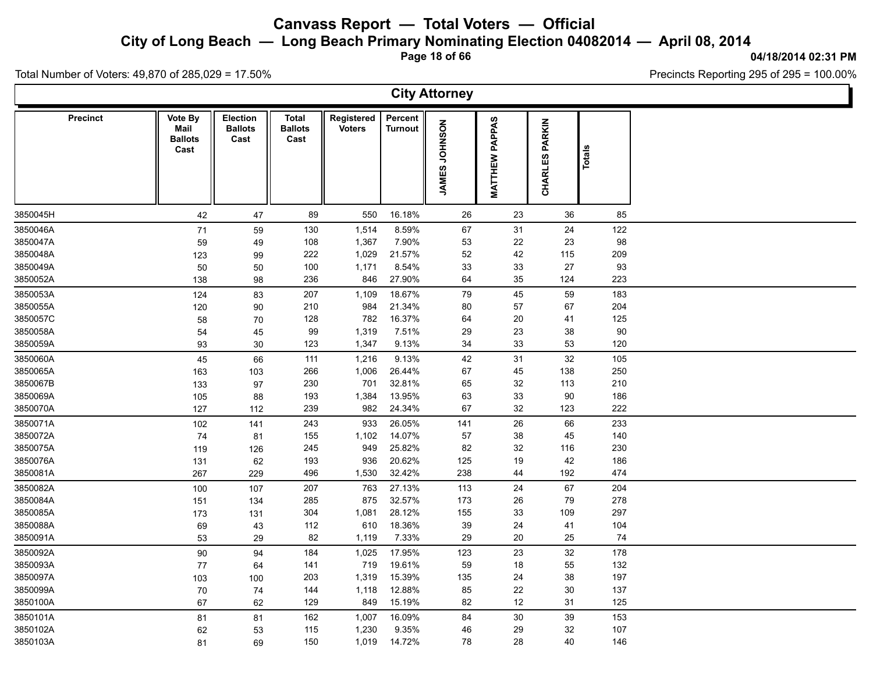**City of Long Beach — Long Beach Primary Nominating Election 04082014 — April 08, 2014**

**Page 18 of 66**

#### **04/18/2014 02:31 PM**

Precincts Reporting 295 of 295 = 100.00%

Total Number of Voters: 49,870 of 285,029 = 17.50%

**City Attorney Precinct**  $\parallel$  Vote By  $\parallel$  Election  $\parallel$  Total **Ballots Ballots Cast Cast Total Registered** Voters<br>
Turnout<br>
Turnout<br>
Turnout<br>
TO-CONSIDER<br>
TO-CONSIDER<br>
TO-CONSIDER<br>
TO-CONSIDER **Percent Turnout**<br> **Turnout**<br> **MATTHEW PAPPAS<br>
CHARLES PARKIN**<br> **Totals Mail Ballots Cast** 3850045H 42 47 89 550 16.18% 26 23 36 85 3850046A 71 59 130 1,514 8.59% 67 31 24 122 3850047A 59 49 108 1,367 7.90% 53 22 23 98 3850048A 123 99 222 1,029 21.57% 52 42 115 209 3850049A 50 50 100 1,171 8.54% 33 33 27 93 3850052A 138 98 236 846 27.90% 64 35 124 223 3850053A 124 83 207 1,109 18.67% 79 45 59 183 3850055A 120 90 210 984 21.34% 80 57 67 204 3850057C 58 70 128 782 16.37% 64 20 41 125 3850058A 54 45 99 1,319 7.51% 29 23 38 90 3850059A 93 30 123 1,347 9.13% 34 33 53 120 3850060A 45 66 111 1,216 9.13% 42 31 32 105 3850065A 163 103 266 1,006 26.44% 67 45 138 250 3850067B 133 97 230 701 32.81% 65 32 113 210 3850069A 105 88 193 1,384 13.95% 63 33 90 186 3850070A 127 112 239 982 24.34% 67 32 123 222 3850071A 102 141 243 933 26.05% 141 26 66 233 3850072A 74 81 155 1,102 14.07% 57 38 45 140 3850075A 119 126 245 949 25.82% 82 32 116 230 3850076A 131 62 193 936 20.62% 125 19 42 186 3850081A 267 229 496 1,530 32.42% 238 44 192 474 3850082A 100 107 207 763 27.13% 113 24 67 204 3850084A 151 134 285 875 32.57% 173 26 79 278 3850085A 173 131 304 1,081 28.12% 155 33 109 297 3850088A 69 43 112 610 18.36% 39 24 41 104 3850091A 53 29 82 1,119 7.33% 29 20 25 74 3850092A 90 94 184 1,025 17.95% 123 23 32 178 3850093A 77 64 141 719 19.61% 59 18 55 132 3850097A 103 100 203 1,319 15.39% 135 24 38 197 3850099A 70 74 144 1,118 12.88% 85 22 30 137 3850100A 67 62 129 849 15.19% 82 12 31 125 3850101A 81 81 162 1,007 16.09% 84 30 39 153 3850102A 62 53 115 1,230 9.35% 46 29 32 107 3850103A 81 69 150 1,019 14.72% 78 28 40 146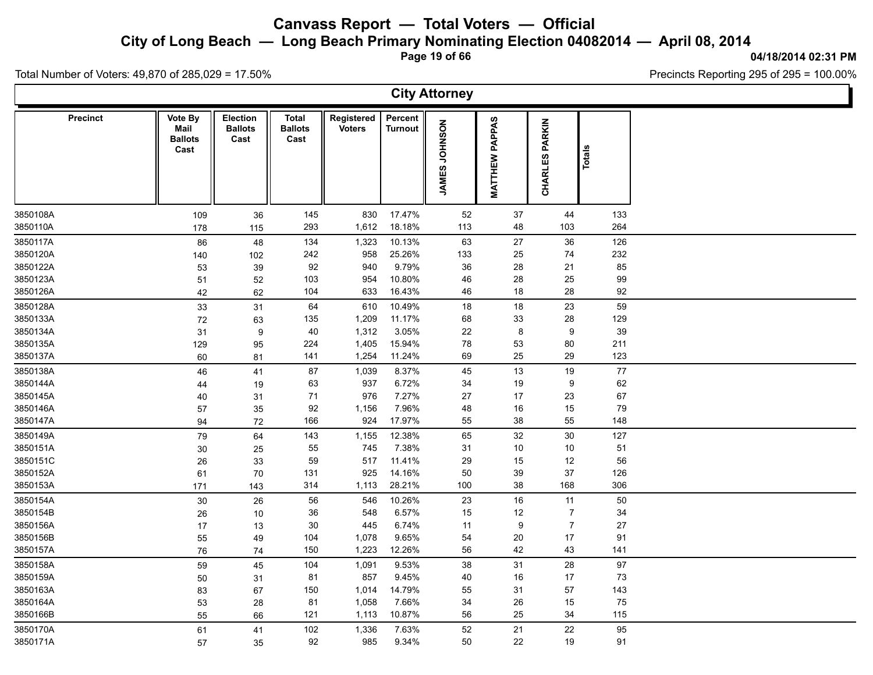**City of Long Beach — Long Beach Primary Nominating Election 04082014 — April 08, 2014**

**Page 19 of 66**

### **04/18/2014 02:31 PM**

Ъ

Precincts Reporting 295 of 295 = 100.00%

Total Number of Voters: 49,870 of 285,029 = 17.50%

Γ

|                 |                                           |                                    |                                        |                             |                           | <b>City Attorney</b> |                          |                          |        |  |
|-----------------|-------------------------------------------|------------------------------------|----------------------------------------|-----------------------------|---------------------------|----------------------|--------------------------|--------------------------|--------|--|
| <b>Precinct</b> | Vote By<br>Mail<br><b>Ballots</b><br>Cast | Election<br><b>Ballots</b><br>Cast | <b>Total</b><br><b>Ballots</b><br>Cast | Registered<br><b>Voters</b> | Percent<br><b>Turnout</b> | JAMES JOHNSON        | PAPPAS<br><b>MATTHEW</b> | PARKIN<br><b>CHARLES</b> | Totals |  |
| 3850108A        | 109                                       | 36                                 | 145                                    | 830                         | 17.47%                    | 52                   | 37                       | 44                       | 133    |  |
| 3850110A        | 178                                       | 115                                | 293                                    | 1,612                       | 18.18%                    | 113                  | 48                       | 103                      | 264    |  |
| 3850117A        | 86                                        | 48                                 | 134                                    | 1,323                       | 10.13%                    | 63                   | 27                       | 36                       | 126    |  |
| 3850120A        | 140                                       | 102                                | 242                                    | 958                         | 25.26%                    | 133                  | 25                       | 74                       | 232    |  |
| 3850122A        | 53                                        | 39                                 | 92                                     | 940                         | 9.79%                     | $36\,$               | 28                       | 21                       | 85     |  |
| 3850123A        | 51                                        | 52                                 | 103                                    | 954                         | 10.80%                    | 46                   | 28                       | 25                       | 99     |  |
| 3850126A        | 42                                        | 62                                 | 104                                    | 633                         | 16.43%                    | 46                   | $18$                     | 28                       | 92     |  |
| 3850128A        | 33                                        | 31                                 | 64                                     | 610                         | 10.49%                    | 18                   | 18                       | 23                       | 59     |  |
| 3850133A        | 72                                        | 63                                 | 135                                    | 1,209                       | 11.17%                    | 68                   | 33                       | 28                       | 129    |  |
| 3850134A        | 31                                        | $\boldsymbol{9}$                   | 40                                     | 1,312                       | 3.05%                     | 22                   | $\bf 8$                  | 9                        | 39     |  |
| 3850135A        | 129                                       | 95                                 | 224                                    | 1,405                       | 15.94%                    | 78                   | 53                       | 80                       | 211    |  |
| 3850137A        | 60                                        | 81                                 | 141                                    | 1,254                       | 11.24%                    | 69                   | 25                       | 29                       | 123    |  |
| 3850138A        | 46                                        | 41                                 | 87                                     | 1,039                       | 8.37%                     | 45                   | 13                       | 19                       | $77\,$ |  |
| 3850144A        | 44                                        | 19                                 | 63                                     | 937                         | 6.72%                     | 34                   | 19                       | 9                        | 62     |  |
| 3850145A        | 40                                        | 31                                 | 71                                     | 976                         | 7.27%                     | 27                   | 17                       | 23                       | 67     |  |
| 3850146A        | 57                                        | 35                                 | 92                                     | 1,156                       | 7.96%                     | 48                   | $16\,$                   | 15                       | 79     |  |
| 3850147A        | 94                                        | 72                                 | 166                                    | 924                         | 17.97%                    | 55                   | 38                       | 55                       | 148    |  |
| 3850149A        | 79                                        | 64                                 | 143                                    | 1,155                       | 12.38%                    | 65                   | 32                       | $30\,$                   | 127    |  |
| 3850151A        | 30                                        | 25                                 | 55                                     | 745                         | 7.38%                     | 31                   | 10                       | 10                       | 51     |  |
| 3850151C        | 26                                        | 33                                 | 59                                     | 517                         | 11.41%                    | 29                   | 15                       | 12                       | 56     |  |
| 3850152A        | 61                                        | 70                                 | 131                                    | 925                         | 14.16%                    | 50                   | 39                       | 37                       | 126    |  |
| 3850153A        | 171                                       | 143                                | 314                                    | 1,113                       | 28.21%                    | 100                  | 38                       | 168                      | 306    |  |
| 3850154A        | 30                                        | 26                                 | 56                                     | 546                         | 10.26%                    | 23                   | 16                       | 11                       | 50     |  |
| 3850154B        | 26                                        | 10                                 | 36                                     | 548                         | 6.57%                     | 15                   | 12                       | $\overline{7}$           | 34     |  |
| 3850156A        | 17                                        | 13                                 | 30                                     | 445                         | 6.74%                     | 11                   | 9                        | $\overline{7}$           | 27     |  |
| 3850156B        | 55                                        | 49                                 | 104                                    | 1,078                       | 9.65%                     | 54                   | 20                       | 17                       | 91     |  |
| 3850157A        | 76                                        | 74                                 | 150                                    | 1,223                       | 12.26%                    | 56                   | 42                       | 43                       | 141    |  |
| 3850158A        | 59                                        | 45                                 | 104                                    | 1,091                       | 9.53%                     | 38                   | 31                       | 28                       | 97     |  |
| 3850159A        | 50                                        | 31                                 | 81                                     | 857                         | 9.45%                     | 40                   | 16                       | 17                       | 73     |  |
| 3850163A        | 83                                        | 67                                 | 150                                    | 1,014                       | 14.79%                    | 55                   | 31                       | 57                       | 143    |  |
| 3850164A        | 53                                        | 28                                 | 81                                     | 1,058                       | 7.66%                     | 34                   | 26                       | 15                       | 75     |  |
| 3850166B        | 55                                        | 66                                 | 121                                    | 1,113                       | 10.87%                    | 56                   | 25                       | 34                       | 115    |  |
| 3850170A        | 61                                        | 41                                 | 102                                    | 1,336                       | 7.63%                     | 52                   | 21                       | 22                       | 95     |  |
| 3850171A        | 57                                        | 35                                 | 92                                     | 985                         | 9.34%                     | 50                   | 22                       | 19                       | 91     |  |
|                 |                                           |                                    |                                        |                             |                           |                      |                          |                          |        |  |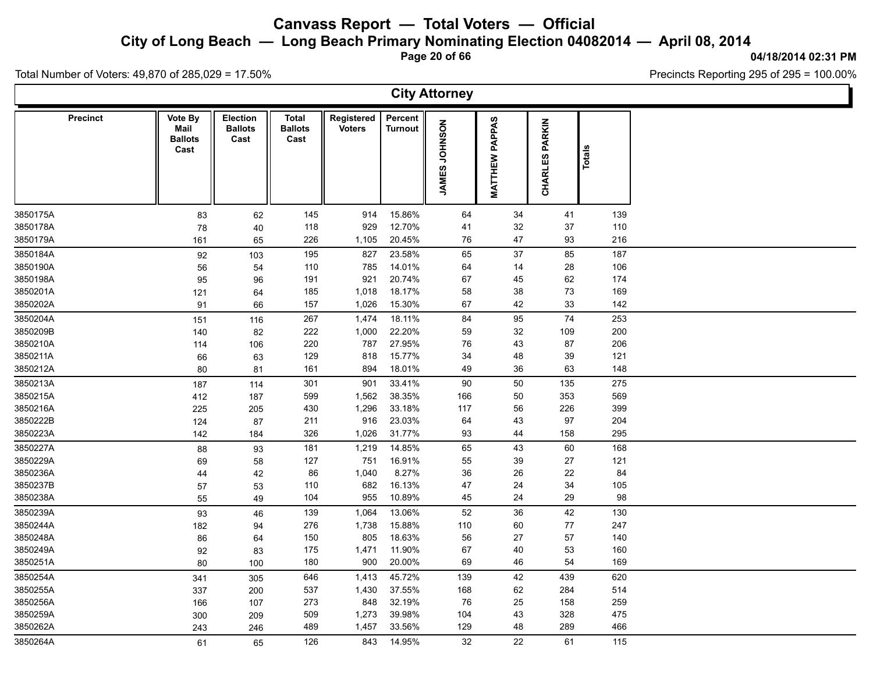**City of Long Beach — Long Beach Primary Nominating Election 04082014 — April 08, 2014**

**Page 20 of 66**

**City Attorney**

#### **04/18/2014 02:31 PM**

Total Number of Voters: 49,870 of 285,029 = 17.50%

|          | <b>Precinct</b> | Vote By<br>Mail<br><b>Ballots</b><br>Cast | Election<br><b>Ballots</b><br>Cast | <b>Total</b><br><b>Ballots</b><br>Cast | Registered<br><b>Voters</b> | Percent<br><b>Turnout</b> | NOSNHOL<br>ဖာ<br><b>JAMES</b> | PAPPAS<br>MATTHEW | <b>PARKIN</b><br><b>CHARLES</b> | Totals |  |
|----------|-----------------|-------------------------------------------|------------------------------------|----------------------------------------|-----------------------------|---------------------------|-------------------------------|-------------------|---------------------------------|--------|--|
| 3850175A |                 | 83                                        | 62                                 | 145                                    | 914                         | 15.86%                    | 64                            | 34                | 41                              | 139    |  |
| 3850178A |                 | 78                                        | 40                                 | 118                                    | 929                         | 12.70%                    | 41                            | 32                | 37                              | 110    |  |
| 3850179A |                 | 161                                       | 65                                 | 226                                    | 1,105                       | 20.45%                    | 76                            | 47                | 93                              | 216    |  |
| 3850184A |                 | 92                                        | 103                                | 195                                    | 827                         | 23.58%                    | 65                            | 37                | 85                              | 187    |  |
| 3850190A |                 | 56                                        | 54                                 | 110                                    | 785                         | 14.01%                    | 64                            | 14                | 28                              | 106    |  |
| 3850198A |                 | 95                                        | 96                                 | 191                                    | 921                         | 20.74%                    | 67                            | 45                | 62                              | 174    |  |
| 3850201A |                 | 121                                       | 64                                 | 185                                    | 1,018                       | 18.17%                    | 58                            | 38                | 73                              | 169    |  |
| 3850202A |                 | 91                                        | 66                                 | 157                                    | 1,026                       | 15.30%                    | 67                            | 42                | 33                              | 142    |  |
| 3850204A |                 | 151                                       | 116                                | 267                                    | 1,474                       | 18.11%                    | 84                            | 95                | 74                              | 253    |  |
| 3850209B |                 | 140                                       | 82                                 | 222                                    | 1,000                       | 22.20%                    | 59                            | 32                | 109                             | 200    |  |
| 3850210A |                 | 114                                       | 106                                | 220                                    | 787                         | 27.95%                    | 76                            | 43                | 87                              | 206    |  |
| 3850211A |                 | 66                                        | 63                                 | 129                                    | 818                         | 15.77%                    | 34                            | 48                | 39                              | 121    |  |
| 3850212A |                 | 80                                        | 81                                 | 161                                    | 894                         | 18.01%                    | 49                            | 36                | 63                              | 148    |  |
| 3850213A |                 | 187                                       | 114                                | 301                                    | 901                         | 33.41%                    | 90                            | 50                | 135                             | 275    |  |
| 3850215A |                 | 412                                       | 187                                | 599                                    | 1,562                       | 38.35%                    | 166                           | 50                | 353                             | 569    |  |
| 3850216A |                 | 225                                       | 205                                | 430                                    | 1,296                       | 33.18%                    | 117                           | 56                | 226                             | 399    |  |
| 3850222B |                 | 124                                       | 87                                 | 211                                    | 916                         | 23.03%                    | 64                            | 43                | 97                              | 204    |  |
| 3850223A |                 | 142                                       | 184                                | 326                                    | 1,026                       | 31.77%                    | 93                            | 44                | 158                             | 295    |  |
| 3850227A |                 | 88                                        | 93                                 | 181                                    | 1,219                       | 14.85%                    | 65                            | 43                | 60                              | 168    |  |
| 3850229A |                 | 69                                        | 58                                 | 127                                    | 751                         | 16.91%                    | 55                            | 39                | 27                              | 121    |  |
| 3850236A |                 | 44                                        | 42                                 | 86                                     | 1,040                       | 8.27%                     | 36                            | 26                | 22                              | 84     |  |
| 3850237B |                 | 57                                        | 53                                 | 110                                    | 682                         | 16.13%                    | 47                            | 24                | 34                              | 105    |  |
| 3850238A |                 | 55                                        | 49                                 | 104                                    | 955                         | 10.89%                    | 45                            | 24                | 29                              | 98     |  |
| 3850239A |                 | 93                                        | 46                                 | 139                                    | 1,064                       | 13.06%                    | 52                            | 36                | 42                              | 130    |  |
| 3850244A |                 | 182                                       | 94                                 | 276                                    | 1,738                       | 15.88%                    | 110                           | 60                | 77                              | 247    |  |
| 3850248A |                 | 86                                        | 64                                 | 150                                    | 805                         | 18.63%                    | 56                            | 27                | 57                              | 140    |  |
| 3850249A |                 | 92                                        | 83                                 | 175                                    | 1,471                       | 11.90%                    | 67                            | 40                | 53                              | 160    |  |
| 3850251A |                 | 80                                        | 100                                | 180                                    | 900                         | 20.00%                    | 69                            | 46                | 54                              | 169    |  |
| 3850254A |                 | 341                                       | 305                                | 646                                    | 1,413                       | 45.72%                    | 139                           | 42                | 439                             | 620    |  |
| 3850255A |                 | 337                                       | 200                                | 537                                    | 1,430                       | 37.55%                    | 168                           | 62                | 284                             | 514    |  |
| 3850256A |                 | 166                                       | 107                                | 273                                    | 848                         | 32.19%                    | 76                            | 25                | 158                             | 259    |  |

3850259A 300 209 509 1,273 39.98% 104 43 328 475 3850262A 243 246 489 1,457 33.56% 129 48 289 466

3850264A 61 65 126 843 14.95% 32 22 61 115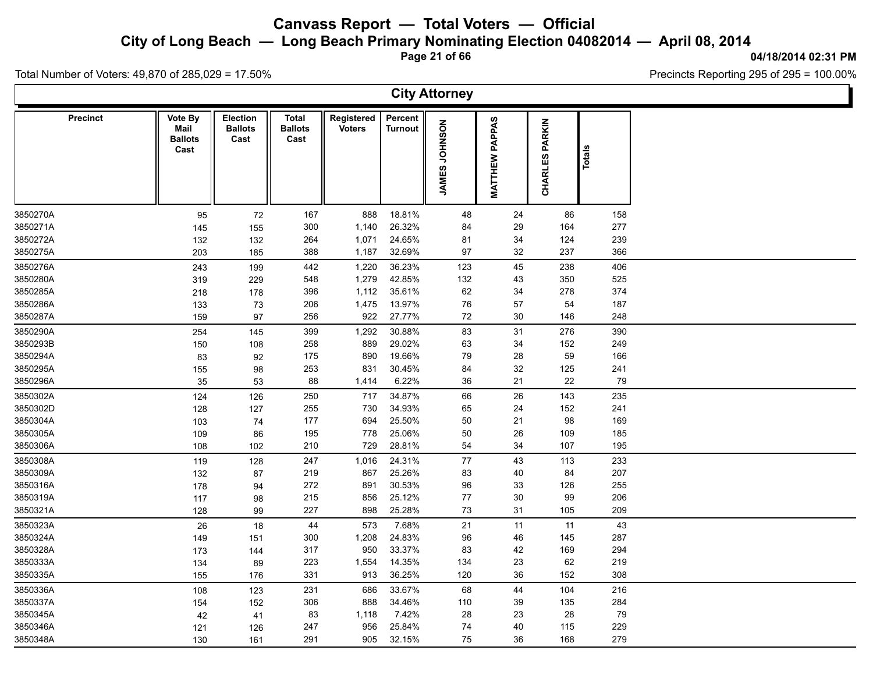**City of Long Beach — Long Beach Primary Nominating Election 04082014 — April 08, 2014**

**Page 21 of 66**

#### **04/18/2014 02:31 PM**

Ъ

Precincts Reporting 295 of 295 = 100.00%

Total Number of Voters: 49,870 of 285,029 = 17.50%

 $\Gamma$ 

|          |                 |                                           |                                           |                                        |                             |                           | <b>City Attorney</b> |                       |                                 |        |  |
|----------|-----------------|-------------------------------------------|-------------------------------------------|----------------------------------------|-----------------------------|---------------------------|----------------------|-----------------------|---------------------------------|--------|--|
|          | <b>Precinct</b> | Vote By<br>Mail<br><b>Ballots</b><br>Cast | <b>Election</b><br><b>Ballots</b><br>Cast | <b>Total</b><br><b>Ballots</b><br>Cast | Registered<br><b>Voters</b> | Percent<br><b>Turnout</b> | JAMES JOHNSON        | <b>MATTHEW PAPPAS</b> | <b>PARKIN</b><br><b>CHARLES</b> | Totals |  |
| 3850270A |                 | 95                                        | 72                                        | 167                                    | 888                         | 18.81%                    | 48                   | 24                    | 86                              | 158    |  |
| 3850271A |                 | 145                                       | 155                                       | 300                                    | 1,140                       | 26.32%                    | 84                   | 29                    | 164                             | 277    |  |
| 3850272A |                 | 132                                       | 132                                       | 264                                    | 1,071                       | 24.65%                    | 81                   | 34                    | 124                             | 239    |  |
| 3850275A |                 | 203                                       | 185                                       | 388                                    | 1,187                       | 32.69%                    | 97                   | 32                    | 237                             | 366    |  |
| 3850276A |                 | 243                                       | 199                                       | 442                                    | 1,220                       | 36.23%                    | 123                  | 45                    | 238                             | 406    |  |
| 3850280A |                 | 319                                       | 229                                       | 548                                    | 1,279                       | 42.85%                    | 132                  | 43                    | 350                             | 525    |  |
| 3850285A |                 | 218                                       | 178                                       | 396                                    | 1,112                       | 35.61%                    | 62                   | 34                    | 278                             | 374    |  |
| 3850286A |                 | 133                                       | 73                                        | 206                                    | 1,475                       | 13.97%                    | 76                   | 57                    | 54                              | 187    |  |
| 3850287A |                 | 159                                       | 97                                        | 256                                    | 922                         | 27.77%                    | 72                   | $30\,$                | 146                             | 248    |  |
| 3850290A |                 | 254                                       | 145                                       | 399                                    | 1,292                       | 30.88%                    | 83                   | 31                    | 276                             | 390    |  |
| 3850293B |                 | 150                                       | 108                                       | 258                                    | 889                         | 29.02%                    | 63                   | 34                    | 152                             | 249    |  |
| 3850294A |                 | 83                                        | 92                                        | 175                                    | 890                         | 19.66%                    | 79                   | 28                    | 59                              | 166    |  |
| 3850295A |                 | 155                                       | 98                                        | 253                                    | 831                         | 30.45%                    | 84                   | 32                    | 125                             | 241    |  |
| 3850296A |                 | 35                                        | 53                                        | 88                                     | 1,414                       | 6.22%                     | 36                   | 21                    | 22                              | 79     |  |
| 3850302A |                 | 124                                       | 126                                       | 250                                    | 717                         | 34.87%                    | 66                   | 26                    | 143                             | 235    |  |
| 3850302D |                 | 128                                       | 127                                       | 255                                    | 730                         | 34.93%                    | 65                   | 24                    | 152                             | 241    |  |
| 3850304A |                 | 103                                       | 74                                        | 177                                    | 694                         | 25.50%                    | 50                   | 21                    | 98                              | 169    |  |
| 3850305A |                 | 109                                       | 86                                        | 195                                    | 778                         | 25.06%                    | 50                   | 26                    | 109                             | 185    |  |
| 3850306A |                 | 108                                       | 102                                       | 210                                    | 729                         | 28.81%                    | 54                   | 34                    | 107                             | 195    |  |
| 3850308A |                 | 119                                       | 128                                       | 247                                    | 1,016                       | 24.31%                    | 77                   | 43                    | 113                             | 233    |  |
| 3850309A |                 | 132                                       | 87                                        | 219                                    | 867                         | 25.26%                    | 83                   | 40                    | 84                              | 207    |  |
| 3850316A |                 | 178                                       | 94                                        | 272                                    | 891                         | 30.53%                    | 96                   | 33                    | 126                             | 255    |  |
| 3850319A |                 | 117                                       | 98                                        | 215                                    | 856                         | 25.12%                    | 77                   | 30                    | 99                              | 206    |  |
| 3850321A |                 | 128                                       | 99                                        | 227                                    | 898                         | 25.28%                    | 73                   | 31                    | 105                             | 209    |  |
| 3850323A |                 | 26                                        | 18                                        | 44                                     | 573                         | 7.68%                     | 21                   | 11                    | 11                              | 43     |  |
| 3850324A |                 | 149                                       | 151                                       | 300                                    | 1,208                       | 24.83%                    | 96                   | 46                    | 145                             | 287    |  |
| 3850328A |                 | 173                                       | 144                                       | 317                                    | 950                         | 33.37%                    | 83                   | 42                    | 169                             | 294    |  |
| 3850333A |                 | 134                                       | 89                                        | 223                                    | 1,554                       | 14.35%                    | 134                  | 23                    | 62                              | 219    |  |
| 3850335A |                 | 155                                       | 176                                       | 331                                    | 913                         | 36.25%                    | 120                  | 36                    | 152                             | 308    |  |
| 3850336A |                 | 108                                       | 123                                       | 231                                    | 686                         | 33.67%                    | 68                   | 44                    | 104                             | 216    |  |
| 3850337A |                 | 154                                       | 152                                       | 306                                    | 888                         | 34.46%                    | 110                  | 39                    | 135                             | 284    |  |
| 3850345A |                 | 42                                        | 41                                        | 83                                     | 1,118                       | 7.42%                     | 28                   | 23                    | 28                              | 79     |  |
| 3850346A |                 | 121                                       | 126                                       | 247                                    | 956                         | 25.84%                    | 74                   | 40                    | 115                             | 229    |  |
| 3850348A |                 | 130                                       | 161                                       | 291                                    | 905                         | 32.15%                    | 75                   | 36                    | 168                             | 279    |  |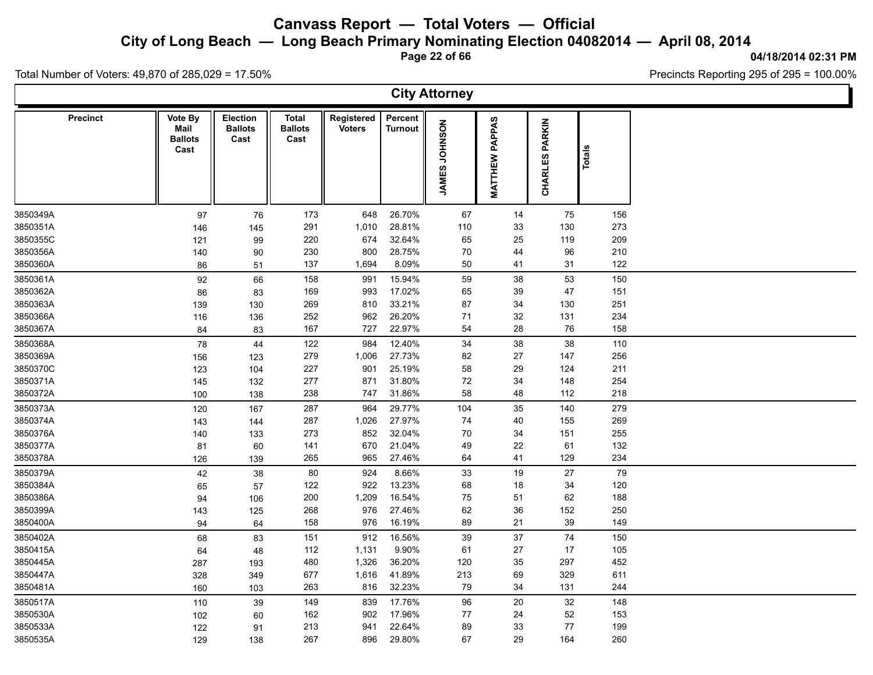**City of Long Beach — Long Beach Primary Nominating Election 04082014 — April 08, 2014**

**Page 22 of 66**

#### **04/18/2014 02:31 PM**

Ъ

Precincts Reporting 295 of 295 = 100.00%

Total Number of Voters: 49,870 of 285,029 = 17.50%

 $\Gamma$ 

|          |                 |                                           |                                           |                                 |                             |                    | <b>City Attorney</b>           |                          |                          |        |  |
|----------|-----------------|-------------------------------------------|-------------------------------------------|---------------------------------|-----------------------------|--------------------|--------------------------------|--------------------------|--------------------------|--------|--|
|          | <b>Precinct</b> | Vote By<br>Mail<br><b>Ballots</b><br>Cast | <b>Election</b><br><b>Ballots</b><br>Cast | Total<br><b>Ballots</b><br>Cast | Registered<br><b>Voters</b> | Percent<br>Turnout | <b>NOSNHOL</b><br><b>JAMES</b> | PAPPAS<br><b>MATTHEW</b> | PARKIN<br><b>CHARLES</b> | Totals |  |
| 3850349A |                 | 97                                        | 76                                        | 173                             | 648                         | 26.70%             | 67                             | 14                       | 75                       | 156    |  |
| 3850351A |                 | 146                                       | 145                                       | 291                             | 1,010                       | 28.81%             | 110                            | 33                       | 130                      | 273    |  |
| 3850355C |                 | 121                                       | 99                                        | 220                             | 674                         | 32.64%             | 65                             | 25                       | 119                      | 209    |  |
| 3850356A |                 | 140                                       | 90                                        | 230                             | 800                         | 28.75%             | 70                             | 44                       | 96                       | 210    |  |
| 3850360A |                 | 86                                        | 51                                        | 137                             | 1,694                       | 8.09%              | 50                             | 41                       | 31                       | 122    |  |
| 3850361A |                 | 92                                        | 66                                        | 158                             | 991                         | 15.94%             | 59                             | 38                       | 53                       | 150    |  |
| 3850362A |                 | 86                                        | 83                                        | 169                             | 993                         | 17.02%             | 65                             | 39                       | 47                       | 151    |  |
| 3850363A |                 | 139                                       | 130                                       | 269                             | 810                         | 33.21%             | 87                             | 34                       | 130                      | 251    |  |
| 3850366A |                 | 116                                       | 136                                       | 252                             | 962                         | 26.20%             | 71                             | 32                       | 131                      | 234    |  |
| 3850367A |                 | 84                                        | 83                                        | 167                             | 727                         | 22.97%             | 54                             | 28                       | 76                       | 158    |  |
| 3850368A |                 | 78                                        | 44                                        | 122                             | 984                         | 12.40%             | 34                             | 38                       | 38                       | 110    |  |
| 3850369A |                 | 156                                       | 123                                       | 279                             | 1,006                       | 27.73%             | 82                             | 27                       | 147                      | 256    |  |
| 3850370C |                 | 123                                       | 104                                       | 227                             | 901                         | 25.19%             | 58                             | 29                       | 124                      | 211    |  |
| 3850371A |                 | 145                                       | 132                                       | 277                             | 871                         | 31.80%             | $72\,$                         | 34                       | 148                      | 254    |  |
| 3850372A |                 | 100                                       | 138                                       | 238                             | 747                         | 31.86%             | 58                             | 48                       | 112                      | 218    |  |
| 3850373A |                 | 120                                       | 167                                       | 287                             | 964                         | 29.77%             | 104                            | 35                       | 140                      | 279    |  |
| 3850374A |                 | 143                                       | 144                                       | 287                             | 1,026                       | 27.97%             | 74                             | 40                       | 155                      | 269    |  |
| 3850376A |                 | 140                                       | 133                                       | 273                             | 852                         | 32.04%             | 70                             | 34                       | 151                      | 255    |  |
| 3850377A |                 | 81                                        | 60                                        | 141                             | 670                         | 21.04%             | 49                             | 22                       | 61                       | 132    |  |
| 3850378A |                 | 126                                       | 139                                       | 265                             | 965                         | 27.46%             | 64                             | 41                       | 129                      | 234    |  |
| 3850379A |                 | 42                                        | 38                                        | 80                              | 924                         | 8.66%              | 33                             | 19                       | 27                       | 79     |  |
| 3850384A |                 | 65                                        | 57                                        | 122                             | 922                         | 13.23%             | 68                             | 18                       | 34                       | 120    |  |
| 3850386A |                 | 94                                        | 106                                       | 200                             | 1,209                       | 16.54%             | 75                             | 51                       | 62                       | 188    |  |
| 3850399A |                 | 143                                       | 125                                       | 268                             | 976                         | 27.46%             | 62                             | 36                       | 152                      | 250    |  |
| 3850400A |                 | 94                                        | 64                                        | 158                             | 976                         | 16.19%             | 89                             | 21                       | 39                       | 149    |  |
| 3850402A |                 | 68                                        | 83                                        | 151                             | 912                         | 16.56%             | 39                             | 37                       | $74\,$                   | 150    |  |
| 3850415A |                 | 64                                        | 48                                        | 112                             | 1,131                       | 9.90%              | 61                             | 27                       | 17                       | 105    |  |
| 3850445A |                 | 287                                       | 193                                       | 480                             | 1,326                       | 36.20%             | 120                            | 35                       | 297                      | 452    |  |
| 3850447A |                 | 328                                       | 349                                       | 677                             | 1,616                       | 41.89%             | 213                            | 69                       | 329                      | 611    |  |
| 3850481A |                 | 160                                       | 103                                       | 263                             | 816                         | 32.23%             | 79                             | 34                       | 131                      | 244    |  |
| 3850517A |                 | 110                                       | 39                                        | 149                             | 839                         | 17.76%             | 96                             | 20                       | $32\,$                   | 148    |  |
| 3850530A |                 | 102                                       | 60                                        | 162                             | 902                         | 17.96%             | 77                             | 24                       | 52                       | 153    |  |
| 3850533A |                 | 122                                       | 91                                        | 213                             | 941                         | 22.64%             | 89                             | 33                       | 77                       | 199    |  |
| 3850535A |                 | 129                                       | 138                                       | 267                             | 896                         | 29.80%             | 67                             | 29                       | 164                      | 260    |  |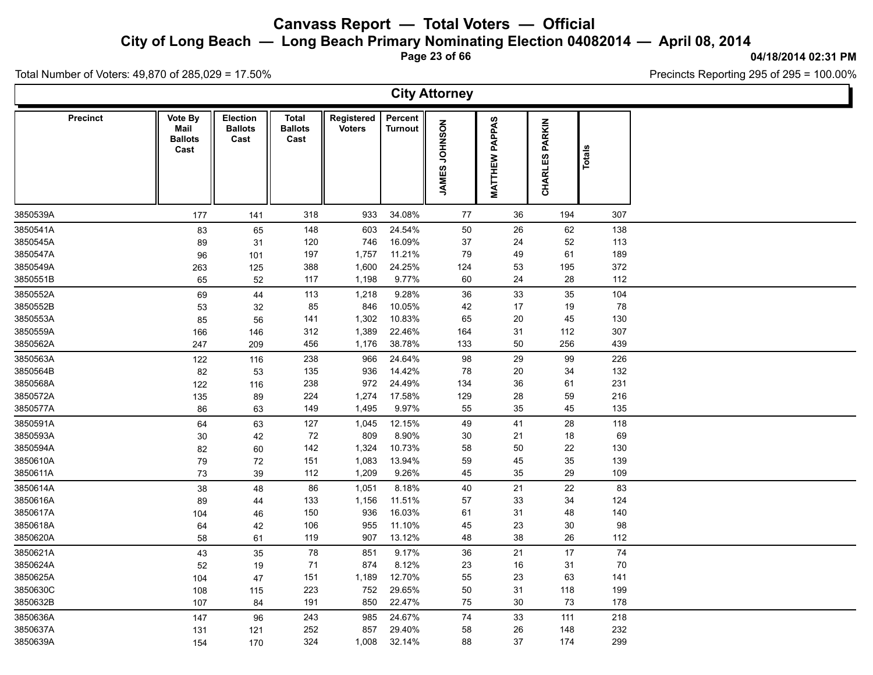**City of Long Beach — Long Beach Primary Nominating Election 04082014 — April 08, 2014**

**Page 23 of 66**

#### **04/18/2014 02:31 PM**

Ъ

Precincts Reporting 295 of 295 = 100.00%

Total Number of Voters: 49,870 of 285,029 = 17.50%

Γ

|          |                                           |                                           |                                        |                             |                           | <b>City Attorney</b>                |                       |                       |          |  |
|----------|-------------------------------------------|-------------------------------------------|----------------------------------------|-----------------------------|---------------------------|-------------------------------------|-----------------------|-----------------------|----------|--|
| Precinct | Vote By<br>Mail<br><b>Ballots</b><br>Cast | <b>Election</b><br><b>Ballots</b><br>Cast | <b>Total</b><br><b>Ballots</b><br>Cast | Registered<br><b>Voters</b> | Percent<br><b>Turnout</b> | <b>NOSNHOL</b><br>ဖာ<br><b>JAME</b> | <b>MATTHEW PAPPAS</b> | <b>CHARLES PARKIN</b> | Totals   |  |
| 3850539A | 177                                       | 141                                       | 318                                    | 933                         | 34.08%                    | 77                                  | 36                    | 194                   | 307      |  |
| 3850541A | 83                                        | 65                                        | 148                                    | 603                         | 24.54%                    | 50                                  | 26                    | 62                    | 138      |  |
| 3850545A | 89                                        | 31                                        | 120                                    | 746                         | 16.09%                    | 37                                  | 24                    | $52\,$                | 113      |  |
| 3850547A | 96                                        | 101                                       | 197                                    | 1,757                       | 11.21%                    | 79                                  | 49                    | 61                    | 189      |  |
| 3850549A | 263                                       | 125                                       | 388                                    | 1,600                       | 24.25%                    | 124                                 | 53                    | 195                   | 372      |  |
| 3850551B | 65                                        | 52                                        | 117                                    | 1,198                       | 9.77%                     | 60                                  | 24                    | 28                    | 112      |  |
| 3850552A | 69                                        | 44                                        | 113                                    | 1,218                       | 9.28%                     | 36                                  | 33                    | 35                    | 104      |  |
| 3850552B | 53                                        | 32                                        | 85                                     | 846                         | 10.05%                    | 42                                  | 17                    | 19                    | 78       |  |
| 3850553A | 85                                        | 56                                        | 141                                    | 1,302                       | 10.83%                    | 65                                  | 20                    | 45                    | 130      |  |
| 3850559A | 166                                       | 146                                       | 312                                    | 1,389                       | 22.46%                    | 164                                 | 31                    | 112                   | 307      |  |
| 3850562A | 247                                       | 209                                       | 456                                    | 1,176                       | 38.78%                    | 133                                 | 50                    | 256                   | 439      |  |
| 3850563A | 122                                       | 116                                       | 238                                    | 966                         | 24.64%                    | 98                                  | 29                    | 99                    | 226      |  |
| 3850564B | 82                                        | 53                                        | 135                                    | 936                         | 14.42%                    | 78                                  | $20\,$                | 34                    | 132      |  |
| 3850568A | 122                                       | 116                                       | 238                                    | 972                         | 24.49%                    | 134                                 | $36\,$                | 61                    | 231      |  |
| 3850572A | 135                                       | 89                                        | 224                                    | 1,274                       | 17.58%                    | 129                                 | 28                    | 59                    | 216      |  |
| 3850577A | 86                                        | 63                                        | 149                                    | 1,495                       | 9.97%                     | 55                                  | 35                    | 45                    | 135      |  |
| 3850591A | 64                                        | 63                                        | 127                                    | 1,045                       | 12.15%                    | 49                                  | 41                    | 28                    | 118      |  |
| 3850593A | 30                                        | 42                                        | 72                                     | 809                         | 8.90%                     | 30                                  | 21                    | 18                    | 69       |  |
| 3850594A | 82                                        | 60                                        | 142                                    | 1,324                       | 10.73%                    | 58                                  | 50                    | 22                    | 130      |  |
| 3850610A | 79                                        | 72                                        | 151                                    | 1,083                       | 13.94%                    | 59                                  | 45                    | 35                    | 139      |  |
| 3850611A | $73\,$                                    | 39                                        | 112                                    | 1,209                       | 9.26%                     | 45                                  | 35                    | 29                    | 109      |  |
| 3850614A | 38                                        | 48                                        | 86                                     | 1,051                       | 8.18%                     | 40                                  | 21                    | 22                    | 83       |  |
| 3850616A | 89                                        | 44                                        | 133                                    | 1,156                       | 11.51%                    | 57                                  | 33                    | 34                    | 124      |  |
| 3850617A | 104                                       | 46                                        | 150                                    | 936                         | 16.03%                    | 61                                  | 31                    | 48                    | 140      |  |
| 3850618A | 64                                        | 42                                        | 106                                    | 955                         | 11.10%                    | 45                                  | 23                    | $30\,$                | 98       |  |
| 3850620A | 58                                        | 61                                        | 119                                    | 907                         | 13.12%                    | 48                                  | 38                    | 26                    | 112      |  |
| 3850621A | 43                                        | 35                                        | 78                                     | 851                         | 9.17%                     | 36                                  | 21                    | 17                    | $\bf 74$ |  |
| 3850624A | 52                                        | 19                                        | 71                                     | 874                         | 8.12%                     | 23                                  | 16                    | 31                    | 70       |  |
| 3850625A | 104                                       | 47                                        | 151                                    | 1,189                       | 12.70%                    | 55                                  | 23                    | 63                    | 141      |  |
| 3850630C | 108                                       | 115                                       | 223                                    | 752                         | 29.65%                    | 50                                  | 31                    | 118                   | 199      |  |
| 3850632B | 107                                       | 84                                        | 191                                    | 850                         | 22.47%                    | 75                                  | $30\,$                | 73                    | 178      |  |
| 3850636A | 147                                       | 96                                        | 243                                    | 985                         | 24.67%                    | 74                                  | 33                    | 111                   | 218      |  |
| 3850637A | 131                                       | 121                                       | 252                                    | 857                         | 29.40%                    | 58                                  | 26                    | 148                   | 232      |  |
| 3850639A | 154                                       | 170                                       | 324                                    | 1,008                       | 32.14%                    | 88                                  | 37                    | 174                   | 299      |  |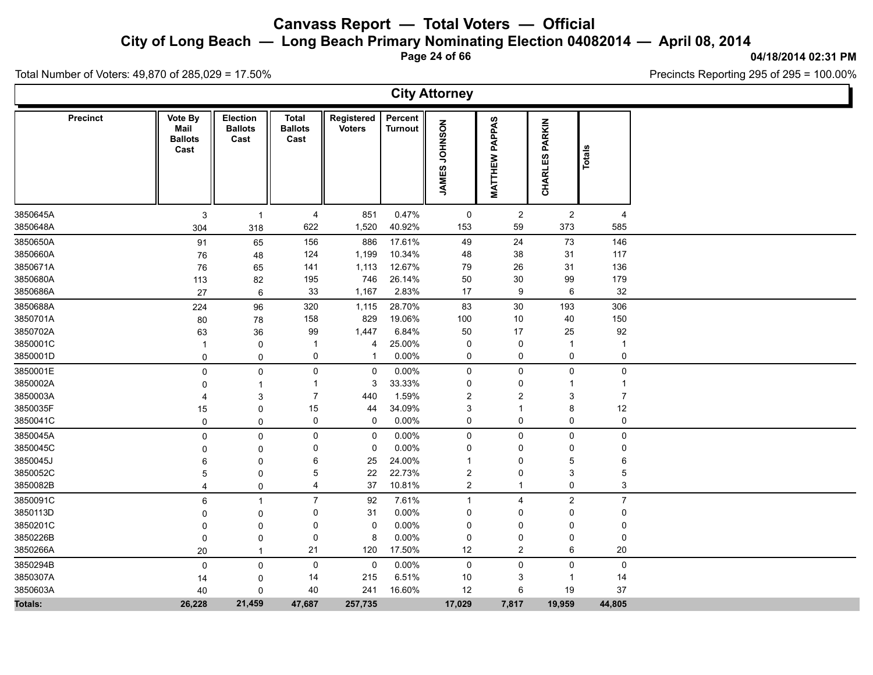**City of Long Beach — Long Beach Primary Nominating Election 04082014 — April 08, 2014**

**Page 24 of 66**

#### **04/18/2014 02:31 PM**

Total Number of Voters: 49,870 of 285,029 = 17.50%

|          |                 |                                           |                                    |                                        |                             |                           | <b>City Attorney</b>    |                          |                              |                |  |
|----------|-----------------|-------------------------------------------|------------------------------------|----------------------------------------|-----------------------------|---------------------------|-------------------------|--------------------------|------------------------------|----------------|--|
|          | <b>Precinct</b> | Vote By<br>Mail<br><b>Ballots</b><br>Cast | Election<br><b>Ballots</b><br>Cast | <b>Total</b><br><b>Ballots</b><br>Cast | Registered<br><b>Voters</b> | Percent<br><b>Turnout</b> | NOSNHOL<br><b>JAMES</b> | PAPPAS<br><b>MATTHEW</b> | <b>PARKIN</b><br>လ<br>CHARLE | Total          |  |
| 3850645A |                 | 3                                         | $\overline{1}$                     | 4                                      | 851                         | 0.47%                     | 0                       | $\overline{a}$           | $\overline{2}$               | $\overline{4}$ |  |
| 3850648A |                 | 304                                       | 318                                | 622                                    | 1,520                       | 40.92%                    | 153                     | 59                       | 373                          | 585            |  |
| 3850650A |                 | 91                                        | 65                                 | 156                                    | 886                         | 17.61%                    | 49                      | 24                       | 73                           | 146            |  |
| 3850660A |                 | 76                                        | 48                                 | 124                                    | 1,199                       | 10.34%                    | 48                      | 38                       | 31                           | 117            |  |
| 3850671A |                 | 76                                        | 65                                 | 141                                    | 1,113                       | 12.67%                    | 79                      | 26                       | 31                           | 136            |  |
| 3850680A |                 | 113                                       | 82                                 | 195                                    | 746                         | 26.14%                    | 50                      | $30\,$                   | 99                           | 179            |  |
| 3850686A |                 | 27                                        | 6                                  | 33                                     | 1,167                       | 2.83%                     | 17                      | 9                        | 6                            | 32             |  |
| 3850688A |                 | 224                                       | 96                                 | 320                                    | 1,115                       | 28.70%                    | 83                      | 30                       | 193                          | 306            |  |
| 3850701A |                 | 80                                        | 78                                 | 158                                    | 829                         | 19.06%                    | 100                     | 10                       | 40                           | 150            |  |
| 3850702A |                 | 63                                        | 36                                 | 99                                     | 1,447                       | 6.84%                     | 50                      | 17                       | 25                           | 92             |  |
| 3850001C |                 | -1                                        | 0                                  | $\mathbf 1$                            | 4                           | 25.00%                    | 0                       | $\pmb{0}$                | $\overline{1}$               | $\mathbf 1$    |  |
| 3850001D |                 | $\mathbf 0$                               | $\mathbf 0$                        | 0                                      | $\mathbf 1$                 | 0.00%                     | 0                       | $\pmb{0}$                | 0                            | $\pmb{0}$      |  |
| 3850001E |                 | $\mathbf 0$                               | 0                                  | 0                                      | $\mathbf 0$                 | 0.00%                     | 0                       | $\mathbf 0$              | 0                            | $\mathbf 0$    |  |
| 3850002A |                 | 0                                         | $\mathbf{1}$                       | 1                                      | 3                           | 33.33%                    | 0                       | 0                        | -1                           | -1             |  |
| 3850003A |                 | $\overline{4}$                            | 3                                  | $\overline{7}$                         | 440                         | 1.59%                     | $\overline{c}$          | $\overline{2}$           | 3                            | $\overline{7}$ |  |
| 3850035F |                 | 15                                        | 0                                  | 15                                     | 44                          | 34.09%                    | 3                       | $\mathbf 1$              | 8                            | 12             |  |
| 3850041C |                 | 0                                         | 0                                  | 0                                      | $\mathbf 0$                 | $0.00\%$                  | 0                       | $\mathbf 0$              | 0                            | $\mathsf 0$    |  |
| 3850045A |                 | $\mathbf 0$                               | $\mathsf 0$                        | 0                                      | $\mathbf 0$                 | 0.00%                     | 0                       | $\mathbf 0$              | 0                            | $\mathbf 0$    |  |
| 3850045C |                 | $\Omega$                                  | 0                                  | 0                                      | $\mathbf 0$                 | 0.00%                     | 0                       | 0                        | 0                            | $\mathbf 0$    |  |
| 3850045J |                 | 6                                         | 0                                  | 6                                      | 25                          | 24.00%                    | -1                      | 0                        | 5                            | 6              |  |
| 3850052C |                 | 5                                         | $\mathbf 0$                        | 5                                      | 22                          | 22.73%                    | 2                       | $\mathbf 0$              | 3                            | 5              |  |
| 3850082B |                 | 4                                         | 0                                  | 4                                      | 37                          | 10.81%                    | $\overline{2}$          | $\mathbf{1}$             | 0                            | 3              |  |
| 3850091C |                 | 6                                         | $\overline{1}$                     | $\overline{7}$                         | 92                          | 7.61%                     | $\mathbf{1}$            | 4                        | $\overline{2}$               | $\overline{7}$ |  |
| 3850113D |                 | 0                                         | 0                                  | 0                                      | 31                          | 0.00%                     | 0                       | 0                        | 0                            | $\mathbf 0$    |  |
| 3850201C |                 | $\Omega$                                  | $\mathbf 0$                        | 0                                      | $\mathbf 0$                 | 0.00%                     | 0                       | $\mathbf 0$              | 0                            | $\Omega$       |  |
| 3850226B |                 | 0                                         | 0                                  | 0                                      | 8                           | 0.00%                     | 0                       | 0                        | 0                            | 0              |  |
| 3850266A |                 | 20                                        | $\overline{1}$                     | 21                                     | 120                         | 17.50%                    | 12                      | $\overline{2}$           | 6                            | 20             |  |
| 3850294B |                 | $\mathbf 0$                               | 0                                  | 0                                      | $\mathbf 0$                 | $0.00\%$                  | $\mathsf{O}$            | 0                        | 0                            | $\mathbf 0$    |  |
| 3850307A |                 | 14                                        | 0                                  | 14                                     | 215                         | 6.51%                     | 10                      | 3                        | -1                           | 14             |  |
| 3850603A |                 | 40                                        | $\mathsf 0$                        | 40                                     | 241                         | 16.60%                    | 12                      | 6                        | 19                           | 37             |  |
| Totals:  |                 | 26,228                                    | 21,459                             | 47,687                                 | 257,735                     |                           | 17,029                  | 7,817                    | 19,959                       | 44,805         |  |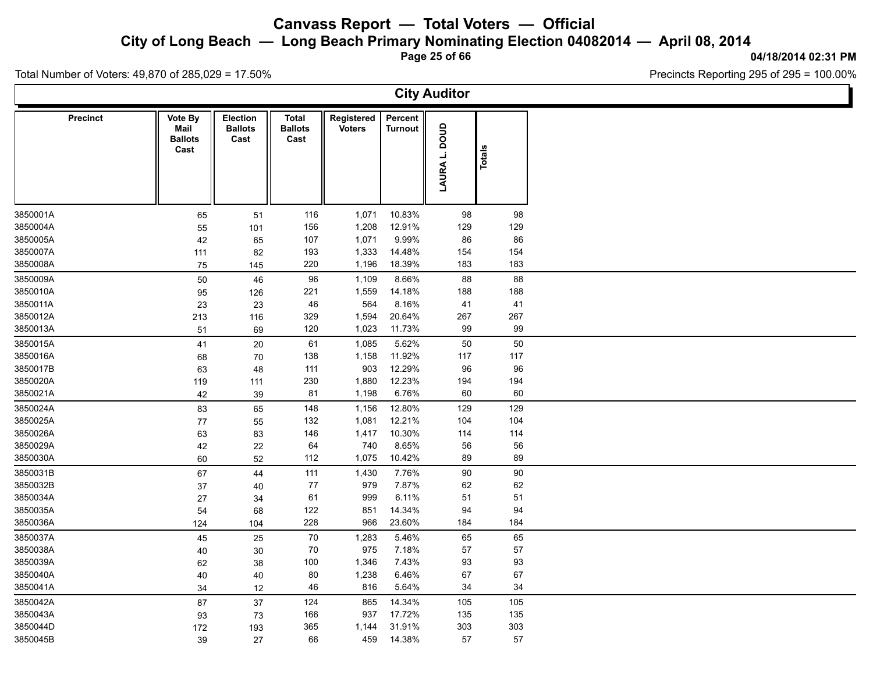**City of Long Beach — Long Beach Primary Nominating Election 04082014 — April 08, 2014**

**Page 25 of 66**

#### **04/18/2014 02:31 PM**

Precincts Reporting 295 of 295 = 100.00%

Total Number of Voters: 49,870 of 285,029 = 17.50%

**City Auditor Precinct**  $\parallel$  Vote By  $\parallel$  Election  $\parallel$  Total **Ballots Ballots Cast Total Registered Cast** Voters<br>
Turnout<br> **CONSIDERENT**<br>
TOP<br> **CONSIDERENT**<br> **CONSIDER Percent** Turnout<br> **LAURA L. DOUD**<br>
Totals<br>
Potals<br>
Potals **Mail Ballots Cast** 3850001A 65 51 116 1,071 10.83% 98 98 3850004A 55 101 156 1,208 12.91% 129 129 3850005A 42 65 107 1,071 9.99% 86 86 3850007A 111 82 193 1,333 14.48% 154 154 3850008A 75 145 220 1,196 18.39% 183 183 3850009A 50 46 96 1,109 8.66% 88 88 3850010A 95 126 221 1,559 14.18% 188 188 3850011A 23 23 46 564 8.16% 41 41 3850012A 213 116 329 1,594 20.64% 267 267 3850013A 51 69 120 1,023 11.73% 99 99 3850015A 41 20 61 1,085 5.62% 50 50 3850016A 68 70 138 1,158 11.92% 117 117 3850017B 63 48 111 903 12.29% 96 96 3850020A 119 111 230 1,880 12.23% 194 194 3850021A 42 39 81 1,198 6.76% 60 60 3850024A 83 65 148 1,156 12.80% 129 129 3850025A 77 55 132 1,081 12.21% 104 104 3850026A 63 83 146 1,417 10.30% 114 114 3850029A 42 22 64 740 8.65% 56 56 3850030A 60 52 112 1,075 10.42% 89 89 3850031B 67 44 111 1,430 7.76% 90 90 3850032B 37 40 77 979 7.87% 62 62 3850034A 27 34 61 999 6.11% 51 51 3850035A 54 68 122 851 14.34% 94 94 3850036A 124 104 228 966 23.60% 184 184 3850037A 45 25 70 1,283 5.46% 65 65 3850038A 40 30 70 975 7.18% 57 57 3850039A 62 38 100 1,346 7.43% 93 93 3850040A 40 40 80 1,238 6.46% 67 67 3850041A 34 12 46 816 5.64% 34 34 3850042A 87 37 124 865 14.34% 105 105 3850043A 93 73 166 937 17.72% 135 135 3850044D 172 193 365 1,144 31.91% 303 303 3850045B 39 27 66 459 14.38% 57 57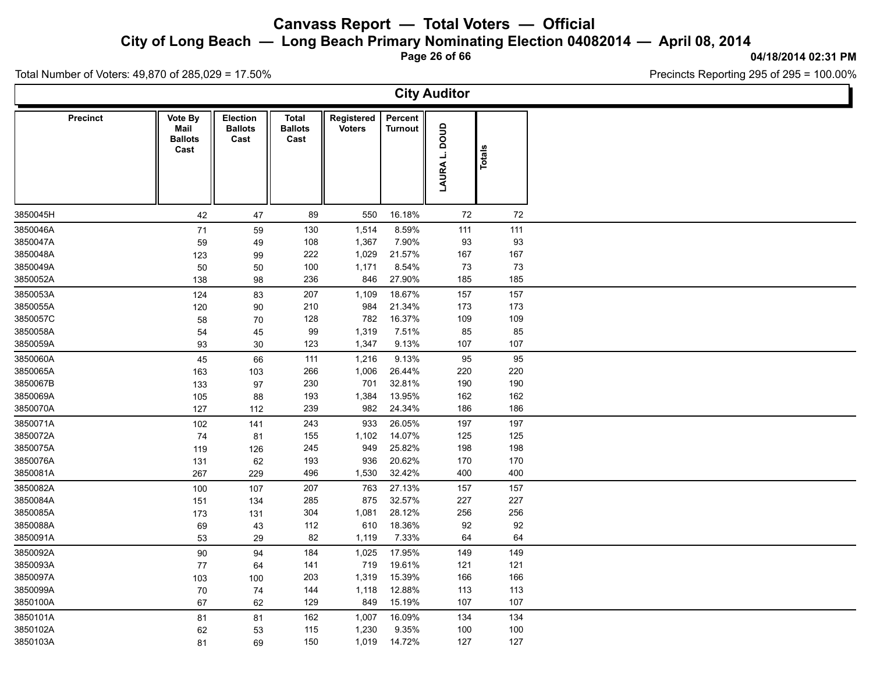**City of Long Beach — Long Beach Primary Nominating Election 04082014 — April 08, 2014**

**Page 26 of 66**

**04/18/2014 02:31 PM**

Ъ

Precincts Reporting 295 of 295 = 100.00%

Total Number of Voters: 49,870 of 285,029 = 17.50%

 $\Gamma$ 

|                 |                                                  |                                           |                                 |                             |                           | <b>City Auditor</b> |        |  |
|-----------------|--------------------------------------------------|-------------------------------------------|---------------------------------|-----------------------------|---------------------------|---------------------|--------|--|
| <b>Precinct</b> | <b>Vote By</b><br>Mail<br><b>Ballots</b><br>Cast | <b>Election</b><br><b>Ballots</b><br>Cast | Total<br><b>Ballots</b><br>Cast | Registered<br><b>Voters</b> | Percent<br><b>Turnout</b> | anoa<br>LAURA L.    | Totals |  |
| 3850045H        | 42                                               | 47                                        | 89                              | 550                         | 16.18%                    | 72                  | 72     |  |
| 3850046A        | 71                                               | 59                                        | 130                             | 1,514                       | 8.59%                     | 111                 | 111    |  |
| 3850047A        | 59                                               | 49                                        | 108                             | 1,367                       | 7.90%                     | 93                  | 93     |  |
| 3850048A        | 123                                              | 99                                        | 222                             | 1,029                       | 21.57%                    | 167                 | 167    |  |
| 3850049A        | 50                                               | 50                                        | 100                             | 1,171                       | 8.54%                     | 73                  | 73     |  |
| 3850052A        | 138                                              | 98                                        | 236                             | 846                         | 27.90%                    | 185                 | 185    |  |
| 3850053A        | 124                                              | 83                                        | 207                             | 1,109                       | 18.67%                    | 157                 | 157    |  |
| 3850055A        | 120                                              | 90                                        | 210                             | 984                         | 21.34%                    | 173                 | 173    |  |
| 3850057C        | 58                                               | 70                                        | 128                             | 782                         | 16.37%                    | 109                 | 109    |  |
| 3850058A        | 54                                               | 45                                        | 99                              | 1,319                       | 7.51%                     | 85                  | 85     |  |
| 3850059A        | 93                                               | 30                                        | 123                             | 1,347                       | 9.13%                     | 107                 | 107    |  |
| 3850060A        | 45                                               | 66                                        | 111                             | 1,216                       | 9.13%                     | 95                  | 95     |  |
| 3850065A        | 163                                              | 103                                       | 266                             | 1,006                       | 26.44%                    | 220                 | 220    |  |
| 3850067B        | 133                                              | 97                                        | 230                             | 701                         | 32.81%                    | 190                 | 190    |  |
| 3850069A        | 105                                              | 88                                        | 193                             | 1,384                       | 13.95%                    | 162                 | 162    |  |
| 3850070A        | 127                                              | 112                                       | 239                             | 982                         | 24.34%                    | 186                 | 186    |  |
| 3850071A        | 102                                              | 141                                       | 243                             | 933                         | 26.05%                    | 197                 | 197    |  |
| 3850072A        | 74                                               | 81                                        | 155                             | 1,102                       | 14.07%                    | 125                 | 125    |  |
| 3850075A        | 119                                              | 126                                       | 245                             | 949                         | 25.82%                    | 198                 | 198    |  |
| 3850076A        | 131                                              | 62                                        | 193                             | 936                         | 20.62%                    | 170                 | 170    |  |
| 3850081A        | 267                                              | 229                                       | 496                             | 1,530                       | 32.42%                    | 400                 | 400    |  |
| 3850082A        | 100                                              | 107                                       | 207                             | 763                         | 27.13%                    | 157                 | 157    |  |
| 3850084A        | 151                                              | 134                                       | 285                             | 875                         | 32.57%                    | 227                 | 227    |  |
| 3850085A        | 173                                              | 131                                       | 304                             | 1,081                       | 28.12%                    | 256                 | 256    |  |
| 3850088A        | 69                                               | 43                                        | 112                             | 610                         | 18.36%                    | 92                  | 92     |  |
| 3850091A        | 53                                               | 29                                        | 82                              | 1,119                       | 7.33%                     | 64                  | 64     |  |
| 3850092A        | $90\,$                                           | 94                                        | 184                             | 1,025                       | 17.95%                    | 149                 | 149    |  |
| 3850093A        | 77                                               | 64                                        | 141                             | 719                         | 19.61%                    | 121                 | 121    |  |
| 3850097A        | 103                                              | 100                                       | 203                             | 1,319                       | 15.39%                    | 166                 | 166    |  |
| 3850099A        | 70                                               | 74                                        | 144                             | 1,118                       | 12.88%                    | 113                 | 113    |  |
| 3850100A        | 67                                               | 62                                        | 129                             | 849                         | 15.19%                    | 107                 | 107    |  |
| 3850101A        | 81                                               | 81                                        | 162                             | 1,007                       | 16.09%                    | 134                 | 134    |  |
| 3850102A        | 62                                               | 53                                        | 115                             | 1,230                       | 9.35%                     | 100                 | 100    |  |
| 3850103A        | 81                                               | 69                                        | 150                             | 1,019                       | 14.72%                    | 127                 | 127    |  |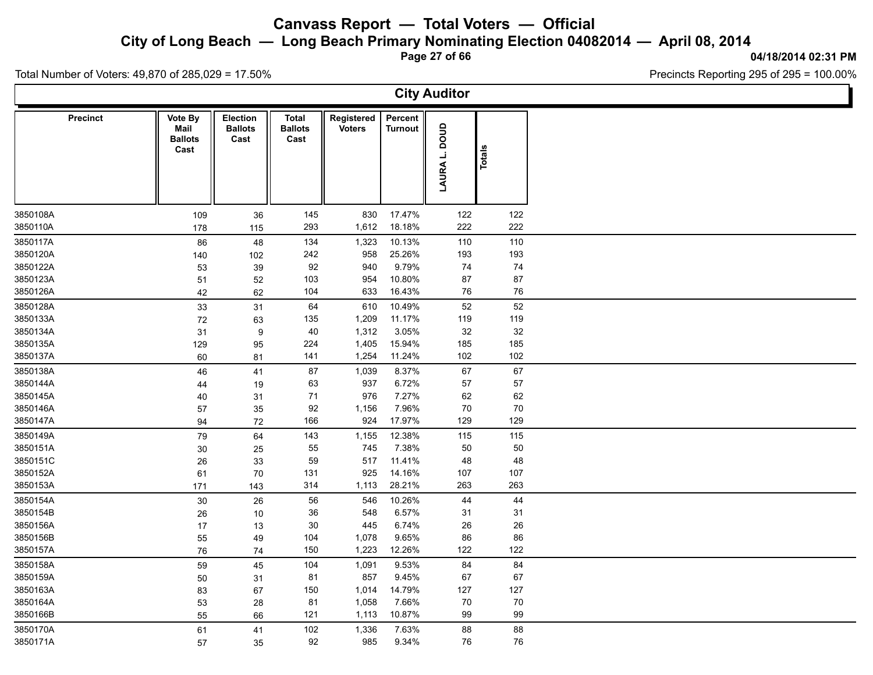**City of Long Beach — Long Beach Primary Nominating Election 04082014 — April 08, 2014**

**Page 27 of 66**

#### **04/18/2014 02:31 PM**

Ъ

Precincts Reporting 295 of 295 = 100.00%

Total Number of Voters: 49,870 of 285,029 = 17.50%

 $\Gamma$ 

|                      |                                                  |                                           |                                 |                             |                           | <b>City Auditor</b> |           |  |
|----------------------|--------------------------------------------------|-------------------------------------------|---------------------------------|-----------------------------|---------------------------|---------------------|-----------|--|
| <b>Precinct</b>      | <b>Vote By</b><br>Mail<br><b>Ballots</b><br>Cast | <b>Election</b><br><b>Ballots</b><br>Cast | Total<br><b>Ballots</b><br>Cast | Registered<br><b>Voters</b> | Percent<br><b>Turnout</b> | anoa<br>∸<br>LAURA  | Totals    |  |
| 3850108A             | 109                                              | 36                                        | 145                             | 830                         | 17.47%                    | 122                 | 122       |  |
| 3850110A             | 178                                              | 115                                       | 293                             | 1,612                       | 18.18%                    | 222                 | 222       |  |
| 3850117A             | 86                                               | 48                                        | 134                             | 1,323                       | 10.13%                    | 110                 | 110       |  |
| 3850120A             | 140                                              | 102                                       | 242                             | 958                         | 25.26%                    | 193                 | 193       |  |
| 3850122A<br>3850123A | 53                                               | 39                                        | 92<br>103                       | 940<br>954                  | 9.79%<br>10.80%           | 74<br>87            | 74<br>87  |  |
| 3850126A             | 51<br>42                                         | 52<br>62                                  | 104                             | 633                         | 16.43%                    | 76                  | 76        |  |
| 3850128A             |                                                  |                                           | 64                              | 610                         | 10.49%                    | 52                  | 52        |  |
| 3850133A             | 33<br>72                                         | 31<br>63                                  | 135                             | 1,209                       | 11.17%                    | 119                 | 119       |  |
| 3850134A             | 31                                               | $\boldsymbol{9}$                          | 40                              | 1,312                       | 3.05%                     | 32                  | 32        |  |
| 3850135A             | 129                                              | 95                                        | 224                             | 1,405                       | 15.94%                    | 185                 | 185       |  |
| 3850137A             | 60                                               | 81                                        | 141                             | 1,254                       | 11.24%                    | 102                 | 102       |  |
| 3850138A             | 46                                               | 41                                        | 87                              | 1,039                       | 8.37%                     | 67                  | 67        |  |
| 3850144A             | 44                                               | 19                                        | 63                              | 937                         | 6.72%                     | 57                  | 57        |  |
| 3850145A             | 40                                               | 31                                        | 71                              | 976                         | 7.27%                     | 62                  | 62        |  |
| 3850146A             | 57                                               | 35                                        | 92                              | 1,156                       | 7.96%                     | 70                  | $70\,$    |  |
| 3850147A             | 94                                               | 72                                        | 166                             | 924                         | 17.97%                    | 129                 | 129       |  |
| 3850149A             | 79                                               | 64                                        | 143                             | 1,155                       | 12.38%                    | 115                 | 115       |  |
| 3850151A             | 30                                               | 25                                        | 55                              | 745                         | 7.38%                     | 50                  | 50        |  |
| 3850151C             | 26                                               | 33                                        | 59                              | 517                         | 11.41%                    | 48                  | 48        |  |
| 3850152A             | 61                                               | 70                                        | 131                             | 925                         | 14.16%                    | 107                 | 107       |  |
| 3850153A             | 171                                              | 143                                       | 314                             | 1,113                       | 28.21%                    | 263                 | 263       |  |
| 3850154A             | 30                                               | 26                                        | 56                              | 546                         | 10.26%                    | 44                  | 44        |  |
| 3850154B             | 26                                               | 10                                        | 36                              | 548                         | 6.57%                     | 31                  | 31        |  |
| 3850156A             | 17                                               | 13                                        | 30                              | 445                         | 6.74%                     | 26                  | 26        |  |
| 3850156B<br>3850157A | 55                                               | 49                                        | 104<br>150                      | 1,078<br>1,223              | 9.65%<br>12.26%           | 86<br>122           | 86<br>122 |  |
|                      | 76                                               | 74                                        |                                 |                             |                           |                     |           |  |
| 3850158A             | 59                                               | 45                                        | 104<br>81                       | 1,091<br>857                | 9.53%<br>9.45%            | 84<br>67            | 84<br>67  |  |
| 3850159A<br>3850163A | 50<br>83                                         | 31<br>67                                  | 150                             | 1,014                       | 14.79%                    | 127                 | 127       |  |
| 3850164A             | 53                                               | 28                                        | 81                              | 1,058                       | 7.66%                     | 70                  | 70        |  |
| 3850166B             | 55                                               | 66                                        | 121                             | 1,113                       | 10.87%                    | 99                  | 99        |  |
| 3850170A             | 61                                               | 41                                        | 102                             | 1,336                       | 7.63%                     | 88                  | 88        |  |
| 3850171A             | 57                                               | 35                                        | 92                              | 985                         | 9.34%                     | 76                  | 76        |  |
|                      |                                                  |                                           |                                 |                             |                           |                     |           |  |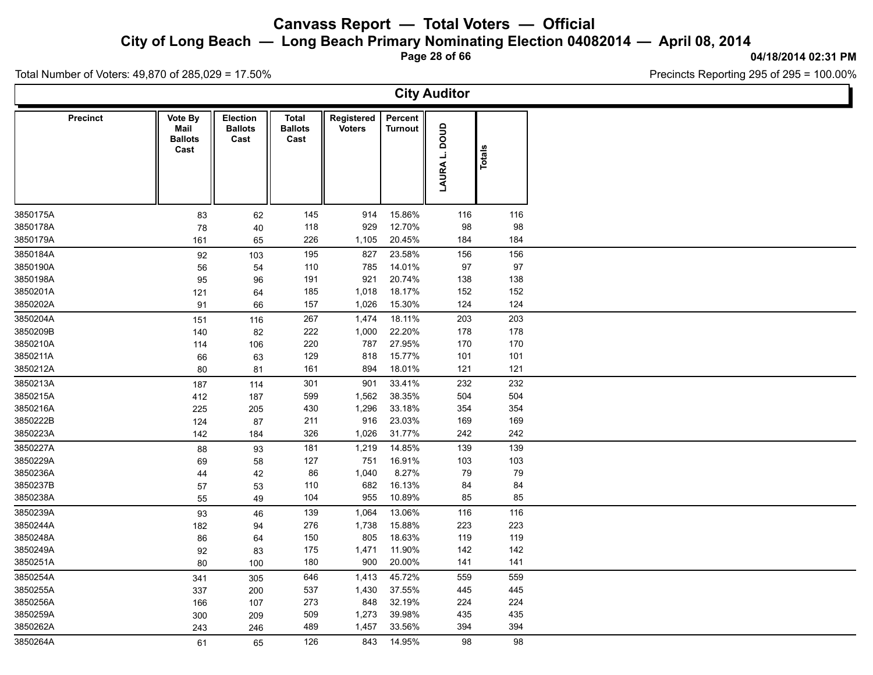**City of Long Beach — Long Beach Primary Nominating Election 04082014 — April 08, 2014**

**Page 28 of 66**

#### **04/18/2014 02:31 PM**

Precincts Reporting 295 of 295 = 100.00%

Total Number of Voters: 49,870 of 285,029 = 17.50%

**City Auditor Precinct**  $\parallel$  Vote By  $\parallel$  Election  $\parallel$  Total **Ballots Ballots Cast Total Registered Cast** Voters<br>
Turnout<br> **CONSIDERENT**<br>
TOP<br> **CONSIDERENT**<br> **CONSIDER Percent** Turnout<br> **LAURA L. DOUD**<br>
Totals<br>
Potals<br>
Potals **Mail Ballots Cast** 3850175A 83 62 145 914 15.86% 116 116 3850178A 78 40 118 929 12.70% 98 98 3850179A 161 65 226 1,105 20.45% 184 184 3850184A 92 103 195 827 23.58% 156 156 3850190A 56 54 110 785 14.01% 97 97 3850198A 95 96 191 921 20.74% 138 138 3850201A 121 64 185 1,018 18.17% 152 152 3850202A 91 66 157 1,026 15.30% 124 124 3850204A 151 116 267 1,474 18.11% 203 203 3850209B 140 82 222 1,000 22.20% 178 178 3850210A 114 106 220 787 27.95% 170 170 3850211A 66 63 129 818 15.77% 101 101 3850212A 80 81 161 894 18.01% 121 121 3850213A 187 114 301 901 33.41% 232 232 3850215A 412 187 599 1,562 38.35% 504 504 3850216A 225 205 430 1,296 33.18% 354 354 3850222B 124 87 211 916 23.03% 169 169 3850223A 142 184 326 1,026 31.77% 242 242 3850227A 88 93 181 1,219 14.85% 139 139 3850229A 69 58 127 751 16.91% 103 103 3850236A 44 42 86 1,040 8.27% 79 79 3850237B 57 53 110 682 16.13% 84 84 3850238A 55 49 104 955 10.89% 85 85 3850239A 93 46 139 1,064 13.06% 116 116 3850244A 182 94 276 1,738 15.88% 223 223 3850248A 86 64 150 805 18.63% 119 119 3850249A 92 83 175 1,471 11.90% 142 142 3850251A 80 100 180 900 20.00% 141 141 3850254A 341 305 646 1,413 45.72% 559 559 3850255A 337 200 537 1,430 37.55% 445 445 3850256A 166 107 273 848 32.19% 224 224 3850259A 300 209 509 1,273 39.98% 435 435 3850262A 243 246 489 1,457 33.56% 394 394 3850264A 61 65 126 843 14.95% 98 98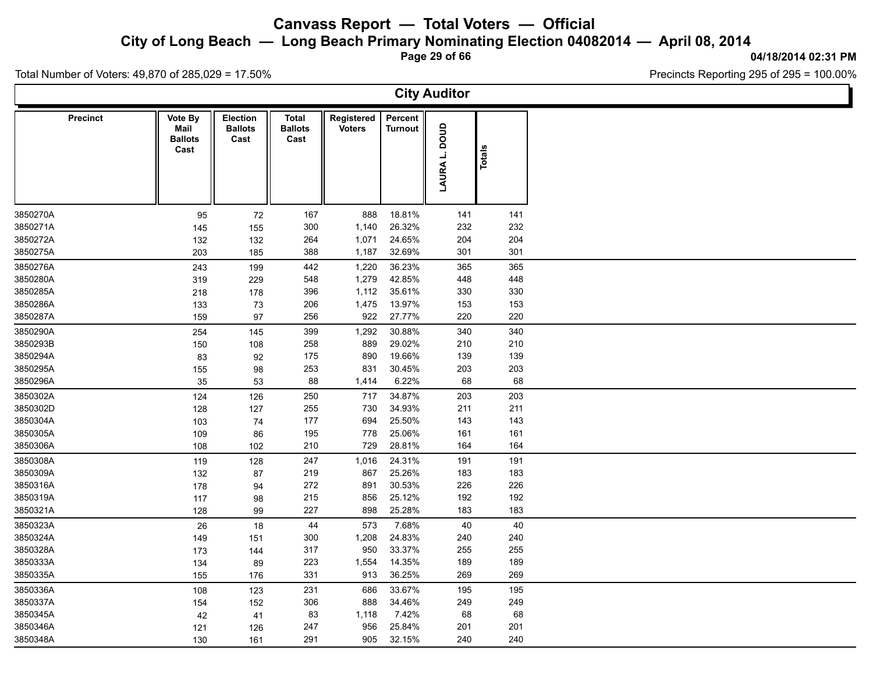**City of Long Beach — Long Beach Primary Nominating Election 04082014 — April 08, 2014**

**Page 29 of 66**

#### **04/18/2014 02:31 PM**

Ъ

Precincts Reporting 295 of 295 = 100.00%

Total Number of Voters: 49,870 of 285,029 = 17.50%

 $\Gamma$ 

|                      |                                           |                                           |                                 |                             |                           | <b>City Auditor</b> |            |  |
|----------------------|-------------------------------------------|-------------------------------------------|---------------------------------|-----------------------------|---------------------------|---------------------|------------|--|
| <b>Precinct</b>      | Vote By<br>Mail<br><b>Ballots</b><br>Cast | <b>Election</b><br><b>Ballots</b><br>Cast | Total<br><b>Ballots</b><br>Cast | Registered<br><b>Voters</b> | Percent<br><b>Turnout</b> | anoa<br>ن<br>LAURA  | Totals     |  |
| 3850270A             | 95                                        | 72                                        | 167                             | 888                         | 18.81%                    | 141                 | 141        |  |
| 3850271A             | 145                                       | 155                                       | 300                             | 1,140                       | 26.32%                    | 232                 | 232        |  |
| 3850272A             | 132                                       | 132                                       | 264                             | 1,071                       | 24.65%                    | 204                 | 204        |  |
| 3850275A             | 203                                       | 185                                       | 388                             | 1,187                       | 32.69%                    | 301                 | 301        |  |
| 3850276A             | 243                                       | 199                                       | 442                             | 1,220                       | 36.23%                    | 365                 | 365        |  |
| 3850280A             | 319                                       | 229                                       | 548                             | 1,279                       | 42.85%                    | 448                 | 448        |  |
| 3850285A             | 218                                       | 178                                       | 396                             | 1,112                       | 35.61%                    | 330                 | 330        |  |
| 3850286A             | 133                                       | 73                                        | 206                             | 1,475                       | 13.97%                    | 153                 | 153        |  |
| 3850287A             | 159                                       | 97                                        | 256                             | 922                         | 27.77%                    | 220                 | 220        |  |
| 3850290A             | 254                                       | 145                                       | 399                             | 1,292                       | 30.88%                    | 340                 | 340        |  |
| 3850293B             | 150                                       | 108                                       | 258                             | 889                         | 29.02%                    | 210                 | 210        |  |
| 3850294A             | 83                                        | 92                                        | 175                             | 890                         | 19.66%                    | 139                 | 139        |  |
| 3850295A             | 155                                       | 98                                        | 253                             | 831                         | 30.45%                    | 203                 | 203        |  |
| 3850296A             | 35                                        | 53                                        | 88                              | 1,414                       | 6.22%                     | 68                  | 68         |  |
| 3850302A             | 124                                       | 126                                       | 250                             | 717                         | 34.87%                    | 203                 | 203        |  |
| 3850302D             | 128                                       | 127                                       | 255                             | 730                         | 34.93%                    | 211                 | 211        |  |
| 3850304A             | 103                                       | 74                                        | 177                             | 694                         | 25.50%                    | 143                 | 143        |  |
| 3850305A             | 109                                       | 86                                        | 195                             | 778                         | 25.06%                    | 161                 | 161        |  |
| 3850306A             | 108                                       | 102                                       | 210                             | 729                         | 28.81%                    | 164                 | 164        |  |
| 3850308A             | 119                                       | 128                                       | 247                             | 1,016                       | 24.31%                    | 191                 | 191        |  |
| 3850309A             | 132                                       | 87                                        | 219                             | 867                         | 25.26%                    | 183                 | 183        |  |
| 3850316A             | 178                                       | 94                                        | 272                             | 891                         | 30.53%                    | 226                 | 226        |  |
| 3850319A             | 117                                       | 98                                        | 215                             | 856                         | 25.12%                    | 192                 | 192        |  |
| 3850321A             | 128                                       | 99                                        | 227                             | 898                         | 25.28%                    | 183                 | 183        |  |
| 3850323A             | 26                                        | 18                                        | 44                              | 573                         | 7.68%                     | 40                  | 40         |  |
| 3850324A             | 149                                       | 151                                       | 300                             | 1,208                       | 24.83%                    | 240                 | 240        |  |
| 3850328A             | 173                                       | 144                                       | 317                             | 950                         | 33.37%                    | 255                 | 255        |  |
| 3850333A             | 134                                       | 89                                        | 223                             | 1,554                       | 14.35%                    | 189                 | 189        |  |
| 3850335A             | 155                                       | 176                                       | 331                             | 913                         | 36.25%                    | 269                 | 269        |  |
| 3850336A             | 108                                       | 123                                       | 231                             | 686                         | 33.67%                    | 195                 | 195        |  |
| 3850337A             | 154                                       | 152                                       | 306                             | 888                         | 34.46%                    | 249                 | 249        |  |
| 3850345A             | 42                                        | 41                                        | 83                              | 1,118                       | 7.42%                     | 68                  | 68         |  |
| 3850346A<br>3850348A | 121                                       | 126                                       | 247<br>291                      | 956<br>905                  | 25.84%<br>32.15%          | 201<br>240          | 201<br>240 |  |
|                      | 130                                       | 161                                       |                                 |                             |                           |                     |            |  |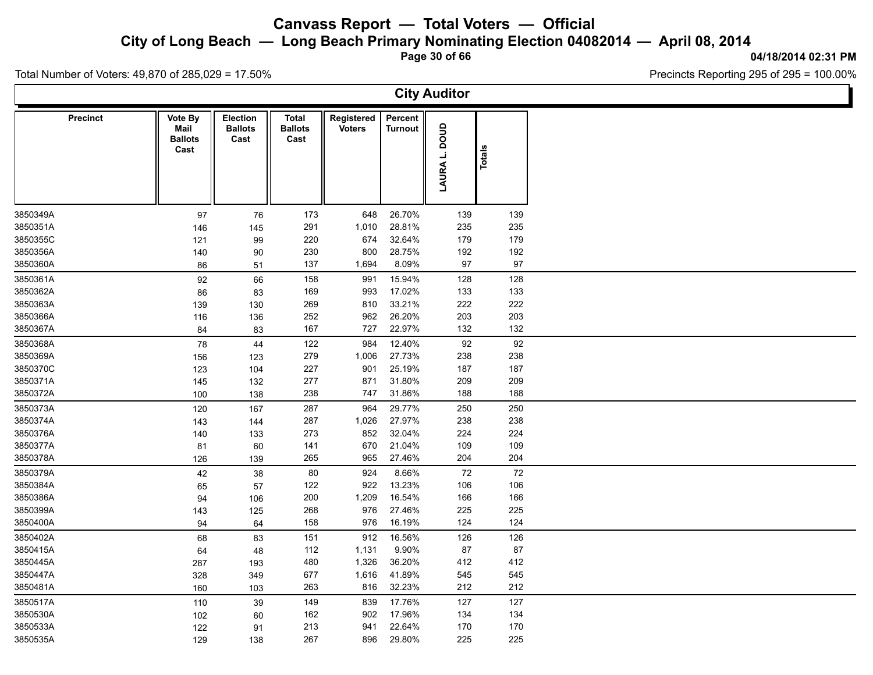**City of Long Beach — Long Beach Primary Nominating Election 04082014 — April 08, 2014**

**Page 30 of 66**

#### **04/18/2014 02:31 PM**

Total Number of Voters: 49,870 of 285,029 = 17.50%

|                                                       |     |                                           |                                        |                             |                           | <b>City Auditor</b> |        |  |
|-------------------------------------------------------|-----|-------------------------------------------|----------------------------------------|-----------------------------|---------------------------|---------------------|--------|--|
| Precinct<br>Vote By<br>Mail<br><b>Ballots</b><br>Cast |     | <b>Election</b><br><b>Ballots</b><br>Cast | <b>Total</b><br><b>Ballots</b><br>Cast | Registered<br><b>Voters</b> | Percent<br><b>Turnout</b> | anoa<br>LAURA L.    | Totals |  |
| 3850349A                                              | 97  | 76                                        | 173                                    | 648                         | 26.70%                    | 139                 | 139    |  |
| 3850351A                                              | 146 | 145                                       | 291                                    | 1,010                       | 28.81%                    | 235                 | 235    |  |
| 3850355C                                              | 121 | 99                                        | 220                                    | 674                         | 32.64%                    | 179                 | 179    |  |
| 3850356A                                              | 140 | 90                                        | 230                                    | 800                         | 28.75%                    | 192                 | 192    |  |
| 3850360A                                              | 86  | 51                                        | 137                                    | 1,694                       | 8.09%                     | 97                  | 97     |  |
| 3850361A                                              | 92  | 66                                        | 158                                    | 991                         | 15.94%                    | 128                 | 128    |  |
| 3850362A                                              | 86  | 83                                        | 169                                    | 993                         | 17.02%                    | 133                 | 133    |  |
| 3850363A                                              | 139 | 130                                       | 269                                    | 810                         | 33.21%                    | 222                 | 222    |  |
| 3850366A                                              | 116 | 136                                       | 252                                    | 962                         | 26.20%                    | 203                 | 203    |  |
| 3850367A                                              | 84  | 83                                        | 167                                    | 727                         | 22.97%                    | 132                 | 132    |  |
| 3850368A                                              | 78  | 44                                        | 122                                    | 984                         | 12.40%                    | 92                  | 92     |  |
| 3850369A                                              | 156 | 123                                       | 279                                    | 1,006                       | 27.73%                    | 238                 | 238    |  |
| 3850370C                                              | 123 | 104                                       | 227                                    | 901                         | 25.19%                    | 187                 | 187    |  |
| 3850371A                                              | 145 | 132                                       | 277                                    | 871                         | 31.80%                    | 209                 | 209    |  |
| 3850372A                                              | 100 | 138                                       | 238                                    | 747                         | 31.86%                    | 188                 | 188    |  |
| 3850373A                                              | 120 | 167                                       | 287                                    | 964                         | 29.77%                    | 250                 | 250    |  |
| 3850374A                                              | 143 | 144                                       | 287                                    | 1,026                       | 27.97%                    | 238                 | 238    |  |
| 3850376A                                              | 140 | 133                                       | 273                                    | 852                         | 32.04%                    | 224                 | 224    |  |
| 3850377A                                              | 81  | 60                                        | 141                                    | 670                         | 21.04%                    | 109                 | 109    |  |
| 3850378A                                              | 126 | 139                                       | 265                                    | 965                         | 27.46%                    | 204                 | 204    |  |
| 3850379A                                              | 42  | 38                                        | 80                                     | 924                         | 8.66%                     | 72                  | 72     |  |
| 3850384A                                              | 65  | 57                                        | 122                                    | 922                         | 13.23%                    | 106                 | 106    |  |
| 3850386A                                              | 94  | 106                                       | 200                                    | 1,209                       | 16.54%                    | 166                 | 166    |  |
| 3850399A                                              | 143 | 125                                       | 268                                    | 976                         | 27.46%                    | 225                 | 225    |  |
| 3850400A                                              | 94  | 64                                        | 158                                    | 976                         | 16.19%                    | 124                 | 124    |  |
| 3850402A                                              | 68  | 83                                        | 151                                    | 912                         | 16.56%                    | 126                 | 126    |  |
| 3850415A                                              | 64  | 48                                        | 112                                    | 1,131                       | 9.90%                     | 87                  | 87     |  |
| 3850445A                                              | 287 | 193                                       | 480                                    | 1,326                       | 36.20%                    | 412                 | 412    |  |
| 3850447A                                              | 328 | 349                                       | 677                                    | 1,616                       | 41.89%                    | 545                 | 545    |  |
| 3850481A                                              | 160 | 103                                       | 263                                    | 816                         | 32.23%                    | 212                 | 212    |  |
| 3850517A                                              | 110 | 39                                        | 149                                    | 839                         | 17.76%                    | 127                 | 127    |  |
| 3850530A                                              | 102 | 60                                        | 162                                    | 902                         | 17.96%                    | 134                 | 134    |  |
| 3850533A                                              | 122 | 91                                        | 213                                    | 941                         | 22.64%                    | 170                 | 170    |  |
| 3850535A                                              | 129 | 138                                       | 267                                    | 896                         | 29.80%                    | 225                 | 225    |  |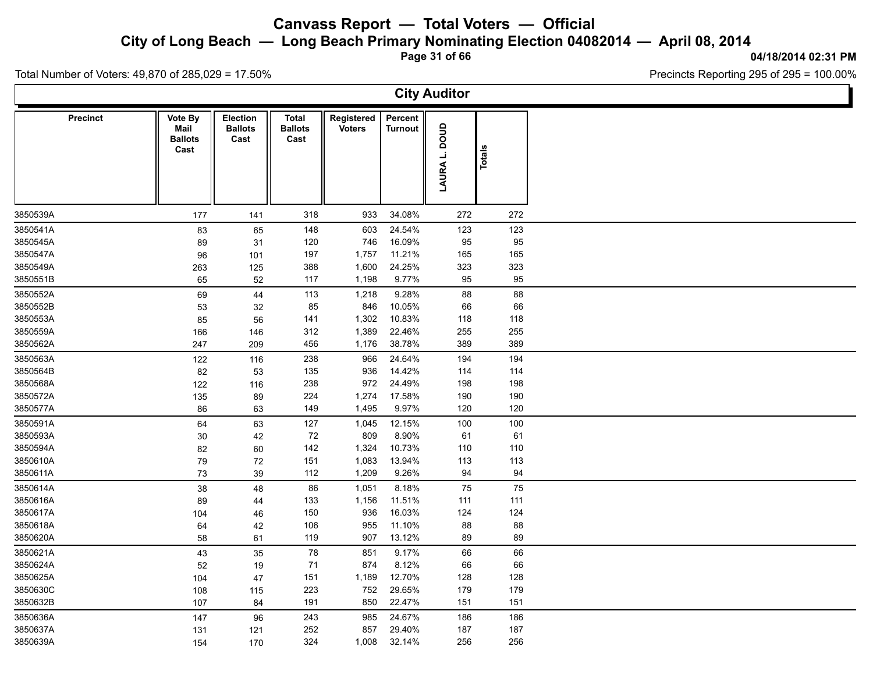**City of Long Beach — Long Beach Primary Nominating Election 04082014 — April 08, 2014**

**Page 31 of 66**

**04/18/2014 02:31 PM**

Ъ

Precincts Reporting 295 of 295 = 100.00%

Total Number of Voters: 49,870 of 285,029 = 17.50%

 $\Gamma$ 

|                 |                                           |                                           |                                        |                             |                           | <b>City Auditor</b>        |        |  |
|-----------------|-------------------------------------------|-------------------------------------------|----------------------------------------|-----------------------------|---------------------------|----------------------------|--------|--|
| <b>Precinct</b> | Vote By<br>Mail<br><b>Ballots</b><br>Cast | <b>Election</b><br><b>Ballots</b><br>Cast | <b>Total</b><br><b>Ballots</b><br>Cast | Registered<br><b>Voters</b> | Percent<br><b>Turnout</b> | anoa<br>L,<br><b>LAURA</b> | Totals |  |
| 3850539A        | 177                                       | 141                                       | 318                                    | 933                         | 34.08%                    | 272                        | 272    |  |
| 3850541A        | 83                                        | 65                                        | 148                                    | 603                         | 24.54%                    | 123                        | 123    |  |
| 3850545A        | 89                                        | 31                                        | 120                                    | 746                         | 16.09%                    | 95                         | 95     |  |
| 3850547A        | 96                                        | 101                                       | 197                                    | 1,757                       | 11.21%                    | 165                        | 165    |  |
| 3850549A        | 263                                       | 125                                       | 388                                    | 1,600                       | 24.25%                    | 323                        | 323    |  |
| 3850551B        | 65                                        | 52                                        | 117                                    | 1,198                       | 9.77%                     | 95                         | 95     |  |
| 3850552A        | 69                                        | 44                                        | 113                                    | 1,218                       | 9.28%                     | 88                         | 88     |  |
| 3850552B        | 53                                        | 32                                        | 85                                     | 846                         | 10.05%                    | 66                         | 66     |  |
| 3850553A        | 85                                        | 56                                        | 141                                    | 1,302                       | 10.83%                    | 118                        | 118    |  |
| 3850559A        | 166                                       | 146                                       | 312                                    | 1,389                       | 22.46%                    | 255                        | 255    |  |
| 3850562A        | 247                                       | 209                                       | 456                                    | 1,176                       | 38.78%                    | 389                        | 389    |  |
| 3850563A        | 122                                       | 116                                       | 238                                    | 966                         | 24.64%                    | 194                        | 194    |  |
| 3850564B        | 82                                        | 53                                        | 135                                    | 936                         | 14.42%                    | 114                        | 114    |  |
| 3850568A        | 122                                       | 116                                       | 238                                    | 972                         | 24.49%                    | 198                        | 198    |  |
| 3850572A        | 135                                       | 89                                        | 224                                    | 1,274                       | 17.58%                    | 190                        | 190    |  |
| 3850577A        | 86                                        | 63                                        | 149                                    | 1,495                       | 9.97%                     | 120                        | 120    |  |
| 3850591A        | 64                                        | 63                                        | 127                                    | 1,045                       | 12.15%                    | 100                        | 100    |  |
| 3850593A        | 30                                        | 42                                        | 72                                     | 809                         | 8.90%                     | 61                         | 61     |  |
| 3850594A        | 82                                        | 60                                        | 142                                    | 1,324                       | 10.73%                    | 110                        | 110    |  |
| 3850610A        | 79                                        | 72                                        | 151                                    | 1,083                       | 13.94%                    | 113                        | 113    |  |
| 3850611A        | 73                                        | 39                                        | 112                                    | 1,209                       | 9.26%                     | 94                         | 94     |  |
| 3850614A        | 38                                        | 48                                        | 86                                     | 1,051                       | 8.18%                     | 75                         | 75     |  |
| 3850616A        | 89                                        | 44                                        | 133                                    | 1,156                       | 11.51%                    | 111                        | 111    |  |
| 3850617A        | 104                                       | 46                                        | 150                                    | 936                         | 16.03%                    | 124                        | 124    |  |
| 3850618A        | 64                                        | 42                                        | 106                                    | 955                         | 11.10%                    | 88                         | 88     |  |
| 3850620A        | 58                                        | 61                                        | 119                                    | 907                         | 13.12%                    | 89                         | 89     |  |
| 3850621A        | 43                                        | 35                                        | 78                                     | 851                         | 9.17%                     | 66                         | 66     |  |
| 3850624A        | 52                                        | 19                                        | 71                                     | 874                         | 8.12%                     | 66                         | 66     |  |
| 3850625A        | 104                                       | 47                                        | 151                                    | 1,189                       | 12.70%                    | 128                        | 128    |  |
| 3850630C        | 108                                       | 115                                       | 223                                    | 752                         | 29.65%                    | 179                        | 179    |  |
| 3850632B        | 107                                       | 84                                        | 191                                    | 850                         | 22.47%                    | 151                        | 151    |  |
| 3850636A        | 147                                       | 96                                        | 243                                    | 985                         | 24.67%                    | 186                        | 186    |  |
| 3850637A        | 131                                       | 121                                       | 252                                    | 857                         | 29.40%                    | 187                        | 187    |  |
| 3850639A        | 154                                       | 170                                       | 324                                    | 1,008                       | 32.14%                    | 256                        | 256    |  |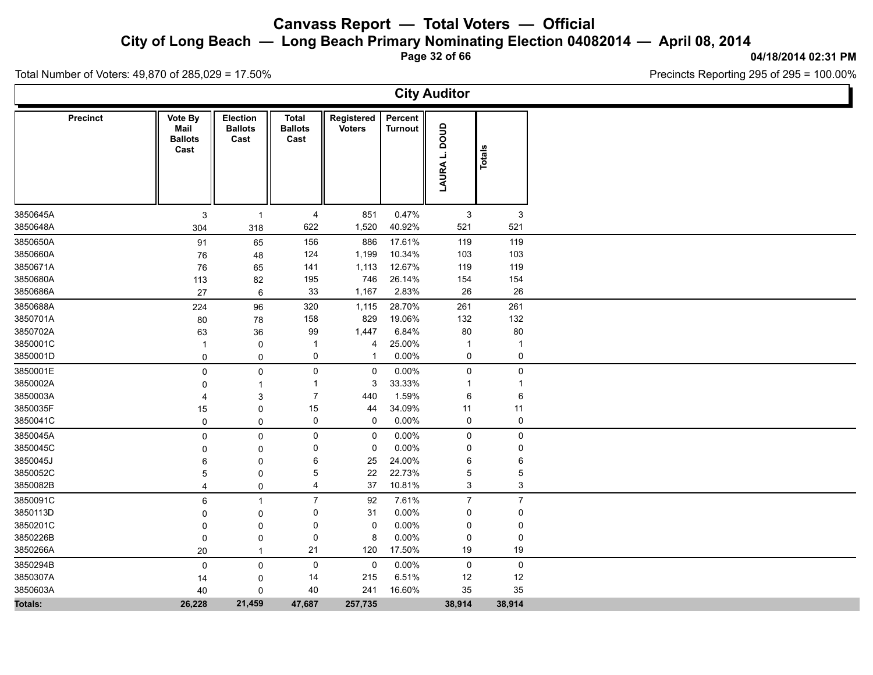**City of Long Beach — Long Beach Primary Nominating Election 04082014 — April 08, 2014**

**Page 32 of 66**

#### **04/18/2014 02:31 PM**

Precincts Reporting 295 of 295 = 100.00%

Total Number of Voters: 49,870 of 285,029 = 17.50%

**City Auditor Precinct**  $\parallel$  Vote By  $\parallel$  Election  $\parallel$  Total **Ballots Ballots Cast Total Registered Cast** Voters<br>
Turnout<br>  $\begin{bmatrix} 1 & 0 & 0 \\ 0 & 0 & 0 \\ 0 & 0 & 0 \\ 0 & 0 & 0 \\ 0 & 0 & 0 \\ 0 & 0 & 0 \\ 0 & 0 & 0 \\ 0 & 0 & 0 \\ 0 & 0 & 0 \\ 0 & 0 & 0 \\ 0 & 0 & 0 \\ 0 & 0 & 0 \\ 0 & 0 & 0 \\ 0 & 0 & 0 \\ 0 & 0 & 0 \\ 0 & 0 & 0 \\ 0 & 0 & 0 \\ 0 & 0 & 0 \\ 0 & 0 & 0 \\ 0 & 0 & 0 \\ 0 & 0 & 0 \\ 0 & 0 & 0 \\$ **Percent** Turnout<br> **LAURA L. DOUD**<br>
Totals<br>
Potals<br>
Potals **Vote By Mail Ballots Cast** 3850645A 3 1 4 851 0.47% 3 3 3850648A 304 318 622 1,520 40.92% 521 521 3850650A 91 65 156 886 17.61% 119 119 3850660A 76 48 124 1,199 10.34% 103 103 3850671A 76 65 141 1,113 12.67% 119 119 3850680A 113 82 195 746 26.14% 154 154 3850686A 27 6 33 1,167 2.83% 26 26 3850688A 224 96 320 1,115 28.70% 261 261 3850701A 80 78 158 829 19.06% 132 132 3850702A 63 36 99 1,447 6.84% 80 80 3850001C 1 0 1 4 25.00% 1 1 3850001D 0 0 0 1 0.00% 0 0 3850001E 0 0 0 0 0.00% 0 0 3850002A 0 1 1 3 33.33% 1 1 3850003A 4 3 7 440 1.59% 6 6 3850035F 15 0 15 44 34.09% 11 11 3850041C 0 0 0 0 0.00% 0 0 3850045A 0 0 0 0 0.00% 0 0 3850045C 0 0 0 0 0.00% 0 0 3850045J 6 0 6 25 24.00% 6 6 3850052C 5 0 5 22 22.73% 5 5 3850082B 4 0 4 37 10.81% 3 3 3850091C 6 1 7 92 7.61% 7 7 3850113D 0 0 0 31 0.00% 0 0 3850201C 0 0 0 0 0.00% 0 0 3850226B 0 0 0 8 0.00% 0 0 3850266A 20 1 21 120 17.50% 19 19 2 3850294B 0 0 0 0 0.00% 0 0 3850307A 14 0 14 215 6.51% 12 12 3850603A 40 0 40 241 16.60% 35 35 **Totals: 26,228 21,459 47,687 257,735 38,914 38,914**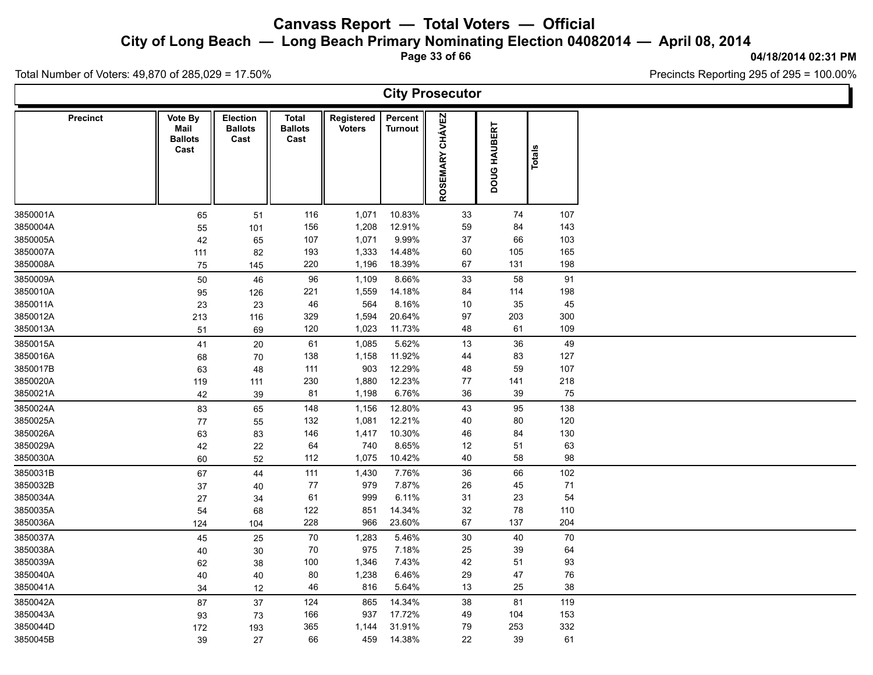**City of Long Beach — Long Beach Primary Nominating Election 04082014 — April 08, 2014**

**Page 33 of 66**

#### **04/18/2014 02:31 PM**

Ъ

Precincts Reporting 295 of 295 = 100.00%

Total Number of Voters: 49,870 of 285,029 = 17.50%

 $\Gamma$ 

|                 |                                           |                                    |                                 |                             |                    | <b>City Prosecutor</b>    |              |        |  |
|-----------------|-------------------------------------------|------------------------------------|---------------------------------|-----------------------------|--------------------|---------------------------|--------------|--------|--|
| <b>Precinct</b> | Vote By<br>Mail<br><b>Ballots</b><br>Cast | Election<br><b>Ballots</b><br>Cast | Total<br><b>Ballots</b><br>Cast | Registered<br><b>Voters</b> | Percent<br>Turnout | <b>CHÁVEZ</b><br>ROSEMARY | DOUG HAUBERT | Totals |  |
| 3850001A        | 65                                        | 51                                 | 116                             | 1,071                       | 10.83%             | $33\,$                    | 74           | 107    |  |
| 3850004A        | 55                                        | 101                                | 156                             | 1,208                       | 12.91%             | 59                        | 84           | 143    |  |
| 3850005A        | 42                                        | 65                                 | 107                             | 1,071                       | 9.99%              | 37                        | 66           | 103    |  |
| 3850007A        | 111                                       | 82                                 | 193                             | 1,333                       | 14.48%             | 60                        | 105          | 165    |  |
| 3850008A        | 75                                        | 145                                | 220                             | 1,196                       | 18.39%             | 67                        | 131          | 198    |  |
| 3850009A        | 50                                        | 46                                 | 96                              | 1,109                       | 8.66%              | 33                        | 58           | 91     |  |
| 3850010A        | 95                                        | 126                                | 221                             | 1,559                       | 14.18%             | 84                        | 114          | 198    |  |
| 3850011A        | 23                                        | 23                                 | 46                              | 564                         | 8.16%              | 10                        | 35           | 45     |  |
| 3850012A        | 213                                       | 116                                | 329                             | 1,594                       | 20.64%             | 97                        | 203          | 300    |  |
| 3850013A        | 51                                        | 69                                 | 120                             | 1,023                       | 11.73%             | 48                        | 61           | 109    |  |
| 3850015A        | 41                                        | 20                                 | 61                              | 1,085                       | 5.62%              | 13                        | 36           | 49     |  |
| 3850016A        | 68                                        | 70                                 | 138                             | 1,158                       | 11.92%             | 44                        | 83           | 127    |  |
| 3850017B        | 63                                        | 48                                 | 111                             | 903                         | 12.29%             | 48                        | 59           | 107    |  |
| 3850020A        | 119                                       | 111                                | 230                             | 1,880                       | 12.23%             | $77$                      | 141          | 218    |  |
| 3850021A        | 42                                        | 39                                 | 81                              | 1,198                       | 6.76%              | 36                        | 39           | 75     |  |
| 3850024A        | 83                                        | 65                                 | 148                             | 1,156                       | 12.80%             | 43                        | 95           | 138    |  |
| 3850025A        | 77                                        | 55                                 | 132                             | 1,081                       | 12.21%             | 40                        | 80           | 120    |  |
| 3850026A        | 63                                        | 83                                 | 146                             | 1,417                       | 10.30%             | 46                        | 84           | 130    |  |
| 3850029A        | 42                                        | 22                                 | 64                              | 740                         | 8.65%              | 12                        | 51           | 63     |  |
| 3850030A        | 60                                        | 52                                 | 112                             | 1,075                       | 10.42%             | 40                        | 58           | 98     |  |
| 3850031B        | 67                                        | 44                                 | 111                             | 1,430                       | 7.76%              | 36                        | 66           | 102    |  |
| 3850032B        | 37                                        | 40                                 | 77                              | 979                         | 7.87%              | 26                        | 45           | 71     |  |
| 3850034A        | 27                                        | 34                                 | 61                              | 999                         | 6.11%              | 31                        | 23           | 54     |  |
| 3850035A        | 54                                        | 68                                 | 122                             | 851                         | 14.34%             | 32                        | 78           | 110    |  |
| 3850036A        | 124                                       | 104                                | 228                             | 966                         | 23.60%             | 67                        | 137          | 204    |  |
| 3850037A        | 45                                        | 25                                 | $70\,$                          | 1,283                       | 5.46%              | $30\,$                    | 40           | 70     |  |
| 3850038A        | 40                                        | 30                                 | 70                              | 975                         | 7.18%              | 25                        | 39           | 64     |  |
| 3850039A        | 62                                        | $38\,$                             | 100                             | 1,346                       | 7.43%              | 42                        | 51           | 93     |  |
| 3850040A        | 40                                        | 40                                 | 80                              | 1,238                       | 6.46%              | 29                        | 47           | 76     |  |
| 3850041A        | 34                                        | 12                                 | 46                              | 816                         | 5.64%              | $13$                      | 25           | 38     |  |
| 3850042A        | 87                                        | $37\,$                             | 124                             | 865                         | 14.34%             | 38                        | 81           | 119    |  |
| 3850043A        | 93                                        | 73                                 | 166                             | 937                         | 17.72%             | 49                        | 104          | 153    |  |
| 3850044D        | 172                                       | 193                                | 365                             | 1,144                       | 31.91%             | 79                        | 253          | 332    |  |
| 3850045B        | 39                                        | 27                                 | 66                              | 459                         | 14.38%             | 22                        | 39           | 61     |  |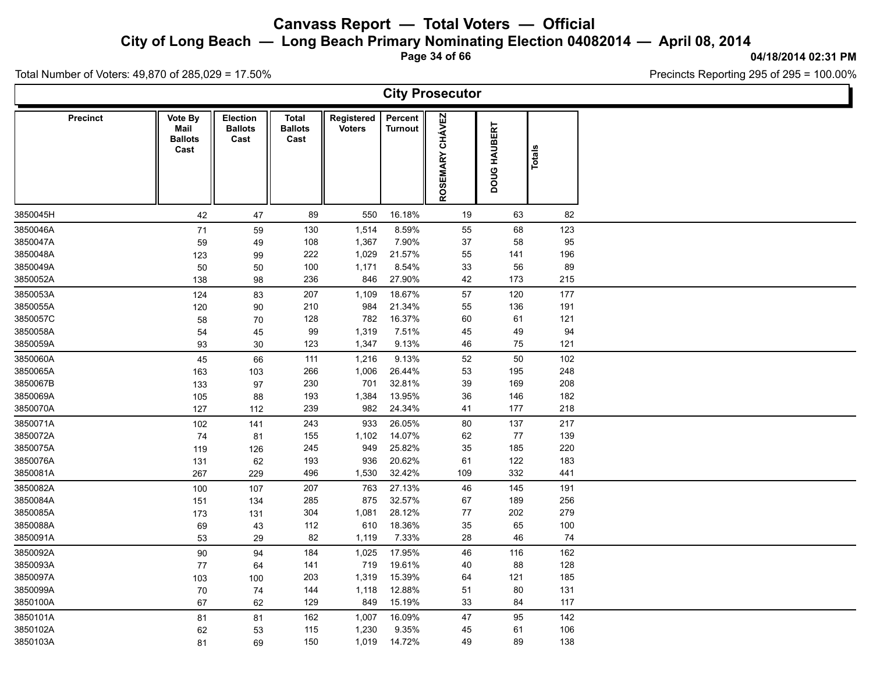**City of Long Beach — Long Beach Primary Nominating Election 04082014 — April 08, 2014**

**Page 34 of 66**

Precincts Reporting 295 of 295 = 100.00%

Total Number of Voters: 49,870 of 285,029 = 17.50%

 $\Gamma$ 

|                 |                                           |                                           |                                        |                             |                           | <b>City Prosecutor</b>           |              |        |  |
|-----------------|-------------------------------------------|-------------------------------------------|----------------------------------------|-----------------------------|---------------------------|----------------------------------|--------------|--------|--|
| <b>Precinct</b> | Vote By<br>Mail<br><b>Ballots</b><br>Cast | <b>Election</b><br><b>Ballots</b><br>Cast | <b>Total</b><br><b>Ballots</b><br>Cast | Registered<br><b>Voters</b> | Percent<br><b>Turnout</b> | <b>CHÁVEZ</b><br><b>ROSEMARY</b> | DOUG HAUBERT | Totals |  |
| 3850045H        | 42                                        | 47                                        | 89                                     | 550                         | 16.18%                    | 19                               | 63           | 82     |  |
| 3850046A        | $71$                                      | 59                                        | 130                                    | 1,514                       | 8.59%                     | 55                               | 68           | 123    |  |
| 3850047A        | 59                                        | 49                                        | 108                                    | 1,367                       | 7.90%                     | 37                               | 58           | 95     |  |
| 3850048A        | 123                                       | 99                                        | 222                                    | 1,029                       | 21.57%                    | 55                               | 141          | 196    |  |
| 3850049A        | 50                                        | 50                                        | 100                                    | 1,171                       | 8.54%                     | 33                               | 56           | 89     |  |
| 3850052A        | 138                                       | 98                                        | 236                                    | 846                         | 27.90%                    | 42                               | 173          | 215    |  |
| 3850053A        | 124                                       | 83                                        | 207                                    | 1,109                       | 18.67%                    | 57                               | 120          | 177    |  |
| 3850055A        | 120                                       | 90                                        | 210                                    | 984                         | 21.34%                    | 55                               | 136          | 191    |  |
| 3850057C        | 58                                        | 70                                        | 128                                    | 782                         | 16.37%                    | 60                               | 61           | 121    |  |
| 3850058A        | 54                                        | 45                                        | 99                                     | 1,319                       | 7.51%                     | 45                               | 49           | 94     |  |
| 3850059A        | 93                                        | 30                                        | 123                                    | 1,347                       | 9.13%                     | 46                               | 75           | 121    |  |
| 3850060A        | 45                                        | 66                                        | 111                                    | 1,216                       | 9.13%                     | 52                               | 50           | 102    |  |
| 3850065A        | 163                                       | 103                                       | 266                                    | 1,006                       | 26.44%                    | 53                               | 195          | 248    |  |
| 3850067B        | 133                                       | 97                                        | 230                                    | 701                         | 32.81%                    | 39                               | 169          | 208    |  |
| 3850069A        | 105                                       | 88                                        | 193                                    | 1,384                       | 13.95%                    | 36                               | 146          | 182    |  |
| 3850070A        | 127                                       | 112                                       | 239                                    | 982                         | 24.34%                    | 41                               | 177          | 218    |  |
| 3850071A        | 102                                       | 141                                       | 243                                    | 933                         | 26.05%                    | 80                               | 137          | 217    |  |
| 3850072A        | 74                                        | 81                                        | 155                                    | 1,102                       | 14.07%                    | 62                               | 77           | 139    |  |
| 3850075A        | 119                                       | 126                                       | 245                                    | 949                         | 25.82%                    | 35                               | 185          | 220    |  |
| 3850076A        | 131                                       | 62                                        | 193                                    | 936                         | 20.62%                    | 61                               | 122          | 183    |  |
| 3850081A        | 267                                       | 229                                       | 496                                    | 1,530                       | 32.42%                    | 109                              | 332          | 441    |  |
| 3850082A        | 100                                       | 107                                       | 207                                    | 763                         | 27.13%                    | 46                               | 145          | 191    |  |
| 3850084A        | 151                                       | 134                                       | 285                                    | 875                         | 32.57%                    | 67                               | 189          | 256    |  |
| 3850085A        | 173                                       | 131                                       | 304                                    | 1,081                       | 28.12%                    | 77                               | 202          | 279    |  |
| 3850088A        | 69                                        | 43                                        | 112                                    | 610                         | 18.36%                    | 35                               | 65           | 100    |  |
| 3850091A        | 53                                        | 29                                        | 82                                     | 1,119                       | 7.33%                     | 28                               | 46           | 74     |  |
| 3850092A        | 90                                        | 94                                        | 184                                    | 1,025                       | 17.95%                    | 46                               | 116          | 162    |  |
| 3850093A        | $77$                                      | 64                                        | 141                                    | 719                         | 19.61%                    | 40                               | 88           | 128    |  |
| 3850097A        | 103                                       | 100                                       | 203                                    | 1,319                       | 15.39%                    | 64                               | 121          | 185    |  |
| 3850099A        | 70                                        | 74                                        | 144                                    | 1,118                       | 12.88%                    | 51                               | $80\,$       | 131    |  |
| 3850100A        | 67                                        | 62                                        | 129                                    | 849                         | 15.19%                    | 33                               | 84           | 117    |  |
| 3850101A        | 81                                        | 81                                        | 162                                    | 1,007                       | 16.09%                    | 47                               | 95           | 142    |  |
| 3850102A        | 62                                        | 53                                        | 115                                    | 1,230                       | 9.35%                     | 45                               | 61           | 106    |  |
| 3850103A        | 81                                        | 69                                        | 150                                    | 1,019                       | 14.72%                    | 49                               | 89           | 138    |  |

**04/18/2014 02:31 PM**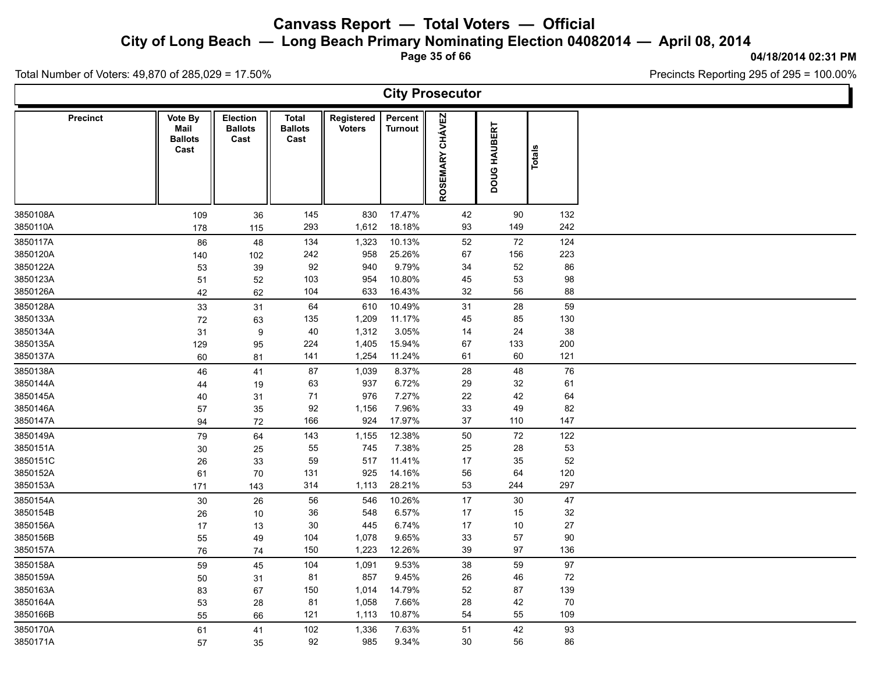**City of Long Beach — Long Beach Primary Nominating Election 04082014 — April 08, 2014**

**Page 35 of 66**

**04/18/2014 02:31 PM**

Ъ

Precincts Reporting 295 of 295 = 100.00%

Total Number of Voters: 49,870 of 285,029 = 17.50%

Γ

| <b>City Prosecutor</b> |                                           |                                    |                                        |                             |                           |                 |              |               |  |  |  |  |  |
|------------------------|-------------------------------------------|------------------------------------|----------------------------------------|-----------------------------|---------------------------|-----------------|--------------|---------------|--|--|--|--|--|
| <b>Precinct</b>        | Vote By<br>Mail<br><b>Ballots</b><br>Cast | Election<br><b>Ballots</b><br>Cast | <b>Total</b><br><b>Ballots</b><br>Cast | Registered<br><b>Voters</b> | Percent<br><b>Turnout</b> | ROSEMARY CHÁVEZ | DOUG HAUBERT | <b>Totals</b> |  |  |  |  |  |
| 3850108A               | 109                                       | 36                                 | 145                                    | 830                         | 17.47%                    | 42              | 90           | 132           |  |  |  |  |  |
| 3850110A               | 178                                       | 115                                | 293                                    | 1,612                       | 18.18%                    | 93              | 149          | 242           |  |  |  |  |  |
| 3850117A               | 86                                        | 48                                 | 134                                    | 1,323                       | 10.13%                    | 52              | 72           | 124           |  |  |  |  |  |
| 3850120A               | 140                                       | 102                                | 242                                    | 958                         | 25.26%                    | 67              | 156          | 223           |  |  |  |  |  |
| 3850122A               | 53                                        | 39                                 | 92                                     | 940                         | 9.79%                     | 34              | 52           | 86            |  |  |  |  |  |
| 3850123A               | 51                                        | 52                                 | 103                                    | 954                         | 10.80%                    | 45              | 53           | 98            |  |  |  |  |  |
| 3850126A               | 42                                        | 62                                 | 104                                    | 633                         | 16.43%                    | 32              | 56           | 88            |  |  |  |  |  |
| 3850128A               | 33                                        | 31                                 | 64                                     | 610                         | 10.49%                    | 31              | 28           | 59            |  |  |  |  |  |
| 3850133A               | $72\,$                                    | 63                                 | 135                                    | 1,209                       | 11.17%                    | 45              | 85           | 130           |  |  |  |  |  |
| 3850134A               | 31                                        | $\boldsymbol{9}$                   | 40                                     | 1,312                       | 3.05%                     | 14              | 24           | 38            |  |  |  |  |  |
| 3850135A               | 129                                       | 95                                 | 224                                    | 1,405                       | 15.94%                    | 67              | 133          | 200           |  |  |  |  |  |
| 3850137A               | 60                                        | 81                                 | 141                                    | 1,254                       | 11.24%                    | 61              | 60           | 121           |  |  |  |  |  |
| 3850138A               | 46                                        | 41                                 | 87                                     | 1,039                       | 8.37%                     | 28              | 48           | 76            |  |  |  |  |  |
| 3850144A               | 44                                        | 19                                 | 63                                     | 937                         | 6.72%                     | 29              | 32           | 61            |  |  |  |  |  |
| 3850145A               | 40                                        | 31                                 | 71                                     | 976                         | 7.27%                     | 22              | 42           | 64            |  |  |  |  |  |
| 3850146A               | 57                                        | 35                                 | 92                                     | 1,156                       | 7.96%                     | 33              | 49           | 82            |  |  |  |  |  |
| 3850147A               | 94                                        | 72                                 | 166                                    | 924                         | 17.97%                    | $37\,$          | 110          | 147           |  |  |  |  |  |
| 3850149A               | 79                                        | 64                                 | 143                                    | 1,155                       | 12.38%                    | 50              | 72           | 122           |  |  |  |  |  |
| 3850151A               | $30\,$                                    | 25                                 | 55                                     | 745                         | 7.38%                     | 25              | 28           | 53            |  |  |  |  |  |
| 3850151C               | 26                                        | 33                                 | 59                                     | 517                         | 11.41%                    | 17              | 35           | 52            |  |  |  |  |  |
| 3850152A               | 61                                        | $70\,$                             | 131                                    | 925                         | 14.16%                    | 56              | 64           | 120           |  |  |  |  |  |
| 3850153A               | 171                                       | 143                                | 314                                    | 1,113                       | 28.21%                    | 53              | 244          | 297           |  |  |  |  |  |
| 3850154A               | 30                                        | 26                                 | 56                                     | 546                         | 10.26%                    | 17              | 30           | 47            |  |  |  |  |  |
| 3850154B               | 26                                        | 10                                 | $36\,$                                 | 548                         | 6.57%                     | 17              | 15           | 32            |  |  |  |  |  |
| 3850156A               | 17                                        | 13                                 | 30                                     | 445                         | 6.74%                     | 17              | 10           | $27\,$        |  |  |  |  |  |
| 3850156B               | 55                                        | 49                                 | 104                                    | 1,078                       | 9.65%                     | 33              | 57           | 90            |  |  |  |  |  |
| 3850157A               | 76                                        | 74                                 | 150                                    | 1,223                       | 12.26%                    | 39              | 97           | 136           |  |  |  |  |  |
| 3850158A               | 59                                        | 45                                 | 104                                    | 1,091                       | 9.53%                     | 38              | 59           | 97            |  |  |  |  |  |
| 3850159A               | 50                                        | 31                                 | 81                                     | 857                         | 9.45%                     | 26              | 46           | $72\,$        |  |  |  |  |  |
| 3850163A               | 83                                        | 67                                 | 150                                    | 1,014                       | 14.79%                    | 52              | 87           | 139           |  |  |  |  |  |
| 3850164A               | 53                                        | 28                                 | 81                                     | 1,058                       | 7.66%                     | 28              | 42           | 70            |  |  |  |  |  |
| 3850166B               | 55                                        | 66                                 | 121                                    | 1,113                       | 10.87%                    | 54              | 55           | 109           |  |  |  |  |  |
| 3850170A               | 61                                        | 41                                 | 102                                    | 1,336                       | 7.63%                     | 51              | 42           | 93            |  |  |  |  |  |
| 3850171A               | 57                                        | 35                                 | 92                                     | 985                         | 9.34%                     | 30              | 56           | 86            |  |  |  |  |  |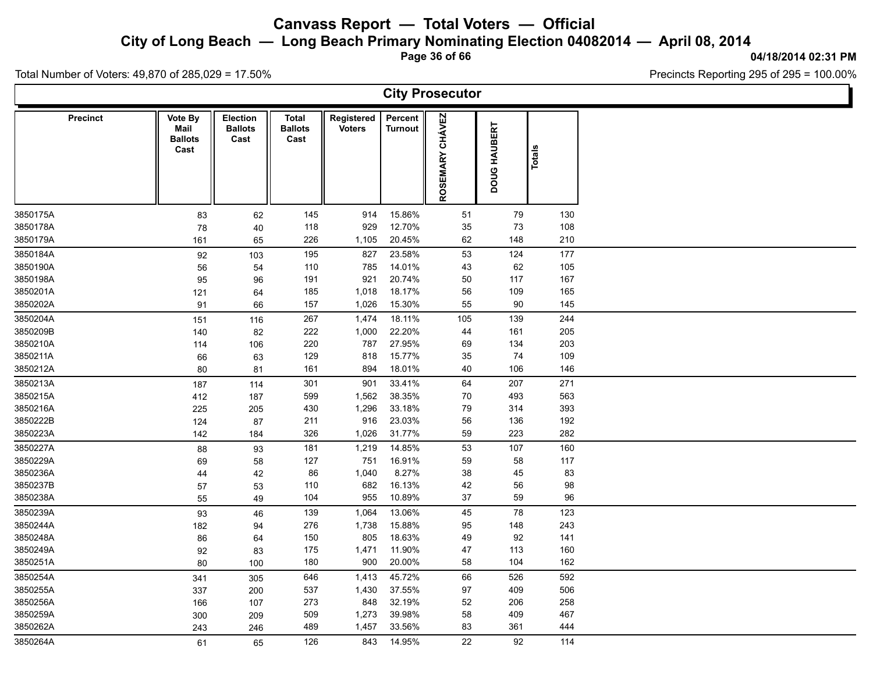**City of Long Beach — Long Beach Primary Nominating Election 04082014 — April 08, 2014**

**Page 36 of 66**

#### **04/18/2014 02:31 PM**

Precincts Reporting 295 of 295 = 100.00%

Total Number of Voters: 49,870 of 285,029 = 17.50%

 $\Gamma$ 

|          |                 |                                           |                                           |                                        |                             |                           | <b>City Prosecutor</b>           |              |        |  |
|----------|-----------------|-------------------------------------------|-------------------------------------------|----------------------------------------|-----------------------------|---------------------------|----------------------------------|--------------|--------|--|
|          | <b>Precinct</b> | Vote By<br>Mail<br><b>Ballots</b><br>Cast | <b>Election</b><br><b>Ballots</b><br>Cast | <b>Total</b><br><b>Ballots</b><br>Cast | Registered<br><b>Voters</b> | Percent<br><b>Turnout</b> | <b>CHÁVEZ</b><br><b>ROSEMARY</b> | DOUG HAUBERT | Totals |  |
| 3850175A |                 | 83                                        | 62                                        | 145                                    | 914                         | 15.86%                    | 51                               | 79           | 130    |  |
| 3850178A |                 | 78                                        | 40                                        | 118                                    | 929                         | 12.70%                    | 35                               | $73\,$       | 108    |  |
| 3850179A |                 | 161                                       | 65                                        | 226                                    | 1,105                       | 20.45%                    | 62                               | 148          | 210    |  |
| 3850184A |                 | 92                                        | 103                                       | 195                                    | 827                         | 23.58%                    | 53                               | 124          | 177    |  |
| 3850190A |                 | 56                                        | 54                                        | 110                                    | 785                         | 14.01%                    | 43                               | 62           | 105    |  |
| 3850198A |                 | 95                                        | 96                                        | 191                                    | 921                         | 20.74%                    | 50                               | 117          | 167    |  |
| 3850201A |                 | 121                                       | 64                                        | 185                                    | 1,018                       | 18.17%                    | 56                               | 109          | 165    |  |
| 3850202A |                 | 91                                        | 66                                        | 157                                    | 1,026                       | 15.30%                    | 55                               | $90\,$       | 145    |  |
| 3850204A |                 | 151                                       | 116                                       | 267                                    | 1,474                       | 18.11%                    | 105                              | 139          | 244    |  |
| 3850209B |                 | 140                                       | 82                                        | 222                                    | 1,000                       | 22.20%                    | 44                               | 161          | 205    |  |
| 3850210A |                 | 114                                       | 106                                       | 220                                    | 787                         | 27.95%                    | 69                               | 134          | 203    |  |
| 3850211A |                 | 66                                        | 63                                        | 129                                    | 818                         | 15.77%                    | 35                               | 74           | 109    |  |
| 3850212A |                 | 80                                        | 81                                        | 161                                    | 894                         | 18.01%                    | 40                               | 106          | 146    |  |
| 3850213A |                 | 187                                       | 114                                       | 301                                    | 901                         | 33.41%                    | 64                               | 207          | 271    |  |
| 3850215A |                 | 412                                       | 187                                       | 599                                    | 1,562                       | 38.35%                    | $70\,$                           | 493          | 563    |  |
| 3850216A |                 | 225                                       | 205                                       | 430                                    | 1,296                       | 33.18%                    | 79                               | 314          | 393    |  |
| 3850222B |                 | 124                                       | 87                                        | 211                                    | 916                         | 23.03%                    | 56                               | 136          | 192    |  |
| 3850223A |                 | 142                                       | 184                                       | 326                                    | 1,026                       | 31.77%                    | 59                               | 223          | 282    |  |
| 3850227A |                 | 88                                        | 93                                        | 181                                    | 1,219                       | 14.85%                    | 53                               | 107          | 160    |  |
| 3850229A |                 | 69                                        | 58                                        | 127                                    | 751                         | 16.91%                    | 59                               | 58           | 117    |  |
| 3850236A |                 | 44                                        | 42                                        | 86                                     | 1,040                       | 8.27%                     | 38                               | 45           | 83     |  |
| 3850237B |                 | 57                                        | 53                                        | 110                                    | 682                         | 16.13%                    | 42                               | 56           | 98     |  |
| 3850238A |                 | 55                                        | 49                                        | 104                                    | 955                         | 10.89%                    | 37                               | 59           | 96     |  |
| 3850239A |                 | 93                                        | 46                                        | 139                                    | 1,064                       | 13.06%                    | 45                               | 78           | 123    |  |
| 3850244A |                 | 182                                       | 94                                        | 276                                    | 1,738                       | 15.88%                    | 95                               | 148          | 243    |  |
| 3850248A |                 | 86                                        | 64                                        | 150                                    | 805                         | 18.63%                    | 49                               | 92           | 141    |  |
| 3850249A |                 | 92                                        | 83                                        | 175                                    | 1,471                       | 11.90%                    | 47                               | 113          | 160    |  |
| 3850251A |                 | 80                                        | 100                                       | 180                                    | 900                         | 20.00%                    | 58                               | 104          | 162    |  |
| 3850254A |                 | 341                                       | 305                                       | 646                                    | 1,413                       | 45.72%                    | 66                               | 526          | 592    |  |
| 3850255A |                 | 337                                       | 200                                       | 537                                    | 1,430                       | 37.55%                    | 97                               | 409          | 506    |  |
| 3850256A |                 | 166                                       | 107                                       | 273                                    | 848                         | 32.19%                    | 52                               | 206          | 258    |  |
| 3850259A |                 | 300                                       | 209                                       | 509                                    | 1,273                       | 39.98%                    | 58                               | 409          | 467    |  |
| 3850262A |                 | 243                                       | 246                                       | 489                                    | 1,457                       | 33.56%                    | 83                               | 361          | 444    |  |
| 3850264A |                 | 61                                        | 65                                        | 126                                    | 843                         | 14.95%                    | 22                               | 92           | 114    |  |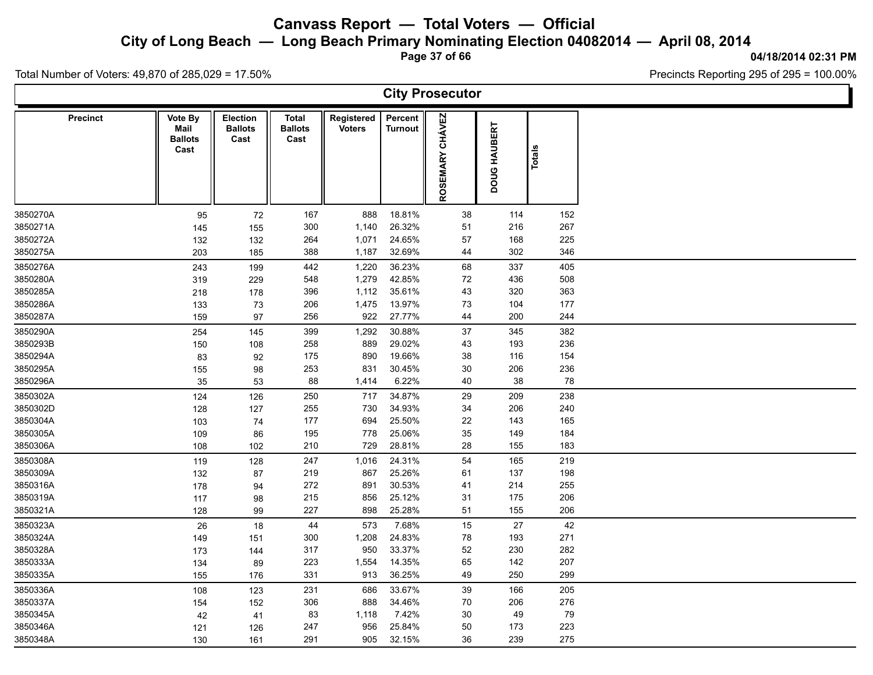**City of Long Beach — Long Beach Primary Nominating Election 04082014 — April 08, 2014**

**Page 37 of 66**

#### **04/18/2014 02:31 PM**

Ъ

Precincts Reporting 295 of 295 = 100.00%

Total Number of Voters: 49,870 of 285,029 = 17.50%

|                 |                                           |                                    |                                 |                             |                    | <b>City Prosecutor</b> |              |               |  |
|-----------------|-------------------------------------------|------------------------------------|---------------------------------|-----------------------------|--------------------|------------------------|--------------|---------------|--|
| <b>Precinct</b> | Vote By<br>Mail<br><b>Ballots</b><br>Cast | Election<br><b>Ballots</b><br>Cast | Total<br><b>Ballots</b><br>Cast | Registered<br><b>Voters</b> | Percent<br>Turnout | ROSEMARY CHÁVEZ        | DOUG HAUBERT | <b>Totals</b> |  |
| 3850270A        | 95                                        | 72                                 | 167                             | 888                         | 18.81%             | 38                     | 114          | 152           |  |
| 3850271A        | 145                                       | 155                                | 300                             | 1,140                       | 26.32%             | 51                     | 216          | 267           |  |
| 3850272A        | 132                                       | 132                                | 264                             | 1,071                       | 24.65%             | 57                     | 168          | 225           |  |
| 3850275A        | 203                                       | 185                                | 388                             | 1,187                       | 32.69%             | 44                     | 302          | 346           |  |
| 3850276A        | 243                                       | 199                                | 442                             | 1,220                       | 36.23%             | 68                     | 337          | 405           |  |
| 3850280A        | 319                                       | 229                                | 548                             | 1,279                       | 42.85%             | 72                     | 436          | 508           |  |
| 3850285A        | 218                                       | 178                                | 396                             | 1,112                       | 35.61%             | 43                     | 320          | 363           |  |
| 3850286A        | 133                                       | 73                                 | 206                             | 1,475                       | 13.97%             | $73\,$                 | 104          | 177           |  |
| 3850287A        | 159                                       | 97                                 | 256                             | 922                         | 27.77%             | 44                     | 200          | 244           |  |
| 3850290A        | 254                                       | 145                                | 399                             | 1,292                       | 30.88%             | $37\,$                 | 345          | 382           |  |
| 3850293B        | 150                                       | 108                                | 258                             | 889                         | 29.02%             | 43                     | 193          | 236           |  |
| 3850294A        | 83                                        | 92                                 | 175                             | 890                         | 19.66%             | 38                     | 116          | 154           |  |
| 3850295A        | 155                                       | 98                                 | 253                             | 831                         | 30.45%             | $30\,$                 | 206          | 236           |  |
| 3850296A        | 35                                        | 53                                 | 88                              | 1,414                       | 6.22%              | 40                     | 38           | 78            |  |
| 3850302A        | 124                                       | 126                                | 250                             | 717                         | 34.87%             | 29                     | 209          | 238           |  |
| 3850302D        | 128                                       | 127                                | 255                             | 730                         | 34.93%             | 34                     | 206          | 240           |  |
| 3850304A        | 103                                       | 74                                 | 177                             | 694                         | 25.50%             | 22                     | 143          | 165           |  |
| 3850305A        | 109                                       | 86                                 | 195                             | 778                         | 25.06%             | 35                     | 149          | 184           |  |
| 3850306A        | 108                                       | 102                                | 210                             | 729                         | 28.81%             | 28                     | 155          | 183           |  |
| 3850308A        | 119                                       | 128                                | 247                             | 1,016                       | 24.31%             | 54                     | 165          | 219           |  |
| 3850309A        | 132                                       | 87                                 | 219                             | 867                         | 25.26%             | 61                     | 137          | 198           |  |
| 3850316A        | 178                                       | 94                                 | 272                             | 891                         | 30.53%             | 41                     | 214          | 255           |  |
| 3850319A        | 117                                       | 98                                 | 215                             | 856                         | 25.12%             | 31                     | 175          | 206           |  |
| 3850321A        | 128                                       | 99                                 | 227                             | 898                         | 25.28%             | 51                     | 155          | 206           |  |
| 3850323A        | 26                                        | 18                                 | 44                              | 573                         | 7.68%              | 15                     | 27           | 42            |  |
| 3850324A        | 149                                       | 151                                | 300                             | 1,208                       | 24.83%             | 78                     | 193          | 271           |  |
| 3850328A        | 173                                       | 144                                | 317                             | 950                         | 33.37%             | 52                     | 230          | 282           |  |
| 3850333A        | 134                                       | 89                                 | 223                             | 1,554                       | 14.35%             | 65                     | 142          | 207           |  |
| 3850335A        | 155                                       | 176                                | 331                             | 913                         | 36.25%             | 49                     | 250          | 299           |  |
| 3850336A        | 108                                       | 123                                | 231                             | 686                         | 33.67%             | 39                     | 166          | 205           |  |
| 3850337A        | 154                                       | 152                                | 306                             | 888                         | 34.46%             | 70                     | 206          | 276           |  |
| 3850345A        | 42                                        | 41                                 | 83                              | 1,118                       | 7.42%              | 30                     | 49           | 79            |  |
| 3850346A        | 121                                       | 126                                | 247                             | 956                         | 25.84%             | 50                     | 173          | 223           |  |
| 3850348A        | 130                                       | 161                                | 291                             | 905                         | 32.15%             | 36                     | 239          | 275           |  |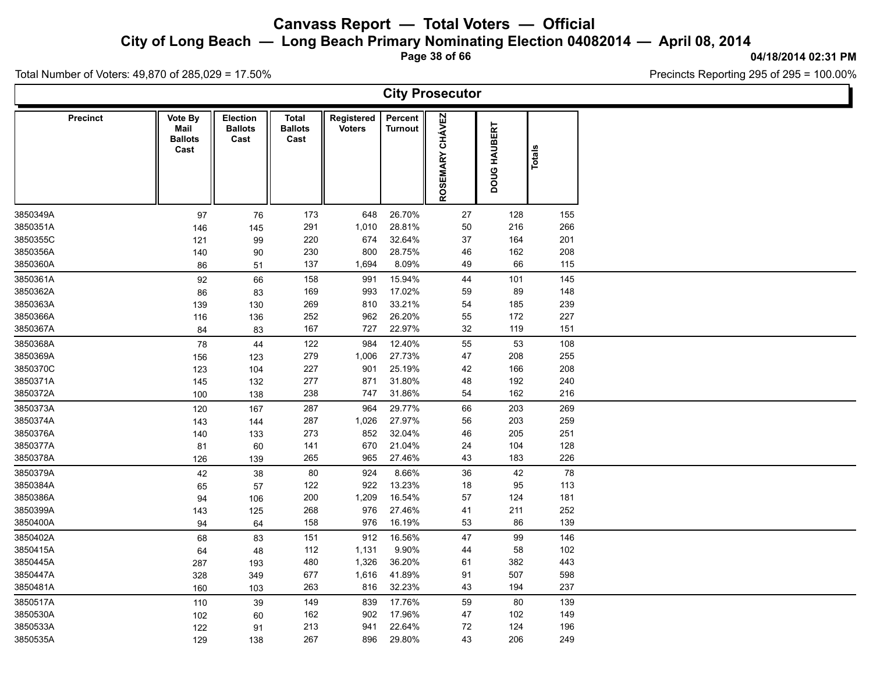**City of Long Beach — Long Beach Primary Nominating Election 04082014 — April 08, 2014**

**Page 38 of 66**

#### **04/18/2014 02:31 PM**

Ъ

Precincts Reporting 295 of 295 = 100.00%

Total Number of Voters: 49,870 of 285,029 = 17.50%

 $\Gamma$ 

|                 |                                           |                                           |                                 |                             |                           | <b>City Prosecutor</b>    |              |        |  |
|-----------------|-------------------------------------------|-------------------------------------------|---------------------------------|-----------------------------|---------------------------|---------------------------|--------------|--------|--|
| <b>Precinct</b> | Vote By<br>Mail<br><b>Ballots</b><br>Cast | <b>Election</b><br><b>Ballots</b><br>Cast | Total<br><b>Ballots</b><br>Cast | Registered<br><b>Voters</b> | Percent<br><b>Turnout</b> | <b>CHÁVEZ</b><br>ROSEMARY | DOUG HAUBERT | Totals |  |
| 3850349A        | 97                                        | 76                                        | 173                             | 648                         | 26.70%                    | $27\,$                    | 128          | 155    |  |
| 3850351A        | 146                                       | 145                                       | 291                             | 1,010                       | 28.81%                    | 50                        | 216          | 266    |  |
| 3850355C        | 121                                       | 99                                        | 220                             | 674                         | 32.64%                    | 37                        | 164          | 201    |  |
| 3850356A        | 140                                       | 90                                        | 230                             | 800                         | 28.75%                    | 46                        | 162          | 208    |  |
| 3850360A        | 86                                        | 51                                        | 137                             | 1,694                       | 8.09%                     | 49                        | 66           | 115    |  |
| 3850361A        | 92                                        | 66                                        | 158                             | 991                         | 15.94%                    | 44                        | 101          | 145    |  |
| 3850362A        | 86                                        | 83                                        | 169                             | 993                         | 17.02%                    | 59                        | 89           | 148    |  |
| 3850363A        | 139                                       | 130                                       | 269                             | 810                         | 33.21%                    | 54                        | 185          | 239    |  |
| 3850366A        | 116                                       | 136                                       | 252                             | 962                         | 26.20%                    | 55                        | 172          | 227    |  |
| 3850367A        | 84                                        | 83                                        | 167                             | 727                         | 22.97%                    | 32                        | 119          | 151    |  |
| 3850368A        | 78                                        | 44                                        | 122                             | 984                         | 12.40%                    | 55                        | 53           | 108    |  |
| 3850369A        | 156                                       | 123                                       | 279                             | 1,006                       | 27.73%                    | 47                        | 208          | 255    |  |
| 3850370C        | 123                                       | 104                                       | 227                             | 901                         | 25.19%                    | 42                        | 166          | 208    |  |
| 3850371A        | 145                                       | 132                                       | 277                             | 871                         | 31.80%                    | 48                        | 192          | 240    |  |
| 3850372A        | 100                                       | 138                                       | 238                             | 747                         | 31.86%                    | 54                        | 162          | 216    |  |
| 3850373A        | 120                                       | 167                                       | 287                             | 964                         | 29.77%                    | 66                        | 203          | 269    |  |
| 3850374A        | 143                                       | 144                                       | 287                             | 1,026                       | 27.97%                    | 56                        | 203          | 259    |  |
| 3850376A        | 140                                       | 133                                       | 273                             | 852                         | 32.04%                    | 46                        | 205          | 251    |  |
| 3850377A        | 81                                        | 60                                        | 141                             | 670                         | 21.04%                    | 24                        | 104          | 128    |  |
| 3850378A        | 126                                       | 139                                       | 265                             | 965                         | 27.46%                    | 43                        | 183          | 226    |  |
| 3850379A        | 42                                        | 38                                        | 80                              | 924                         | 8.66%                     | 36                        | 42           | 78     |  |
| 3850384A        | 65                                        | 57                                        | 122                             | 922                         | 13.23%                    | 18                        | 95           | 113    |  |
| 3850386A        | 94                                        | 106                                       | 200                             | 1,209                       | 16.54%                    | 57                        | 124          | 181    |  |
| 3850399A        | 143                                       | 125                                       | 268                             | 976                         | 27.46%                    | 41                        | 211          | 252    |  |
| 3850400A        | 94                                        | 64                                        | 158                             | 976                         | 16.19%                    | 53                        | 86           | 139    |  |
| 3850402A        | 68                                        | 83                                        | 151                             | 912                         | 16.56%                    | 47                        | 99           | 146    |  |
| 3850415A        | 64                                        | 48                                        | 112                             | 1,131                       | 9.90%                     | 44                        | 58           | 102    |  |
| 3850445A        | 287                                       | 193                                       | 480                             | 1,326                       | 36.20%                    | 61                        | 382          | 443    |  |
| 3850447A        | 328                                       | 349                                       | 677                             | 1,616                       | 41.89%                    | 91                        | 507          | 598    |  |
| 3850481A        | 160                                       | 103                                       | 263                             | 816                         | 32.23%                    | 43                        | 194          | 237    |  |
| 3850517A        | 110                                       | 39                                        | 149                             | 839                         | 17.76%                    | 59                        | 80           | 139    |  |
| 3850530A        | 102                                       | 60                                        | 162                             | 902                         | 17.96%                    | 47                        | 102          | 149    |  |
| 3850533A        | 122                                       | 91                                        | 213                             | 941                         | 22.64%                    | 72                        | 124          | 196    |  |
| 3850535A        | 129                                       | 138                                       | 267                             | 896                         | 29.80%                    | 43                        | 206          | 249    |  |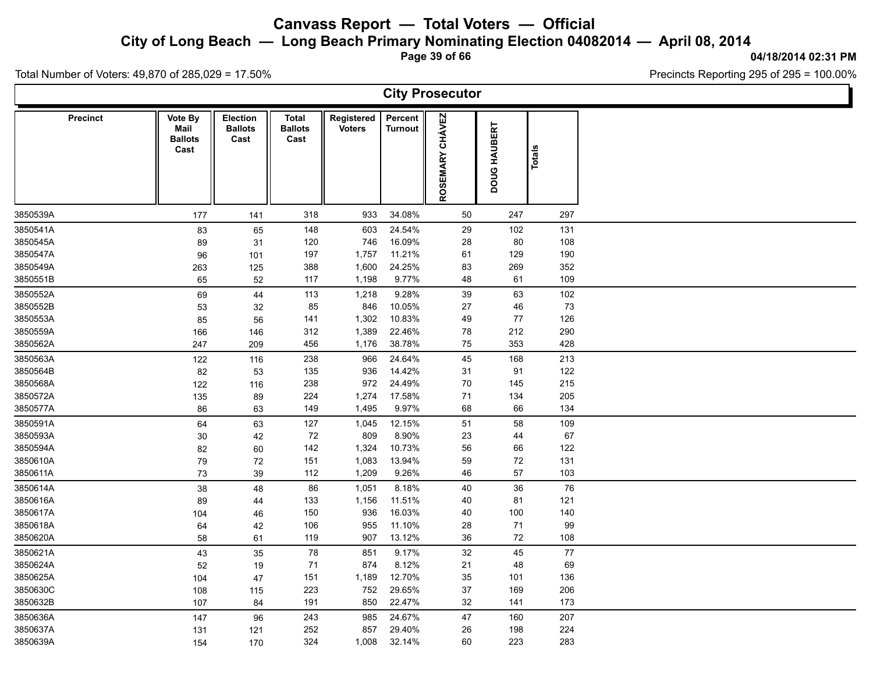**City of Long Beach — Long Beach Primary Nominating Election 04082014 — April 08, 2014**

**Page 39 of 66**

**04/18/2014 02:31 PM**

Ъ

Precincts Reporting 295 of 295 = 100.00%

Total Number of Voters: 49,870 of 285,029 = 17.50%

Γ

|                 |                                                  |                                           |                                        |                             |                           | <b>City Prosecutor</b>           |              |               |  |
|-----------------|--------------------------------------------------|-------------------------------------------|----------------------------------------|-----------------------------|---------------------------|----------------------------------|--------------|---------------|--|
| <b>Precinct</b> | <b>Vote By</b><br>Mail<br><b>Ballots</b><br>Cast | <b>Election</b><br><b>Ballots</b><br>Cast | <b>Total</b><br><b>Ballots</b><br>Cast | Registered<br><b>Voters</b> | Percent<br><b>Turnout</b> | <b>CHÁVEZ</b><br><b>ROSEMARY</b> | DOUG HAUBERT | <b>Totals</b> |  |
| 3850539A        | 177                                              | 141                                       | 318                                    | 933                         | 34.08%                    | 50                               | 247          | 297           |  |
| 3850541A        | 83                                               | 65                                        | 148                                    | 603                         | 24.54%                    | 29                               | 102          | 131           |  |
| 3850545A        | 89                                               | 31                                        | 120                                    | 746                         | 16.09%                    | 28                               | 80           | 108           |  |
| 3850547A        | 96                                               | 101                                       | 197                                    | 1,757                       | 11.21%                    | 61                               | 129          | 190           |  |
| 3850549A        | 263                                              | 125                                       | 388                                    | 1,600                       | 24.25%                    | 83                               | 269          | 352           |  |
| 3850551B        | 65                                               | $52\,$                                    | 117                                    | 1,198                       | 9.77%                     | 48                               | 61           | 109           |  |
| 3850552A        | 69                                               | 44                                        | 113                                    | 1,218                       | 9.28%                     | 39                               | 63           | 102           |  |
| 3850552B        | 53                                               | 32                                        | 85                                     | 846                         | 10.05%                    | 27                               | 46           | 73            |  |
| 3850553A        | 85                                               | 56                                        | 141                                    | 1,302                       | 10.83%                    | 49                               | 77           | 126           |  |
| 3850559A        | 166                                              | 146                                       | 312                                    | 1,389                       | 22.46%                    | 78                               | 212          | 290           |  |
| 3850562A        | 247                                              | 209                                       | 456                                    | 1,176                       | 38.78%                    | ${\bf 75}$                       | 353          | 428           |  |
| 3850563A        | 122                                              | 116                                       | 238                                    | 966                         | 24.64%                    | 45                               | 168          | 213           |  |
| 3850564B        | 82                                               | 53                                        | 135                                    | 936                         | 14.42%                    | 31                               | 91           | 122           |  |
| 3850568A        | 122                                              | 116                                       | 238                                    | 972                         | 24.49%                    | 70                               | 145          | 215           |  |
| 3850572A        | 135                                              | 89                                        | 224                                    | 1,274                       | 17.58%                    | 71                               | 134          | 205           |  |
| 3850577A        | 86                                               | 63                                        | 149                                    | 1,495                       | 9.97%                     | 68                               | 66           | 134           |  |
| 3850591A        | 64                                               | 63                                        | 127                                    | 1,045                       | 12.15%                    | 51                               | 58           | 109           |  |
| 3850593A        | 30                                               | 42                                        | 72                                     | 809                         | 8.90%                     | 23                               | 44           | 67            |  |
| 3850594A        | 82                                               | 60                                        | 142                                    | 1,324                       | 10.73%                    | 56                               | 66           | 122           |  |
| 3850610A        | $\bf 79$                                         | 72                                        | 151                                    | 1,083                       | 13.94%                    | 59                               | $72\,$       | 131           |  |
| 3850611A        | 73                                               | 39                                        | 112                                    | 1,209                       | 9.26%                     | 46                               | 57           | 103           |  |
| 3850614A        | 38                                               | 48                                        | 86                                     | 1,051                       | 8.18%                     | 40                               | $36\,$       | 76            |  |
| 3850616A        | 89                                               | 44                                        | 133                                    | 1,156                       | 11.51%                    | 40                               | 81           | 121           |  |
| 3850617A        | 104                                              | 46                                        | 150                                    | 936                         | 16.03%                    | 40                               | 100          | 140           |  |
| 3850618A        | 64                                               | 42                                        | 106                                    | 955                         | 11.10%                    | 28                               | 71           | 99            |  |
| 3850620A        | 58                                               | 61                                        | 119                                    | 907                         | 13.12%                    | 36                               | $72\,$       | 108           |  |
| 3850621A        | 43                                               | 35                                        | 78                                     | 851                         | 9.17%                     | 32                               | 45           | $77$          |  |
| 3850624A        | 52                                               | 19                                        | 71                                     | 874                         | 8.12%                     | 21                               | 48           | 69            |  |
| 3850625A        | 104                                              | 47                                        | 151                                    | 1,189                       | 12.70%                    | 35                               | 101          | 136           |  |
| 3850630C        | 108                                              | 115                                       | 223                                    | 752                         | 29.65%                    | 37                               | 169          | 206           |  |
| 3850632B        | 107                                              | 84                                        | 191                                    | 850                         | 22.47%                    | $32\,$                           | 141          | 173           |  |
| 3850636A        | 147                                              | 96                                        | 243                                    | 985                         | 24.67%                    | 47                               | 160          | 207           |  |
| 3850637A        | 131                                              | 121                                       | 252                                    | 857                         | 29.40%                    | 26                               | 198          | 224           |  |
| 3850639A        | 154                                              | 170                                       | 324                                    | 1,008                       | 32.14%                    | 60                               | 223          | 283           |  |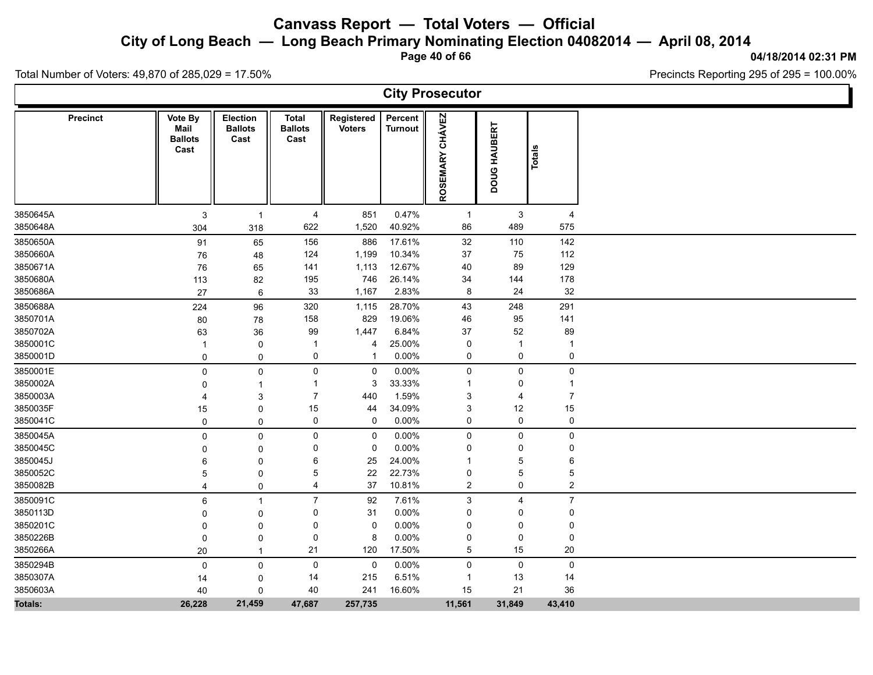**City of Long Beach — Long Beach Primary Nominating Election 04082014 — April 08, 2014**

**Page 40 of 66**

**04/18/2014 02:31 PM** Precincts Reporting 295 of 295 = 100.00%

Ъ

Total Number of Voters: 49,870 of 285,029 = 17.50%

 $\Gamma$ 

|                | <b>Precinct</b> | Vote By<br>Mail<br><b>Ballots</b><br>Cast | <b>Election</b><br><b>Ballots</b><br>Cast | <b>Total</b><br><b>Ballots</b><br>Cast | Registered<br><b>Voters</b> | Percent<br><b>Turnout</b> | ROSEMARY CHÁVEZ | DOUG HAUBERT        | <b>Totals</b>    |  |
|----------------|-----------------|-------------------------------------------|-------------------------------------------|----------------------------------------|-----------------------------|---------------------------|-----------------|---------------------|------------------|--|
| 3850645A       |                 | $\mathbf{3}$                              | $\overline{1}$                            | 4                                      | 851                         | 0.47%                     | -1              | $\mathbf{3}$        | 4                |  |
| 3850648A       |                 | 304                                       | 318                                       | 622                                    | 1,520                       | 40.92%                    | 86              | 489                 | 575              |  |
| 3850650A       |                 | 91                                        | 65                                        | 156                                    | 886                         | 17.61%                    | 32              | 110                 | 142              |  |
| 3850660A       |                 | 76                                        | 48                                        | 124                                    | 1,199                       | 10.34%                    | 37              | 75                  | 112              |  |
| 3850671A       |                 | 76                                        | 65                                        | 141                                    | 1,113                       | 12.67%                    | 40              | 89                  | 129              |  |
| 3850680A       |                 | 113                                       | 82                                        | 195                                    | 746                         | 26.14%                    | 34              | 144                 | 178              |  |
| 3850686A       |                 | 27                                        | $\,6\,$                                   | 33                                     | 1,167                       | 2.83%                     | 8               | 24                  | $32\,$           |  |
| 3850688A       |                 | 224                                       | 96                                        | 320                                    | 1,115                       | 28.70%                    | 43              | 248                 | 291              |  |
| 3850701A       |                 | 80                                        | 78                                        | 158                                    | 829                         | 19.06%                    | 46              | 95                  | 141              |  |
| 3850702A       |                 | 63                                        | 36                                        | 99                                     | 1,447                       | 6.84%                     | 37              | 52                  | 89               |  |
| 3850001C       |                 | $\mathbf{1}$                              | $\pmb{0}$                                 | $\mathbf 1$                            | $\overline{4}$              | 25.00%                    | 0               | $\overline{1}$      | 1                |  |
| 3850001D       |                 | $\mathbf 0$                               | $\mathbf 0$                               | 0                                      | $\overline{1}$              | 0.00%                     | 0               | $\mathsf{O}\xspace$ | $\pmb{0}$        |  |
| 3850001E       |                 | $\pmb{0}$                                 | $\pmb{0}$                                 | 0                                      | $\mathbf 0$                 | 0.00%                     | 0               | $\mathsf{O}$        | 0                |  |
| 3850002A       |                 | $\mathbf 0$                               | $\mathbf 1$                               | $\mathbf{1}$                           | 3                           | 33.33%                    | $\overline{1}$  | 0                   | $\mathbf{1}$     |  |
| 3850003A       |                 | $\overline{4}$                            | $\sqrt{3}$                                | $\overline{7}$                         | 440                         | 1.59%                     | 3               | 4                   | $\overline{7}$   |  |
| 3850035F       |                 | 15                                        | $\pmb{0}$                                 | 15                                     | 44                          | 34.09%                    | 3               | 12                  | $15\,$           |  |
| 3850041C       |                 | $\mathbf 0$                               | $\mathbf 0$                               | 0                                      | 0                           | 0.00%                     | 0               | $\mathsf 0$         | 0                |  |
| 3850045A       |                 | $\pmb{0}$                                 | $\mathbf 0$                               | 0                                      | 0                           | 0.00%                     | 0               | $\mathsf{O}\xspace$ | $\mathsf 0$      |  |
| 3850045C       |                 | 0                                         | $\mathbf 0$                               | 0                                      | $\mathbf 0$                 | 0.00%                     | 0               | 0                   | 0                |  |
| 3850045J       |                 | 6                                         | 0                                         | 6                                      | 25                          | 24.00%                    | -1              | 5                   | 6                |  |
| 3850052C       |                 | 5                                         | $\mathbf 0$                               | 5                                      | 22                          | 22.73%                    | 0               | 5                   | $\mathbf 5$      |  |
| 3850082B       |                 | $\overline{\mathbf{4}}$                   | $\mathbf 0$                               | 4                                      | 37                          | 10.81%                    | $\overline{2}$  | 0                   | $\boldsymbol{2}$ |  |
| 3850091C       |                 | 6                                         | $\overline{1}$                            | $\overline{7}$                         | 92                          | 7.61%                     | 3               | $\overline{4}$      | $\boldsymbol{7}$ |  |
| 3850113D       |                 | 0                                         | 0                                         | 0                                      | 31                          | 0.00%                     | 0               | 0                   | 0                |  |
| 3850201C       |                 | 0                                         | $\Omega$                                  | $\mathbf 0$                            | $\mathbf 0$                 | 0.00%                     | $\mathbf 0$     | 0                   | 0                |  |
| 3850226B       |                 | $\mathbf 0$                               | $\mathbf 0$                               | 0                                      | 8                           | 0.00%                     | 0               | 0                   | 0                |  |
| 3850266A       |                 | 20                                        | $\overline{1}$                            | 21                                     | 120                         | 17.50%                    | 5               | 15                  | 20               |  |
| 3850294B       |                 | $\mathbf 0$                               | $\pmb{0}$                                 | 0                                      | 0                           | 0.00%                     | 0               | $\mathbf 0$         | $\mathsf 0$      |  |
| 3850307A       |                 | 14                                        | 0                                         | 14                                     | 215                         | 6.51%                     | $\overline{1}$  | 13                  | 14               |  |
| 3850603A       |                 | 40                                        | $\mathbf 0$                               | 40                                     | 241                         | 16.60%                    | 15              | 21                  | 36               |  |
| <b>Totals:</b> |                 | 26,228                                    | 21,459                                    | 47,687                                 | 257,735                     |                           | 11,561          | 31,849              | 43,410           |  |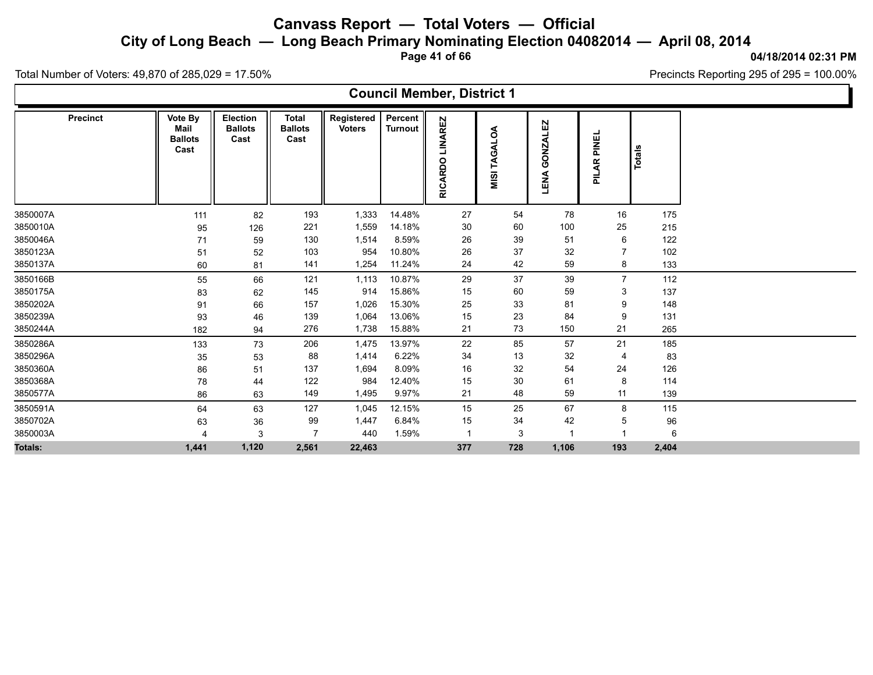**City of Long Beach — Long Beach Primary Nominating Election 04082014 — April 08, 2014**

**Page 41 of 66**

**04/18/2014 02:31 PM** Precincts Reporting 295 of 295 = 100.00%

Total Number of Voters: 49,870 of 285,029 = 17.50%

### **Council Member, District 1**

| <b>Precinct</b> | Vote By<br>Mail<br><b>Ballots</b><br>Cast | Election<br><b>Ballots</b><br>Cast | <b>Total</b><br><b>Ballots</b><br>Cast | Registered<br><b>Voters</b> | Percent<br><b>Turnout</b> | AREZ<br>š<br>$\circ$<br><b>ARD</b><br>RIC. | g<br>TAGAL<br>MISI | GONZALEZ<br>LENA | PINEL<br><b>PILAR</b> | Totals |
|-----------------|-------------------------------------------|------------------------------------|----------------------------------------|-----------------------------|---------------------------|--------------------------------------------|--------------------|------------------|-----------------------|--------|
| 3850007A        | 111                                       | 82                                 | 193                                    | 1,333                       | 14.48%                    | 27                                         | 54                 | 78               | 16                    | 175    |
| 3850010A        | 95                                        | 126                                | 221                                    | 1,559                       | 14.18%                    | 30                                         | 60                 | 100              | 25                    | 215    |
| 3850046A        | 71                                        | 59                                 | 130                                    | 1,514                       | 8.59%                     | 26                                         | 39                 | 51               | 6                     | 122    |
| 3850123A        | 51                                        | 52                                 | 103                                    | 954                         | 10.80%                    | 26                                         | 37                 | 32               |                       | 102    |
| 3850137A        | 60                                        | 81                                 | 141                                    | 1,254                       | 11.24%                    | 24                                         | 42                 | 59               | 8                     | 133    |
| 3850166B        | 55                                        | 66                                 | 121                                    | 1,113                       | 10.87%                    | 29                                         | 37                 | 39               | $\overline{7}$        | 112    |
| 3850175A        | 83                                        | 62                                 | 145                                    | 914                         | 15.86%                    | 15                                         | 60                 | 59               | 3                     | 137    |
| 3850202A        | 91                                        | 66                                 | 157                                    | 1,026                       | 15.30%                    | 25                                         | 33                 | 81               | 9                     | 148    |
| 3850239A        | 93                                        | 46                                 | 139                                    | 1,064                       | 13.06%                    | 15                                         | 23                 | 84               | 9                     | 131    |
| 3850244A        | 182                                       | 94                                 | 276                                    | 1,738                       | 15.88%                    | 21                                         | 73                 | 150              | 21                    | 265    |
| 3850286A        | 133                                       | 73                                 | 206                                    | 1,475                       | 13.97%                    | 22                                         | 85                 | 57               | 21                    | 185    |
| 3850296A        | 35                                        | 53                                 | 88                                     | 1,414                       | 6.22%                     | 34                                         | 13                 | 32               | $\overline{4}$        | 83     |
| 3850360A        | 86                                        | 51                                 | 137                                    | 1,694                       | 8.09%                     | 16                                         | 32                 | 54               | 24                    | 126    |
| 3850368A        | 78                                        | 44                                 | 122                                    | 984                         | 12.40%                    | 15                                         | 30                 | 61               | 8                     | 114    |
| 3850577A        | 86                                        | 63                                 | 149                                    | 1,495                       | 9.97%                     | 21                                         | 48                 | 59               | 11                    | 139    |
| 3850591A        | 64                                        | 63                                 | 127                                    | 1,045                       | 12.15%                    | 15                                         | 25                 | 67               | 8                     | 115    |
| 3850702A        | 63                                        | 36                                 | 99                                     | 1,447                       | 6.84%                     | 15                                         | 34                 | 42               | 5                     | 96     |
| 3850003A        |                                           | 3                                  | $\overline{7}$                         | 440                         | 1.59%                     | $\overline{\mathbf{1}}$                    | 3                  | $\overline{1}$   |                       | 6      |
| <b>Totals:</b>  | 1,441                                     | 1,120                              | 2,561                                  | 22,463                      |                           | 377                                        | 728                | 1,106            | 193                   | 2,404  |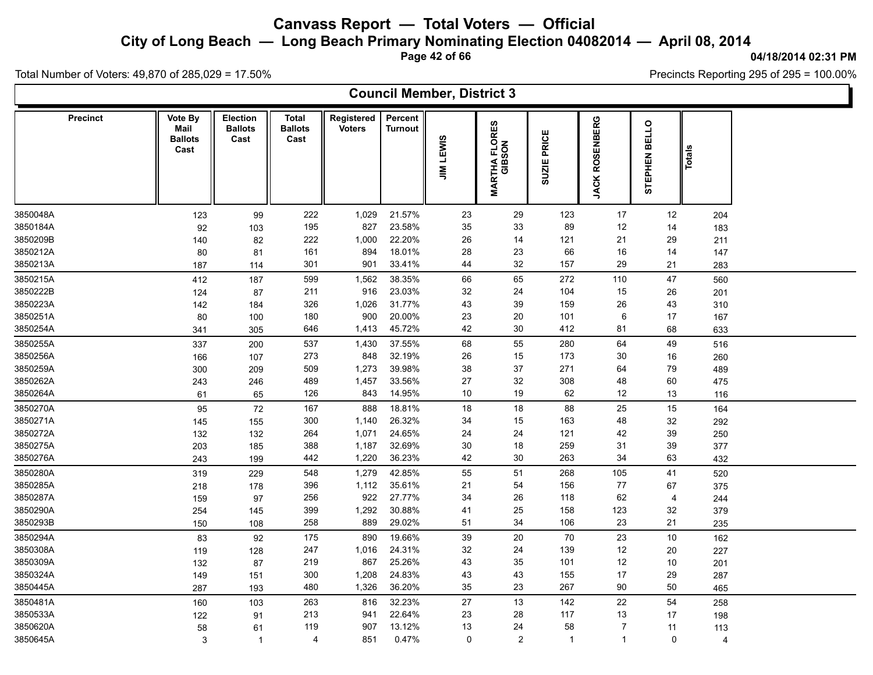**City of Long Beach — Long Beach Primary Nominating Election 04082014 — April 08, 2014**

**Page 42 of 66**

#### **04/18/2014 02:31 PM**

Precincts Reporting 295 of 295 = 100.00%

Total Number of Voters: 49,870 of 285,029 = 17.50%

### **Council Member, District 3**

| <b>Precinct</b> | Vote By<br>Mail<br><b>Ballots</b> | <b>Election</b><br><b>Ballots</b><br>Cast | <b>Total</b><br><b>Ballots</b><br>Cast | Registered<br><b>Voters</b> | Percent<br><b>Turnout</b> |                  | ဖာ                            |                       |                                  | <b>BELLO</b>   |               |  |
|-----------------|-----------------------------------|-------------------------------------------|----------------------------------------|-----------------------------|---------------------------|------------------|-------------------------------|-----------------------|----------------------------------|----------------|---------------|--|
|                 | Cast                              |                                           |                                        |                             |                           | <b>JIM LEWIS</b> | <b>MARTHA FLORE</b><br>GIBSON | PRICE<br><b>SUZIE</b> | <b>ROSENBERG</b><br><b>JACKI</b> | STEPHEN        | <b>Totals</b> |  |
| 3850048A        | 123                               | 99                                        | 222                                    | 1,029                       | 21.57%                    | 23               | 29                            | 123                   | 17                               | 12             | 204           |  |
| 3850184A        | 92                                | 103                                       | 195                                    | 827                         | 23.58%                    | 35               | 33                            | 89                    | 12                               | 14             | 183           |  |
| 3850209B        | 140                               | 82                                        | 222                                    | 1,000                       | 22.20%                    | 26               | 14                            | 121                   | 21                               | 29             | 211           |  |
| 3850212A        | 80                                | 81                                        | 161                                    | 894                         | 18.01%                    | 28               | 23                            | 66                    | 16                               | 14             | 147           |  |
| 3850213A        | 187                               | 114                                       | 301                                    | 901                         | 33.41%                    | 44               | 32                            | 157                   | 29                               | 21             | 283           |  |
| 3850215A        | 412                               | 187                                       | 599                                    | 1,562                       | 38.35%                    | 66               | 65                            | 272                   | 110                              | 47             | 560           |  |
| 3850222B        | 124                               | 87                                        | 211                                    | 916                         | 23.03%                    | 32               | 24                            | 104                   | 15                               | 26             | 201           |  |
| 3850223A        | 142                               | 184                                       | 326                                    | 1,026                       | 31.77%                    | 43               | 39                            | 159                   | 26                               | 43             | 310           |  |
| 3850251A        | 80                                | 100                                       | 180                                    | 900                         | 20.00%                    | 23               | 20                            | 101                   | 6                                | 17             | 167           |  |
| 3850254A        | 341                               | 305                                       | 646                                    | 1,413                       | 45.72%                    | 42               | 30                            | 412                   | 81                               | 68             | 633           |  |
| 3850255A        | 337                               | 200                                       | 537                                    | 1,430                       | 37.55%                    | 68               | 55                            | 280                   | 64                               | 49             | 516           |  |
| 3850256A        | 166                               | 107                                       | 273                                    | 848                         | 32.19%                    | 26               | 15                            | 173                   | 30                               | 16             | 260           |  |
| 3850259A        | 300                               | 209                                       | 509                                    | 1,273                       | 39.98%                    | 38               | 37                            | 271                   | 64                               | 79             | 489           |  |
| 3850262A        | 243                               | 246                                       | 489                                    | 1,457                       | 33.56%                    | 27               | $32\,$                        | 308                   | 48                               | 60             | 475           |  |
| 3850264A        | 61                                | 65                                        | 126                                    | 843                         | 14.95%                    | 10               | 19                            | 62                    | 12                               | 13             | 116           |  |
| 3850270A        | 95                                | 72                                        | 167                                    | 888                         | 18.81%                    | 18               | 18                            | 88                    | 25                               | 15             | 164           |  |
| 3850271A        | 145                               | 155                                       | 300                                    | 1,140                       | 26.32%                    | 34               | 15                            | 163                   | 48                               | 32             | 292           |  |
| 3850272A        | 132                               | 132                                       | 264                                    | 1,071                       | 24.65%                    | 24               | 24                            | 121                   | 42                               | 39             | 250           |  |
| 3850275A        | 203                               | 185                                       | 388                                    | 1,187                       | 32.69%                    | 30               | 18                            | 259                   | 31                               | 39             | 377           |  |
| 3850276A        | 243                               | 199                                       | 442                                    | 1,220                       | 36.23%                    | 42               | 30                            | 263                   | 34                               | 63             | 432           |  |
| 3850280A        | 319                               | 229                                       | 548                                    | 1,279                       | 42.85%                    | 55               | 51                            | 268                   | 105                              | 41             | 520           |  |
| 3850285A        | 218                               | 178                                       | 396                                    | 1,112                       | 35.61%                    | 21               | 54                            | 156                   | 77                               | 67             | 375           |  |
| 3850287A        | 159                               | 97                                        | 256                                    | 922                         | 27.77%                    | 34               | 26                            | 118                   | 62                               | $\overline{4}$ | 244           |  |
| 3850290A        | 254                               | 145                                       | 399                                    | 1,292                       | 30.88%                    | 41               | 25                            | 158                   | 123                              | 32             | 379           |  |
| 3850293B        | 150                               | 108                                       | 258                                    | 889                         | 29.02%                    | 51               | 34                            | 106                   | 23                               | 21             | 235           |  |
| 3850294A        | 83                                | 92                                        | 175                                    | 890                         | 19.66%                    | 39               | 20                            | 70                    | 23                               | 10             | 162           |  |
| 3850308A        | 119                               | 128                                       | 247                                    | 1,016                       | 24.31%                    | 32               | 24                            | 139                   | 12                               | 20             | 227           |  |
| 3850309A        | 132                               | 87                                        | 219                                    | 867                         | 25.26%                    | 43               | 35                            | 101                   | 12                               | 10             | 201           |  |
| 3850324A        | 149                               | 151                                       | 300                                    | 1,208                       | 24.83%                    | 43               | 43                            | 155                   | 17                               | 29             | 287           |  |
| 3850445A        | 287                               | 193                                       | 480                                    | 1,326                       | 36.20%                    | 35               | 23                            | 267                   | 90                               | 50             | 465           |  |
| 3850481A        | 160                               | 103                                       | 263                                    | 816                         | 32.23%                    | 27               | 13                            | 142                   | 22                               | 54             | 258           |  |
| 3850533A        | 122                               | 91                                        | 213                                    | 941                         | 22.64%                    | 23               | 28                            | 117                   | 13                               | 17             | 198           |  |
| 3850620A        | 58                                | 61                                        | 119                                    | 907                         | 13.12%                    | 13               | 24                            | 58                    | $\overline{7}$                   | 11             | 113           |  |
| 3850645A        | 3                                 | $\overline{\mathbf{1}}$                   | $\overline{4}$                         | 851                         | 0.47%                     | $\mathbf 0$      | 2                             | $\overline{1}$        | $\mathbf{1}$                     | $\mathbf{0}$   | 4             |  |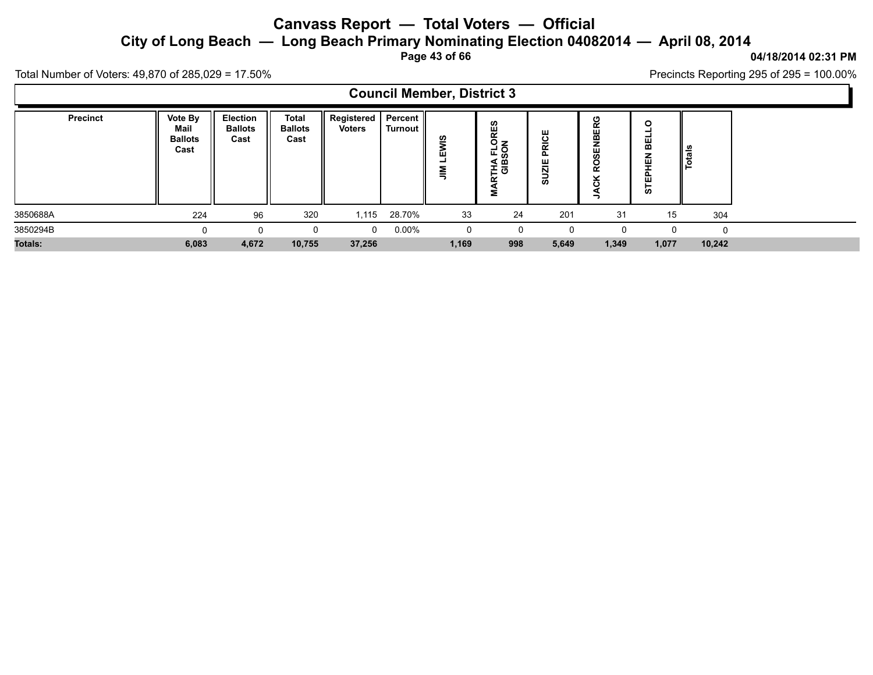**City of Long Beach — Long Beach Primary Nominating Election 04082014 — April 08, 2014**

**Page 43 of 66**

### **04/18/2014 02:31 PM** Precincts Reporting 295 of 295 = 100.00%

Total Number of Voters: 49,870 of 285,029 = 17.50%

 $\blacksquare$ 

|                 |                                           |                                           |                                 |                               |                              | <b>Council Member, District 3</b> |                                   |                |                                 |                                 |               |
|-----------------|-------------------------------------------|-------------------------------------------|---------------------------------|-------------------------------|------------------------------|-----------------------------------|-----------------------------------|----------------|---------------------------------|---------------------------------|---------------|
| <b>Precinct</b> | Vote By<br>Mail<br><b>Ballots</b><br>Cast | <b>Election</b><br><b>Ballots</b><br>Cast | Total<br><b>Ballots</b><br>Cast | Registered  <br><b>Voters</b> | <b>Percent II</b><br>Turnout | ທ<br>ш<br>┙<br>$\sum_{i=1}^{n}$   | <b>RTHA FLORES</b><br>GIBSON<br>≨ | PRICE<br>SUZIE | <b>ROSENBERG</b><br>×<br>ပ<br>- | 띪<br><b>TEPHEN</b><br><b>in</b> | <b>Totals</b> |
| 3850688A        | 224                                       | 96                                        | 320                             | 1,115                         | 28.70%                       | 33                                | 24                                | 201            | 31                              | 15                              | 304           |
| 3850294B        | O                                         | $\Omega$                                  | 0                               | $\Omega$                      | $0.00\%$                     | 0                                 |                                   | 0              |                                 |                                 | $\Omega$      |
| <b>Totals:</b>  | 6,083                                     | 4,672                                     | 10,755                          | 37,256                        |                              | 1,169                             | 998                               | 5,649          | 1,349                           | 1,077                           | 10,242        |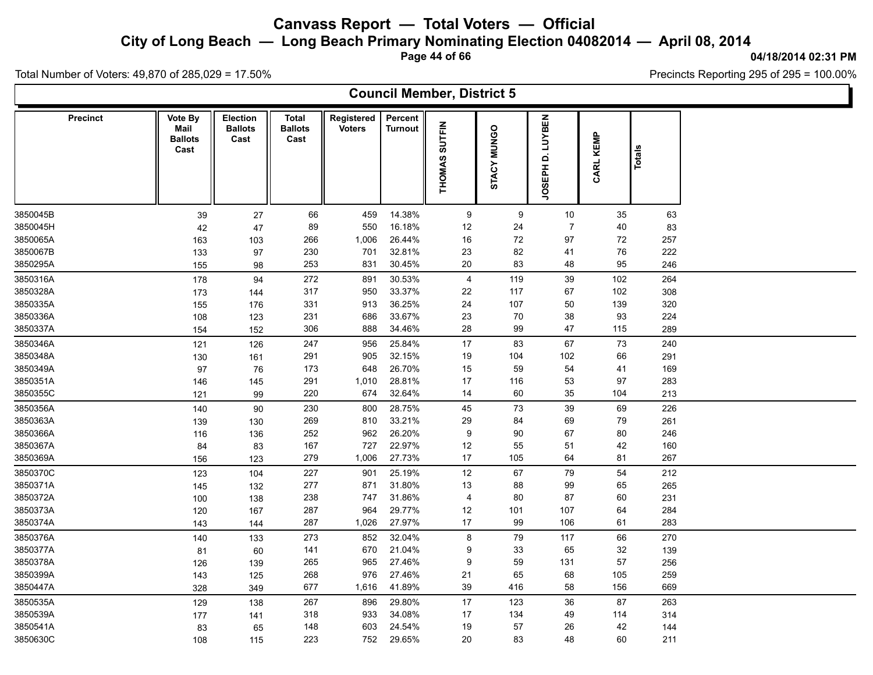**City of Long Beach — Long Beach Primary Nominating Election 04082014 — April 08, 2014**

**Page 44 of 66**

**04/18/2014 02:31 PM** Precincts Reporting 295 of 295 = 100.00%

Total Number of Voters: 49,870 of 285,029 = 17.50%

### **Council Member, District 5**

| LUYBEN<br><b>SUTFIN</b><br><b>MUNGO</b><br>CARL KEMP<br>Totals<br>Cast<br>d                                                                                  |
|--------------------------------------------------------------------------------------------------------------------------------------------------------------|
| <b>THOMAS</b><br>STACY<br><b>JOSEPH</b>                                                                                                                      |
| 14.38%                                                                                                                                                       |
| $10$<br>3850045B<br>66<br>459<br>9<br>9<br>35<br>63<br>39<br>27<br>550<br>16.18%<br>$\overline{7}$<br>3850045H<br>89<br>12<br>24<br>40                       |
| 42<br>47<br>83<br>72<br>72<br>3850065A<br>266<br>1,006<br>26.44%<br>16<br>97<br>257                                                                          |
| 163<br>103<br>3850067B<br>701<br>32.81%<br>23<br>82<br>76<br>230<br>41<br>222<br>133<br>97                                                                   |
| 3850295A<br>253<br>831<br>30.45%<br>20<br>83<br>48<br>95<br>98<br>246<br>155                                                                                 |
| 3850316A<br>891<br>30.53%<br>39<br>102<br>272<br>4<br>119<br>264                                                                                             |
| 178<br>94<br>33.37%<br>3850328A<br>317<br>950<br>22<br>117<br>67<br>102<br>308                                                                               |
| 173<br>144<br>3850335A<br>36.25%<br>24<br>107<br>50<br>331<br>913<br>139<br>320<br>155<br>176                                                                |
| 33.67%<br>3850336A<br>231<br>686<br>23<br>70<br>38<br>93<br>108<br>123<br>224                                                                                |
| 3850337A<br>34.46%<br>28<br>47<br>306<br>888<br>99<br>115<br>289<br>154<br>152                                                                               |
| 17<br>83<br>67<br>73<br>3850346A<br>247<br>956<br>25.84%<br>240                                                                                              |
| 121<br>126<br>3850348A<br>905<br>32.15%<br>102<br>66<br>291<br>291<br>19<br>104<br>130<br>161                                                                |
| 3850349A<br>26.70%<br>15<br>59<br>54<br>173<br>648<br>41<br>169<br>97<br>76                                                                                  |
| 3850351A<br>291<br>28.81%<br>17<br>53<br>97<br>283<br>1,010<br>116<br>146<br>145                                                                             |
| 3850355C<br>220<br>674<br>32.64%<br>60<br>35<br>213<br>14<br>104<br>99<br>121                                                                                |
| 73<br>39<br>230<br>800<br>28.75%<br>45<br>69<br>3850356A<br>226<br>140<br>90                                                                                 |
| 3850363A<br>33.21%<br>29<br>69<br>79<br>269<br>810<br>84<br>261<br>139<br>130                                                                                |
| 26.20%<br>3850366A<br>252<br>962<br>9<br>90<br>67<br>80<br>246<br>116<br>136                                                                                 |
| 3850367A<br>727<br>22.97%<br>12<br>55<br>42<br>167<br>51<br>160<br>84<br>83                                                                                  |
| 27.73%<br>3850369A<br>279<br>1,006<br>17<br>105<br>64<br>81<br>267<br>123<br>156                                                                             |
| 54<br>3850370C<br>227<br>25.19%<br>12<br>67<br>79<br>901<br>212                                                                                              |
| 123<br>104<br>31.80%<br>3850371A<br>277<br>871<br>13<br>88<br>99<br>65<br>265<br>132                                                                         |
| 145<br>3850372A<br>747<br>31.86%<br>87<br>60<br>238<br>4<br>80<br>231<br>100<br>138                                                                          |
| 29.77%<br>3850373A<br>287<br>964<br>12<br>101<br>107<br>284<br>64<br>120<br>167                                                                              |
| 27.97%<br>3850374A<br>287<br>1,026<br>17<br>99<br>106<br>61<br>283<br>143<br>144                                                                             |
| 79<br>66<br>273<br>32.04%<br>117<br>270                                                                                                                      |
| 8<br>3850376A<br>852<br>140<br>133<br>3850377A<br>670<br>21.04%<br>9<br>33<br>32<br>139<br>141<br>65                                                         |
| 81<br>60<br>3850378A<br>965<br>27.46%<br>57<br>256<br>9<br>59<br>131<br>126<br>139<br>265                                                                    |
| 27.46%<br>3850399A<br>976<br>21<br>65<br>68<br>105<br>259<br>268<br>143<br>125                                                                               |
| 3850447A<br>677<br>41.89%<br>39<br>416<br>58<br>156<br>669<br>1,616<br>328<br>349                                                                            |
|                                                                                                                                                              |
| 29.80%<br>36<br>87<br>263<br>3850535A<br>267<br>896<br>17<br>123<br>129<br>138                                                                               |
| 3850539A<br>933<br>34.08%<br>17<br>318<br>134<br>49<br>314<br>114<br>177<br>141                                                                              |
| 3850541A<br>603<br>24.54%<br>19<br>57<br>26<br>42<br>148<br>144<br>83<br>65<br>3850630C<br>223<br>752<br>29.65%<br>20<br>83<br>48<br>60<br>211<br>108<br>115 |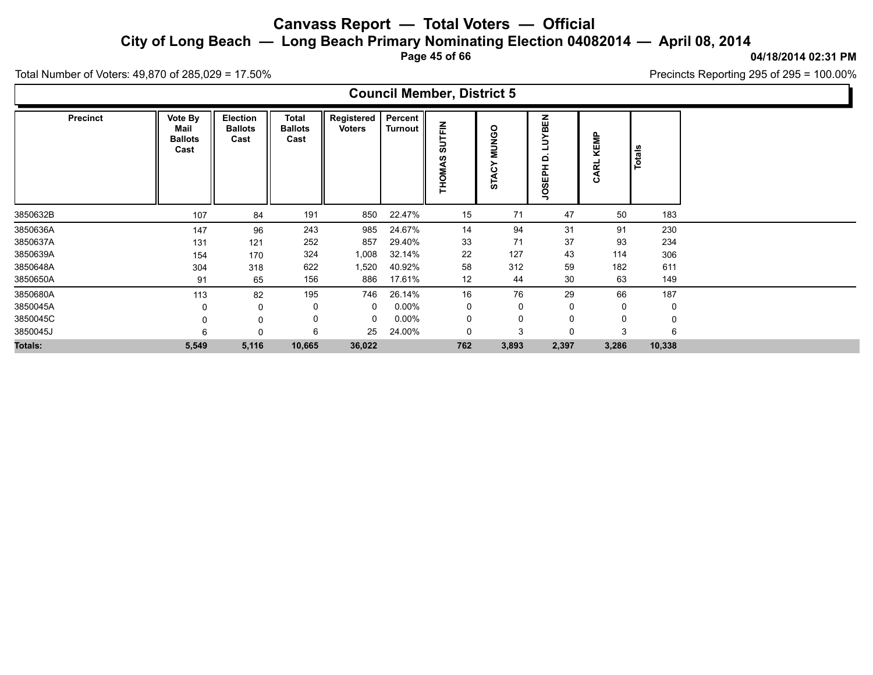**City of Long Beach — Long Beach Primary Nominating Election 04082014 — April 08, 2014**

**Page 45 of 66**

**04/18/2014 02:31 PM**

Total Number of Voters: 49,870 of 285,029 = 17.50%

 $\Gamma$ 

| Precincts Reporting 295 of 295 = $100.00\%$ |  |
|---------------------------------------------|--|
|---------------------------------------------|--|

|                 |                                           |                                    |                                        |                             |                           | <b>Council Member, District 5</b> |                                  |                                |              |        |  |
|-----------------|-------------------------------------------|------------------------------------|----------------------------------------|-----------------------------|---------------------------|-----------------------------------|----------------------------------|--------------------------------|--------------|--------|--|
| <b>Precinct</b> | Vote By<br>Mail<br><b>Ballots</b><br>Cast | Election<br><b>Ballots</b><br>Cast | <b>Total</b><br><b>Ballots</b><br>Cast | Registered<br><b>Voters</b> | Percent<br><b>Turnout</b> | UTFIN<br>စ<br><b>THOMAS</b>       | <b>NUNGO</b><br>≻<br><b>STAC</b> | BEN<br>ξ<br>٥<br><b>JOSEPH</b> | KEMP<br>CARL | Totals |  |
| 3850632B        | 107                                       | 84                                 | 191                                    | 850                         | 22.47%                    | 15                                | 71                               | 47                             | 50           | 183    |  |
| 3850636A        | 147                                       | 96                                 | 243                                    | 985                         | 24.67%                    | 14                                | 94                               | 31                             | 91           | 230    |  |
| 3850637A        | 131                                       | 121                                | 252                                    | 857                         | 29.40%                    | 33                                | 71                               | 37                             | 93           | 234    |  |
| 3850639A        | 154                                       | 170                                | 324                                    | 1,008                       | 32.14%                    | 22                                | 127                              | 43                             | 114          | 306    |  |
| 3850648A        | 304                                       | 318                                | 622                                    | 1,520                       | 40.92%                    | 58                                | 312                              | 59                             | 182          | 611    |  |
| 3850650A        | 91                                        | 65                                 | 156                                    | 886                         | 17.61%                    | 12                                | 44                               | 30                             | 63           | 149    |  |
| 3850680A        | 113                                       | 82                                 | 195                                    | 746                         | 26.14%                    | 16                                | 76                               | 29                             | 66           | 187    |  |
| 3850045A        |                                           | 0                                  | 0                                      | 0                           | $0.00\%$                  | 0                                 | 0                                | 0                              | 0            | 0      |  |
| 3850045C        |                                           | $\Omega$                           | 0                                      | 0                           | $0.00\%$                  | 0                                 | $\mathbf 0$                      | 0                              | 0            | 0      |  |
| 3850045J        |                                           | $\Omega$                           | 6                                      | 25                          | 24.00%                    | 0                                 | 3                                | 0                              | 3            | 6      |  |
| Totals:         | 5,549                                     | 5,116                              | 10,665                                 | 36,022                      |                           | 762                               | 3,893                            | 2,397                          | 3,286        | 10,338 |  |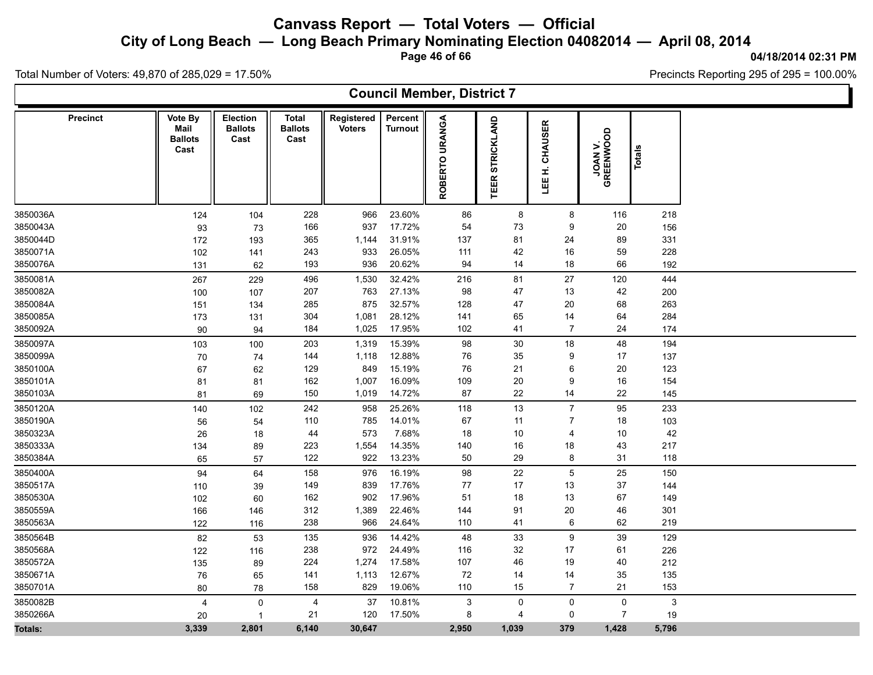**City of Long Beach — Long Beach Primary Nominating Election 04082014 — April 08, 2014**

**Page 46 of 66**

**04/18/2014 02:31 PM**

Total Number of Voters: 49,870 of 285,029 = 17.50%

|                 |                                           |                                    |                                        |                             |                           | <b>Council Member, District 7</b> |                 |                   |                      |        |  |
|-----------------|-------------------------------------------|------------------------------------|----------------------------------------|-----------------------------|---------------------------|-----------------------------------|-----------------|-------------------|----------------------|--------|--|
| <b>Precinct</b> | Vote By<br>Mail<br><b>Ballots</b><br>Cast | Election<br><b>Ballots</b><br>Cast | <b>Total</b><br><b>Ballots</b><br>Cast | Registered<br><b>Voters</b> | Percent<br><b>Turnout</b> | ROBERTO URANGA                    | TEER STRICKLAND | CHAUSER<br>LEE H. | JOAN V.<br>GREENWOOD | Totals |  |
| 3850036A        | 124                                       | 104                                | 228                                    | 966                         | 23.60%                    | 86                                | 8               | 8                 | 116                  | 218    |  |
| 3850043A        | 93                                        | 73                                 | 166                                    | 937                         | 17.72%                    | 54                                | 73              | 9                 | 20                   | 156    |  |
| 3850044D        | 172                                       | 193                                | 365                                    | 1,144                       | 31.91%                    | 137                               | 81              | 24                | 89                   | 331    |  |
| 3850071A        | 102                                       | 141                                | 243                                    | 933                         | 26.05%                    | 111                               | 42              | $16\,$            | 59                   | 228    |  |
| 3850076A        | 131                                       | 62                                 | 193                                    | 936                         | 20.62%                    | 94                                | 14              | 18                | 66                   | 192    |  |
| 3850081A        | 267                                       | 229                                | 496                                    | 1,530                       | 32.42%                    | 216                               | 81              | 27                | 120                  | 444    |  |
| 3850082A        | 100                                       | 107                                | 207                                    | 763                         | 27.13%                    | 98                                | 47              | 13                | 42                   | 200    |  |
| 3850084A        | 151                                       | 134                                | 285                                    | 875                         | 32.57%                    | 128                               | 47              | 20                | 68                   | 263    |  |
| 3850085A        | 173                                       | 131                                | 304                                    | 1,081                       | 28.12%                    | 141                               | 65              | 14                | 64                   | 284    |  |
| 3850092A        | 90                                        | 94                                 | 184                                    | 1,025                       | 17.95%                    | 102                               | 41              | $\overline{7}$    | 24                   | 174    |  |
| 3850097A        | 103                                       | 100                                | 203                                    | 1,319                       | 15.39%                    | 98                                | $30\,$          | $18\,$            | 48                   | 194    |  |
| 3850099A        | 70                                        | 74                                 | 144                                    | 1,118                       | 12.88%                    | 76                                | 35              | 9                 | 17                   | 137    |  |
| 3850100A        | 67                                        | 62                                 | 129                                    | 849                         | 15.19%                    | 76                                | 21              | 6                 | 20                   | 123    |  |
| 3850101A        | 81                                        | 81                                 | 162                                    | 1,007                       | 16.09%                    | 109                               | $20\,$          | 9                 | 16                   | 154    |  |
| 3850103A        | 81                                        | 69                                 | 150                                    | 1,019                       | 14.72%                    | 87                                | 22              | 14                | 22                   | 145    |  |
| 3850120A        | 140                                       | 102                                | 242                                    | 958                         | 25.26%                    | 118                               | 13              | $\overline{7}$    | 95                   | 233    |  |
| 3850190A        | 56                                        | 54                                 | 110                                    | 785                         | 14.01%                    | 67                                | 11              | $\overline{7}$    | 18                   | 103    |  |
| 3850323A        | 26                                        | 18                                 | 44                                     | 573                         | 7.68%                     | 18                                | 10              | 4                 | 10                   | 42     |  |
| 3850333A        | 134                                       | 89                                 | 223                                    | 1,554                       | 14.35%                    | 140                               | 16              | 18                | 43                   | 217    |  |
| 3850384A        | 65                                        | 57                                 | 122                                    | 922                         | 13.23%                    | 50                                | 29              | 8                 | 31                   | 118    |  |
| 3850400A        | 94                                        | 64                                 | 158                                    | 976                         | 16.19%                    | 98                                | 22              | $\mathbf 5$       | 25                   | 150    |  |
| 3850517A        | 110                                       | 39                                 | 149                                    | 839                         | 17.76%                    | 77                                | 17              | 13                | 37                   | 144    |  |
| 3850530A        | 102                                       | 60                                 | 162                                    | 902                         | 17.96%                    | 51                                | 18              | 13                | 67                   | 149    |  |
| 3850559A        | 166                                       | 146                                | 312                                    | 1,389                       | 22.46%                    | 144                               | 91              | $20\,$            | 46                   | 301    |  |
| 3850563A        | 122                                       | 116                                | 238                                    | 966                         | 24.64%                    | 110                               | 41              | 6                 | 62                   | 219    |  |
| 3850564B        | 82                                        | 53                                 | 135                                    | 936                         | 14.42%                    | 48                                | 33              | 9                 | 39                   | 129    |  |
| 3850568A        | 122                                       | 116                                | 238                                    | 972                         | 24.49%                    | 116                               | 32              | 17                | 61                   | 226    |  |
| 3850572A        | 135                                       | 89                                 | 224                                    | 1,274                       | 17.58%                    | 107                               | 46              | 19                | 40                   | 212    |  |
| 3850671A        | ${\bf 76}$                                | 65                                 | 141                                    | 1,113                       | 12.67%                    | $\bf 72$                          | 14              | 14                | 35                   | 135    |  |
| 3850701A        | 80                                        | 78                                 | 158                                    | 829                         | 19.06%                    | 110                               | 15              | $\overline{7}$    | 21                   | 153    |  |
| 3850082B        | $\overline{4}$                            | $\pmb{0}$                          | $\overline{4}$                         | 37                          | 10.81%                    | 3                                 | 0               | 0                 | 0                    | 3      |  |
| 3850266A        | 20                                        | $\overline{1}$                     | 21                                     | 120                         | 17.50%                    | 8                                 | $\overline{4}$  | $\mathbf 0$       | $\overline{7}$       | 19     |  |
| <b>Totals:</b>  | 3,339                                     | 2,801                              | 6,140                                  | 30,647                      |                           | 2,950                             | 1,039           | 379               | 1,428                | 5,796  |  |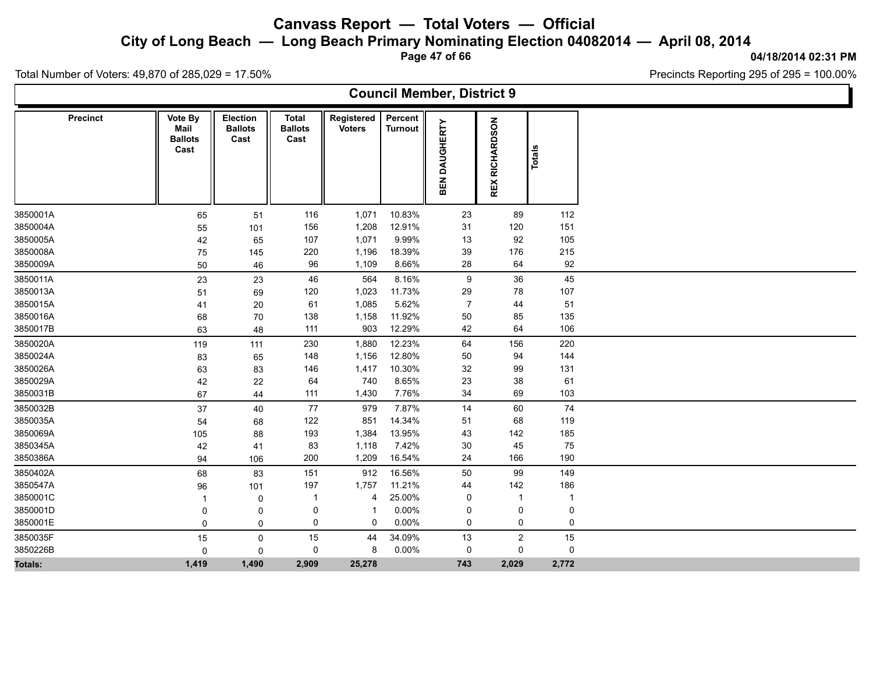**City of Long Beach — Long Beach Primary Nominating Election 04082014 — April 08, 2014**

**Page 47 of 66**

### **04/18/2014 02:31 PM**

Ъ

Precincts Reporting 295 of 295 = 100.00%

Total Number of Voters: 49,870 of 285,029 = 17.50%

|                 |                                           |                                    |                                        |                             |                           | <b>Council Member, District 9</b> |                          |               |  |
|-----------------|-------------------------------------------|------------------------------------|----------------------------------------|-----------------------------|---------------------------|-----------------------------------|--------------------------|---------------|--|
| <b>Precinct</b> | Vote By<br>Mail<br><b>Ballots</b><br>Cast | Election<br><b>Ballots</b><br>Cast | <b>Total</b><br><b>Ballots</b><br>Cast | Registered<br><b>Voters</b> | Percent<br><b>Turnout</b> | BEN DAUGHERTY                     | RICHARDSON<br><b>REX</b> | <b>Totals</b> |  |
| 3850001A        | 65                                        | 51                                 | 116                                    | 1,071                       | 10.83%                    | 23                                | 89                       | 112           |  |
| 3850004A        | 55                                        | 101                                | 156                                    | 1,208                       | 12.91%                    | 31                                | 120                      | 151           |  |
| 3850005A        | 42                                        | 65                                 | 107                                    | 1,071                       | 9.99%                     | 13                                | 92                       | 105           |  |
| 3850008A        | 75                                        | 145                                | 220                                    | 1,196                       | 18.39%                    | 39                                | 176                      | 215           |  |
| 3850009A        | 50                                        | 46                                 | 96                                     | 1,109                       | 8.66%                     | 28                                | 64                       | 92            |  |
| 3850011A        | 23                                        | 23                                 | 46                                     | 564                         | 8.16%                     | 9                                 | 36                       | 45            |  |
| 3850013A        | 51                                        | 69                                 | 120                                    | 1,023                       | 11.73%                    | 29                                | 78                       | 107           |  |
| 3850015A        | 41                                        | 20                                 | 61                                     | 1,085                       | 5.62%                     | $\overline{7}$                    | 44                       | 51            |  |
| 3850016A        | 68                                        | 70                                 | 138                                    | 1,158                       | 11.92%                    | 50                                | 85                       | 135           |  |
| 3850017B        | 63                                        | 48                                 | 111                                    | 903                         | 12.29%                    | 42                                | 64                       | 106           |  |
| 3850020A        | 119                                       | 111                                | 230                                    | 1,880                       | 12.23%                    | 64                                | 156                      | 220           |  |
| 3850024A        | 83                                        | 65                                 | 148                                    | 1,156                       | 12.80%                    | 50                                | 94                       | 144           |  |
| 3850026A        | 63                                        | 83                                 | 146                                    | 1,417                       | 10.30%                    | 32                                | 99                       | 131           |  |
| 3850029A        | 42                                        | 22                                 | 64                                     | 740                         | 8.65%                     | 23                                | 38                       | 61            |  |
| 3850031B        | 67                                        | 44                                 | 111                                    | 1,430                       | 7.76%                     | 34                                | 69                       | 103           |  |
| 3850032B        | 37                                        | 40                                 | 77                                     | 979                         | 7.87%                     | 14                                | 60                       | 74            |  |
| 3850035A        | 54                                        | 68                                 | 122                                    | 851                         | 14.34%                    | 51                                | 68                       | 119           |  |
| 3850069A        | 105                                       | 88                                 | 193                                    | 1,384                       | 13.95%                    | 43                                | 142                      | 185           |  |
| 3850345A        | 42                                        | 41                                 | 83                                     | 1,118                       | 7.42%                     | 30                                | 45                       | 75            |  |
| 3850386A        | 94                                        | 106                                | 200                                    | 1,209                       | 16.54%                    | 24                                | 166                      | 190           |  |
| 3850402A        | 68                                        | 83                                 | 151                                    | 912                         | 16.56%                    | 50                                | 99                       | 149           |  |
| 3850547A        | 96                                        | 101                                | 197                                    | 1,757                       | 11.21%                    | 44                                | 142                      | 186           |  |
| 3850001C        |                                           | 0                                  | -1                                     | 4                           | 25.00%                    | 0                                 | $\mathbf{1}$             | -1            |  |
| 3850001D        | $\mathbf 0$                               | $\mathbf 0$                        | 0                                      | $\overline{1}$              | 0.00%                     | 0                                 | 0                        | 0             |  |
| 3850001E        | $\mathbf 0$                               | 0                                  | 0                                      | 0                           | 0.00%                     | 0                                 | 0                        | 0             |  |
| 3850035F        | 15                                        | 0                                  | 15                                     | 44                          | 34.09%                    | 13                                | $\mathbf{2}$             | 15            |  |
| 3850226B        | 0                                         | $\mathbf 0$                        | 0                                      | 8                           | 0.00%                     | 0                                 | 0                        | 0             |  |
| Totals:         | 1,419                                     | 1,490                              | 2,909                                  | 25,278                      |                           | 743                               | 2,029                    | 2,772         |  |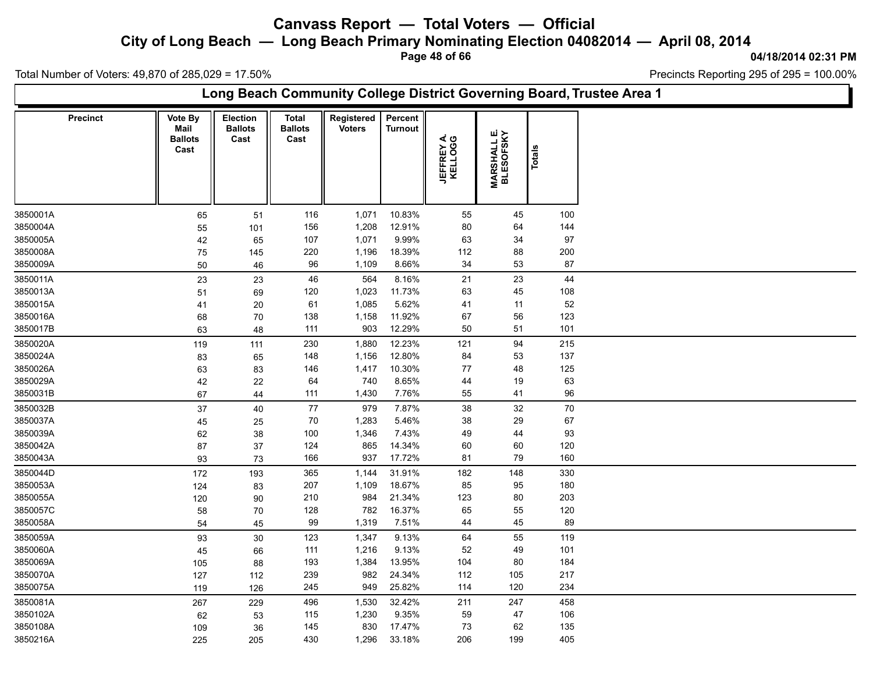**City of Long Beach — Long Beach Primary Nominating Election 04082014 — April 08, 2014**

**Page 48 of 66**

#### **04/18/2014 02:31 PM**

'n

Total Number of Voters: 49,870 of 285,029 = 17.50%

|                 |                                           |                                    |                                        |                             |                           |                       |                                  |         | Long Beach Community College District Governing Board, Trustee Area 1 |
|-----------------|-------------------------------------------|------------------------------------|----------------------------------------|-----------------------------|---------------------------|-----------------------|----------------------------------|---------|-----------------------------------------------------------------------|
| <b>Precinct</b> | Vote By<br>Mail<br><b>Ballots</b><br>Cast | Election<br><b>Ballots</b><br>Cast | <b>Total</b><br><b>Ballots</b><br>Cast | Registered<br><b>Voters</b> | Percent<br><b>Turnout</b> | JEFFREY A.<br>KELLOGG | <b>MARSHALL E.<br/>BLESOFSKY</b> | Totals  |                                                                       |
| 3850001A        | 65                                        | 51                                 | 116                                    | 1,071                       | 10.83%                    | 55                    | 45                               | 100     |                                                                       |
| 3850004A        | 55                                        | 101                                | 156                                    | 1,208                       | 12.91%                    | 80                    | 64                               | 144     |                                                                       |
| 3850005A        | 42                                        | 65                                 | 107                                    | 1,071                       | 9.99%                     | 63                    | 34                               | $97\,$  |                                                                       |
| 3850008A        | 75                                        | 145                                | 220                                    | 1,196                       | 18.39%                    | 112                   | 88                               | $200\,$ |                                                                       |
| 3850009A        | 50                                        | 46                                 | 96                                     | 1,109                       | 8.66%                     | 34                    | 53                               | 87      |                                                                       |
| 3850011A        | 23                                        | 23                                 | 46                                     | 564                         | 8.16%                     | 21                    | 23                               | 44      |                                                                       |
| 3850013A        | 51                                        | 69                                 | 120                                    | 1,023                       | 11.73%                    | 63                    | 45                               | 108     |                                                                       |
| 3850015A        | 41                                        | 20                                 | 61                                     | 1,085                       | 5.62%                     | 41                    | 11                               | 52      |                                                                       |
| 3850016A        | 68                                        | 70                                 | 138                                    | 1,158                       | 11.92%                    | 67                    | 56                               | 123     |                                                                       |
| 3850017B        | 63                                        | 48                                 | 111                                    | 903                         | 12.29%                    | 50                    | 51                               | 101     |                                                                       |
| 3850020A        | 119                                       | 111                                | 230                                    | 1,880                       | 12.23%                    | 121                   | 94                               | 215     |                                                                       |
| 3850024A        | 83                                        | 65                                 | 148                                    | 1,156                       | 12.80%                    | 84                    | 53                               | 137     |                                                                       |
| 3850026A        | 63                                        | 83                                 | 146                                    | 1,417                       | 10.30%                    | 77                    | 48                               | 125     |                                                                       |
| 3850029A        | 42                                        | 22                                 | 64                                     | 740                         | 8.65%                     | 44                    | 19                               | 63      |                                                                       |
| 3850031B        | 67                                        | 44                                 | 111                                    | 1,430                       | 7.76%                     | 55                    | 41                               | 96      |                                                                       |
| 3850032B        | 37                                        | 40                                 | $77$                                   | 979                         | 7.87%                     | 38                    | 32                               | $70\,$  |                                                                       |
| 3850037A        | 45                                        | 25                                 | 70                                     | 1,283                       | 5.46%                     | 38                    | 29                               | 67      |                                                                       |
| 3850039A        | 62                                        | $38\,$                             | 100                                    | 1,346                       | 7.43%                     | 49                    | 44                               | 93      |                                                                       |
| 3850042A        | 87                                        | 37                                 | 124                                    | 865                         | 14.34%                    | 60                    | 60                               | 120     |                                                                       |
| 3850043A        | 93                                        | 73                                 | 166                                    | 937                         | 17.72%                    | 81                    | 79                               | 160     |                                                                       |
| 3850044D        | 172                                       | 193                                | 365                                    | 1,144                       | 31.91%                    | 182                   | 148                              | 330     |                                                                       |
| 3850053A        | 124                                       | 83                                 | 207                                    | 1,109                       | 18.67%                    | 85                    | 95                               | 180     |                                                                       |
| 3850055A        | 120                                       | 90                                 | 210                                    | 984                         | 21.34%                    | 123                   | 80                               | 203     |                                                                       |
| 3850057C        | 58                                        | 70                                 | 128                                    | 782                         | 16.37%                    | 65                    | 55                               | 120     |                                                                       |
| 3850058A        | 54                                        | 45                                 | 99                                     | 1,319                       | 7.51%                     | 44                    | 45                               | 89      |                                                                       |
| 3850059A        | 93                                        | 30                                 | 123                                    | 1,347                       | 9.13%                     | 64                    | 55                               | 119     |                                                                       |
| 3850060A        | 45                                        | 66                                 | 111                                    | 1,216                       | 9.13%                     | 52                    | 49                               | 101     |                                                                       |
| 3850069A        | 105                                       | 88                                 | 193                                    | 1,384                       | 13.95%                    | 104                   | 80                               | 184     |                                                                       |
| 3850070A        | 127                                       | 112                                | 239                                    | 982                         | 24.34%                    | 112                   | 105                              | 217     |                                                                       |
| 3850075A        | 119                                       | 126                                | 245                                    | 949                         | 25.82%                    | 114                   | 120                              | 234     |                                                                       |
| 3850081A        | 267                                       | 229                                | 496                                    | 1,530                       | 32.42%                    | 211                   | 247                              | 458     |                                                                       |
| 3850102A        | 62                                        | 53                                 | 115                                    | 1,230                       | 9.35%                     | 59                    | 47                               | 106     |                                                                       |
| 3850108A        | 109                                       | 36                                 | 145                                    | 830                         | 17.47%                    | 73                    | 62                               | 135     |                                                                       |
| 3850216A        | 225                                       | 205                                | 430                                    | 1,296                       | 33.18%                    | 206                   | 199                              | 405     |                                                                       |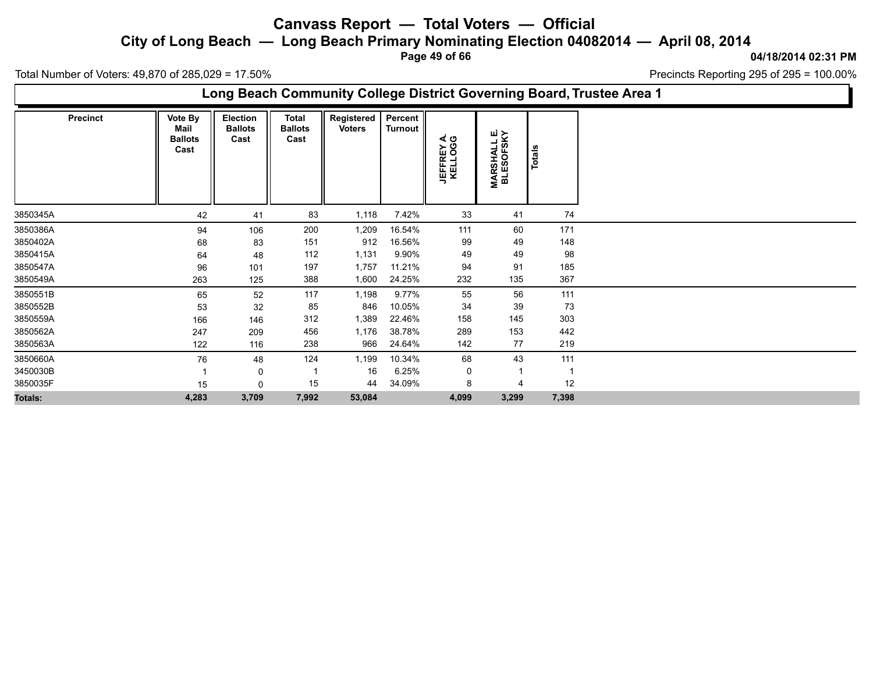**City of Long Beach — Long Beach Primary Nominating Election 04082014 — April 08, 2014**

**Page 49 of 66**

**04/18/2014 02:31 PM**

Precincts Reporting 295 of 295 = 100.00%

Total Number of Voters: 49,870 of 285,029 = 17.50%

**Long Beach Community College District Governing Board, Trustee Area 1**

| <b>Precinct</b> | Vote By<br>Mail<br><b>Ballots</b><br>Cast | Election<br><b>Ballots</b><br>Cast | <b>Total</b><br><b>Ballots</b><br>Cast | Registered<br><b>Voters</b> | Percent  <br>Turnout | JEFFREY A.<br>KELLOGG | <b>MARSHALL E.<br/>BLESOFSKY</b> | Totals |
|-----------------|-------------------------------------------|------------------------------------|----------------------------------------|-----------------------------|----------------------|-----------------------|----------------------------------|--------|
| 3850345A        | 42                                        | 41                                 | 83                                     | 1,118                       | 7.42%                | 33                    | 41                               | 74     |
| 3850386A        | 94                                        | 106                                | 200                                    | 1,209                       | 16.54%               | 111                   | 60                               | 171    |
| 3850402A        | 68                                        | 83                                 | 151                                    | 912                         | 16.56%               | 99                    | 49                               | 148    |
| 3850415A        | 64                                        | 48                                 | 112                                    | 1,131                       | 9.90%                | 49                    | 49                               | 98     |
| 3850547A        | 96                                        | 101                                | 197                                    | 1,757                       | 11.21%               | 94                    | 91                               | 185    |
| 3850549A        | 263                                       | 125                                | 388                                    | 1,600                       | 24.25%               | 232                   | 135                              | 367    |
| 3850551B        | 65                                        | 52                                 | 117                                    | 1,198                       | $9.77\%$             | 55                    | 56                               | 111    |
| 3850552B        | 53                                        | 32                                 | 85                                     | 846                         | 10.05%               | 34                    | 39                               | 73     |
| 3850559A        | 166                                       | 146                                | 312                                    | 1,389                       | 22.46%               | 158                   | 145                              | 303    |
| 3850562A        | 247                                       | 209                                | 456                                    | 1,176                       | 38.78%               | 289                   | 153                              | 442    |
| 3850563A        | 122                                       | 116                                | 238                                    | 966                         | 24.64%               | 142                   | 77                               | 219    |
| 3850660A        | 76                                        | 48                                 | 124                                    | 1,199                       | 10.34%               | 68                    | 43                               | 111    |
| 3450030B        |                                           | 0                                  |                                        | 16                          | 6.25%                | 0                     | 1                                | -1     |
| 3850035F        | 15                                        | 0                                  | 15                                     | 44                          | 34.09%               | 8                     | $\overline{4}$                   | 12     |
| <b>Totals:</b>  | 4,283                                     | 3,709                              | 7,992                                  | 53,084                      |                      | 4,099                 | 3,299                            | 7,398  |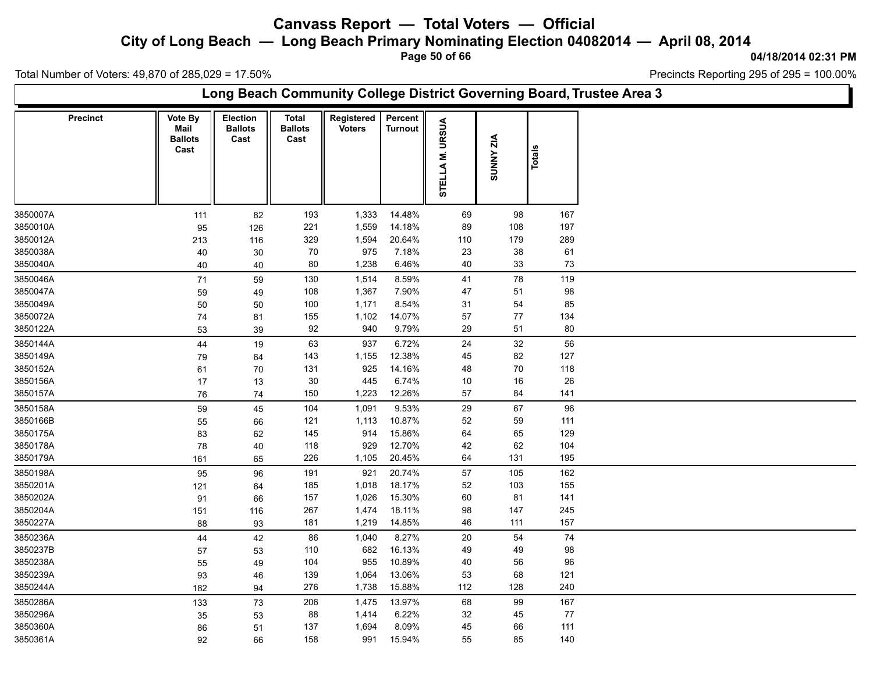**City of Long Beach — Long Beach Primary Nominating Election 04082014 — April 08, 2014**

**Page 50 of 66**

**04/18/2014 02:31 PM**

Total Number of Voters: 49,870 of 285,029 = 17.50%

|                 |                                                  |                                    |                                 |                             |                           |                |                  |        | Long Beach Community College District Governing Board, Trustee Area 3 |
|-----------------|--------------------------------------------------|------------------------------------|---------------------------------|-----------------------------|---------------------------|----------------|------------------|--------|-----------------------------------------------------------------------|
| <b>Precinct</b> | <b>Vote By</b><br>Mail<br><b>Ballots</b><br>Cast | Election<br><b>Ballots</b><br>Cast | Total<br><b>Ballots</b><br>Cast | Registered<br><b>Voters</b> | Percent<br><b>Turnout</b> | STELLAM. URSUA | <b>SUNNY ZIA</b> | Totals |                                                                       |
| 3850007A        | 111                                              | 82                                 | 193                             | 1,333                       | 14.48%                    | 69             | 98               | 167    |                                                                       |
| 3850010A        | 95                                               | 126                                | 221                             | 1,559                       | 14.18%                    | 89             | 108              | 197    |                                                                       |
| 3850012A        | 213                                              | 116                                | 329                             | 1,594                       | 20.64%                    | 110            | 179              | 289    |                                                                       |
| 3850038A        | 40                                               | 30                                 | 70                              | 975                         | 7.18%                     | 23             | 38               | 61     |                                                                       |
| 3850040A        | 40                                               | 40                                 | 80                              | 1,238                       | 6.46%                     | 40             | 33               | 73     |                                                                       |
| 3850046A        | 71                                               | 59                                 | 130                             | 1,514                       | 8.59%                     | 41             | 78               | 119    |                                                                       |
| 3850047A        | 59                                               | 49                                 | 108                             | 1,367                       | 7.90%                     | 47             | 51               | 98     |                                                                       |
| 3850049A        | 50                                               | 50                                 | 100                             | 1,171                       | 8.54%                     | 31             | 54               | 85     |                                                                       |
| 3850072A        | 74                                               | 81                                 | 155                             | 1,102                       | 14.07%                    | 57             | $77$             | 134    |                                                                       |
| 3850122A        | 53                                               | 39                                 | 92                              | 940                         | 9.79%                     | 29             | 51               | 80     |                                                                       |
| 3850144A        | 44                                               | 19                                 | 63                              | 937                         | 6.72%                     | 24             | 32               | 56     |                                                                       |
| 3850149A        | 79                                               | 64                                 | 143                             | 1,155                       | 12.38%                    | 45             | 82               | 127    |                                                                       |
| 3850152A        | 61                                               | 70                                 | 131                             | 925                         | 14.16%                    | 48             | 70               | 118    |                                                                       |
| 3850156A        | 17                                               | 13                                 | 30                              | 445                         | 6.74%                     | $10$           | $16\,$           | 26     |                                                                       |
| 3850157A        | 76                                               | 74                                 | 150                             | 1,223                       | 12.26%                    | 57             | 84               | 141    |                                                                       |
| 3850158A        | 59                                               | 45                                 | 104                             | 1,091                       | 9.53%                     | 29             | 67               | 96     |                                                                       |
| 3850166B        | 55                                               | 66                                 | 121                             | 1,113                       | 10.87%                    | 52             | 59               | 111    |                                                                       |
| 3850175A        | 83                                               | 62                                 | 145                             | 914                         | 15.86%                    | 64             | 65               | 129    |                                                                       |
| 3850178A        | 78                                               | 40                                 | 118                             | 929                         | 12.70%                    | 42             | 62               | 104    |                                                                       |
| 3850179A        | 161                                              | 65                                 | 226                             | 1,105                       | 20.45%                    | 64             | 131              | 195    |                                                                       |
| 3850198A        | 95                                               | 96                                 | 191                             | 921                         | 20.74%                    | 57             | 105              | 162    |                                                                       |
| 3850201A        | 121                                              | 64                                 | 185                             | 1,018                       | 18.17%                    | 52             | 103              | 155    |                                                                       |
| 3850202A        | 91                                               | 66                                 | 157                             | 1,026                       | 15.30%                    | 60             | 81               | 141    |                                                                       |
| 3850204A        | 151                                              | 116                                | 267                             | 1,474                       | 18.11%                    | 98             | 147              | 245    |                                                                       |
| 3850227A        | 88                                               | 93                                 | 181                             | 1,219                       | 14.85%                    | 46             | 111              | 157    |                                                                       |
| 3850236A        | 44                                               | 42                                 | 86                              | 1,040                       | 8.27%                     | 20             | 54               | $74\,$ |                                                                       |
| 3850237B        | 57                                               | 53                                 | 110                             | 682                         | 16.13%                    | 49             | 49               | 98     |                                                                       |
| 3850238A        | 55                                               | 49                                 | 104                             | 955                         | 10.89%                    | 40             | 56               | 96     |                                                                       |
| 3850239A        | 93                                               | 46                                 | 139                             | 1,064                       | 13.06%                    | 53             | 68               | 121    |                                                                       |
| 3850244A        | 182                                              | 94                                 | 276                             | 1,738                       | 15.88%                    | 112            | 128              | 240    |                                                                       |
| 3850286A        | 133                                              | 73                                 | 206                             | 1,475                       | 13.97%                    | 68             | 99               | 167    |                                                                       |
| 3850296A        | 35                                               | 53                                 | 88                              | 1,414                       | 6.22%                     | 32             | 45               | 77     |                                                                       |
| 3850360A        | 86                                               | 51                                 | 137                             | 1,694                       | 8.09%                     | 45             | 66               | 111    |                                                                       |
| 3850361A        | 92                                               | 66                                 | 158                             | 991                         | 15.94%                    | 55             | 85               | 140    |                                                                       |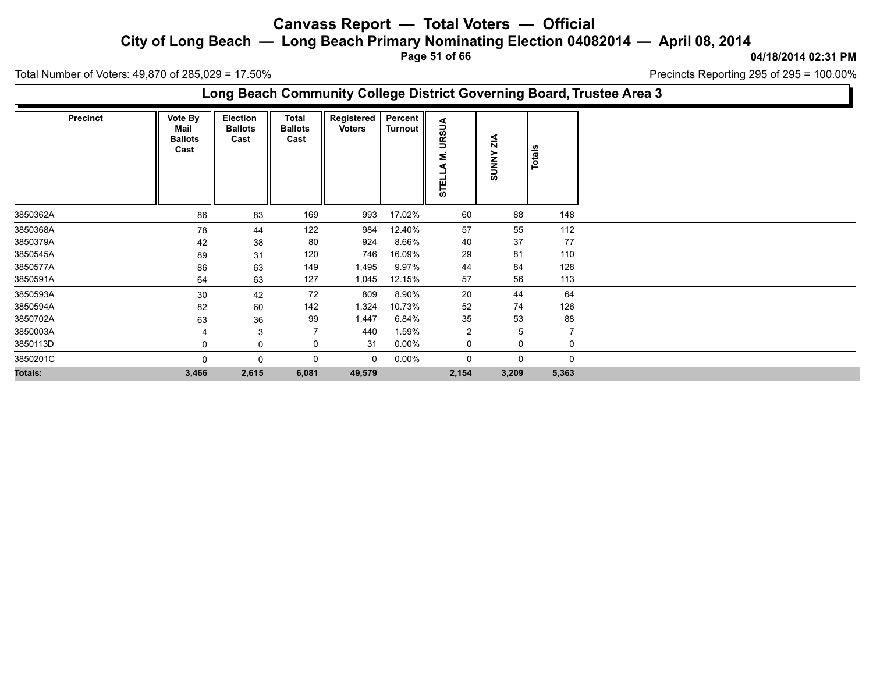**City of Long Beach — Long Beach Primary Nominating Election 04082014 — April 08, 2014**

**Page 51 of 66**

**04/18/2014 02:31 PM**

Precincts Reporting 295 of 295 = 100.00%

Total Number of Voters: 49,870 of 285,029 = 17.50%

### **Long Beach Community College District Governing Board, Trustee Area 3**

| <b>Precinct</b> | Vote By<br>Mail<br><b>Ballots</b><br>Cast | <b>Election</b><br><b>Ballots</b><br>Cast | <b>Total</b><br><b>Ballots</b><br>Cast | Registered<br><b>Voters</b> | Percent<br>Turnout | ⋖<br><b>URSU</b><br>Σ<br><b>STEL</b> | $\frac{4}{10}$<br><b>SUNNY</b> | Totals         |
|-----------------|-------------------------------------------|-------------------------------------------|----------------------------------------|-----------------------------|--------------------|--------------------------------------|--------------------------------|----------------|
| 3850362A        | 86                                        | 83                                        | 169                                    | 993                         | 17.02%             | 60                                   | 88                             | 148            |
| 3850368A        | 78                                        | 44                                        | 122                                    | 984                         | 12.40%             | 57                                   | 55                             | 112            |
| 3850379A        | 42                                        | 38                                        | 80                                     | 924                         | 8.66%              | 40                                   | 37                             | 77             |
| 3850545A        | 89                                        | 31                                        | 120                                    | 746                         | 16.09%             | 29                                   | 81                             | 110            |
| 3850577A        | 86                                        | 63                                        | 149                                    | 1,495                       | 9.97%              | 44                                   | 84                             | 128            |
| 3850591A        | 64                                        | 63                                        | 127                                    | 1,045                       | 12.15%             | 57                                   | 56                             | 113            |
| 3850593A        | 30                                        | 42                                        | 72                                     | 809                         | 8.90%              | 20                                   | 44                             | 64             |
| 3850594A        | 82                                        | 60                                        | 142                                    | 1,324                       | 10.73%             | 52                                   | 74                             | 126            |
| 3850702A        | 63                                        | 36                                        | 99                                     | 1,447                       | 6.84%              | 35                                   | 53                             | 88             |
| 3850003A        |                                           | 3                                         | $\overline{7}$                         | 440                         | 1.59%              | $\overline{2}$                       | 5                              | $\overline{7}$ |
| 3850113D        |                                           | 0                                         | 0                                      | 31                          | $0.00\%$           | 0                                    | 0                              | 0              |
| 3850201C        |                                           | $\Omega$                                  | 0                                      | $\mathbf 0$                 | $0.00\%$           | 0                                    | 0                              | 0              |
| <b>Totals:</b>  | 3,466                                     | 2,615                                     | 6,081                                  | 49,579                      |                    | 2,154                                | 3,209                          | 5,363          |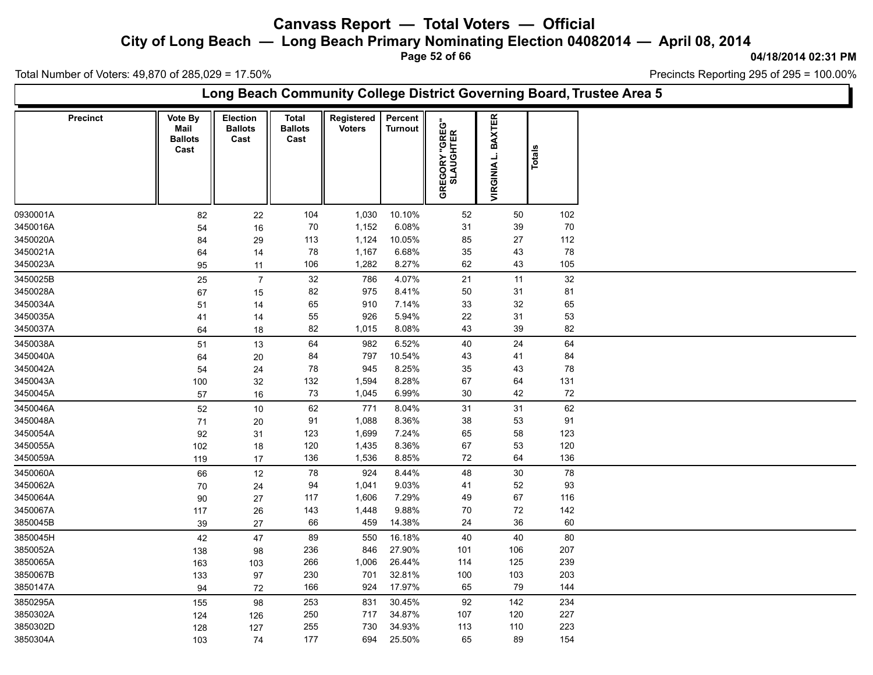**City of Long Beach — Long Beach Primary Nominating Election 04082014 — April 08, 2014**

**Page 52 of 66**

**04/18/2014 02:31 PM**

Ъ

Total Number of Voters: 49,870 of 285,029 = 17.50%

Г

|          | Long Beach Community College District Governing Board, Trustee Area 5 |                                           |                                    |                                        |                             |                           |                                    |                    |                 |  |  |  |  |  |
|----------|-----------------------------------------------------------------------|-------------------------------------------|------------------------------------|----------------------------------------|-----------------------------|---------------------------|------------------------------------|--------------------|-----------------|--|--|--|--|--|
|          | Precinct                                                              | Vote By<br>Mail<br><b>Ballots</b><br>Cast | Election<br><b>Ballots</b><br>Cast | <b>Total</b><br><b>Ballots</b><br>Cast | Registered<br><b>Voters</b> | Percent<br><b>Turnout</b> | <b>GREGORY "GREG"</b><br>SLAUGHTER | VIRGINIA L. BAXTER | <b>Totals</b>   |  |  |  |  |  |
| 0930001A |                                                                       | 82                                        | 22                                 | 104                                    | 1,030                       | 10.10%                    | 52                                 | 50                 | 102             |  |  |  |  |  |
| 3450016A |                                                                       | 54                                        | $16\,$                             | 70                                     | 1,152                       | 6.08%                     | 31                                 | 39                 | $70\,$          |  |  |  |  |  |
| 3450020A |                                                                       | 84                                        | 29                                 | 113                                    | 1,124                       | 10.05%                    | 85                                 | 27                 | 112             |  |  |  |  |  |
| 3450021A |                                                                       | 64                                        | 14                                 | 78                                     | 1,167                       | 6.68%                     | 35                                 | 43                 | ${\bf 78}$      |  |  |  |  |  |
| 3450023A |                                                                       | 95                                        | 11                                 | 106                                    | 1,282                       | 8.27%                     | 62                                 | 43                 | 105             |  |  |  |  |  |
| 3450025B |                                                                       | 25                                        | $\overline{7}$                     | 32                                     | 786                         | 4.07%                     | 21                                 | 11                 | $\overline{32}$ |  |  |  |  |  |
| 3450028A |                                                                       | 67                                        | 15                                 | 82                                     | 975                         | 8.41%                     | 50                                 | 31                 | 81              |  |  |  |  |  |
| 3450034A |                                                                       | 51                                        | 14                                 | 65                                     | 910                         | 7.14%                     | 33                                 | 32                 | 65              |  |  |  |  |  |
| 3450035A |                                                                       | 41                                        | 14                                 | 55                                     | 926                         | 5.94%                     | 22                                 | 31                 | 53              |  |  |  |  |  |
| 3450037A |                                                                       | 64                                        | 18                                 | 82                                     | 1,015                       | 8.08%                     | 43                                 | 39                 | 82              |  |  |  |  |  |
| 3450038A |                                                                       | 51                                        | $13$                               | 64                                     | 982                         | 6.52%                     | 40                                 | 24                 | 64              |  |  |  |  |  |
| 3450040A |                                                                       | 64                                        | $20\,$                             | 84                                     | 797                         | 10.54%                    | 43                                 | 41                 | 84              |  |  |  |  |  |
| 3450042A |                                                                       | 54                                        | 24                                 | 78                                     | 945                         | 8.25%                     | 35                                 | 43                 | 78              |  |  |  |  |  |
| 3450043A |                                                                       | 100                                       | 32                                 | 132                                    | 1,594                       | 8.28%                     | 67                                 | 64                 | 131             |  |  |  |  |  |
| 3450045A |                                                                       | 57                                        | $16\,$                             | 73                                     | 1,045                       | 6.99%                     | $30\,$                             | 42                 | 72              |  |  |  |  |  |
| 3450046A |                                                                       | 52                                        | $10$                               | 62                                     | 771                         | 8.04%                     | 31                                 | 31                 | 62              |  |  |  |  |  |
| 3450048A |                                                                       | 71                                        | 20                                 | 91                                     | 1,088                       | 8.36%                     | 38                                 | 53                 | 91              |  |  |  |  |  |
| 3450054A |                                                                       | 92                                        | 31                                 | 123                                    | 1,699                       | 7.24%                     | 65                                 | 58                 | 123             |  |  |  |  |  |
| 3450055A |                                                                       | 102                                       | 18                                 | 120                                    | 1,435                       | 8.36%                     | 67                                 | 53                 | $120\,$         |  |  |  |  |  |
| 3450059A |                                                                       | 119                                       | 17                                 | 136                                    | 1,536                       | 8.85%                     | 72                                 | 64                 | 136             |  |  |  |  |  |
| 3450060A |                                                                       | 66                                        | 12                                 | 78                                     | 924                         | 8.44%                     | 48                                 | $30\,$             | 78              |  |  |  |  |  |
| 3450062A |                                                                       | 70                                        | 24                                 | 94                                     | 1,041                       | 9.03%                     | 41                                 | 52                 | 93              |  |  |  |  |  |
| 3450064A |                                                                       | $90\,$                                    | 27                                 | 117                                    | 1,606                       | 7.29%                     | 49                                 | 67                 | 116             |  |  |  |  |  |
| 3450067A |                                                                       | 117                                       | 26                                 | 143                                    | 1,448                       | 9.88%                     | $70\,$                             | $72\,$             | $142$           |  |  |  |  |  |
| 3850045B |                                                                       | 39                                        | 27                                 | 66                                     | 459                         | 14.38%                    | 24                                 | $36\,$             | 60              |  |  |  |  |  |
| 3850045H |                                                                       | 42                                        | 47                                 | 89                                     | 550                         | 16.18%                    | 40                                 | 40                 | 80              |  |  |  |  |  |
| 3850052A |                                                                       | 138                                       | 98                                 | 236                                    | 846                         | 27.90%                    | 101                                | 106                | 207             |  |  |  |  |  |
| 3850065A |                                                                       | 163                                       | 103                                | 266                                    | 1,006                       | 26.44%                    | 114                                | 125                | 239             |  |  |  |  |  |
| 3850067B |                                                                       | 133                                       | 97                                 | 230                                    | 701                         | 32.81%                    | 100                                | 103                | 203             |  |  |  |  |  |
| 3850147A |                                                                       | 94                                        | 72                                 | 166                                    | 924                         | 17.97%                    | 65                                 | 79                 | 144             |  |  |  |  |  |
| 3850295A |                                                                       | 155                                       | 98                                 | 253                                    | 831                         | 30.45%                    | 92                                 | 142                | 234             |  |  |  |  |  |
| 3850302A |                                                                       | 124                                       | 126                                | 250                                    | 717                         | 34.87%                    | 107                                | 120                | 227             |  |  |  |  |  |
| 3850302D |                                                                       | 128                                       | 127                                | 255                                    | 730                         | 34.93%                    | 113                                | 110                | 223             |  |  |  |  |  |
| 3850304A |                                                                       | 103                                       | 74                                 | 177                                    | 694                         | 25.50%                    | 65                                 | 89                 | 154             |  |  |  |  |  |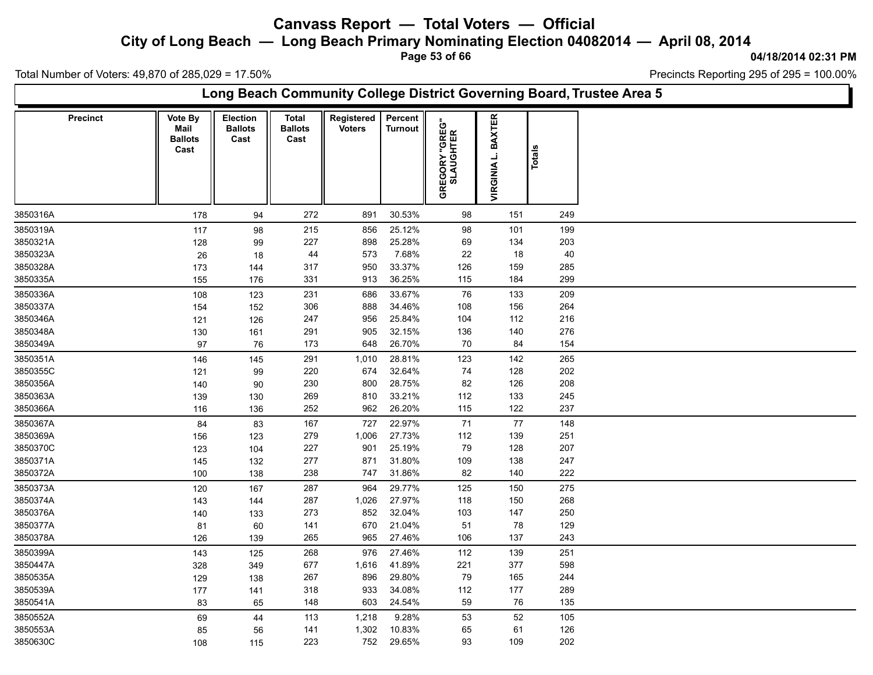**City of Long Beach — Long Beach Primary Nominating Election 04082014 — April 08, 2014**

**Page 53 of 66**

**04/18/2014 02:31 PM**

Ъ

Total Number of Voters: 49,870 of 285,029 = 17.50%

Г

| Long Beach Community College District Governing Board, Trustee Area 5 |                                           |                                    |                                        |                             |                    |                                    |                                     |        |  |  |  |  |  |
|-----------------------------------------------------------------------|-------------------------------------------|------------------------------------|----------------------------------------|-----------------------------|--------------------|------------------------------------|-------------------------------------|--------|--|--|--|--|--|
| Precinct                                                              | Vote By<br>Mail<br><b>Ballots</b><br>Cast | Election<br><b>Ballots</b><br>Cast | <b>Total</b><br><b>Ballots</b><br>Cast | Registered<br><b>Voters</b> | Percent<br>Turnout | <b>GREGORY "GREG"</b><br>SLAUGHTER | <b>BAXTER</b><br><b>VIRGINIA L.</b> | Totals |  |  |  |  |  |
| 3850316A                                                              | 178                                       | 94                                 | 272                                    | 891                         | 30.53%             | 98                                 | 151                                 | 249    |  |  |  |  |  |
| 3850319A                                                              | 117                                       | 98                                 | 215                                    | 856                         | 25.12%             | 98                                 | 101                                 | 199    |  |  |  |  |  |
| 3850321A                                                              | 128                                       | 99                                 | 227                                    | 898                         | 25.28%             | 69                                 | 134                                 | 203    |  |  |  |  |  |
| 3850323A                                                              | 26                                        | 18                                 | 44                                     | 573                         | 7.68%              | 22                                 | 18                                  | 40     |  |  |  |  |  |
| 3850328A                                                              | 173                                       | 144                                | 317                                    | 950                         | 33.37%             | 126                                | 159                                 | 285    |  |  |  |  |  |
| 3850335A                                                              | 155                                       | 176                                | 331                                    | 913                         | 36.25%             | 115                                | 184                                 | 299    |  |  |  |  |  |
| 3850336A                                                              | 108                                       | 123                                | 231                                    | 686                         | 33.67%             | 76                                 | 133                                 | 209    |  |  |  |  |  |
| 3850337A                                                              | 154                                       | 152                                | 306                                    | 888                         | 34.46%             | 108                                | 156                                 | 264    |  |  |  |  |  |
| 3850346A                                                              | 121                                       | 126                                | 247                                    | 956                         | 25.84%             | 104                                | 112                                 | 216    |  |  |  |  |  |
| 3850348A                                                              | 130                                       | 161                                | 291                                    | 905                         | 32.15%             | 136                                | 140                                 | 276    |  |  |  |  |  |
| 3850349A                                                              | 97                                        | 76                                 | 173                                    | 648                         | 26.70%             | 70                                 | 84                                  | 154    |  |  |  |  |  |
| 3850351A                                                              | 146                                       | 145                                | 291                                    | 1,010                       | 28.81%             | 123                                | 142                                 | 265    |  |  |  |  |  |
| 3850355C                                                              | 121                                       | 99                                 | 220                                    | 674                         | 32.64%             | $74\,$                             | 128                                 | 202    |  |  |  |  |  |
| 3850356A                                                              | 140                                       | 90                                 | 230                                    | 800                         | 28.75%             | 82                                 | 126                                 | 208    |  |  |  |  |  |
| 3850363A                                                              | 139                                       | 130                                | 269                                    | 810                         | 33.21%             | 112                                | 133                                 | 245    |  |  |  |  |  |
| 3850366A                                                              | 116                                       | 136                                | 252                                    | 962                         | 26.20%             | 115                                | 122                                 | 237    |  |  |  |  |  |
| 3850367A                                                              | 84                                        | 83                                 | 167                                    | 727                         | 22.97%             | $71$                               | $77$                                | 148    |  |  |  |  |  |
| 3850369A                                                              | 156                                       | 123                                | 279                                    | 1,006                       | 27.73%             | 112                                | 139                                 | 251    |  |  |  |  |  |
| 3850370C                                                              | 123                                       | 104                                | 227                                    | 901                         | 25.19%             | $\bf 79$                           | 128                                 | 207    |  |  |  |  |  |
| 3850371A                                                              | 145                                       | 132                                | 277                                    | 871                         | 31.80%             | 109                                | 138                                 | 247    |  |  |  |  |  |
| 3850372A                                                              | 100                                       | 138                                | 238                                    | 747                         | 31.86%             | 82                                 | 140                                 | 222    |  |  |  |  |  |
| 3850373A                                                              | 120                                       | 167                                | 287                                    | 964                         | 29.77%             | 125                                | 150                                 | 275    |  |  |  |  |  |
| 3850374A                                                              | 143                                       | 144                                | 287                                    | 1,026                       | 27.97%             | 118                                | 150                                 | 268    |  |  |  |  |  |
| 3850376A                                                              | 140                                       | 133                                | 273                                    | 852                         | 32.04%             | 103                                | 147                                 | 250    |  |  |  |  |  |
| 3850377A                                                              | 81                                        | 60                                 | 141                                    | 670                         | 21.04%             | 51                                 | 78                                  | 129    |  |  |  |  |  |
| 3850378A                                                              | 126                                       | 139                                | 265                                    | 965                         | 27.46%             | 106                                | 137                                 | 243    |  |  |  |  |  |
| 3850399A                                                              | 143                                       | 125                                | 268                                    | 976                         | 27.46%             | 112                                | 139                                 | 251    |  |  |  |  |  |
| 3850447A                                                              | 328                                       | 349                                | 677                                    | 1,616                       | 41.89%             | 221                                | 377                                 | 598    |  |  |  |  |  |
| 3850535A                                                              | 129                                       | 138                                | 267                                    | 896                         | 29.80%             | 79                                 | 165                                 | 244    |  |  |  |  |  |
| 3850539A                                                              | 177                                       | 141                                | 318                                    | 933                         | 34.08%             | 112                                | 177                                 | 289    |  |  |  |  |  |
| 3850541A                                                              | 83                                        | 65                                 | 148                                    | 603                         | 24.54%             | 59                                 | 76                                  | 135    |  |  |  |  |  |
| 3850552A                                                              | 69                                        | 44                                 | 113                                    | 1,218                       | 9.28%              | 53                                 | $52\,$                              | 105    |  |  |  |  |  |
| 3850553A                                                              | 85                                        | 56                                 | 141                                    | 1,302                       | 10.83%             | 65                                 | 61                                  | 126    |  |  |  |  |  |
| 3850630C                                                              | 108                                       | 115                                | 223                                    | 752                         | 29.65%             | 93                                 | 109                                 | 202    |  |  |  |  |  |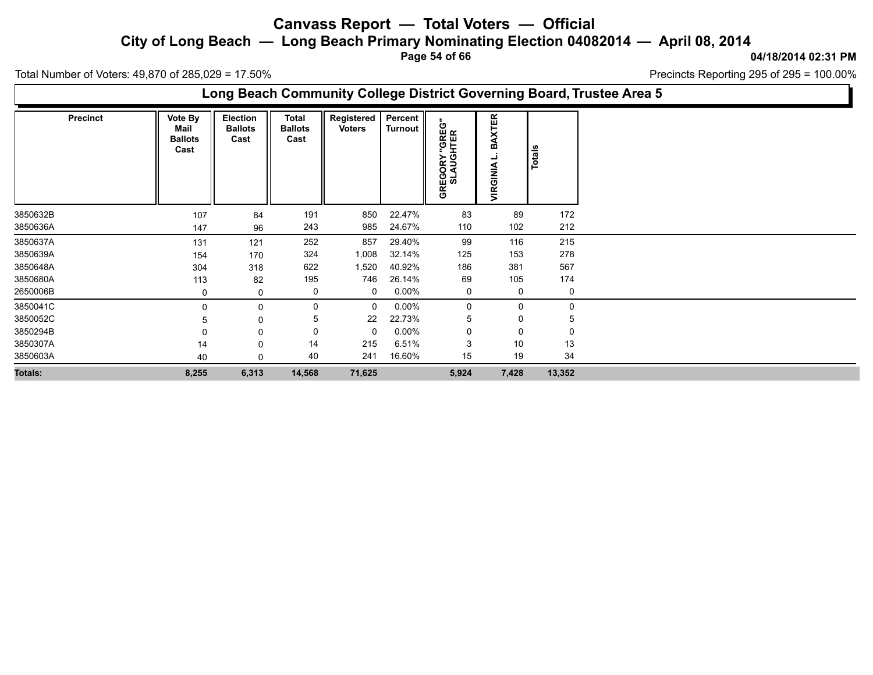**City of Long Beach — Long Beach Primary Nominating Election 04082014 — April 08, 2014**

**Page 54 of 66**

**04/18/2014 02:31 PM**

Precincts Reporting 295 of 295 = 100.00%

Total Number of Voters: 49,870 of 285,029 = 17.50%

**Long Beach Community College District Governing Board, Trustee Area 5**

| <b>Precinct</b> | Vote By<br>Mail<br><b>Ballots</b><br>Cast | Election<br><b>Ballots</b><br>Cast | <b>Total</b><br><b>Ballots</b><br>Cast | Registered<br><b>Voters</b> | Percent  <br>Turnout | <b>"GREG"</b><br>HTER<br>GREGORY<br>SLAUGH | <b>BAXTER</b><br>VIRGINIA | <b>Totals</b> |
|-----------------|-------------------------------------------|------------------------------------|----------------------------------------|-----------------------------|----------------------|--------------------------------------------|---------------------------|---------------|
| 3850632B        | 107                                       | 84                                 | 191                                    | 850                         | 22.47%               | 83                                         | 89                        | 172           |
| 3850636A        | 147                                       | 96                                 | 243                                    | 985                         | 24.67%               | 110                                        | 102                       | 212           |
| 3850637A        | 131                                       | 121                                | 252                                    | 857                         | 29.40%               | 99                                         | 116                       | 215           |
| 3850639A        | 154                                       | 170                                | 324                                    | 1,008                       | 32.14%               | 125                                        | 153                       | 278           |
| 3850648A        | 304                                       | 318                                | 622                                    | 1,520                       | 40.92%               | 186                                        | 381                       | 567           |
| 3850680A        | 113                                       | 82                                 | 195                                    | 746                         | 26.14%               | 69                                         | 105                       | 174           |
| 2650006B        | 0                                         | 0                                  | 0                                      | 0                           | $0.00\%$             | 0                                          | 0                         | 0             |
| 3850041C        | $\Omega$                                  | 0                                  | 0                                      | $\Omega$                    | $0.00\%$             | 0                                          | 0                         | 0             |
| 3850052C        | 5                                         | 0                                  | 5                                      | 22                          | 22.73%               | 5                                          | 0                         | 5             |
| 3850294B        |                                           | 0                                  | 0                                      | $\Omega$                    | $0.00\%$             | 0                                          | 0                         | 0             |
| 3850307A        | 14                                        | 0                                  | 14                                     | 215                         | 6.51%                | 3                                          | 10                        | 13            |
| 3850603A        | 40                                        | $\Omega$                           | 40                                     | 241                         | 16.60%               | 15                                         | 19                        | 34            |
| <b>Totals:</b>  | 8,255                                     | 6,313                              | 14,568                                 | 71,625                      |                      | 5,924                                      | 7,428                     | 13,352        |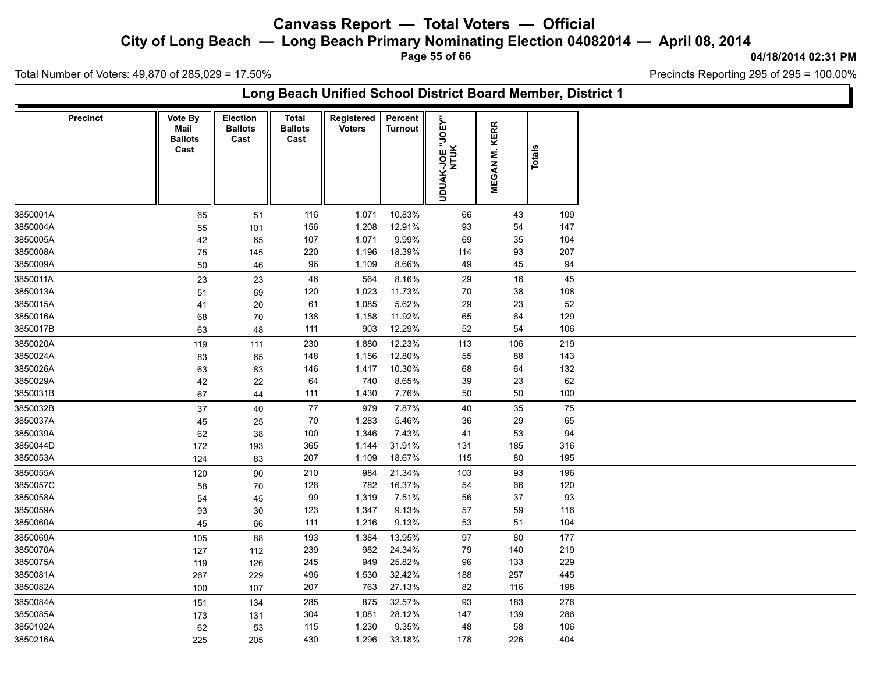**City of Long Beach — Long Beach Primary Nominating Election 04082014 — April 08, 2014**

**Page 55 of 66**

#### **04/18/2014 02:31 PM**

h.

Total Number of Voters: 49,870 of 285,029 = 17.50%

| Long Beach Unified School District Board Member, District 1 |                 |                        |                                           |                                        |                             |                           |                                |                      |        |  |  |  |
|-------------------------------------------------------------|-----------------|------------------------|-------------------------------------------|----------------------------------------|-----------------------------|---------------------------|--------------------------------|----------------------|--------|--|--|--|
| <b>Precinct</b>                                             | Vote By<br>Mail | <b>Ballots</b><br>Cast | <b>Election</b><br><b>Ballots</b><br>Cast | <b>Total</b><br><b>Ballots</b><br>Cast | Registered<br><b>Voters</b> | Percent<br><b>Turnout</b> | "JOEY"<br>UDUAK-JOE ".<br>NTUK | <b>MEGAN M. KERR</b> | Totals |  |  |  |
| 3850001A                                                    |                 | 65                     | 51                                        | 116                                    | 1,071                       | 10.83%                    | 66                             | 43                   | 109    |  |  |  |
| 3850004A                                                    |                 | 55                     | 101                                       | 156                                    | 1,208                       | 12.91%                    | 93                             | 54                   | 147    |  |  |  |
| 3850005A                                                    |                 | 42                     | 65                                        | 107                                    | 1,071                       | 9.99%                     | 69                             | 35                   | 104    |  |  |  |
| 3850008A                                                    |                 | 75                     | 145                                       | 220                                    | 1,196                       | 18.39%                    | 114                            | 93                   | 207    |  |  |  |
| 3850009A                                                    |                 | 50                     | 46                                        | 96                                     | 1,109                       | 8.66%                     | 49                             | 45                   | 94     |  |  |  |
| 3850011A                                                    |                 | 23                     | 23                                        | 46                                     | 564                         | 8.16%                     | 29                             | 16                   | 45     |  |  |  |
| 3850013A                                                    |                 | 51                     | 69                                        | 120                                    | 1,023                       | 11.73%                    | 70                             | 38                   | 108    |  |  |  |
| 3850015A                                                    |                 | 41                     | 20                                        | 61                                     | 1,085                       | 5.62%                     | 29                             | 23                   | 52     |  |  |  |
| 3850016A                                                    |                 | 68                     | 70                                        | 138                                    | 1,158                       | 11.92%                    | 65                             | 64                   | 129    |  |  |  |
| 3850017B                                                    |                 | 63                     | 48                                        | 111                                    | 903                         | 12.29%                    | 52                             | 54                   | 106    |  |  |  |
| 3850020A                                                    |                 | 119                    | 111                                       | 230                                    | 1,880                       | 12.23%                    | 113                            | 106                  | 219    |  |  |  |
| 3850024A                                                    |                 | 83                     | 65                                        | 148                                    | 1,156                       | 12.80%                    | 55                             | 88                   | 143    |  |  |  |
| 3850026A                                                    |                 | 63                     | 83                                        | 146                                    | 1,417                       | 10.30%                    | 68                             | 64                   | 132    |  |  |  |
| 3850029A                                                    |                 | 42                     | 22                                        | 64                                     | 740                         | 8.65%                     | 39                             | 23                   | 62     |  |  |  |
| 3850031B                                                    |                 | 67                     | 44                                        | 111                                    | 1,430                       | 7.76%                     | 50                             | 50                   | 100    |  |  |  |
| 3850032B                                                    |                 | 37                     | 40                                        | 77                                     | 979                         | 7.87%                     | 40                             | 35                   | $75\,$ |  |  |  |
| 3850037A                                                    |                 | 45                     | 25                                        | 70                                     | 1,283                       | 5.46%                     | 36                             | 29                   | 65     |  |  |  |
| 3850039A                                                    |                 | 62                     | 38                                        | 100                                    | 1,346                       | 7.43%                     | 41                             | 53                   | 94     |  |  |  |
| 3850044D                                                    |                 | 172                    | 193                                       | 365                                    | 1,144                       | 31.91%                    | 131                            | 185                  | 316    |  |  |  |
| 3850053A                                                    |                 | 124                    | 83                                        | 207                                    | 1,109                       | 18.67%                    | 115                            | $80\,$               | 195    |  |  |  |
| 3850055A                                                    |                 | 120                    | 90                                        | 210                                    | 984                         | 21.34%                    | 103                            | 93                   | 196    |  |  |  |
| 3850057C                                                    |                 | 58                     | 70                                        | 128                                    | 782                         | 16.37%                    | 54                             | 66                   | 120    |  |  |  |
| 3850058A                                                    |                 | 54                     | 45                                        | 99                                     | 1,319                       | 7.51%                     | 56                             | 37                   | 93     |  |  |  |
| 3850059A                                                    |                 | 93                     | 30                                        | 123                                    | 1,347                       | 9.13%                     | 57                             | 59                   | 116    |  |  |  |
| 3850060A                                                    |                 | 45                     | 66                                        | 111                                    | 1,216                       | 9.13%                     | 53                             | 51                   | 104    |  |  |  |
| 3850069A                                                    |                 | 105                    | 88                                        | 193                                    | 1,384                       | 13.95%                    | 97                             | 80                   | 177    |  |  |  |
| 3850070A                                                    |                 | 127                    | 112                                       | 239                                    | 982                         | 24.34%                    | 79                             | 140                  | 219    |  |  |  |
| 3850075A                                                    |                 | 119                    | 126                                       | 245                                    | 949                         | 25.82%                    | 96                             | 133                  | 229    |  |  |  |
| 3850081A                                                    |                 | 267                    | 229                                       | 496                                    | 1,530                       | 32.42%                    | 188                            | 257                  | 445    |  |  |  |
| 3850082A                                                    |                 | 100                    | 107                                       | 207                                    | 763                         | 27.13%                    | 82                             | 116                  | 198    |  |  |  |
| 3850084A                                                    |                 | 151                    | 134                                       | 285                                    | 875                         | 32.57%                    | 93                             | 183                  | 276    |  |  |  |
| 3850085A                                                    |                 | 173                    | 131                                       | 304                                    | 1,081                       | 28.12%                    | 147                            | 139                  | 286    |  |  |  |
| 3850102A                                                    |                 | 62                     | 53                                        | 115                                    | 1,230                       | 9.35%                     | 48                             | 58                   | 106    |  |  |  |
| 3850216A                                                    |                 | 225                    | 205                                       | 430                                    | 1,296                       | 33.18%                    | 178                            | 226                  | 404    |  |  |  |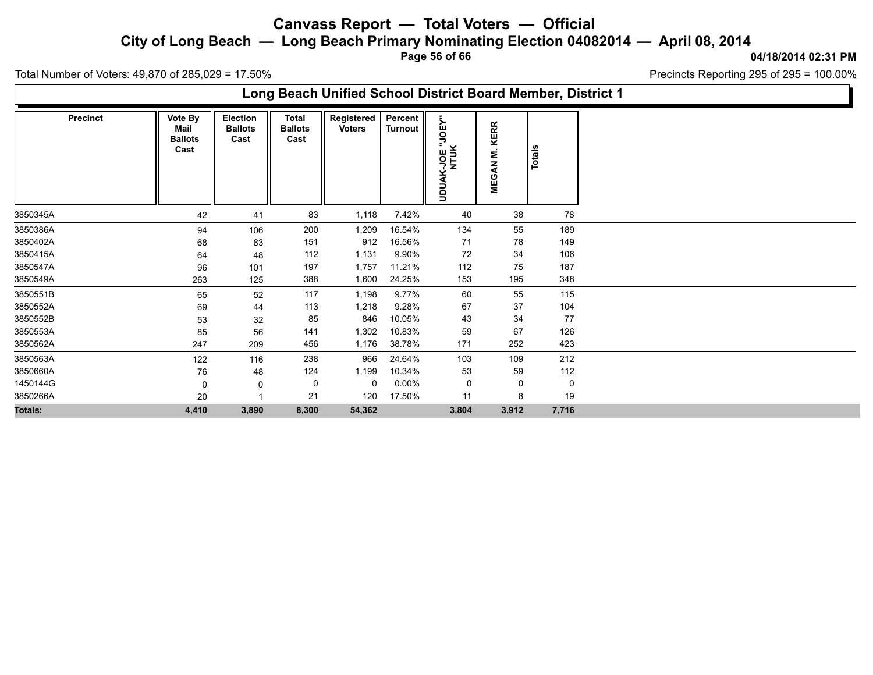**City of Long Beach — Long Beach Primary Nominating Election 04082014 — April 08, 2014**

**Page 56 of 66**

**04/18/2014 02:31 PM**

Ъ

Total Number of Voters: 49,870 of 285,029 = 17.50%

 $\Gamma$ 

| Long Beach Unified School District Board Member, District 1 |                 |                                           |                                    |                                        |                             |                           |                                |                               |        |  |  |  |
|-------------------------------------------------------------|-----------------|-------------------------------------------|------------------------------------|----------------------------------------|-----------------------------|---------------------------|--------------------------------|-------------------------------|--------|--|--|--|
|                                                             | <b>Precinct</b> | Vote By<br>Mail<br><b>Ballots</b><br>Cast | Election<br><b>Ballots</b><br>Cast | <b>Total</b><br><b>Ballots</b><br>Cast | Registered<br><b>Voters</b> | Percent<br><b>Turnout</b> | "JOEY"<br>NLIN<br>MLIN<br>MLIN | <b>KERR</b><br><b>MEGAN M</b> | Totals |  |  |  |
| 3850345A                                                    |                 | 42                                        | 41                                 | 83                                     | 1,118                       | 7.42%                     | 40                             | 38                            | 78     |  |  |  |
| 3850386A                                                    |                 | 94                                        | 106                                | 200                                    | 1,209                       | 16.54%                    | 134                            | 55                            | 189    |  |  |  |
| 3850402A                                                    |                 | 68                                        | 83                                 | 151                                    | 912                         | 16.56%                    | 71                             | 78                            | 149    |  |  |  |
| 3850415A                                                    |                 | 64                                        | 48                                 | 112                                    | 1,131                       | 9.90%                     | 72                             | 34                            | 106    |  |  |  |
| 3850547A                                                    |                 | 96                                        | 101                                | 197                                    | 1,757                       | 11.21%                    | 112                            | 75                            | 187    |  |  |  |
| 3850549A                                                    |                 | 263                                       | 125                                | 388                                    | 1,600                       | 24.25%                    | 153                            | 195                           | 348    |  |  |  |
| 3850551B                                                    |                 | 65                                        | 52                                 | 117                                    | 1,198                       | 9.77%                     | 60                             | 55                            | 115    |  |  |  |
| 3850552A                                                    |                 | 69                                        | 44                                 | 113                                    | 1,218                       | 9.28%                     | 67                             | 37                            | 104    |  |  |  |
| 3850552B                                                    |                 | 53                                        | 32                                 | 85                                     | 846                         | 10.05%                    | 43                             | 34                            | 77     |  |  |  |
| 3850553A                                                    |                 | 85                                        | 56                                 | 141                                    | 1,302                       | 10.83%                    | 59                             | 67                            | 126    |  |  |  |
| 3850562A                                                    |                 | 247                                       | 209                                | 456                                    | 1,176                       | 38.78%                    | 171                            | 252                           | 423    |  |  |  |
| 3850563A                                                    |                 | 122                                       | 116                                | 238                                    | 966                         | 24.64%                    | 103                            | 109                           | 212    |  |  |  |
| 3850660A                                                    |                 | 76                                        | 48                                 | 124                                    | 1,199                       | 10.34%                    | 53                             | 59                            | 112    |  |  |  |
| 1450144G                                                    |                 | $\Omega$                                  | 0                                  | 0                                      | 0                           | $0.00\%$                  | 0                              | 0                             | 0      |  |  |  |
| 3850266A                                                    |                 | 20                                        |                                    | 21                                     | 120                         | 17.50%                    | 11                             | 8                             | 19     |  |  |  |
| Totals:                                                     |                 | 4,410                                     | 3,890                              | 8,300                                  | 54,362                      |                           | 3,804                          | 3,912                         | 7,716  |  |  |  |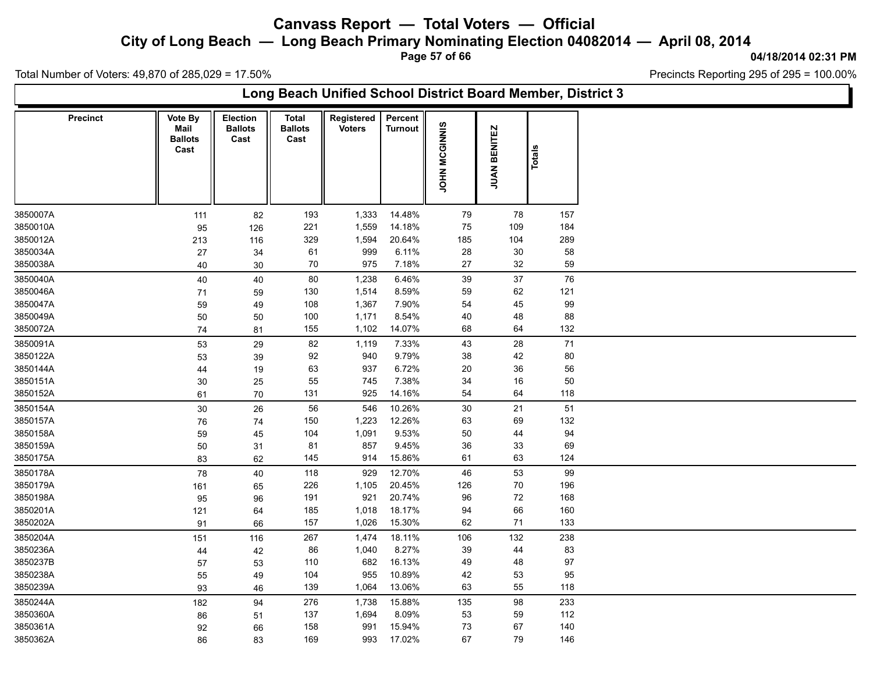**City of Long Beach — Long Beach Primary Nominating Election 04082014 — April 08, 2014**

**Page 57 of 66**

#### **04/18/2014 02:31 PM**

Total Number of Voters: 49,870 of 285,029 = 17.50%

| Long Beach Unified School District Board Member, District 3 |                                           |                                    |                                 |                             |                           |               |                        |        |  |  |  |  |  |
|-------------------------------------------------------------|-------------------------------------------|------------------------------------|---------------------------------|-----------------------------|---------------------------|---------------|------------------------|--------|--|--|--|--|--|
| <b>Precinct</b>                                             | Vote By<br>Mail<br><b>Ballots</b><br>Cast | Election<br><b>Ballots</b><br>Cast | Total<br><b>Ballots</b><br>Cast | Registered<br><b>Voters</b> | Percent<br><b>Turnout</b> | JOHN MCGINNIS | <b>BENITEZ</b><br>JUAN | Totals |  |  |  |  |  |
| 3850007A                                                    | 111                                       | 82                                 | 193                             | 1,333                       | 14.48%                    | 79            | 78                     | 157    |  |  |  |  |  |
| 3850010A                                                    | 95                                        | 126                                | 221                             | 1,559                       | 14.18%                    | 75            | 109                    | 184    |  |  |  |  |  |
| 3850012A                                                    | 213                                       | 116                                | 329                             | 1,594                       | 20.64%                    | 185           | 104                    | 289    |  |  |  |  |  |
| 3850034A                                                    | 27                                        | 34                                 | 61                              | 999                         | 6.11%                     | 28            | 30                     | 58     |  |  |  |  |  |
| 3850038A                                                    | 40                                        | 30                                 | 70                              | 975                         | 7.18%                     | 27            | 32                     | 59     |  |  |  |  |  |
| 3850040A                                                    | 40                                        | 40                                 | 80                              | 1,238                       | 6.46%                     | 39            | 37                     | 76     |  |  |  |  |  |
| 3850046A                                                    | 71                                        | 59                                 | 130                             | 1,514                       | 8.59%                     | 59            | 62                     | 121    |  |  |  |  |  |
| 3850047A                                                    | 59                                        | 49                                 | 108                             | 1,367                       | 7.90%                     | 54            | 45                     | 99     |  |  |  |  |  |
| 3850049A                                                    | 50                                        | 50                                 | 100                             | 1,171                       | 8.54%                     | 40            | 48                     | 88     |  |  |  |  |  |
| 3850072A                                                    | 74                                        | 81                                 | 155                             | 1,102                       | 14.07%                    | 68            | 64                     | 132    |  |  |  |  |  |
| 3850091A                                                    | 53                                        | 29                                 | 82                              | 1,119                       | 7.33%                     | 43            | 28                     | 71     |  |  |  |  |  |
| 3850122A                                                    | 53                                        | 39                                 | 92                              | 940                         | 9.79%                     | 38            | 42                     | 80     |  |  |  |  |  |
| 3850144A                                                    | 44                                        | 19                                 | 63                              | 937                         | 6.72%                     | 20            | 36                     | 56     |  |  |  |  |  |
| 3850151A                                                    | 30                                        | 25                                 | 55                              | 745                         | 7.38%                     | 34            | $16\,$                 | 50     |  |  |  |  |  |
| 3850152A                                                    | 61                                        | 70                                 | 131                             | 925                         | 14.16%                    | 54            | 64                     | 118    |  |  |  |  |  |
| 3850154A                                                    | 30                                        | 26                                 | 56                              | 546                         | 10.26%                    | 30            | 21                     | 51     |  |  |  |  |  |
| 3850157A                                                    | 76                                        | 74                                 | 150                             | 1,223                       | 12.26%                    | 63            | 69                     | 132    |  |  |  |  |  |
| 3850158A                                                    | 59                                        | 45                                 | 104                             | 1,091                       | 9.53%                     | 50            | 44                     | 94     |  |  |  |  |  |
| 3850159A                                                    | 50                                        | 31                                 | 81                              | 857                         | 9.45%                     | 36            | 33                     | 69     |  |  |  |  |  |
| 3850175A                                                    | 83                                        | 62                                 | 145                             | 914                         | 15.86%                    | 61            | 63                     | 124    |  |  |  |  |  |
| 3850178A                                                    | 78                                        | 40                                 | 118                             | 929                         | 12.70%                    | 46            | 53                     | 99     |  |  |  |  |  |
| 3850179A                                                    | 161                                       | 65                                 | 226                             | 1,105                       | 20.45%                    | 126           | 70                     | 196    |  |  |  |  |  |
| 3850198A                                                    | 95                                        | 96                                 | 191                             | 921                         | 20.74%                    | 96            | 72                     | 168    |  |  |  |  |  |
| 3850201A                                                    | 121                                       | 64                                 | 185                             | 1,018                       | 18.17%                    | 94            | 66                     | 160    |  |  |  |  |  |
| 3850202A                                                    | 91                                        | 66                                 | 157                             | 1,026                       | 15.30%                    | 62            | $71$                   | 133    |  |  |  |  |  |
| 3850204A                                                    | 151                                       | 116                                | 267                             | 1,474                       | 18.11%                    | 106           | 132                    | 238    |  |  |  |  |  |
| 3850236A                                                    | 44                                        | 42                                 | 86                              | 1,040                       | 8.27%                     | 39            | 44                     | 83     |  |  |  |  |  |
| 3850237B                                                    | 57                                        | 53                                 | 110                             | 682                         | 16.13%                    | 49            | 48                     | 97     |  |  |  |  |  |
| 3850238A                                                    | 55                                        | 49                                 | 104                             | 955                         | 10.89%                    | 42            | 53                     | 95     |  |  |  |  |  |
| 3850239A                                                    | 93                                        | 46                                 | 139                             | 1,064                       | 13.06%                    | 63            | 55                     | 118    |  |  |  |  |  |
| 3850244A                                                    | 182                                       | 94                                 | 276                             | 1,738                       | 15.88%                    | 135           | 98                     | 233    |  |  |  |  |  |
| 3850360A                                                    | 86                                        | 51                                 | 137                             | 1,694                       | 8.09%                     | 53            | 59                     | 112    |  |  |  |  |  |
| 3850361A                                                    | 92                                        | 66                                 | 158                             | 991                         | 15.94%                    | 73            | 67                     | 140    |  |  |  |  |  |
| 3850362A                                                    | 86                                        | 83                                 | 169                             | 993                         | 17.02%                    | 67            | 79                     | 146    |  |  |  |  |  |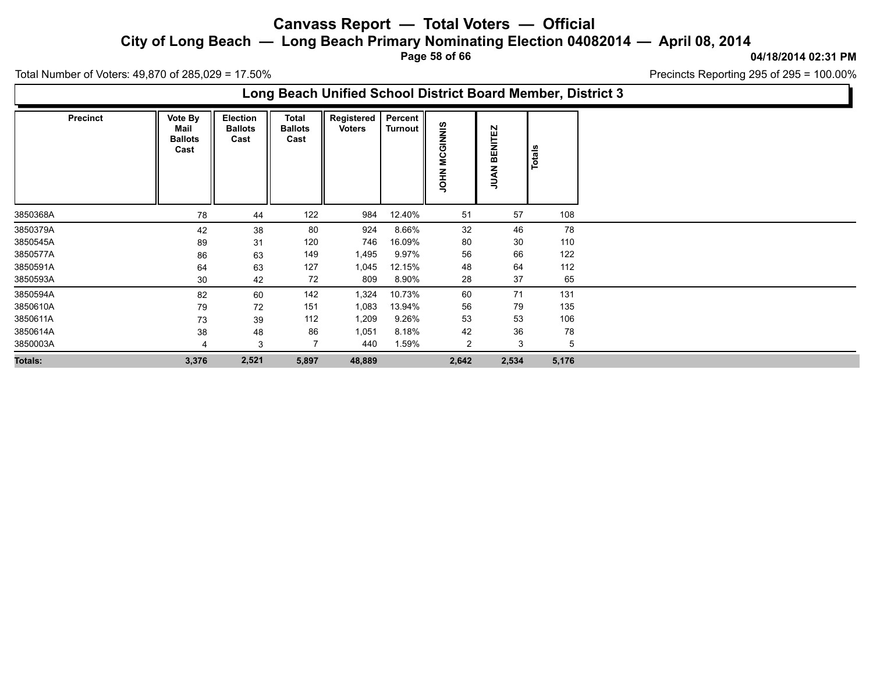**City of Long Beach — Long Beach Primary Nominating Election 04082014 — April 08, 2014**

**Page 58 of 66**

**04/18/2014 02:31 PM**

Total Number of Voters: 49,870 of 285,029 = 17.50%

**Long Beach Unified School District Board Member, District 3**

| <b>Precinct</b> | Vote By<br>Mail<br><b>Ballots</b><br>Cast | Election<br><b>Ballots</b><br>Cast | <b>Total</b><br><b>Ballots</b><br>Cast | Registered<br><b>Voters</b> | Percent  <br>Turnout | <b>SINNIS</b><br>C٦<br>ပ<br>Σ<br><b>NHOL</b> | <b>BENITEZ</b><br>JUAN <sub>I</sub> | Totals |       |
|-----------------|-------------------------------------------|------------------------------------|----------------------------------------|-----------------------------|----------------------|----------------------------------------------|-------------------------------------|--------|-------|
| 3850368A        | 78                                        | 44                                 | 122                                    | 984                         | 12.40%               | 51                                           | 57                                  |        | 108   |
| 3850379A        | 42                                        | 38                                 | 80                                     | 924                         | 8.66%                | 32                                           | 46                                  |        | 78    |
| 3850545A        | 89                                        | 31                                 | 120                                    | 746                         | 16.09%               | 80                                           | 30                                  |        | 110   |
| 3850577A        | 86                                        | 63                                 | 149                                    | 1,495                       | 9.97%                | 56                                           | 66                                  |        | 122   |
| 3850591A        | 64                                        | 63                                 | 127                                    | 1,045                       | 12.15%               | 48                                           | 64                                  |        | 112   |
| 3850593A        | 30                                        | 42                                 | 72                                     | 809                         | 8.90%                | 28                                           | 37                                  |        | 65    |
| 3850594A        | 82                                        | 60                                 | 142                                    | 1,324                       | 10.73%               | 60                                           | 71                                  |        | 131   |
| 3850610A        | 79                                        | 72                                 | 151                                    | 1,083                       | 13.94%               | 56                                           | 79                                  |        | 135   |
| 3850611A        | 73                                        | 39                                 | 112                                    | 1,209                       | 9.26%                | 53                                           | 53                                  |        | 106   |
| 3850614A        | 38                                        | 48                                 | 86                                     | 1,051                       | 8.18%                | 42                                           | $36\,$                              |        | 78    |
| 3850003A        | 4                                         | 3                                  | 7                                      | 440                         | 1.59%                | $\overline{2}$                               | 3                                   |        | 5     |
| <b>Totals:</b>  | 3,376                                     | 2,521                              | 5,897                                  | 48,889                      |                      | 2,642                                        | 2,534                               |        | 5,176 |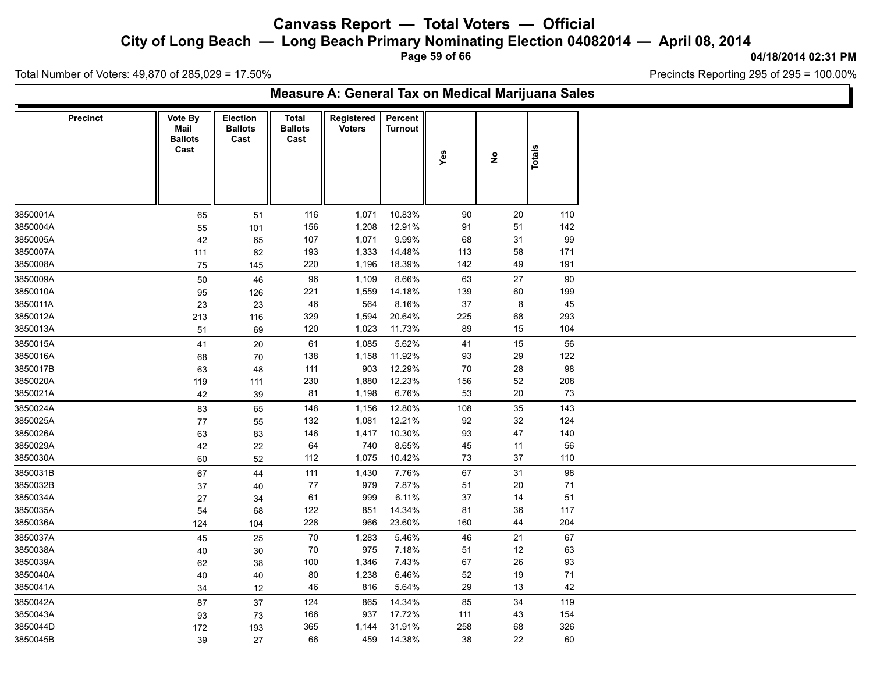**City of Long Beach — Long Beach Primary Nominating Election 04082014 — April 08, 2014**

**Page 59 of 66**

**04/18/2014 02:31 PM**

Ъ

Total Number of Voters: 49,870 of 285,029 = 17.50%

Г

| Measure A: General Tax on Medical Marijuana Sales |                                                  |                                    |                                 |                             |                           |        |                                     |               |  |  |  |  |  |
|---------------------------------------------------|--------------------------------------------------|------------------------------------|---------------------------------|-----------------------------|---------------------------|--------|-------------------------------------|---------------|--|--|--|--|--|
| <b>Precinct</b>                                   | <b>Vote By</b><br>Mail<br><b>Ballots</b><br>Cast | Election<br><b>Ballots</b><br>Cast | Total<br><b>Ballots</b><br>Cast | Registered<br><b>Voters</b> | Percent<br><b>Turnout</b> | Yes    | $\stackrel{\mathtt{o}}{\mathtt{z}}$ | <b>Totals</b> |  |  |  |  |  |
| 3850001A                                          | 65                                               | 51                                 | 116                             | 1,071                       | 10.83%                    | 90     | 20                                  | 110           |  |  |  |  |  |
| 3850004A                                          | 55                                               | 101                                | 156                             | 1,208                       | 12.91%                    | 91     | 51                                  | 142           |  |  |  |  |  |
| 3850005A                                          | 42                                               | 65                                 | 107                             | 1,071                       | 9.99%                     | 68     | 31                                  | 99            |  |  |  |  |  |
| 3850007A                                          | 111                                              | 82                                 | 193                             | 1,333                       | 14.48%                    | 113    | 58                                  | 171           |  |  |  |  |  |
| 3850008A                                          | 75                                               | 145                                | 220                             | 1,196                       | 18.39%                    | 142    | 49                                  | 191           |  |  |  |  |  |
| 3850009A                                          | 50                                               | 46                                 | 96                              | 1,109                       | 8.66%                     | 63     | 27                                  | 90            |  |  |  |  |  |
| 3850010A                                          | 95                                               | 126                                | 221                             | 1,559                       | 14.18%                    | 139    | 60                                  | 199           |  |  |  |  |  |
| 3850011A                                          | 23                                               | 23                                 | 46                              | 564                         | 8.16%                     | 37     | 8                                   | 45            |  |  |  |  |  |
| 3850012A                                          | 213                                              | 116                                | 329                             | 1,594                       | 20.64%                    | 225    | 68                                  | 293           |  |  |  |  |  |
| 3850013A                                          | 51                                               | 69                                 | 120                             | 1,023                       | 11.73%                    | 89     | 15                                  | 104           |  |  |  |  |  |
| 3850015A                                          | 41                                               | 20                                 | 61                              | 1,085                       | 5.62%                     | 41     | 15                                  | 56            |  |  |  |  |  |
| 3850016A                                          | 68                                               | 70                                 | 138                             | 1,158                       | 11.92%                    | 93     | 29                                  | 122           |  |  |  |  |  |
| 3850017B                                          | 63                                               | 48                                 | 111                             | 903                         | 12.29%                    | 70     | 28                                  | 98            |  |  |  |  |  |
| 3850020A                                          | 119                                              | 111                                | 230                             | 1,880                       | 12.23%                    | 156    | $52\,$                              | 208           |  |  |  |  |  |
| 3850021A                                          | 42                                               | 39                                 | 81                              | 1,198                       | 6.76%                     | 53     | $20\,$                              | 73            |  |  |  |  |  |
| 3850024A                                          | 83                                               | 65                                 | 148                             | 1,156                       | 12.80%                    | 108    | 35                                  | 143           |  |  |  |  |  |
| 3850025A                                          | 77                                               | 55                                 | 132                             | 1,081                       | 12.21%                    | 92     | 32                                  | 124           |  |  |  |  |  |
| 3850026A                                          | 63                                               | 83                                 | 146                             | 1,417                       | 10.30%                    | 93     | 47                                  | 140           |  |  |  |  |  |
| 3850029A                                          | 42                                               | 22                                 | 64                              | 740                         | 8.65%                     | 45     | 11                                  | 56            |  |  |  |  |  |
| 3850030A                                          | 60                                               | 52                                 | 112                             | 1,075                       | 10.42%                    | 73     | $37\,$                              | 110           |  |  |  |  |  |
| 3850031B                                          | 67                                               | 44                                 | 111                             | 1,430                       | 7.76%                     | 67     | 31                                  | 98            |  |  |  |  |  |
| 3850032B                                          | 37                                               | 40                                 | 77                              | 979                         | 7.87%                     | 51     | 20                                  | 71            |  |  |  |  |  |
| 3850034A                                          | 27                                               | 34                                 | 61                              | 999                         | 6.11%                     | $37\,$ | 14                                  | 51            |  |  |  |  |  |
| 3850035A                                          | 54                                               | 68                                 | 122                             | 851                         | 14.34%                    | 81     | $36\,$                              | 117           |  |  |  |  |  |
| 3850036A                                          | 124                                              | 104                                | 228                             | 966                         | 23.60%                    | 160    | 44                                  | 204           |  |  |  |  |  |
| 3850037A                                          | 45                                               | 25                                 | $70\,$                          | 1,283                       | 5.46%                     | 46     | 21                                  | 67            |  |  |  |  |  |
| 3850038A                                          | 40                                               | 30                                 | 70                              | 975                         | 7.18%                     | 51     | 12                                  | 63            |  |  |  |  |  |
| 3850039A                                          | 62                                               | 38                                 | 100                             | 1,346                       | 7.43%                     | 67     | $26\,$                              | 93            |  |  |  |  |  |
| 3850040A                                          | 40                                               | 40                                 | 80                              | 1,238                       | 6.46%                     | 52     | 19                                  | 71            |  |  |  |  |  |
| 3850041A                                          | 34                                               | 12                                 | 46                              | 816                         | 5.64%                     | 29     | 13                                  | 42            |  |  |  |  |  |
| 3850042A                                          | 87                                               | 37                                 | 124                             | 865                         | 14.34%                    | 85     | 34                                  | 119           |  |  |  |  |  |
| 3850043A                                          | 93                                               | 73                                 | 166                             | 937                         | 17.72%                    | 111    | 43                                  | 154           |  |  |  |  |  |
| 3850044D                                          | 172                                              | 193                                | 365                             | 1,144                       | 31.91%                    | 258    | 68                                  | 326           |  |  |  |  |  |
| 3850045B                                          | 39                                               | 27                                 | 66                              | 459                         | 14.38%                    | 38     | 22                                  | 60            |  |  |  |  |  |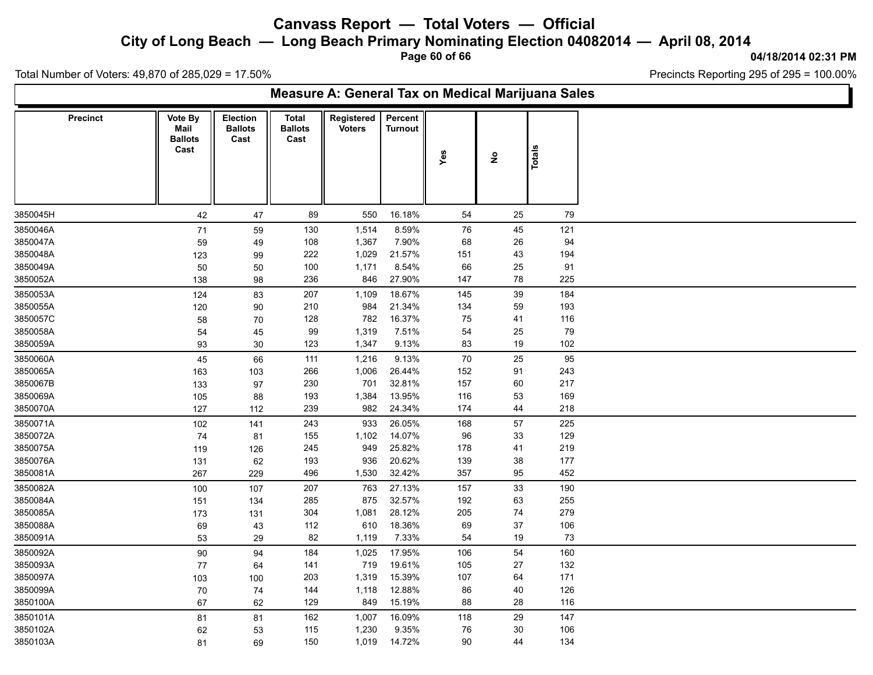**City of Long Beach — Long Beach Primary Nominating Election 04082014 — April 08, 2014**

**Page 60 of 66**

**04/18/2014 02:31 PM**

h.

Total Number of Voters: 49,870 of 285,029 = 17.50%

| Measure A: General Tax on Medical Marijuana Sales |                                           |                                    |                                        |                             |                    |            |                                     |        |  |  |  |  |  |
|---------------------------------------------------|-------------------------------------------|------------------------------------|----------------------------------------|-----------------------------|--------------------|------------|-------------------------------------|--------|--|--|--|--|--|
| Precinct                                          | Vote By<br>Mail<br><b>Ballots</b><br>Cast | Election<br><b>Ballots</b><br>Cast | <b>Total</b><br><b>Ballots</b><br>Cast | Registered<br><b>Voters</b> | Percent<br>Turnout | Yes        | $\stackrel{\mathtt{o}}{\mathtt{z}}$ | Totals |  |  |  |  |  |
| 3850045H                                          | 42                                        | 47                                 | 89                                     | 550                         | 16.18%             | 54         | 25                                  | 79     |  |  |  |  |  |
| 3850046A                                          | $71$                                      | 59                                 | 130                                    | 1,514                       | 8.59%              | 76         | 45                                  | 121    |  |  |  |  |  |
| 3850047A                                          | 59                                        | 49                                 | 108                                    | 1,367                       | 7.90%              | 68         | 26                                  | 94     |  |  |  |  |  |
| 3850048A                                          | 123                                       | 99                                 | 222                                    | 1,029                       | 21.57%             | 151        | 43                                  | 194    |  |  |  |  |  |
| 3850049A                                          | 50                                        | 50                                 | 100                                    | 1,171                       | 8.54%              | 66         | 25                                  | 91     |  |  |  |  |  |
| 3850052A                                          | 138                                       | 98                                 | 236                                    | 846                         | 27.90%             | 147        | 78                                  | 225    |  |  |  |  |  |
| 3850053A                                          | 124                                       | 83                                 | 207                                    | 1,109                       | 18.67%             | 145        | 39                                  | 184    |  |  |  |  |  |
| 3850055A                                          | 120                                       | 90                                 | 210                                    | 984                         | 21.34%             | 134        | 59                                  | 193    |  |  |  |  |  |
| 3850057C                                          | 58                                        | 70                                 | 128                                    | 782                         | 16.37%             | ${\bf 75}$ | 41                                  | 116    |  |  |  |  |  |
| 3850058A                                          | 54                                        | 45                                 | 99                                     | 1,319                       | 7.51%              | 54         | 25                                  | 79     |  |  |  |  |  |
| 3850059A                                          | 93                                        | 30                                 | 123                                    | 1,347                       | 9.13%              | 83         | 19                                  | 102    |  |  |  |  |  |
| 3850060A                                          | 45                                        | 66                                 | 111                                    | 1,216                       | 9.13%              | 70         | 25                                  | 95     |  |  |  |  |  |
| 3850065A                                          | 163                                       | 103                                | 266                                    | 1,006                       | 26.44%             | 152        | 91                                  | 243    |  |  |  |  |  |
| 3850067B                                          | 133                                       | 97                                 | 230                                    | 701                         | 32.81%             | 157        | 60                                  | 217    |  |  |  |  |  |
| 3850069A                                          | 105                                       | 88                                 | 193                                    | 1,384                       | 13.95%             | 116        | 53                                  | 169    |  |  |  |  |  |
| 3850070A                                          | 127                                       | 112                                | 239                                    | 982                         | 24.34%             | 174        | 44                                  | 218    |  |  |  |  |  |
| 3850071A                                          | 102                                       | 141                                | 243                                    | 933                         | 26.05%             | 168        | $57\,$                              | 225    |  |  |  |  |  |
| 3850072A                                          | 74                                        | 81                                 | 155                                    | 1,102                       | 14.07%             | 96         | 33                                  | 129    |  |  |  |  |  |
| 3850075A                                          | 119                                       | 126                                | 245                                    | 949                         | 25.82%             | 178        | 41                                  | 219    |  |  |  |  |  |
| 3850076A                                          | 131                                       | 62                                 | 193                                    | 936                         | 20.62%             | 139        | $38\,$                              | 177    |  |  |  |  |  |
| 3850081A                                          | 267                                       | 229                                | 496                                    | 1,530                       | 32.42%             | 357        | 95                                  | 452    |  |  |  |  |  |
| 3850082A                                          | 100                                       | 107                                | 207                                    | 763                         | 27.13%             | 157        | 33                                  | 190    |  |  |  |  |  |
| 3850084A                                          | 151                                       | 134                                | 285                                    | 875                         | 32.57%             | 192        | 63                                  | 255    |  |  |  |  |  |
| 3850085A                                          | 173                                       | 131                                | 304                                    | 1,081                       | 28.12%             | 205        | 74                                  | 279    |  |  |  |  |  |
| 3850088A                                          | 69                                        | 43                                 | 112                                    | 610                         | 18.36%             | 69         | 37                                  | 106    |  |  |  |  |  |
| 3850091A                                          | 53                                        | 29                                 | 82                                     | 1,119                       | 7.33%              | 54         | 19                                  | 73     |  |  |  |  |  |
| 3850092A                                          | 90                                        | 94                                 | 184                                    | 1,025                       | 17.95%             | 106        | 54                                  | 160    |  |  |  |  |  |
| 3850093A                                          | 77                                        | 64                                 | 141                                    | 719                         | 19.61%             | 105        | 27                                  | 132    |  |  |  |  |  |
| 3850097A                                          | 103                                       | 100                                | 203                                    | 1,319                       | 15.39%             | 107        | 64                                  | 171    |  |  |  |  |  |
| 3850099A                                          | 70                                        | 74                                 | 144                                    | 1,118                       | 12.88%             | 86         | 40                                  | 126    |  |  |  |  |  |
| 3850100A                                          | 67                                        | 62                                 | 129                                    | 849                         | 15.19%             | 88         | 28                                  | 116    |  |  |  |  |  |
| 3850101A                                          | 81                                        | 81                                 | 162                                    | 1,007                       | 16.09%             | 118        | 29                                  | 147    |  |  |  |  |  |
| 3850102A                                          | 62                                        | 53                                 | 115                                    | 1,230                       | 9.35%              | ${\bf 76}$ | $30\,$                              | 106    |  |  |  |  |  |
| 3850103A                                          | 81                                        | 69                                 | 150                                    | 1,019                       | 14.72%             | 90         | 44                                  | 134    |  |  |  |  |  |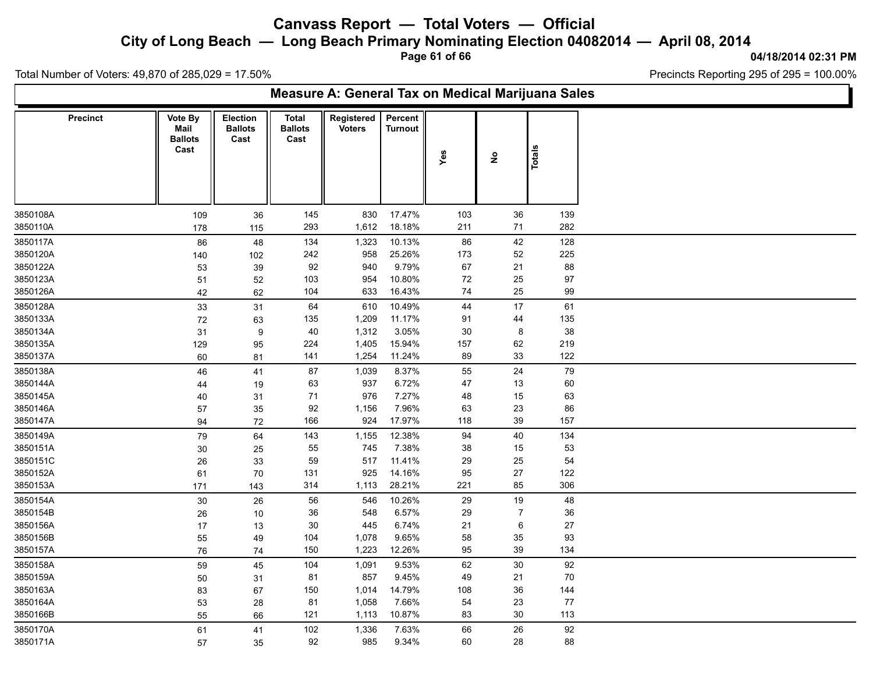**City of Long Beach — Long Beach Primary Nominating Election 04082014 — April 08, 2014**

**Page 61 of 66**

**04/18/2014 02:31 PM**

'n

Total Number of Voters: 49,870 of 285,029 = 17.50%

|                 | Measure A: General Tax on Medical Marijuana Sales |                                    |                                        |                             |                           |     |                      |               |  |  |  |  |  |  |
|-----------------|---------------------------------------------------|------------------------------------|----------------------------------------|-----------------------------|---------------------------|-----|----------------------|---------------|--|--|--|--|--|--|
| <b>Precinct</b> | Vote By<br>Mail<br><b>Ballots</b><br>Cast         | Election<br><b>Ballots</b><br>Cast | <b>Total</b><br><b>Ballots</b><br>Cast | Registered<br><b>Voters</b> | Percent<br><b>Turnout</b> | Yes | $\tilde{\mathbf{z}}$ | <b>Totals</b> |  |  |  |  |  |  |
| 3850108A        | 109                                               |                                    | 145                                    | 830                         | 17.47%                    | 103 | 36                   | 139           |  |  |  |  |  |  |
| 3850110A        | 178                                               | 36<br>115                          | 293                                    | 1,612                       | 18.18%                    | 211 | 71                   | 282           |  |  |  |  |  |  |
| 3850117A        | 86                                                | 48                                 | 134                                    | 1,323                       | 10.13%                    | 86  | 42                   | 128           |  |  |  |  |  |  |
| 3850120A        | 140                                               | 102                                | 242                                    | 958                         | 25.26%                    | 173 | 52                   | 225           |  |  |  |  |  |  |
| 3850122A        | 53                                                | 39                                 | 92                                     | 940                         | 9.79%                     | 67  | 21                   | 88            |  |  |  |  |  |  |
| 3850123A        | 51                                                | 52                                 | 103                                    | 954                         | 10.80%                    | 72  | 25                   | 97            |  |  |  |  |  |  |
| 3850126A        | 42                                                | 62                                 | 104                                    | 633                         | 16.43%                    | 74  | 25                   | 99            |  |  |  |  |  |  |
| 3850128A        | $33\,$                                            | 31                                 | 64                                     | 610                         | 10.49%                    | 44  | 17                   | 61            |  |  |  |  |  |  |
| 3850133A        | 72                                                | 63                                 | 135                                    | 1,209                       | 11.17%                    | 91  | 44                   | 135           |  |  |  |  |  |  |
| 3850134A        | 31                                                | $\boldsymbol{9}$                   | 40                                     | 1,312                       | 3.05%                     | 30  | 8                    | 38            |  |  |  |  |  |  |
| 3850135A        | 129                                               | 95                                 | 224                                    | 1,405                       | 15.94%                    | 157 | 62                   | 219           |  |  |  |  |  |  |
| 3850137A        | 60                                                | 81                                 | 141                                    | 1,254                       | 11.24%                    | 89  | 33                   | 122           |  |  |  |  |  |  |
| 3850138A        | 46                                                | 41                                 | 87                                     | 1,039                       | 8.37%                     | 55  | 24                   | 79            |  |  |  |  |  |  |
| 3850144A        | 44                                                | 19                                 | 63                                     | 937                         | 6.72%                     | 47  | 13                   | 60            |  |  |  |  |  |  |
| 3850145A        | 40                                                | 31                                 | 71                                     | 976                         | 7.27%                     | 48  | 15                   | 63            |  |  |  |  |  |  |
| 3850146A        | 57                                                | 35                                 | 92                                     | 1,156                       | 7.96%                     | 63  | 23                   | 86            |  |  |  |  |  |  |
| 3850147A        | 94                                                | 72                                 | 166                                    | 924                         | 17.97%                    | 118 | 39                   | 157           |  |  |  |  |  |  |
| 3850149A        | ${\bf 79}$                                        | 64                                 | 143                                    | 1,155                       | 12.38%                    | 94  | 40                   | 134           |  |  |  |  |  |  |
| 3850151A        | 30                                                | 25                                 | 55                                     | 745                         | 7.38%                     | 38  | 15                   | 53            |  |  |  |  |  |  |
| 3850151C        | 26                                                | 33                                 | 59                                     | 517                         | 11.41%                    | 29  | 25                   | 54            |  |  |  |  |  |  |
| 3850152A        | 61                                                | 70                                 | 131                                    | 925                         | 14.16%                    | 95  | 27                   | 122           |  |  |  |  |  |  |
| 3850153A        | 171                                               | 143                                | 314                                    | 1,113                       | 28.21%                    | 221 | 85                   | 306           |  |  |  |  |  |  |
| 3850154A        | $30\,$                                            | 26                                 | 56                                     | 546                         | 10.26%                    | 29  | 19                   | 48            |  |  |  |  |  |  |
| 3850154B        | 26                                                | 10                                 | $36\,$                                 | 548                         | 6.57%                     | 29  | $\overline{7}$       | $36\,$        |  |  |  |  |  |  |
| 3850156A        | 17                                                | 13                                 | 30                                     | 445                         | 6.74%                     | 21  | 6                    | 27            |  |  |  |  |  |  |
| 3850156B        | 55                                                | 49                                 | 104                                    | 1,078                       | 9.65%                     | 58  | $35\,$               | 93            |  |  |  |  |  |  |
| 3850157A        | 76                                                | 74                                 | 150                                    | 1,223                       | 12.26%                    | 95  | 39                   | 134           |  |  |  |  |  |  |
| 3850158A        | 59                                                | 45                                 | 104                                    | 1,091                       | 9.53%                     | 62  | $30\,$               | 92            |  |  |  |  |  |  |
| 3850159A        | 50                                                | 31                                 | 81                                     | 857                         | 9.45%                     | 49  | 21                   | 70            |  |  |  |  |  |  |
| 3850163A        | 83                                                | 67                                 | 150                                    | 1,014                       | 14.79%                    | 108 | $36\,$               | $144$         |  |  |  |  |  |  |
| 3850164A        | 53                                                | 28                                 | 81                                     | 1,058                       | 7.66%                     | 54  | 23                   | 77            |  |  |  |  |  |  |
| 3850166B        | 55                                                | 66                                 | 121                                    | 1,113                       | 10.87%                    | 83  | 30                   | 113           |  |  |  |  |  |  |
| 3850170A        | 61                                                | 41                                 | 102                                    | 1,336                       | 7.63%                     | 66  | $26\,$               | 92            |  |  |  |  |  |  |
| 3850171A        | 57                                                | 35                                 | 92                                     | 985                         | 9.34%                     | 60  | 28                   | 88            |  |  |  |  |  |  |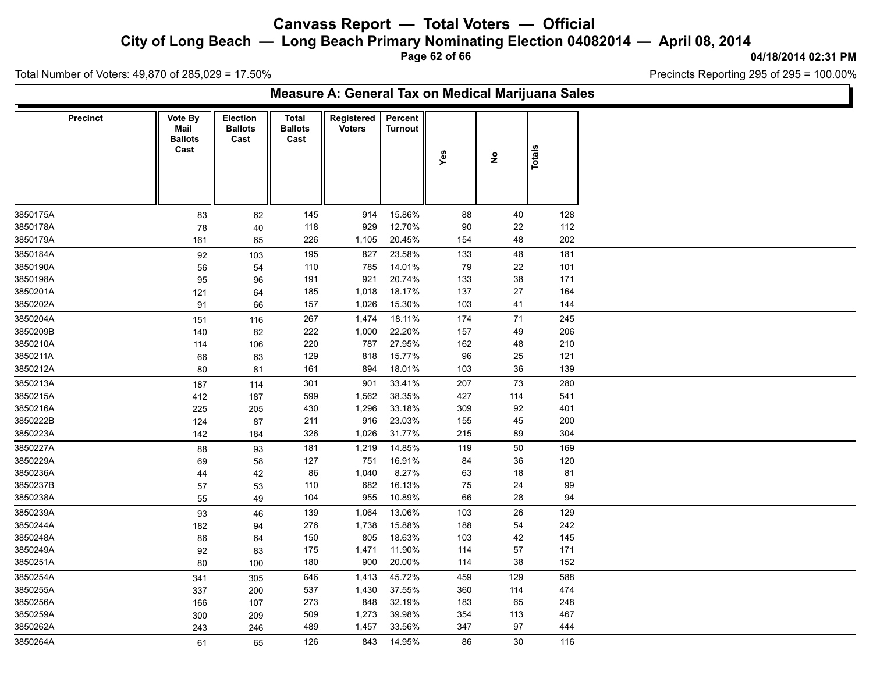**City of Long Beach — Long Beach Primary Nominating Election 04082014 — April 08, 2014**

**Page 62 of 66**

**04/18/2014 02:31 PM**

'n

Total Number of Voters: 49,870 of 285,029 = 17.50%

| Measure A: General Tax on Medical Marijuana Sales |          |                                           |                                           |                                        |                             |                           |     |                                     |        |  |  |  |  |
|---------------------------------------------------|----------|-------------------------------------------|-------------------------------------------|----------------------------------------|-----------------------------|---------------------------|-----|-------------------------------------|--------|--|--|--|--|
|                                                   | Precinct | Vote By<br>Mail<br><b>Ballots</b><br>Cast | <b>Election</b><br><b>Ballots</b><br>Cast | <b>Total</b><br><b>Ballots</b><br>Cast | Registered<br><b>Voters</b> | Percent<br><b>Turnout</b> | Yes | $\stackrel{\mathtt{o}}{\mathtt{z}}$ | Totals |  |  |  |  |
| 3850175A                                          |          | 83                                        | 62                                        | 145                                    | 914                         | 15.86%                    | 88  | 40                                  | 128    |  |  |  |  |
| 3850178A                                          |          | 78                                        | 40                                        | 118                                    | 929                         | 12.70%                    | 90  | 22                                  | 112    |  |  |  |  |
| 3850179A                                          |          | 161                                       | 65                                        | 226                                    | 1,105                       | 20.45%                    | 154 | 48                                  | 202    |  |  |  |  |
| 3850184A                                          |          | 92                                        | 103                                       | 195                                    | 827                         | 23.58%                    | 133 | 48                                  | 181    |  |  |  |  |
| 3850190A                                          |          | 56                                        | 54                                        | 110                                    | 785                         | 14.01%                    | 79  | 22                                  | 101    |  |  |  |  |
| 3850198A                                          |          | 95                                        | 96                                        | 191                                    | 921                         | 20.74%                    | 133 | 38                                  | 171    |  |  |  |  |
| 3850201A                                          |          | 121                                       | 64                                        | 185                                    | 1,018                       | 18.17%                    | 137 | 27                                  | 164    |  |  |  |  |
| 3850202A                                          |          | 91                                        | 66                                        | 157                                    | 1,026                       | 15.30%                    | 103 | 41                                  | 144    |  |  |  |  |
| 3850204A                                          |          | 151                                       | 116                                       | 267                                    | 1,474                       | 18.11%                    | 174 | 71                                  | 245    |  |  |  |  |
| 3850209B                                          |          | 140                                       | 82                                        | 222                                    | 1,000                       | 22.20%                    | 157 | 49                                  | 206    |  |  |  |  |
| 3850210A                                          |          | 114                                       | 106                                       | 220                                    | 787                         | 27.95%                    | 162 | 48                                  | 210    |  |  |  |  |
| 3850211A                                          |          | 66                                        | 63                                        | 129                                    | 818                         | 15.77%                    | 96  | 25                                  | 121    |  |  |  |  |
| 3850212A                                          |          | 80                                        | 81                                        | 161                                    | 894                         | 18.01%                    | 103 | 36                                  | 139    |  |  |  |  |
| 3850213A                                          |          | 187                                       | 114                                       | 301                                    | 901                         | 33.41%                    | 207 | 73                                  | 280    |  |  |  |  |
| 3850215A                                          |          | 412                                       | 187                                       | 599                                    | 1,562                       | 38.35%                    | 427 | 114                                 | 541    |  |  |  |  |
| 3850216A                                          |          | 225                                       | 205                                       | 430                                    | 1,296                       | 33.18%                    | 309 | 92                                  | 401    |  |  |  |  |
| 3850222B                                          |          | 124                                       | 87                                        | 211                                    | 916                         | 23.03%                    | 155 | 45                                  | 200    |  |  |  |  |
| 3850223A                                          |          | 142                                       | 184                                       | 326                                    | 1,026                       | 31.77%                    | 215 | 89                                  | 304    |  |  |  |  |
| 3850227A                                          |          | 88                                        | 93                                        | 181                                    | 1,219                       | 14.85%                    | 119 | 50                                  | 169    |  |  |  |  |
| 3850229A                                          |          | 69                                        | 58                                        | 127                                    | 751                         | 16.91%                    | 84  | 36                                  | 120    |  |  |  |  |
| 3850236A                                          |          | 44                                        | 42                                        | 86                                     | 1,040                       | 8.27%                     | 63  | 18                                  | 81     |  |  |  |  |
| 3850237B                                          |          | 57                                        | 53                                        | 110                                    | 682                         | 16.13%                    | 75  | 24                                  | 99     |  |  |  |  |
| 3850238A                                          |          | 55                                        | 49                                        | 104                                    | 955                         | 10.89%                    | 66  | 28                                  | 94     |  |  |  |  |
| 3850239A                                          |          | 93                                        | 46                                        | 139                                    | 1,064                       | 13.06%                    | 103 | 26                                  | 129    |  |  |  |  |
| 3850244A                                          |          | 182                                       | 94                                        | 276                                    | 1,738                       | 15.88%                    | 188 | 54                                  | 242    |  |  |  |  |
| 3850248A                                          |          | 86                                        | 64                                        | 150                                    | 805                         | 18.63%                    | 103 | 42                                  | 145    |  |  |  |  |
| 3850249A                                          |          | 92                                        | 83                                        | 175                                    | 1,471                       | 11.90%                    | 114 | 57                                  | 171    |  |  |  |  |
| 3850251A                                          |          | 80                                        | 100                                       | 180                                    | 900                         | 20.00%                    | 114 | 38                                  | 152    |  |  |  |  |
| 3850254A                                          |          | 341                                       | 305                                       | 646                                    | 1,413                       | 45.72%                    | 459 | 129                                 | 588    |  |  |  |  |
| 3850255A                                          |          | 337                                       | 200                                       | 537                                    | 1,430                       | 37.55%                    | 360 | 114                                 | 474    |  |  |  |  |
| 3850256A                                          |          | 166                                       | 107                                       | 273                                    | 848                         | 32.19%                    | 183 | 65                                  | 248    |  |  |  |  |
| 3850259A                                          |          | 300                                       | 209                                       | 509                                    | 1,273                       | 39.98%                    | 354 | 113                                 | 467    |  |  |  |  |
| 3850262A                                          |          | 243                                       | 246                                       | 489                                    | 1,457                       | 33.56%                    | 347 | 97                                  | 444    |  |  |  |  |
| 3850264A                                          |          | 61                                        | 65                                        | 126                                    | 843                         | 14.95%                    | 86  | 30                                  | 116    |  |  |  |  |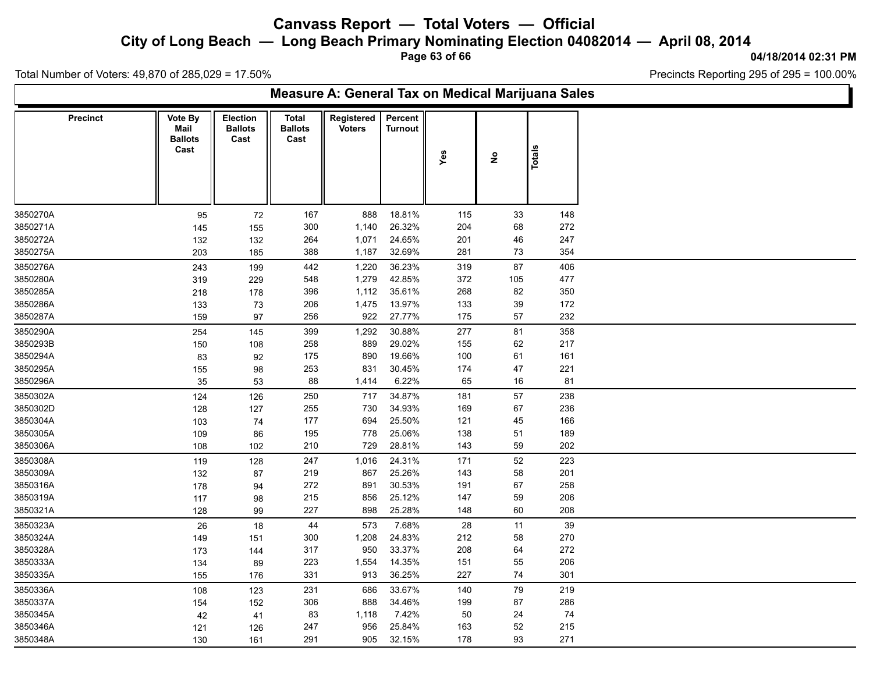**City of Long Beach — Long Beach Primary Nominating Election 04082014 — April 08, 2014**

**Page 63 of 66**

**04/18/2014 02:31 PM**

Ъ

Total Number of Voters: 49,870 of 285,029 = 17.50%

Г

| Measure A: General Tax on Medical Marijuana Sales |                                           |                                    |                                        |                             |                           |     |                                    |        |  |  |  |  |  |
|---------------------------------------------------|-------------------------------------------|------------------------------------|----------------------------------------|-----------------------------|---------------------------|-----|------------------------------------|--------|--|--|--|--|--|
| <b>Precinct</b>                                   | Vote By<br>Mail<br><b>Ballots</b><br>Cast | Election<br><b>Ballots</b><br>Cast | <b>Total</b><br><b>Ballots</b><br>Cast | Registered<br><b>Voters</b> | Percent<br><b>Turnout</b> | Yes | $\overset{\mathtt{o}}{\mathtt{z}}$ | Totals |  |  |  |  |  |
| 3850270A                                          | 95                                        | 72                                 | 167                                    | 888                         | 18.81%                    | 115 | 33                                 | 148    |  |  |  |  |  |
| 3850271A                                          | 145                                       | 155                                | 300                                    | 1,140                       | 26.32%                    | 204 | 68                                 | 272    |  |  |  |  |  |
| 3850272A                                          | 132                                       | 132                                | 264                                    | 1,071                       | 24.65%                    | 201 | 46                                 | 247    |  |  |  |  |  |
| 3850275A                                          | 203                                       | 185                                | 388                                    | 1,187                       | 32.69%                    | 281 | 73                                 | 354    |  |  |  |  |  |
| 3850276A                                          | 243                                       | 199                                | 442                                    | 1,220                       | 36.23%                    | 319 | $87\,$                             | 406    |  |  |  |  |  |
| 3850280A                                          | 319                                       | 229                                | 548                                    | 1,279                       | 42.85%                    | 372 | 105                                | 477    |  |  |  |  |  |
| 3850285A                                          | 218                                       | 178                                | 396                                    | 1,112                       | 35.61%                    | 268 | 82                                 | 350    |  |  |  |  |  |
| 3850286A                                          | 133                                       | 73                                 | 206                                    | 1,475                       | 13.97%                    | 133 | 39                                 | 172    |  |  |  |  |  |
| 3850287A                                          | 159                                       | 97                                 | 256                                    | 922                         | 27.77%                    | 175 | $57\,$                             | 232    |  |  |  |  |  |
| 3850290A                                          | 254                                       | 145                                | 399                                    | 1,292                       | 30.88%                    | 277 | 81                                 | 358    |  |  |  |  |  |
| 3850293B                                          | 150                                       | 108                                | 258                                    | 889                         | 29.02%                    | 155 | 62                                 | 217    |  |  |  |  |  |
| 3850294A                                          | 83                                        | 92                                 | 175                                    | 890                         | 19.66%                    | 100 | 61                                 | 161    |  |  |  |  |  |
| 3850295A                                          | 155                                       | 98                                 | 253                                    | 831                         | 30.45%                    | 174 | 47                                 | 221    |  |  |  |  |  |
| 3850296A                                          | 35                                        | 53                                 | 88                                     | 1,414                       | 6.22%                     | 65  | 16                                 | 81     |  |  |  |  |  |
| 3850302A                                          | 124                                       | 126                                | 250                                    | 717                         | 34.87%                    | 181 | 57                                 | 238    |  |  |  |  |  |
| 3850302D                                          | 128                                       | 127                                | 255                                    | 730                         | 34.93%                    | 169 | 67                                 | 236    |  |  |  |  |  |
| 3850304A                                          | 103                                       | 74                                 | 177                                    | 694                         | 25.50%                    | 121 | 45                                 | 166    |  |  |  |  |  |
| 3850305A                                          | 109                                       | 86                                 | 195                                    | 778                         | 25.06%                    | 138 | 51                                 | 189    |  |  |  |  |  |
| 3850306A                                          | 108                                       | 102                                | 210                                    | 729                         | 28.81%                    | 143 | 59                                 | 202    |  |  |  |  |  |
| 3850308A                                          | 119                                       | 128                                | 247                                    | 1,016                       | 24.31%                    | 171 | $52\,$                             | 223    |  |  |  |  |  |
| 3850309A                                          | 132                                       | 87                                 | 219                                    | 867                         | 25.26%                    | 143 | 58                                 | 201    |  |  |  |  |  |
| 3850316A                                          | 178                                       | 94                                 | 272                                    | 891                         | 30.53%                    | 191 | 67                                 | 258    |  |  |  |  |  |
| 3850319A                                          | 117                                       | 98                                 | 215                                    | 856                         | 25.12%                    | 147 | 59                                 | 206    |  |  |  |  |  |
| 3850321A                                          | 128                                       | 99                                 | 227                                    | 898                         | 25.28%                    | 148 | 60                                 | 208    |  |  |  |  |  |
| 3850323A                                          | 26                                        | 18                                 | 44                                     | 573                         | 7.68%                     | 28  | 11                                 | 39     |  |  |  |  |  |
| 3850324A                                          | 149                                       | 151                                | 300                                    | 1,208                       | 24.83%                    | 212 | 58                                 | 270    |  |  |  |  |  |
| 3850328A                                          | 173                                       | 144                                | 317                                    | 950                         | 33.37%                    | 208 | 64                                 | 272    |  |  |  |  |  |
| 3850333A                                          | 134                                       | 89                                 | 223                                    | 1,554                       | 14.35%                    | 151 | 55                                 | 206    |  |  |  |  |  |
| 3850335A                                          | 155                                       | 176                                | 331                                    | 913                         | 36.25%                    | 227 | 74                                 | 301    |  |  |  |  |  |
| 3850336A                                          | 108                                       | 123                                | 231                                    | 686                         | 33.67%                    | 140 | 79                                 | 219    |  |  |  |  |  |
| 3850337A                                          | 154                                       | 152                                | 306                                    | 888                         | 34.46%                    | 199 | 87                                 | 286    |  |  |  |  |  |
| 3850345A                                          | 42                                        | 41                                 | 83                                     | 1,118                       | 7.42%                     | 50  | 24                                 | 74     |  |  |  |  |  |
| 3850346A                                          | 121                                       | 126                                | 247                                    | 956                         | 25.84%                    | 163 | 52                                 | 215    |  |  |  |  |  |
| 3850348A                                          | 130                                       | 161                                | 291                                    | 905                         | 32.15%                    | 178 | 93                                 | 271    |  |  |  |  |  |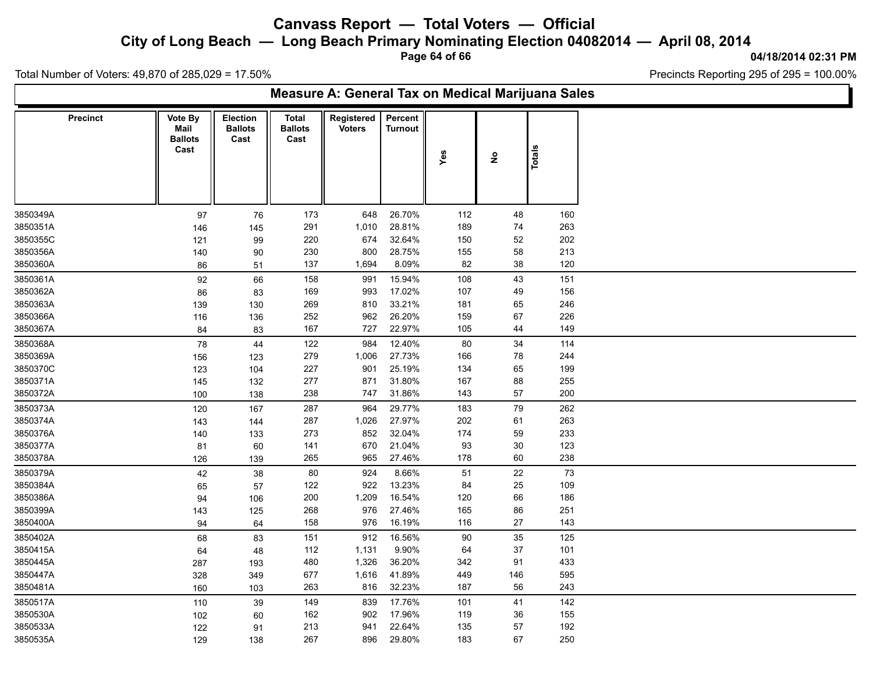**City of Long Beach — Long Beach Primary Nominating Election 04082014 — April 08, 2014**

**Page 64 of 66**

**04/18/2014 02:31 PM**

Ъ

Total Number of Voters: 49,870 of 285,029 = 17.50%

Г

| Measure A: General Tax on Medical Marijuana Sales |                                           |                                    |                                 |                             |                           |     |                   |               |  |
|---------------------------------------------------|-------------------------------------------|------------------------------------|---------------------------------|-----------------------------|---------------------------|-----|-------------------|---------------|--|
| <b>Precinct</b>                                   | Vote By<br>Mail<br><b>Ballots</b><br>Cast | Election<br><b>Ballots</b><br>Cast | Total<br><b>Ballots</b><br>Cast | Registered<br><b>Voters</b> | Percent<br><b>Turnout</b> | Yes | $\hat{\mathsf z}$ | <b>Totals</b> |  |
| 3850349A                                          | 97                                        | 76                                 | 173                             | 648                         | 26.70%                    | 112 | 48                | 160           |  |
| 3850351A                                          | 146                                       | 145                                | 291                             | 1,010                       | 28.81%                    | 189 | 74                | 263           |  |
| 3850355C                                          | 121                                       | 99                                 | 220                             | 674                         | 32.64%                    | 150 | 52                | 202           |  |
| 3850356A                                          | 140                                       | 90                                 | 230                             | 800                         | 28.75%                    | 155 | 58                | 213           |  |
| 3850360A                                          | 86                                        | 51                                 | 137                             | 1,694                       | 8.09%                     | 82  | 38                | 120           |  |
| 3850361A                                          | 92                                        | 66                                 | 158                             | 991                         | 15.94%                    | 108 | 43                | 151           |  |
| 3850362A                                          | 86                                        | 83                                 | 169                             | 993                         | 17.02%                    | 107 | 49                | 156           |  |
| 3850363A                                          | 139                                       | 130                                | 269                             | 810                         | 33.21%                    | 181 | 65                | 246           |  |
| 3850366A                                          | 116                                       | 136                                | 252                             | 962                         | 26.20%                    | 159 | 67                | 226           |  |
| 3850367A                                          | 84                                        | 83                                 | 167                             | 727                         | 22.97%                    | 105 | 44                | 149           |  |
| 3850368A                                          | 78                                        | 44                                 | 122                             | 984                         | 12.40%                    | 80  | 34                | 114           |  |
| 3850369A                                          | 156                                       | 123                                | 279                             | 1,006                       | 27.73%                    | 166 | 78                | 244           |  |
| 3850370C                                          | 123                                       | 104                                | 227                             | 901                         | 25.19%                    | 134 | 65                | 199           |  |
| 3850371A                                          | 145                                       | 132                                | 277                             | 871                         | 31.80%                    | 167 | 88                | 255           |  |
| 3850372A                                          | 100                                       | 138                                | 238                             | 747                         | 31.86%                    | 143 | 57                | 200           |  |
| 3850373A                                          | 120                                       | 167                                | 287                             | 964                         | 29.77%                    | 183 | 79                | 262           |  |
| 3850374A                                          | 143                                       | 144                                | 287                             | 1,026                       | 27.97%                    | 202 | 61                | 263           |  |
| 3850376A                                          | 140                                       | 133                                | 273                             | 852                         | 32.04%                    | 174 | 59                | 233           |  |
| 3850377A                                          | 81                                        | 60                                 | 141                             | 670                         | 21.04%                    | 93  | $30\,$            | 123           |  |
| 3850378A                                          | 126                                       | 139                                | 265                             | 965                         | 27.46%                    | 178 | 60                | 238           |  |
| 3850379A                                          | 42                                        | 38                                 | 80                              | 924                         | 8.66%                     | 51  | 22                | 73            |  |
| 3850384A                                          | 65                                        | 57                                 | 122                             | 922                         | 13.23%                    | 84  | 25                | 109           |  |
| 3850386A                                          | 94                                        | 106                                | 200                             | 1,209                       | 16.54%                    | 120 | 66                | 186           |  |
| 3850399A                                          | 143                                       | 125                                | 268                             | 976                         | 27.46%                    | 165 | 86                | 251           |  |
| 3850400A                                          | 94                                        | 64                                 | 158                             | 976                         | 16.19%                    | 116 | 27                | 143           |  |
| 3850402A                                          | 68                                        | 83                                 | 151                             | 912                         | 16.56%                    | 90  | 35                | 125           |  |
| 3850415A                                          | 64                                        | 48                                 | 112                             | 1,131                       | 9.90%                     | 64  | 37                | 101           |  |
| 3850445A                                          | 287                                       | 193                                | 480                             | 1,326                       | 36.20%                    | 342 | 91                | 433           |  |
| 3850447A                                          | 328                                       | 349                                | 677                             | 1,616                       | 41.89%                    | 449 | 146               | 595           |  |
| 3850481A                                          | 160                                       | 103                                | 263                             | 816                         | 32.23%                    | 187 | 56                | 243           |  |
| 3850517A                                          | 110                                       | 39                                 | 149                             | 839                         | 17.76%                    | 101 | 41                | 142           |  |
| 3850530A                                          | 102                                       | 60                                 | 162                             | 902                         | 17.96%                    | 119 | 36                | 155           |  |
| 3850533A                                          | 122                                       | 91                                 | 213                             | 941                         | 22.64%                    | 135 | 57                | 192           |  |
| 3850535A                                          | 129                                       | 138                                | 267                             | 896                         | 29.80%                    | 183 | 67                | 250           |  |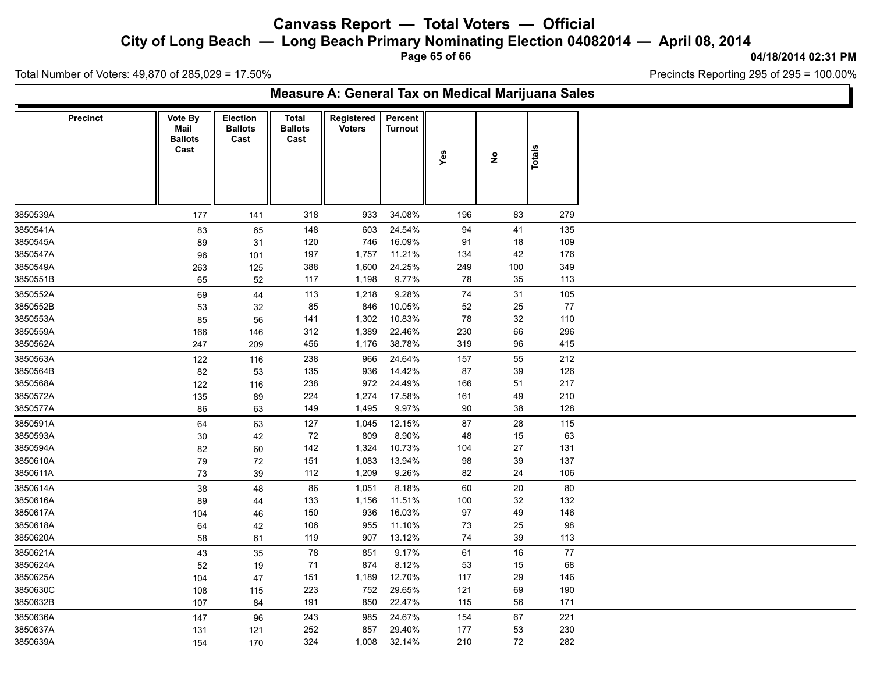**City of Long Beach — Long Beach Primary Nominating Election 04082014 — April 08, 2014**

**Page 65 of 66**

**04/18/2014 02:31 PM**

Ъ

Total Number of Voters: 49,870 of 285,029 = 17.50%

Г

| Measure A: General Tax on Medical Marijuana Sales |                                           |                                           |                                        |                             |                           |          |               |            |
|---------------------------------------------------|-------------------------------------------|-------------------------------------------|----------------------------------------|-----------------------------|---------------------------|----------|---------------|------------|
| <b>Precinct</b>                                   | Vote By<br>Mail<br><b>Ballots</b><br>Cast | <b>Election</b><br><b>Ballots</b><br>Cast | <b>Total</b><br><b>Ballots</b><br>Cast | Registered<br><b>Voters</b> | Percent<br><b>Turnout</b> | Yes      | $\frac{1}{2}$ | Totals     |
| 3850539A                                          | 177                                       | 141                                       | 318                                    | 933                         | 34.08%                    | 196      | 83            | 279        |
| 3850541A                                          | 83                                        | 65                                        | 148                                    | 603                         | 24.54%                    | 94       | 41            | 135        |
| 3850545A                                          | 89                                        | 31                                        | 120                                    | 746                         | 16.09%                    | 91       | 18            | 109        |
| 3850547A                                          | 96                                        | 101                                       | 197                                    | 1,757                       | 11.21%                    | 134      | 42            | 176        |
| 3850549A                                          | 263                                       | 125                                       | 388                                    | 1,600                       | 24.25%                    | 249      | 100           | 349        |
| 3850551B                                          | 65                                        | $52\,$                                    | 117                                    | 1,198                       | 9.77%                     | 78       | 35            | 113        |
| 3850552A                                          | 69                                        | 44                                        | 113                                    | 1,218                       | 9.28%                     | $\bf 74$ | 31            | 105        |
| 3850552B                                          | 53                                        | $32\,$                                    | 85                                     | 846                         | 10.05%                    | 52       | 25            | 77         |
| 3850553A                                          | 85                                        | 56                                        | 141                                    | 1,302                       | 10.83%                    | 78       | 32            | 110        |
| 3850559A                                          | 166                                       | 146                                       | 312                                    | 1,389                       | 22.46%                    | 230      | 66            | 296        |
| 3850562A                                          | 247                                       | 209                                       | 456                                    | 1,176                       | 38.78%                    | 319      | 96            | 415        |
| 3850563A                                          | 122                                       | 116                                       | 238                                    | 966                         | 24.64%                    | 157      | 55            | 212        |
| 3850564B                                          | 82                                        | 53                                        | 135                                    | 936                         | 14.42%                    | 87       | 39            | 126        |
| 3850568A                                          | 122                                       | 116                                       | 238                                    | 972                         | 24.49%                    | 166      | 51            | 217        |
| 3850572A                                          | 135                                       | 89                                        | 224                                    | 1,274                       | 17.58%                    | 161      | 49            | 210        |
| 3850577A                                          | 86                                        | 63                                        | 149                                    | 1,495                       | 9.97%                     | $90\,$   | 38            | 128        |
| 3850591A                                          | 64                                        | 63                                        | 127                                    | 1,045                       | 12.15%                    | 87       | 28            | 115        |
| 3850593A                                          | 30                                        | 42                                        | 72                                     | 809                         | 8.90%                     | 48       | 15            | 63         |
| 3850594A                                          | 82                                        | 60                                        | 142                                    | 1,324                       | 10.73%                    | 104      | 27            | 131        |
| 3850610A                                          | 79                                        | 72                                        | 151                                    | 1,083                       | 13.94%                    | 98       | 39            | 137        |
| 3850611A                                          | $73\,$                                    | 39                                        | 112                                    | 1,209                       | 9.26%                     | 82       | 24            | 106        |
| 3850614A                                          | 38                                        | 48                                        | 86                                     | 1,051                       | 8.18%                     | 60       | 20            | 80         |
| 3850616A                                          | 89                                        | 44                                        | 133                                    | 1,156                       | 11.51%                    | 100      | 32            | 132        |
| 3850617A                                          | 104                                       | 46                                        | 150                                    | 936                         | 16.03%                    | 97       | 49            | 146        |
| 3850618A                                          | 64                                        | 42                                        | 106                                    | 955                         | 11.10%                    | $73\,$   | 25            | 98         |
| 3850620A                                          | 58                                        | 61                                        | 119                                    | 907                         | 13.12%                    | 74       | 39            | 113        |
| 3850621A                                          |                                           |                                           | 78                                     | 851                         | 9.17%                     | 61       | 16            | 77         |
| 3850624A                                          | 43                                        | 35                                        | 71                                     | 874                         | 8.12%                     | 53       | 15            | 68         |
| 3850625A                                          | 52<br>104                                 | 19                                        | 151                                    | 1,189                       | 12.70%                    | 117      | 29            | 146        |
| 3850630C                                          | 108                                       | 47<br>115                                 | 223                                    | 752                         | 29.65%                    | 121      | 69            | 190        |
| 3850632B                                          | 107                                       | 84                                        | 191                                    | 850                         | 22.47%                    | 115      | 56            | 171        |
|                                                   |                                           |                                           |                                        |                             | 24.67%                    | 154      | 67            | 221        |
| 3850636A<br>3850637A                              | 147                                       | 96                                        | 243<br>252                             | 985<br>857                  | 29.40%                    | 177      |               |            |
|                                                   | 131                                       | 121                                       |                                        |                             |                           | 210      | 53            | 230<br>282 |
| 3850639A                                          | 154                                       | 170                                       | 324                                    | 1,008                       | 32.14%                    |          | 72            |            |